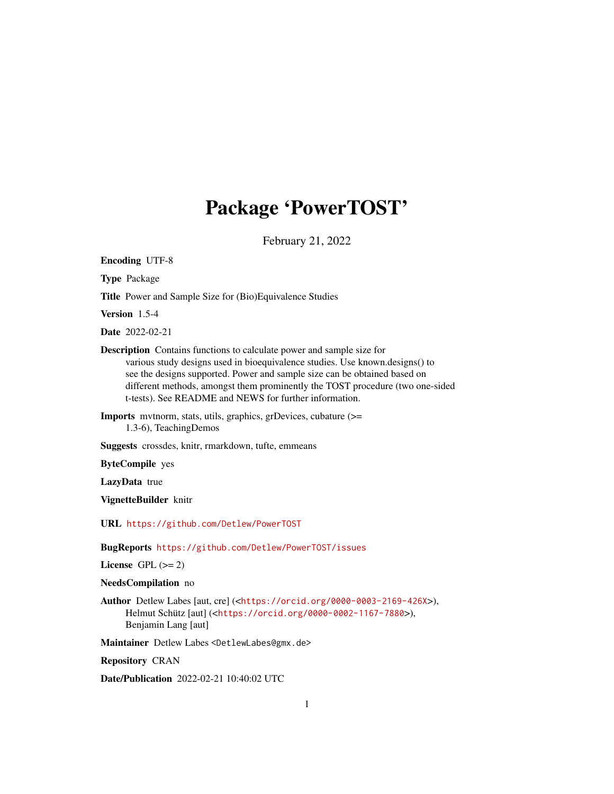# Package 'PowerTOST'

February 21, 2022

<span id="page-0-0"></span>Encoding UTF-8

Type Package

Title Power and Sample Size for (Bio)Equivalence Studies

Version 1.5-4

Date 2022-02-21

Description Contains functions to calculate power and sample size for various study designs used in bioequivalence studies. Use known.designs() to see the designs supported. Power and sample size can be obtained based on different methods, amongst them prominently the TOST procedure (two one-sided t-tests). See README and NEWS for further information.

Imports mvtnorm, stats, utils, graphics, grDevices, cubature (>= 1.3-6), TeachingDemos

Suggests crossdes, knitr, rmarkdown, tufte, emmeans

ByteCompile yes

LazyData true

VignetteBuilder knitr

URL <https://github.com/Detlew/PowerTOST>

BugReports <https://github.com/Detlew/PowerTOST/issues>

License GPL  $(>= 2)$ 

NeedsCompilation no

Author Detlew Labes [aut, cre] (<<https://orcid.org/0000-0003-2169-426X>>), Helmut Schütz [aut] (<<https://orcid.org/0000-0002-1167-7880>>), Benjamin Lang [aut]

Maintainer Detlew Labes <DetlewLabes@gmx.de>

Repository CRAN

Date/Publication 2022-02-21 10:40:02 UTC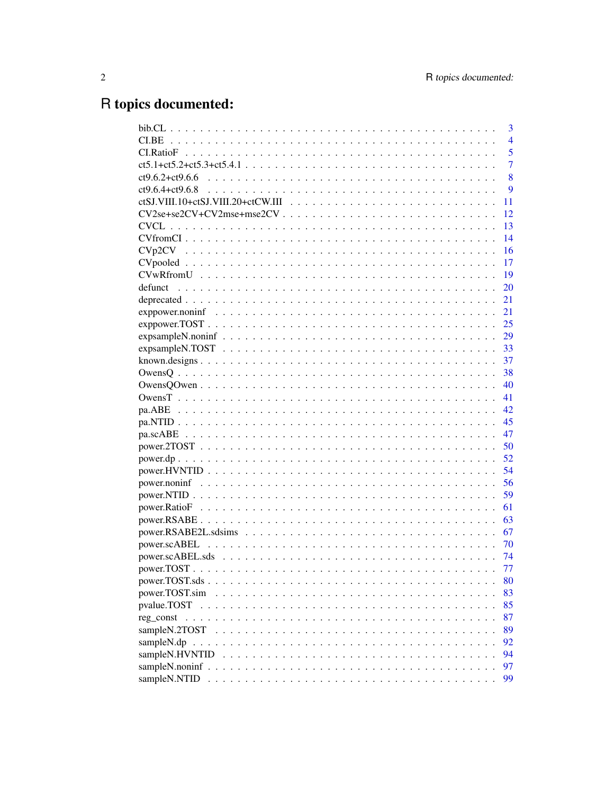# R topics documented:

|                           | 3              |
|---------------------------|----------------|
|                           | $\overline{4}$ |
|                           | 5              |
|                           | 7              |
|                           | 8              |
|                           | 9              |
|                           | 11             |
| CV2se+se2CV+CV2mse+mse2CV | 12             |
|                           | 13             |
|                           | 14             |
|                           | 16             |
|                           | 17             |
|                           | 19             |
|                           | 20             |
|                           | 21             |
|                           | 21             |
|                           | 25             |
|                           | 29             |
|                           | 33             |
|                           | 37             |
|                           | 38             |
|                           | 40             |
|                           | 41             |
|                           | 42             |
|                           | 45             |
|                           | 47             |
|                           | 50             |
|                           | 52             |
|                           | 54             |
|                           | 56             |
|                           | 59             |
|                           | 61             |
|                           | 63             |
|                           | 67             |
|                           | 70             |
|                           | 74             |
|                           | 77             |
|                           | 80             |
| power.TOST.sim            | 83             |
| pvalue.TOST               | 85             |
| reg const                 | 87             |
| sampleN.2TOST             | 89             |
|                           | 92             |
| sampleN.HVNTID            | 94             |
|                           | 97             |
| sampleN.NTID              | 99             |
|                           |                |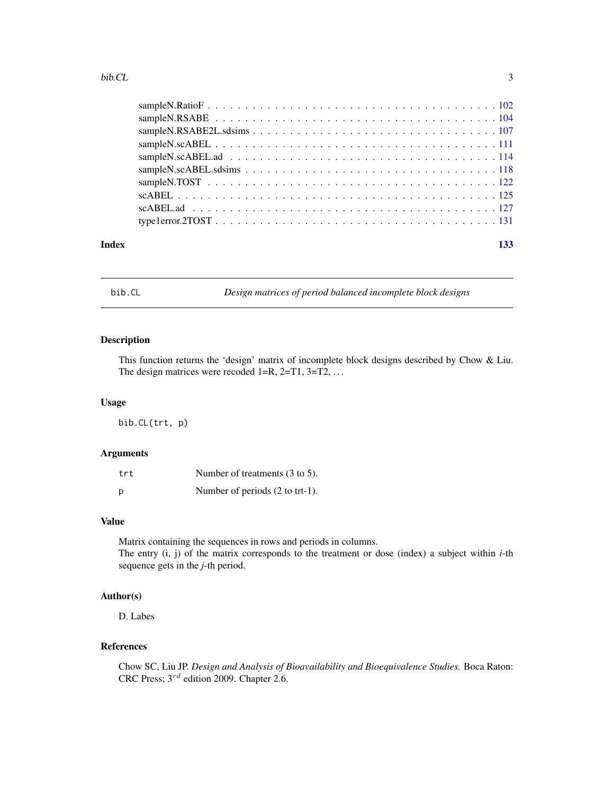#### <span id="page-2-0"></span>bib.CL 3

| Index | 133 |  |
|-------|-----|--|

bib.CL *Design matrices of period balanced incomplete block designs*

# Description

This function returns the 'design' matrix of incomplete block designs described by Chow & Liu. The design matrices were recoded  $1=R$ ,  $2=TI$ ,  $3=TZ$ , ...

# Usage

bib.CL(trt, p)

# Arguments

| trt | Number of treatments (3 to 5).            |
|-----|-------------------------------------------|
| p   | Number of periods $(2 \text{ to trt-1}).$ |

#### Value

Matrix containing the sequences in rows and periods in columns.

The entry (i, j) of the matrix corresponds to the treatment or dose (index) a subject within *i*-th sequence gets in the *j*-th period.

# Author(s)

D. Labes

# References

Chow SC, Liu JP. *Design and Analysis of Bioavailability and Bioequivalence Studies.* Boca Raton: CRC Press;  $3^{rd}$  edition 2009. Chapter 2.6.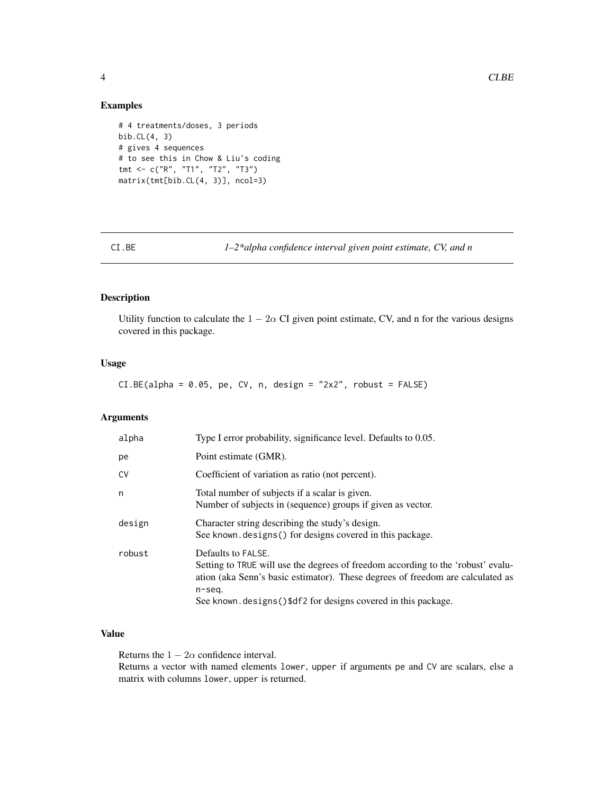# Examples

```
# 4 treatments/doses, 3 periods
bib.CL(4, 3)
# gives 4 sequences
# to see this in Chow & Liu's coding
tmt <- c("R", "T1", "T2", "T3")
matrix(tmt[bib.CL(4, 3)], ncol=3)
```
<span id="page-3-1"></span>

CI.BE *1–2\*alpha confidence interval given point estimate, CV, and n*

## Description

Utility function to calculate the  $1 - 2\alpha$  CI given point estimate, CV, and n for the various designs covered in this package.

# Usage

 $CI.BE(a1pha = 0.05, pe, CV, n, design = "2x2", robust = FALSE)$ 

# Arguments

| alpha  | Type I error probability, significance level. Defaults to 0.05.                                                                                                                                                                                                        |  |
|--------|------------------------------------------------------------------------------------------------------------------------------------------------------------------------------------------------------------------------------------------------------------------------|--|
| pe     | Point estimate (GMR).                                                                                                                                                                                                                                                  |  |
| CV     | Coefficient of variation as ratio (not percent).                                                                                                                                                                                                                       |  |
| n      | Total number of subjects if a scalar is given.<br>Number of subjects in (sequence) groups if given as vector.                                                                                                                                                          |  |
| design | Character string describing the study's design.<br>See known. designs () for designs covered in this package.                                                                                                                                                          |  |
| robust | Defaults to FALSE.<br>Setting to TRUE will use the degrees of freedom according to the 'robust' evalu-<br>ation (aka Senn's basic estimator). These degrees of freedom are calculated as<br>n-seg.<br>See known. designs () \$df2 for designs covered in this package. |  |

# Value

Returns the  $1 - 2\alpha$  confidence interval.

Returns a vector with named elements lower, upper if arguments pe and CV are scalars, else a matrix with columns lower, upper is returned.

<span id="page-3-0"></span>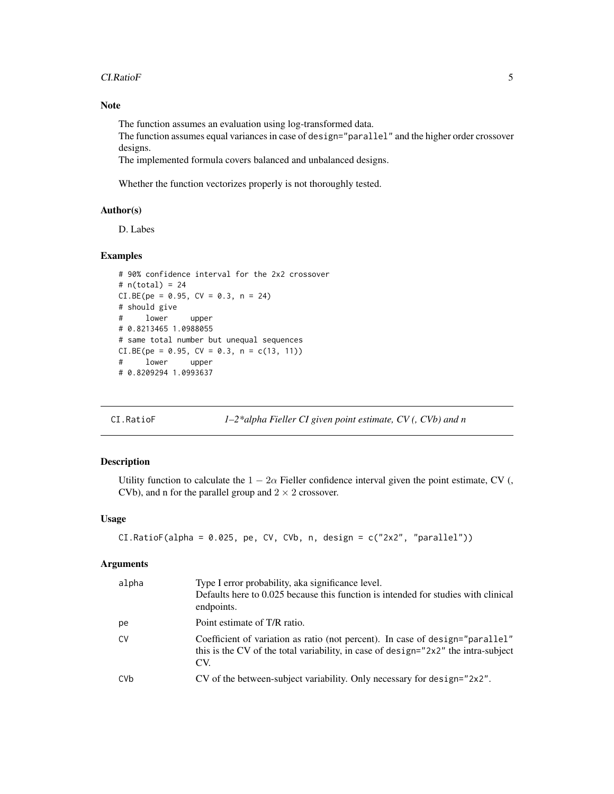#### <span id="page-4-0"></span>CI.RatioF 5

# Note

The function assumes an evaluation using log-transformed data.

The function assumes equal variances in case of design="parallel" and the higher order crossover designs.

The implemented formula covers balanced and unbalanced designs.

Whether the function vectorizes properly is not thoroughly tested.

# Author(s)

D. Labes

#### Examples

```
# 90% confidence interval for the 2x2 crossover
# n(total) = 24
CI.BE(pe = 0.95, CV = 0.3, n = 24)# should give
# lower upper
# 0.8213465 1.0988055
# same total number but unequal sequences
CI.BE(pe = 0.95, CV = 0.3, n = c(13, 11))# lower upper
# 0.8209294 1.0993637
```
CI.RatioF *1–2\*alpha Fieller CI given point estimate, CV (, CVb) and n*

#### Description

Utility function to calculate the  $1 - 2\alpha$  Fieller confidence interval given the point estimate, CV (, CVb), and n for the parallel group and  $2 \times 2$  crossover.

# Usage

```
CI.RatioF(alpha = 0.025, pe, CV, CVb, n, design = c("2x2", "parallel")
```

| alpha | Type I error probability, aka significance level.<br>Defaults here to 0.025 because this function is intended for studies with clinical<br>endpoints.                          |
|-------|--------------------------------------------------------------------------------------------------------------------------------------------------------------------------------|
| рe    | Point estimate of T/R ratio.                                                                                                                                                   |
| CV    | Coefficient of variation as ratio (not percent). In case of design="parallel"<br>this is the CV of the total variability, in case of design=" $2x2$ " the intra-subject<br>CV. |
| CVb   | CV of the between-subject variability. Only necessary for design= $"2x2"$ .                                                                                                    |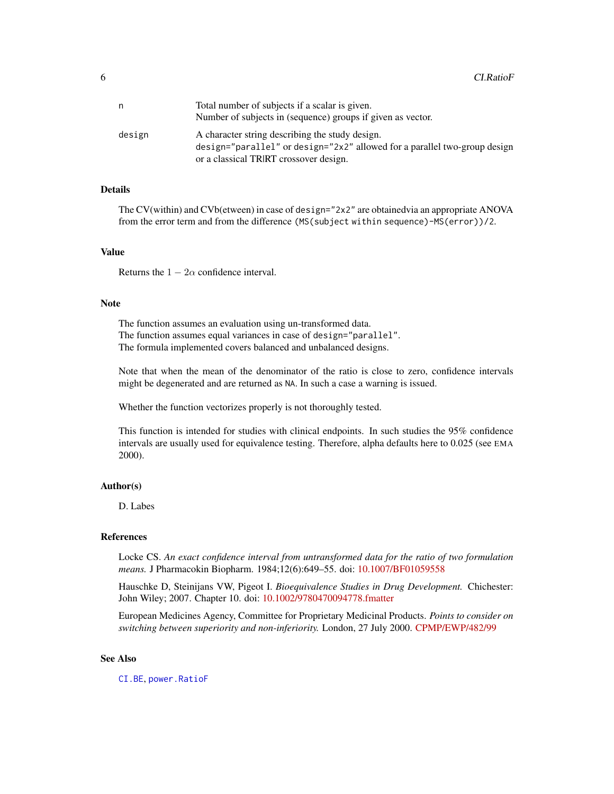| n      | Total number of subjects if a scalar is given.                                                                                    |
|--------|-----------------------------------------------------------------------------------------------------------------------------------|
|        | Number of subjects in (sequence) groups if given as vector.                                                                       |
| design | A character string describing the study design.<br>$design="parallel"$ or design=" $2x2"$ allowed for a parallel two-group design |
|        | or a classical TRIRT crossover design.                                                                                            |

# Details

The CV(within) and CVb(etween) in case of design="2x2" are obtainedvia an appropriate ANOVA from the error term and from the difference (MS(subject within sequence)-MS(error))/2.

#### Value

Returns the  $1 - 2\alpha$  confidence interval.

# Note

The function assumes an evaluation using un-transformed data. The function assumes equal variances in case of design="parallel". The formula implemented covers balanced and unbalanced designs.

Note that when the mean of the denominator of the ratio is close to zero, confidence intervals might be degenerated and are returned as NA. In such a case a warning is issued.

Whether the function vectorizes properly is not thoroughly tested.

This function is intended for studies with clinical endpoints. In such studies the 95% confidence intervals are usually used for equivalence testing. Therefore, alpha defaults here to 0.025 (see EMA 2000).

#### Author(s)

D. Labes

#### References

Locke CS. *An exact confidence interval from untransformed data for the ratio of two formulation means.* J Pharmacokin Biopharm. 1984;12(6):649–55. doi: [10.1007/BF01059558](https://doi.org/10.1007/BF01059558)

Hauschke D, Steinijans VW, Pigeot I. *Bioequivalence Studies in Drug Development.* Chichester: John Wiley; 2007. Chapter 10. doi: [10.1002/9780470094778.fmatter](https://doi.org/10.1002/9780470094778.fmatter)

European Medicines Agency, Committee for Proprietary Medicinal Products. *Points to consider on switching between superiority and non-inferiority.* London, 27 July 2000. [CPMP/EWP/482/99](https://www.ema.europa.eu/en/documents/scientific-guideline/points-consider-switching-between-superiority-non-inferiority_en.pdf)

#### See Also

[CI.BE](#page-3-1), [power.RatioF](#page-60-1)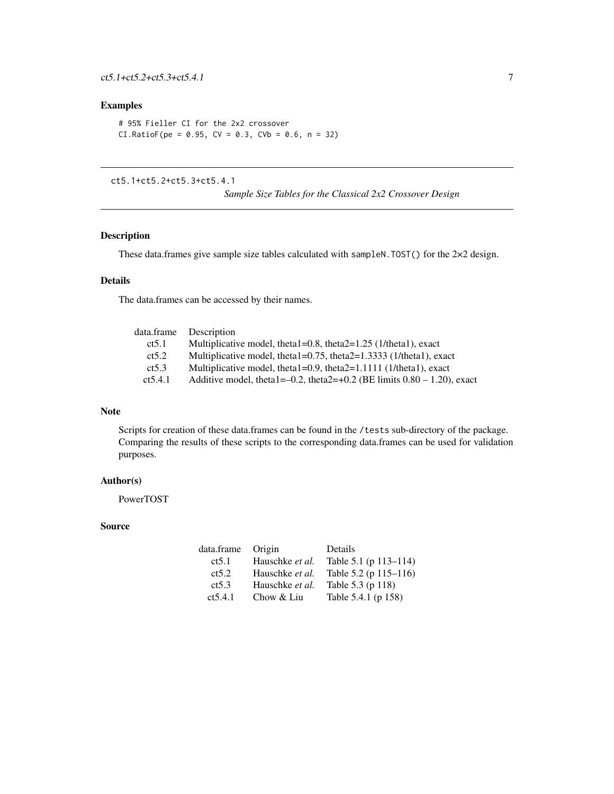# <span id="page-6-0"></span>Examples

# 95% Fieller CI for the 2x2 crossover  $CI.RatioF(pe = 0.95, CV = 0.3, CVb = 0.6, n = 32)$ 

ct5.1+ct5.2+ct5.3+ct5.4.1

*Sample Size Tables for the Classical 2x2 Crossover Design*

#### Description

These data.frames give sample size tables calculated with sampleN.TOST() for the 2×2 design.

# Details

The data.frames can be accessed by their names.

| data.frame | Description                                                                |
|------------|----------------------------------------------------------------------------|
| ct5.1      | Multiplicative model, theta $1=0.8$ , theta $2=1.25$ (1/theta1), exact     |
| ct5.2      | Multiplicative model, theta $1=0.75$ , theta $2=1.3333$ (1/theta1), exact  |
| ct5.3      | Multiplicative model, theta $1=0.9$ , theta $2=1.1111$ (1/theta1), exact   |
| ct5.4.1    | Additive model, theta1=-0.2, theta2=+0.2 (BE limits $0.80 - 1.20$ ), exact |
|            |                                                                            |

#### Note

Scripts for creation of these data.frames can be found in the /tests sub-directory of the package. Comparing the results of these scripts to the corresponding data.frames can be used for validation purposes.

#### Author(s)

PowerTOST

# Source

| Origin          | Details               |
|-----------------|-----------------------|
| Hauschke et al. | Table 5.1 (p 113–114) |
| Hauschke et al. | Table 5.2 (p 115–116) |
| Hauschke et al. | Table 5.3 (p 118)     |
| Chow & Liu      | Table 5.4.1 (p 158)   |
|                 |                       |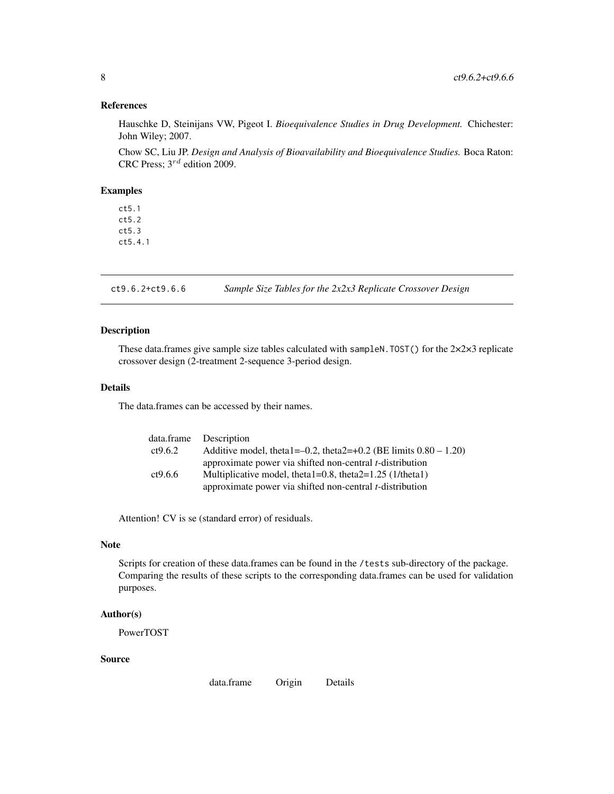#### References

Hauschke D, Steinijans VW, Pigeot I. *Bioequivalence Studies in Drug Development.* Chichester: John Wiley; 2007.

Chow SC, Liu JP. *Design and Analysis of Bioavailability and Bioequivalence Studies.* Boca Raton: CRC Press;  $3^{rd}$  edition 2009.

# Examples

ct5.1 ct5.2 ct5.3 ct5.4.1

ct9.6.2+ct9.6.6 *Sample Size Tables for the 2x2x3 Replicate Crossover Design*

# Description

These data.frames give sample size tables calculated with sampleN.TOST() for the 2×2×3 replicate crossover design (2-treatment 2-sequence 3-period design.

# Details

The data.frames can be accessed by their names.

|         | data.frame Description                                              |
|---------|---------------------------------------------------------------------|
| ct9.6.2 | Additive model, theta1=-0.2, theta2=+0.2 (BE limits $0.80 - 1.20$ ) |
|         | approximate power via shifted non-central <i>t</i> -distribution    |
| ct9.6.6 | Multiplicative model, theta $1=0.8$ , theta $2=1.25$ (1/theta1)     |
|         | approximate power via shifted non-central <i>t</i> -distribution    |

Attention! CV is se (standard error) of residuals.

#### Note

Scripts for creation of these data.frames can be found in the /tests sub-directory of the package. Comparing the results of these scripts to the corresponding data.frames can be used for validation purposes.

#### Author(s)

PowerTOST

#### Source

data.frame Origin Details

<span id="page-7-0"></span>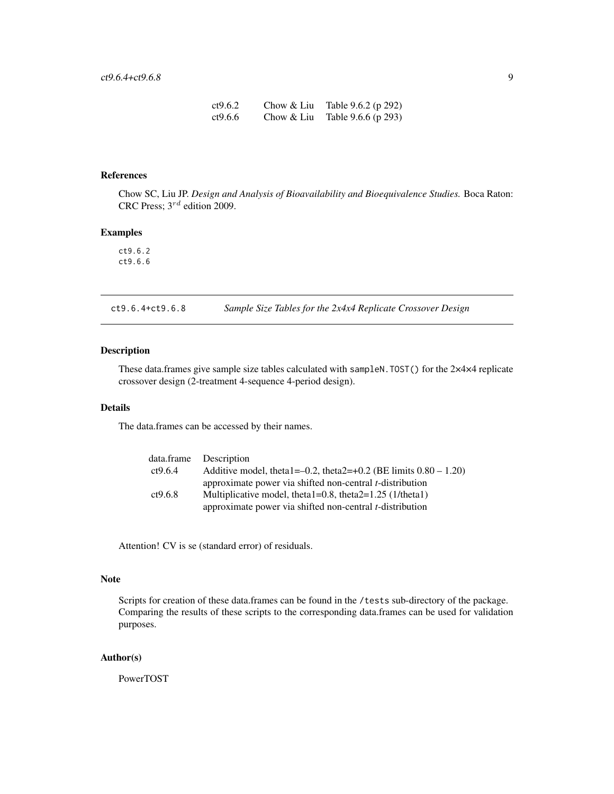| ct9.6.2 | Chow & Liu | Table 9.6.2 (p 292) |
|---------|------------|---------------------|
| ct9.6.6 | Chow & Liu | Table 9.6.6 (p 293) |

# <span id="page-8-0"></span>References

Chow SC, Liu JP. *Design and Analysis of Bioavailability and Bioequivalence Studies.* Boca Raton: CRC Press;  $3^{rd}$  edition 2009.

# Examples

ct9.6.2 ct9.6.6

ct9.6.4+ct9.6.8 *Sample Size Tables for the 2x4x4 Replicate Crossover Design*

# Description

These data.frames give sample size tables calculated with sampleN.TOST() for the 2×4×4 replicate crossover design (2-treatment 4-sequence 4-period design).

#### Details

The data.frames can be accessed by their names.

|         | data.frame Description                                              |
|---------|---------------------------------------------------------------------|
| ct9.6.4 | Additive model, theta1=-0.2, theta2=+0.2 (BE limits $0.80 - 1.20$ ) |
|         | approximate power via shifted non-central <i>t</i> -distribution    |
| ct9.6.8 | Multiplicative model, theta $1=0.8$ , theta $2=1.25$ (1/theta1)     |
|         | approximate power via shifted non-central $t$ -distribution         |

Attention! CV is se (standard error) of residuals.

#### Note

Scripts for creation of these data.frames can be found in the /tests sub-directory of the package. Comparing the results of these scripts to the corresponding data.frames can be used for validation purposes.

# Author(s)

PowerTOST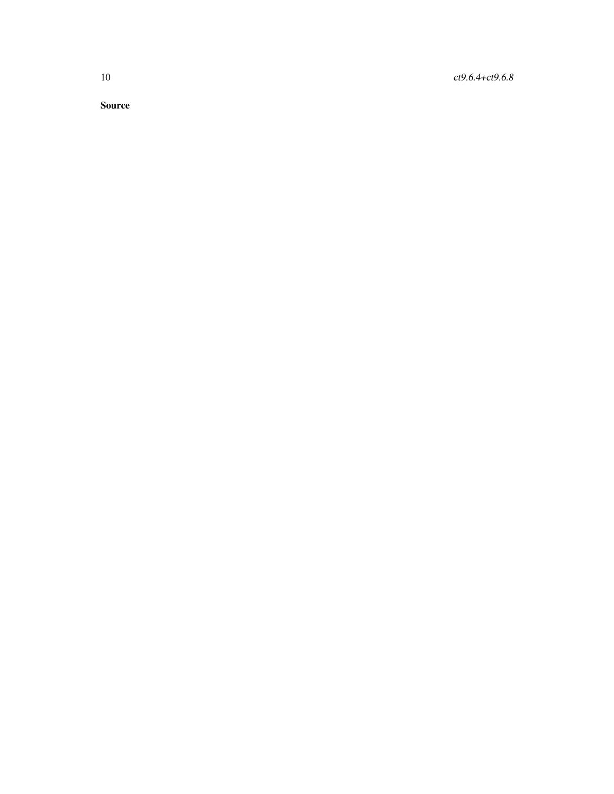10 ct9.6.4+ct9.6.8

Source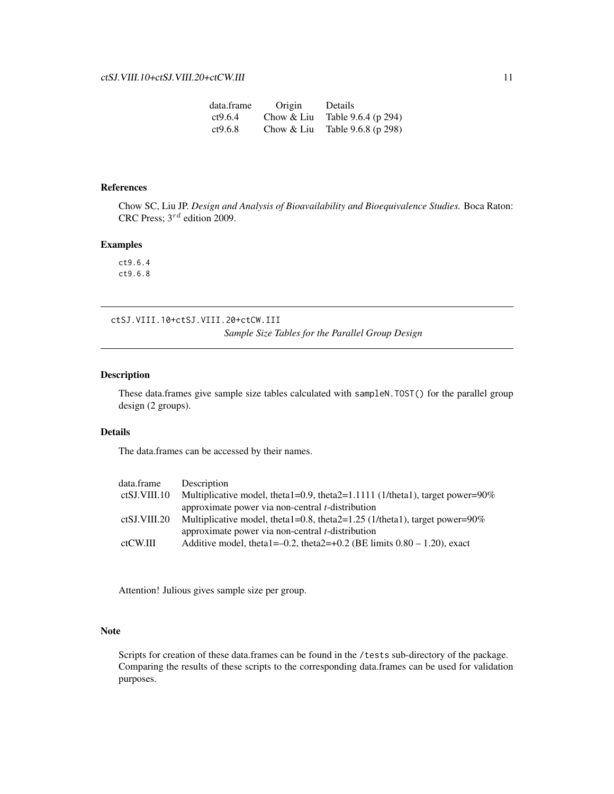<span id="page-10-0"></span>

| data.frame | Origin     | Details             |
|------------|------------|---------------------|
| ct9.6.4    | Chow & Liu | Table 9.6.4 (p 294) |
| ct9.6.8    | Chow & Liu | Table 9.6.8 (p 298) |

# References

Chow SC, Liu JP. *Design and Analysis of Bioavailability and Bioequivalence Studies.* Boca Raton: CRC Press;  $3^{rd}$  edition 2009.

#### Examples

ct9.6.4 ct9.6.8

ctSJ.VIII.10+ctSJ.VIII.20+ctCW.III *Sample Size Tables for the Parallel Group Design*

# Description

These data.frames give sample size tables calculated with sampleN.TOST() for the parallel group design (2 groups).

#### Details

The data.frames can be accessed by their names.

| data.frame   | Description                                                                      |
|--------------|----------------------------------------------------------------------------------|
| ctSJ.VIII.10 | Multiplicative model, theta1=0.9, theta2=1.1111 (1/theta1), target power= $90\%$ |
|              | approximate power via non-central $t$ -distribution                              |
| ctSJ.VIII.20 | Multiplicative model, theta1=0.8, theta2=1.25 (1/theta1), target power=90%       |
|              | approximate power via non-central <i>t</i> -distribution                         |
| ctCW.III     | Additive model, theta1=-0.2, theta2=+0.2 (BE limits $0.80 - 1.20$ ), exact       |

Attention! Julious gives sample size per group.

# Note

Scripts for creation of these data.frames can be found in the /tests sub-directory of the package. Comparing the results of these scripts to the corresponding data.frames can be used for validation purposes.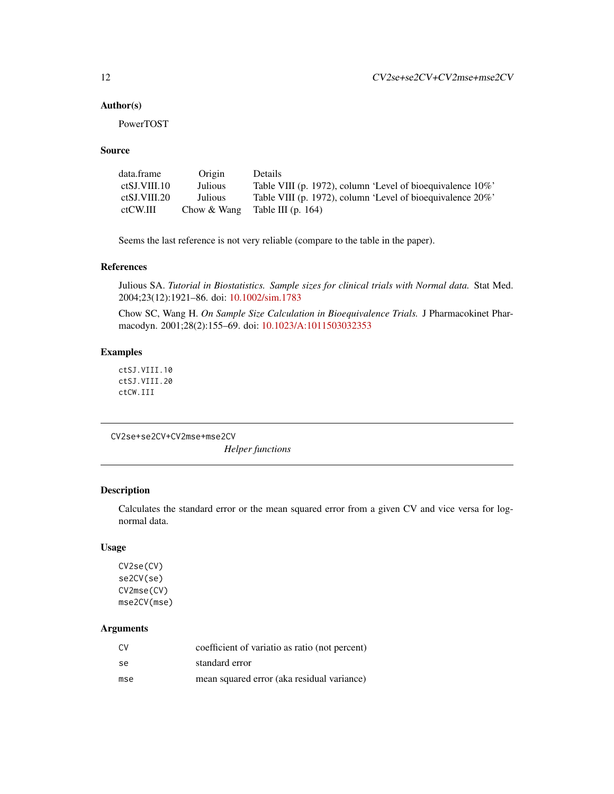# Author(s)

PowerTOST

#### Source

| data.frame   | Origin      | Details                                                        |
|--------------|-------------|----------------------------------------------------------------|
| ctSJ.VIII.10 | Julious     | Table VIII (p. 1972), column 'Level of bioequivalence $10\%$ ' |
| ctSJ.VIII.20 | Julious     | Table VIII (p. 1972), column 'Level of bioequivalence 20%'     |
| ctCW.III     | Chow & Wang | Table III $(p. 164)$                                           |

Seems the last reference is not very reliable (compare to the table in the paper).

#### References

Julious SA. *Tutorial in Biostatistics. Sample sizes for clinical trials with Normal data.* Stat Med. 2004;23(12):1921–86. doi: [10.1002/sim.1783](https://doi.org/10.1002/sim.1783)

Chow SC, Wang H. *On Sample Size Calculation in Bioequivalence Trials.* J Pharmacokinet Pharmacodyn. 2001;28(2):155–69. doi: [10.1023/A:1011503032353](https://doi.org/10.1023/A:1011503032353)

#### Examples

ctSJ.VIII.10 ctSJ.VIII.20 ctCW.III

CV2se+se2CV+CV2mse+mse2CV

*Helper functions*

# Description

Calculates the standard error or the mean squared error from a given CV and vice versa for lognormal data.

# Usage

CV2se(CV) se2CV(se) CV2mse(CV) mse2CV(mse)

| CV. | coefficient of variatio as ratio (not percent) |
|-----|------------------------------------------------|
| se. | standard error                                 |
| mse | mean squared error (aka residual variance)     |

<span id="page-11-0"></span>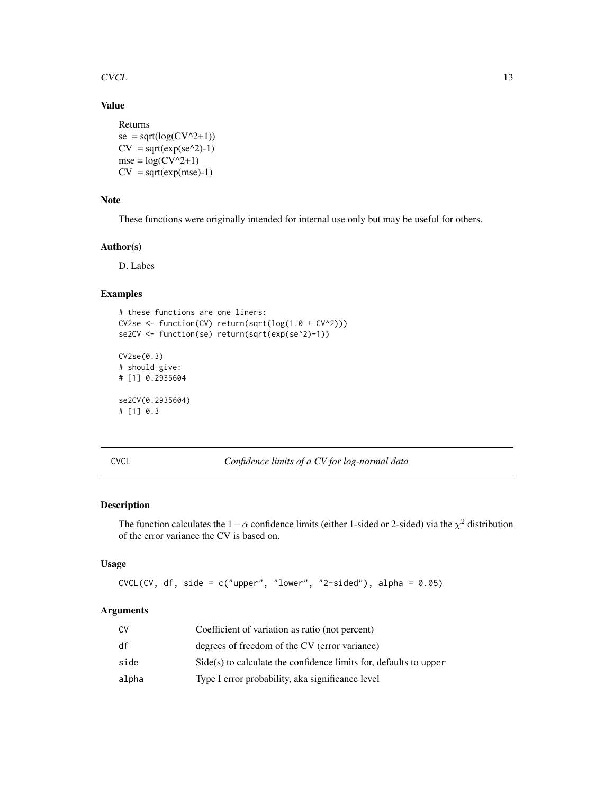<span id="page-12-0"></span> $CVCL$  and the set of the set of the set of the set of the set of the set of the set of the set of the set of the set of the set of the set of the set of the set of the set of the set of the set of the set of the set of th

# Value

```
Returns
se = \sqrt{\log(CV^2+1)}CV = sqrt(exp(se^2)-1)mse = log(CV^2+1)CV = sqrt(exp(mse)-1)
```
# Note

These functions were originally intended for internal use only but may be useful for others.

# Author(s)

D. Labes

# Examples

```
# these functions are one liners:
CV2se < - function(CV) return(sqrt(log(1.0 + CV^2)))
se2CV <- function(se) return(sqrt(exp(se^2)-1))
CV2se(0.3)
# should give:
# [1] 0.2935604
se2CV(0.2935604)
# [1] 0.3
```
CVCL *Confidence limits of a CV for log-normal data*

#### Description

The function calculates the 1 –  $\alpha$  confidence limits (either 1-sided or 2-sided) via the  $\chi^2$  distribution of the error variance the CV is based on.

#### Usage

CVCL(CV, df, side =  $c("upper", "lower", "2-sided"), alpha = 0.05)$ 

| C٧    | Coefficient of variation as ratio (not percent)                            |
|-------|----------------------------------------------------------------------------|
| df    | degrees of freedom of the CV (error variance)                              |
| side  | $\text{Side}(s)$ to calculate the confidence limits for, defaults to upper |
| alpha | Type I error probability, aka significance level                           |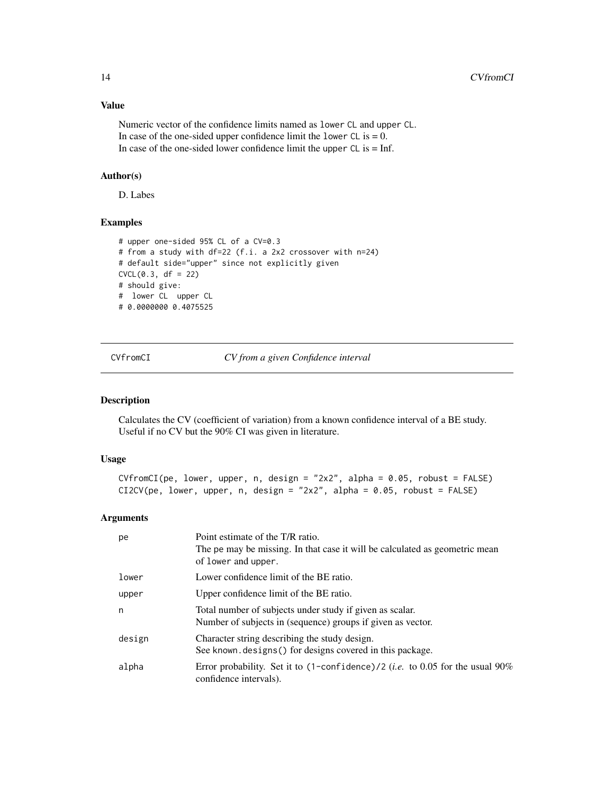# <span id="page-13-0"></span>Value

Numeric vector of the confidence limits named as lower CL and upper CL. In case of the one-sided upper confidence limit the lower  $CL$  is  $= 0$ . In case of the one-sided lower confidence limit the upper  $CL$  is  $=$  Inf.

# Author(s)

D. Labes

# Examples

```
# upper one-sided 95% CL of a CV=0.3
# from a study with df=22 (f.i. a 2x2 crossover with n=24)
# default side="upper" since not explicitly given
CVCL(0.3, df = 22)# should give:
# lower CL upper CL
# 0.0000000 0.4075525
```
<span id="page-13-1"></span>CVfromCI *CV from a given Confidence interval*

#### Description

Calculates the CV (coefficient of variation) from a known confidence interval of a BE study. Useful if no CV but the 90% CI was given in literature.

## Usage

```
CVfromCI(pe, lower, upper, n, design = "2x2", alpha = 0.05, robust = FALSE)
CI2CV(pe, lower, upper, n, design = "2x2", alpha = 0.05, robust = FALSE)
```

| pe     | Point estimate of the T/R ratio.<br>The pe may be missing. In that case it will be calculated as geometric mean<br>of lower and upper. |
|--------|----------------------------------------------------------------------------------------------------------------------------------------|
| lower  | Lower confidence limit of the BE ratio.                                                                                                |
| upper  | Upper confidence limit of the BE ratio.                                                                                                |
| n      | Total number of subjects under study if given as scalar.<br>Number of subjects in (sequence) groups if given as vector.                |
| design | Character string describing the study design.<br>See known. designs () for designs covered in this package.                            |
| alpha  | Error probability. Set it to $(1$ -confidence)/2 ( <i>i.e.</i> to 0.05 for the usual 90%<br>confidence intervals).                     |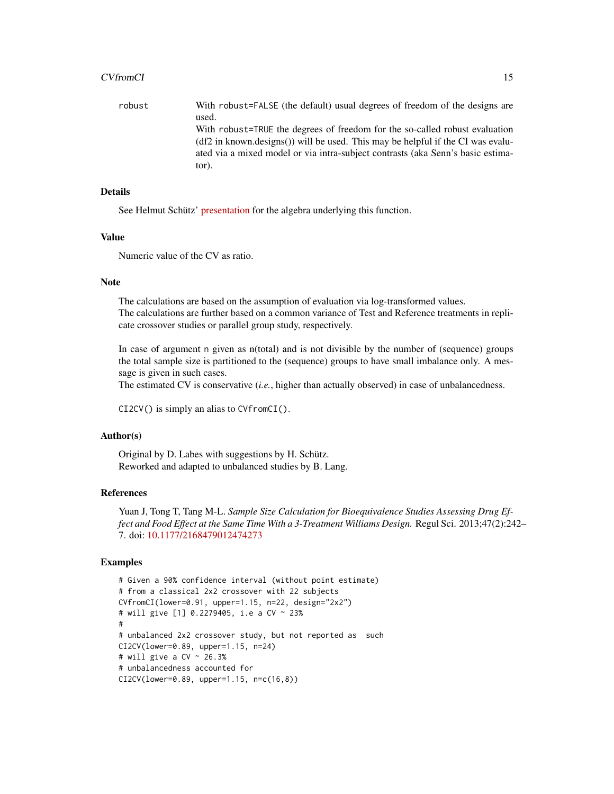#### CVfromCI 15

(df2 in known.designs()) will be used. This may be helpful if the CI was evaluated via a mixed model or via intra-subject contrasts (aka Senn's basic estimator).

# Details

See Helmut Schütz' [presentation](https://bebac.at/lectures/Bucharest2013WS1.pdf#page=26) for the algebra underlying this function.

#### Value

Numeric value of the CV as ratio.

used.

# Note

The calculations are based on the assumption of evaluation via log-transformed values. The calculations are further based on a common variance of Test and Reference treatments in replicate crossover studies or parallel group study, respectively.

In case of argument n given as n(total) and is not divisible by the number of (sequence) groups the total sample size is partitioned to the (sequence) groups to have small imbalance only. A message is given in such cases.

The estimated CV is conservative (*i.e.*, higher than actually observed) in case of unbalancedness.

CI2CV() is simply an alias to CVfromCI().

# Author(s)

Original by D. Labes with suggestions by H. Schütz. Reworked and adapted to unbalanced studies by B. Lang.

# References

Yuan J, Tong T, Tang M-L. *Sample Size Calculation for Bioequivalence Studies Assessing Drug Effect and Food Effect at the Same Time With a 3-Treatment Williams Design.* Regul Sci. 2013;47(2):242– 7. doi: [10.1177/2168479012474273](https://doi.org/10.1177/2168479012474273)

#### Examples

```
# Given a 90% confidence interval (without point estimate)
# from a classical 2x2 crossover with 22 subjects
CVfromCI(lower=0.91, upper=1.15, n=22, design="2x2")
# will give [1] 0.2279405, i.e a CV ~ 23%
#
# unbalanced 2x2 crossover study, but not reported as such
CI2CV(lower=0.89, upper=1.15, n=24)
# will give a CV \sim 26.3%
# unbalancedness accounted for
CI2CV(lower=0.89, upper=1.15, n=c(16,8))
```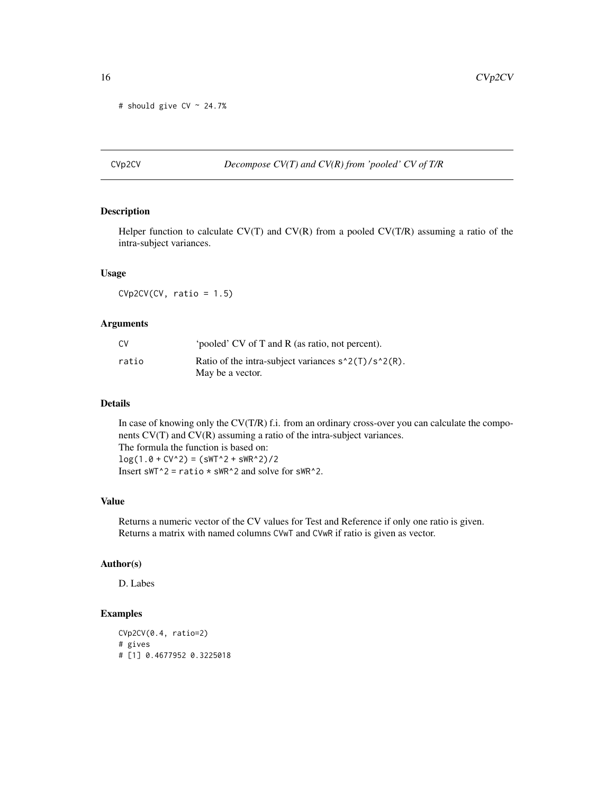```
# should give CV \sim 24.7%
```
CVp2CV *Decompose CV(T) and CV(R) from 'pooled' CV of T/R*

#### Description

Helper function to calculate CV(T) and CV(R) from a pooled CV(T/R) assuming a ratio of the intra-subject variances.

#### Usage

 $CVD2CV(CV, ratio = 1.5)$ 

#### Arguments

| CV    | 'pooled' CV of T and R (as ratio, not percent).        |
|-------|--------------------------------------------------------|
| ratio | Ratio of the intra-subject variances $s^2(1)/s^2(0)$ . |
|       | May be a vector.                                       |

# Details

In case of knowing only the CV(T/R) f.i. from an ordinary cross-over you can calculate the components CV(T) and CV(R) assuming a ratio of the intra-subject variances. The formula the function is based on:  $log(1.0 + CV^2) = (SWT^2 + SWR^2)/2$ Insert sWT^2 = ratio  $*$  sWR^2 and solve for sWR^2.

# Value

Returns a numeric vector of the CV values for Test and Reference if only one ratio is given. Returns a matrix with named columns CVwT and CVwR if ratio is given as vector.

#### Author(s)

D. Labes

#### Examples

```
CVp2CV(0.4, ratio=2)
# gives
# [1] 0.4677952 0.3225018
```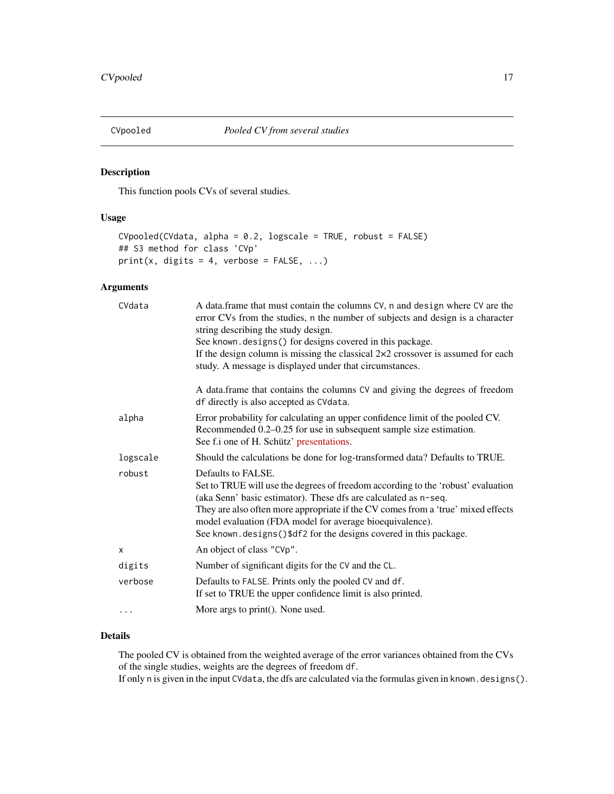<span id="page-16-0"></span>

# Description

This function pools CVs of several studies.

# Usage

```
CVpooled(CVdata, alpha = 0.2, logscale = TRUE, robust = FALSE)
## S3 method for class 'CVp'
print(x, digits = 4, verbose = FALSE, ...)
```
# Arguments

| CVdata   | A data.frame that must contain the columns CV, n and design where CV are the<br>error CVs from the studies, n the number of subjects and design is a character<br>string describing the study design.<br>See known.designs() for designs covered in this package.<br>If the design column is missing the classical $2 \times 2$ crossover is assumed for each<br>study. A message is displayed under that circumstances. |
|----------|--------------------------------------------------------------------------------------------------------------------------------------------------------------------------------------------------------------------------------------------------------------------------------------------------------------------------------------------------------------------------------------------------------------------------|
|          | A data. frame that contains the columns CV and giving the degrees of freedom<br>df directly is also accepted as CVdata.                                                                                                                                                                                                                                                                                                  |
| alpha    | Error probability for calculating an upper confidence limit of the pooled CV.<br>Recommended 0.2–0.25 for use in subsequent sample size estimation.<br>See f.i one of H. Schütz' presentations.                                                                                                                                                                                                                          |
| logscale | Should the calculations be done for log-transformed data? Defaults to TRUE.                                                                                                                                                                                                                                                                                                                                              |
| robust   | Defaults to FALSE.<br>Set to TRUE will use the degrees of freedom according to the 'robust' evaluation<br>(aka Senn' basic estimator). These dfs are calculated as n-seq.<br>They are also often more appropriate if the CV comes from a 'true' mixed effects<br>model evaluation (FDA model for average bioequivalence).<br>See known. designs()\$df2 for the designs covered in this package.                          |
| X        | An object of class "CVp".                                                                                                                                                                                                                                                                                                                                                                                                |
| digits   | Number of significant digits for the CV and the CL.                                                                                                                                                                                                                                                                                                                                                                      |
| verbose  | Defaults to FALSE. Prints only the pooled CV and df.<br>If set to TRUE the upper confidence limit is also printed.                                                                                                                                                                                                                                                                                                       |
|          | More args to print(). None used.                                                                                                                                                                                                                                                                                                                                                                                         |
|          |                                                                                                                                                                                                                                                                                                                                                                                                                          |

# Details

The pooled CV is obtained from the weighted average of the error variances obtained from the CVs of the single studies, weights are the degrees of freedom df.

If only n is given in the input CVdata, the dfs are calculated via the formulas given in known.designs().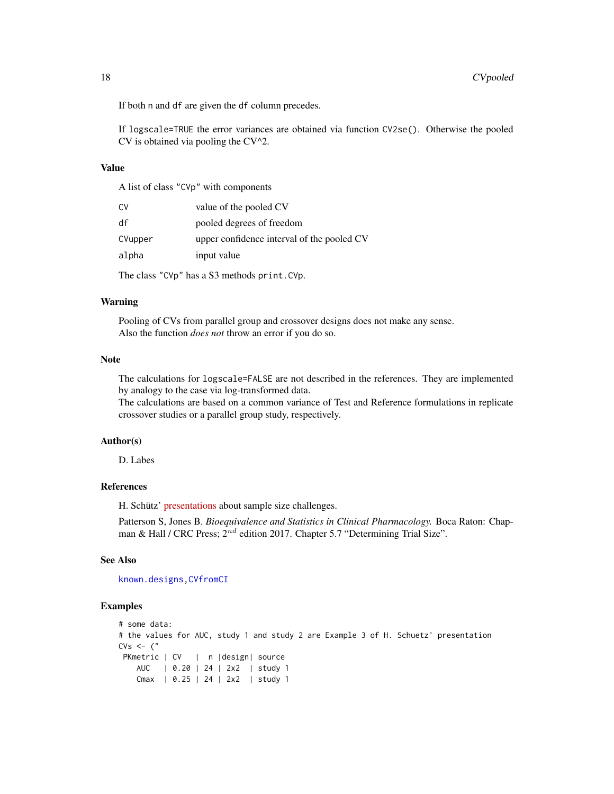If both n and df are given the df column precedes.

If logscale=TRUE the error variances are obtained via function CV2se(). Otherwise the pooled CV is obtained via pooling the CV^2.

#### Value

A list of class "CVp" with components

| CV      | value of the pooled CV                     |
|---------|--------------------------------------------|
| df      | pooled degrees of freedom                  |
| CVupper | upper confidence interval of the pooled CV |
| alpha   | input value                                |
|         |                                            |

The class "CVp" has a S3 methods print.CVp.

#### Warning

Pooling of CVs from parallel group and crossover designs does not make any sense. Also the function *does not* throw an error if you do so.

#### Note

The calculations for logscale=FALSE are not described in the references. They are implemented by analogy to the case via log-transformed data.

The calculations are based on a common variance of Test and Reference formulations in replicate crossover studies or a parallel group study, respectively.

#### Author(s)

D. Labes

# References

H. Schütz' [presentations](https://bebac.at/Lectures.htm) about sample size challenges.

Patterson S, Jones B. *Bioequivalence and Statistics in Clinical Pharmacology.* Boca Raton: Chapman & Hall / CRC Press;  $2^{nd}$  edition 2017. Chapter 5.7 "Determining Trial Size".

#### See Also

[known.designs](#page-36-1)[,CVfromCI](#page-13-1)

#### Examples

```
# some data:
# the values for AUC, study 1 and study 2 are Example 3 of H. Schuetz' presentation
CVs \leftarrow ("
PKmetric | CV | n |design| source
   AUC | 0.20 | 24 | 2x2 | study 1
   Cmax | 0.25 | 24 | 2x2 | study 1
```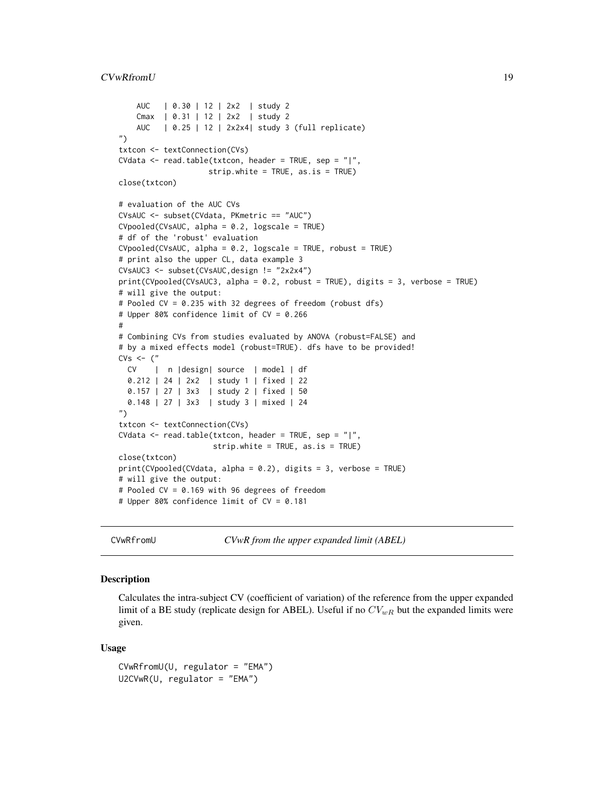#### <span id="page-18-0"></span> $CVwRfrom U$  19

```
AUC | 0.30 | 12 | 2x2 | study 2
    Cmax | 0.31 | 12 | 2x2 | study 2
    AUC | 0.25 | 12 | 2x2x4| study 3 (full replicate)
")
txtcon <- textConnection(CVs)
CVdata \leq read.table(txtcon, header = TRUE, sep = "|",
                    strip.white = TRUE, as.is = TRUE)
close(txtcon)
# evaluation of the AUC CVs
CVsAUC <- subset(CVdata, PKmetric == "AUC")
CVpooled(CVsAUC, alpha = 0.2, logscale = TRUE)
# df of the 'robust' evaluation
CVpooled(CVsAUC, alpha = 0.2, logscale = TRUE, robust = TRUE)
# print also the upper CL, data example 3
CVsAUC3 <- subset(CVsAUC,design != "2x2x4")
print(CVpooled(CVsAUC3, alpha = 0.2, robust = TRUE), digits = 3, verbose = TRUE)
# will give the output:
# Pooled CV = 0.235 with 32 degrees of freedom (robust dfs)
# Upper 80% confidence limit of CV = 0.266
#
# Combining CVs from studies evaluated by ANOVA (robust=FALSE) and
# by a mixed effects model (robust=TRUE). dfs have to be provided!
CVs \leftarrow ("CV | n |design| source | model | df
  0.212 | 24 | 2x2 | study 1 | fixed | 22
  0.157 | 27 | 3x3 | study 2 | fixed | 50
  0.148 | 27 | 3x3 | study 3 | mixed | 24
")
txtcon <- textConnection(CVs)
CVdata \leq read.table(txtcon, header = TRUE, sep = "|",
                     strip.white = TRUE, as.is = TRUE)
close(txtcon)
print(CVpooled(CVdata, alpha = 0.2), digits = 3, verbose = TRUE)
# will give the output:
# Pooled CV = 0.169 with 96 degrees of freedom
# Upper 80% confidence limit of CV = 0.181
```
CVwRfromU *CVwR from the upper expanded limit (ABEL)*

# Description

Calculates the intra-subject CV (coefficient of variation) of the reference from the upper expanded limit of a BE study (replicate design for ABEL). Useful if no  $CV_{wR}$  but the expanded limits were given.

#### Usage

```
CVwRfromU(U, regulator = "EMA")
U2CVwR(U, regulator = "EMA")
```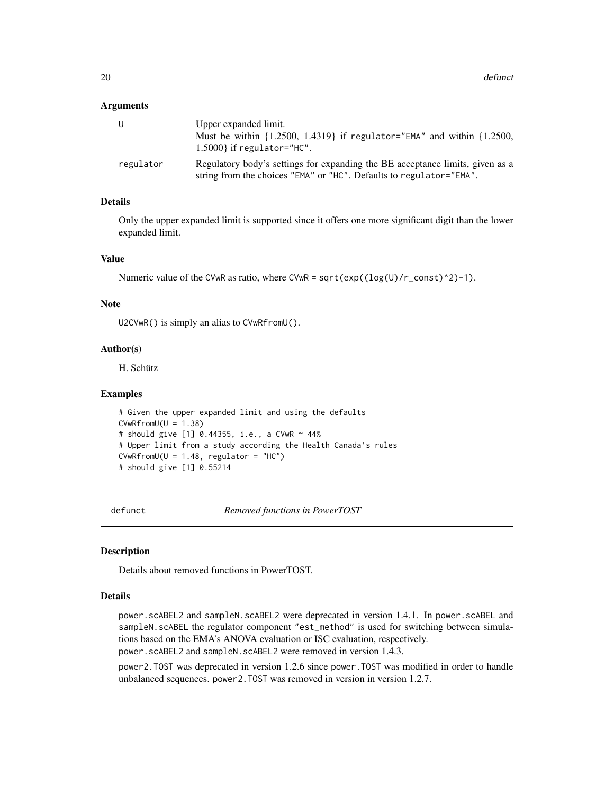#### <span id="page-19-0"></span>Arguments

| U         | Upper expanded limit.<br>Must be within {1.2500, 1.4319} if regulator="EMA" and within {1.2500,<br>$1.5000$ if regulator="HC".                       |
|-----------|------------------------------------------------------------------------------------------------------------------------------------------------------|
| regulator | Regulatory body's settings for expanding the BE acceptance limits, given as a<br>string from the choices "EMA" or "HC". Defaults to regulator="EMA". |

# Details

Only the upper expanded limit is supported since it offers one more significant digit than the lower expanded limit.

#### Value

Numeric value of the CVwR as ratio, where CVwR =  $sqrt(\log(U)/r\_{const})^2$ -1).

#### Note

U2CVwR() is simply an alias to CVwRfromU().

#### Author(s)

H. Schütz

#### Examples

```
# Given the upper expanded limit and using the defaults
CVwRfromU(U = 1.38)# should give [1] 0.44355, i.e., a CVwR ~ 44%
# Upper limit from a study according the Health Canada's rules
CVwRfromU(U = 1.48, regularor = "HC")# should give [1] 0.55214
```
defunct *Removed functions in PowerTOST*

# Description

Details about removed functions in PowerTOST.

#### Details

power.scABEL2 and sampleN.scABEL2 were deprecated in version 1.4.1. In power.scABEL and sampleN.scABEL the regulator component "est\_method" is used for switching between simulations based on the EMA's ANOVA evaluation or ISC evaluation, respectively. power.scABEL2 and sampleN.scABEL2 were removed in version 1.4.3.

power2.TOST was deprecated in version 1.2.6 since power.TOST was modified in order to handle unbalanced sequences. power2.TOST was removed in version in version 1.2.7.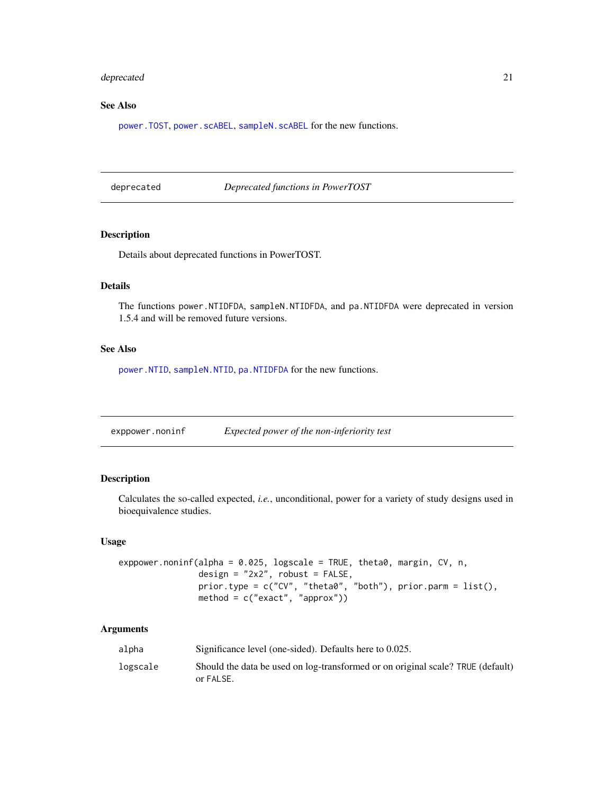#### <span id="page-20-0"></span>deprecated 21 and 22 and 22 and 22 and 22 and 22 and 22 and 23 and 23 and 23 and 23 and 24 and 25 and 26 and 26

# See Also

[power.TOST](#page-76-1), [power.scABEL](#page-69-1), [sampleN.scABEL](#page-110-1) for the new functions.

deprecated *Deprecated functions in PowerTOST*

#### Description

Details about deprecated functions in PowerTOST.

# Details

The functions power.NTIDFDA, sampleN.NTIDFDA, and pa.NTIDFDA were deprecated in version 1.5.4 and will be removed future versions.

#### See Also

[power.NTID](#page-58-1), [sampleN.NTID](#page-98-1), [pa.NTIDFDA](#page-44-1) for the new functions.

<span id="page-20-1"></span>exppower.noninf *Expected power of the non-inferiority test*

# Description

Calculates the so-called expected, *i.e.*, unconditional, power for a variety of study designs used in bioequivalence studies.

#### Usage

```
exppower.noninf(alpha = 0.025, logscale = TRUE, theta0, margin, CV, n,
                design = "2x2", robust = FALSE,
                prior.type = c("CV", "theta0", "both"), prior.parm = list(),
                method = c("exact", "approx"))
```

| alpha    | Significance level (one-sided). Defaults here to 0.025.                                      |
|----------|----------------------------------------------------------------------------------------------|
| logscale | Should the data be used on log-transformed or on original scale? TRUE (default)<br>or FALSE. |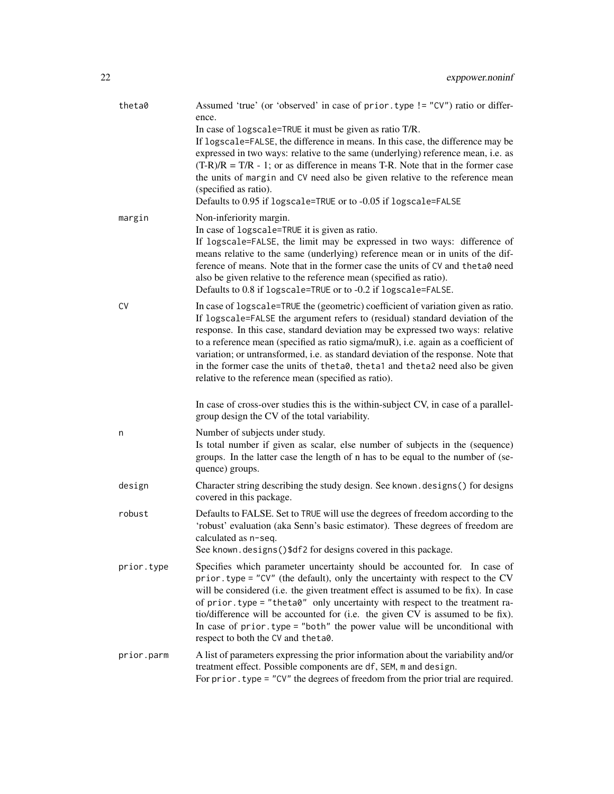| theta0     | Assumed 'true' (or 'observed' in case of prior.type != "CV") ratio or differ-<br>ence.                                                                                                                                                                                                                                                                                                                                                                                                                                                                                      |
|------------|-----------------------------------------------------------------------------------------------------------------------------------------------------------------------------------------------------------------------------------------------------------------------------------------------------------------------------------------------------------------------------------------------------------------------------------------------------------------------------------------------------------------------------------------------------------------------------|
|            | In case of logscale=TRUE it must be given as ratio T/R.<br>If logscale=FALSE, the difference in means. In this case, the difference may be<br>expressed in two ways: relative to the same (underlying) reference mean, i.e. as<br>$(T-R)/R = T/R - 1$ ; or as difference in means T-R. Note that in the former case<br>the units of margin and CV need also be given relative to the reference mean<br>(specified as ratio).<br>Defaults to 0.95 if logscale=TRUE or to -0.05 if logscale=FALSE                                                                             |
| margin     | Non-inferiority margin.<br>In case of logscale=TRUE it is given as ratio.<br>If logscale=FALSE, the limit may be expressed in two ways: difference of<br>means relative to the same (underlying) reference mean or in units of the dif-<br>ference of means. Note that in the former case the units of CV and theta0 need<br>also be given relative to the reference mean (specified as ratio).<br>Defaults to 0.8 if logscale=TRUE or to -0.2 if logscale=FALSE.                                                                                                           |
| <b>CV</b>  | In case of logscale=TRUE the (geometric) coefficient of variation given as ratio.<br>If logscale=FALSE the argument refers to (residual) standard deviation of the<br>response. In this case, standard deviation may be expressed two ways: relative<br>to a reference mean (specified as ratio sigma/muR), i.e. again as a coefficient of<br>variation; or untransformed, i.e. as standard deviation of the response. Note that<br>in the former case the units of the ta0, the ta1 and the ta2 need also be given<br>relative to the reference mean (specified as ratio). |
|            | In case of cross-over studies this is the within-subject CV, in case of a parallel-<br>group design the CV of the total variability.                                                                                                                                                                                                                                                                                                                                                                                                                                        |
| n          | Number of subjects under study.<br>Is total number if given as scalar, else number of subjects in the (sequence)<br>groups. In the latter case the length of n has to be equal to the number of (se-<br>quence) groups.                                                                                                                                                                                                                                                                                                                                                     |
| design     | Character string describing the study design. See known.designs() for designs<br>covered in this package.                                                                                                                                                                                                                                                                                                                                                                                                                                                                   |
| robust     | Defaults to FALSE. Set to TRUE will use the degrees of freedom according to the<br>'robust' evaluation (aka Senn's basic estimator). These degrees of freedom are<br>calculated as n-seq.<br>See known.designs()\$df2 for designs covered in this package.                                                                                                                                                                                                                                                                                                                  |
| prior.type | Specifies which parameter uncertainty should be accounted for. In case of<br>prior. type = "CV" (the default), only the uncertainty with respect to the CV<br>will be considered (i.e. the given treatment effect is assumed to be fix). In case<br>of prior. type = "theta0" only uncertainty with respect to the treatment ra-<br>tio/difference will be accounted for (i.e. the given CV is assumed to be fix).<br>In case of prior. type = "both" the power value will be unconditional with<br>respect to both the CV and theta0.                                      |
| prior.parm | A list of parameters expressing the prior information about the variability and/or<br>treatment effect. Possible components are df, SEM, m and design.<br>For $prior$ . type = " $CV$ " the degrees of freedom from the prior trial are required.                                                                                                                                                                                                                                                                                                                           |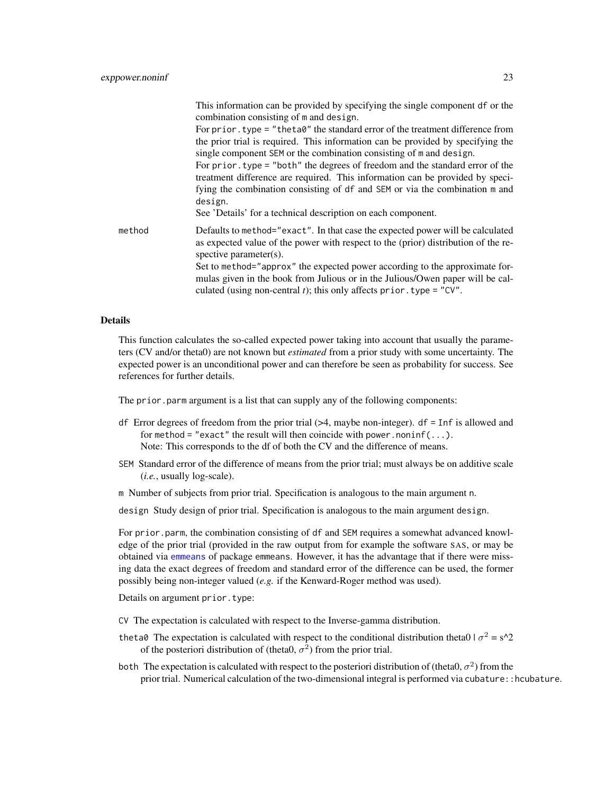|        | This information can be provided by specifying the single component of or the<br>combination consisting of m and design.<br>For $prior. type = "theta"$ the standard error of the treatment difference from<br>the prior trial is required. This information can be provided by specifying the<br>single component SEM or the combination consisting of m and design.<br>For prior type = "both" the degrees of freedom and the standard error of the<br>treatment difference are required. This information can be provided by speci-<br>fying the combination consisting of df and SEM or via the combination m and<br>design.<br>See 'Details' for a technical description on each component. |
|--------|--------------------------------------------------------------------------------------------------------------------------------------------------------------------------------------------------------------------------------------------------------------------------------------------------------------------------------------------------------------------------------------------------------------------------------------------------------------------------------------------------------------------------------------------------------------------------------------------------------------------------------------------------------------------------------------------------|
| method | Defaults to method="exact". In that case the expected power will be calculated<br>as expected value of the power with respect to the (prior) distribution of the re-<br>spective parameter(s).                                                                                                                                                                                                                                                                                                                                                                                                                                                                                                   |
|        | Set to method="approx" the expected power according to the approximate for-<br>mulas given in the book from Julious or in the Julious/Owen paper will be cal-<br>culated (using non-central t); this only affects prior $.pype = "CV"$ .                                                                                                                                                                                                                                                                                                                                                                                                                                                         |

#### Details

This function calculates the so-called expected power taking into account that usually the parameters (CV and/or theta0) are not known but *estimated* from a prior study with some uncertainty. The expected power is an unconditional power and can therefore be seen as probability for success. See references for further details.

The prior. parm argument is a list that can supply any of the following components:

- df Error degrees of freedom from the prior trial  $(>=4,$  maybe non-integer). df = Inf is allowed and for method = "exact" the result will then coincide with power.noninf $(...).$ Note: This corresponds to the df of both the CV and the difference of means.
- SEM Standard error of the difference of means from the prior trial; must always be on additive scale (*i.e.*, usually log-scale).
- m Number of subjects from prior trial. Specification is analogous to the main argument n.

design Study design of prior trial. Specification is analogous to the main argument design.

For prior.parm, the combination consisting of df and SEM requires a somewhat advanced knowledge of the prior trial (provided in the raw output from for example the software SAS, or may be obtained via [emmeans](#page-0-0) of package emmeans. However, it has the advantage that if there were missing data the exact degrees of freedom and standard error of the difference can be used, the former possibly being non-integer valued (*e.g.* if the Kenward-Roger method was used).

Details on argument prior.type:

- CV The expectation is calculated with respect to the Inverse-gamma distribution.
- theta0 The expectation is calculated with respect to the conditional distribution theta0  $\sigma^2 = s^2$ of the posteriori distribution of (theta $0, \sigma^2$ ) from the prior trial.
- both The expectation is calculated with respect to the posteriori distribution of (theta0,  $\sigma^2$ ) from the prior trial. Numerical calculation of the two-dimensional integral is performed via cubature::hcubature.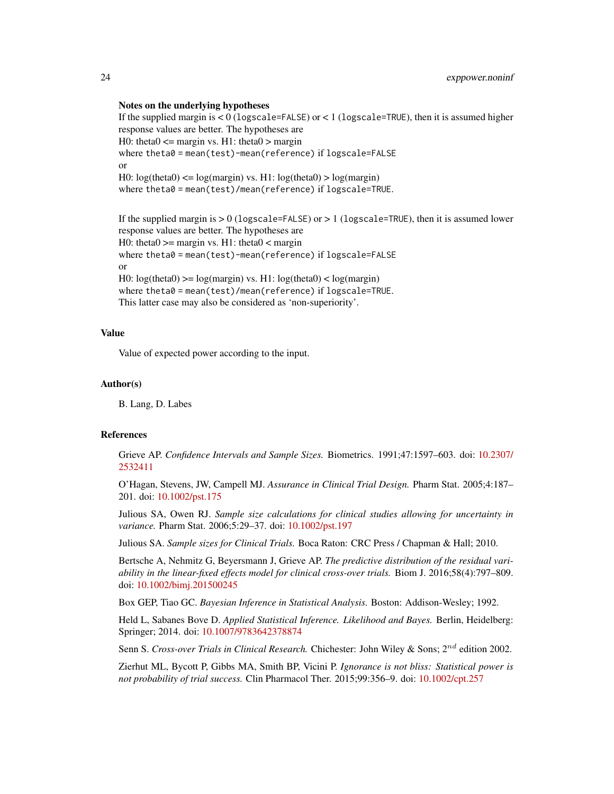#### Notes on the underlying hypotheses

If the supplied margin is  $\lt 0$  (logscale=FALSE) or  $\lt 1$  (logscale=TRUE), then it is assumed higher response values are better. The hypotheses are H0: theta $0 \le$  margin vs. H1: theta $0 \le$  margin where theta0 = mean(test)-mean(reference) if logscale=FALSE or H0:  $log(theta0) \leq log(margin)$  vs. H1:  $log(theta0) > log(margin)$ where theta0 = mean(test)/mean(reference) if logscale=TRUE. If the supplied margin is  $> 0$  (logscale=FALSE) or  $> 1$  (logscale=TRUE), then it is assumed lower

response values are better. The hypotheses are H0: theta $0 \ge$  margin vs. H1: theta $0 \le$  margin where theta0 = mean(test)-mean(reference) if logscale=FALSE or H0:  $log(theta0)$  >=  $log(margin)$  vs. H1:  $log(theta0)$  <  $log(margin)$ where theta0 = mean(test)/mean(reference) if logscale=TRUE. This latter case may also be considered as 'non-superiority'.

#### Value

Value of expected power according to the input.

#### Author(s)

B. Lang, D. Labes

# References

Grieve AP. *Confidence Intervals and Sample Sizes.* Biometrics. 1991;47:1597–603. doi: [10.2307/](https://doi.org/10.2307/2532411) [2532411](https://doi.org/10.2307/2532411)

O'Hagan, Stevens, JW, Campell MJ. *Assurance in Clinical Trial Design.* Pharm Stat. 2005;4:187– 201. doi: [10.1002/pst.175](https://doi.org/10.1002/pst.175)

Julious SA, Owen RJ. *Sample size calculations for clinical studies allowing for uncertainty in variance.* Pharm Stat. 2006;5:29–37. doi: [10.1002/pst.197](https://doi.org/10.1002/pst.197)

Julious SA. *Sample sizes for Clinical Trials.* Boca Raton: CRC Press / Chapman & Hall; 2010.

Bertsche A, Nehmitz G, Beyersmann J, Grieve AP. *The predictive distribution of the residual variability in the linear-fixed effects model for clinical cross-over trials.* Biom J. 2016;58(4):797–809. doi: [10.1002/bimj.201500245](https://doi.org/10.1002/bimj.201500245)

Box GEP, Tiao GC. *Bayesian Inference in Statistical Analysis.* Boston: Addison-Wesley; 1992.

Held L, Sabanes Bove D. *Applied Statistical Inference. Likelihood and Bayes.* Berlin, Heidelberg: Springer; 2014. doi: [10.1007/9783642378874](https://doi.org/10.1007/978-3-642-37887-4)

Senn S. *Cross-over Trials in Clinical Research*. Chichester: John Wiley & Sons; 2<sup>nd</sup> edition 2002.

Zierhut ML, Bycott P, Gibbs MA, Smith BP, Vicini P. *Ignorance is not bliss: Statistical power is not probability of trial success.* Clin Pharmacol Ther. 2015;99:356–9. doi: [10.1002/cpt.257](https://doi.org/10.1002/cpt.257)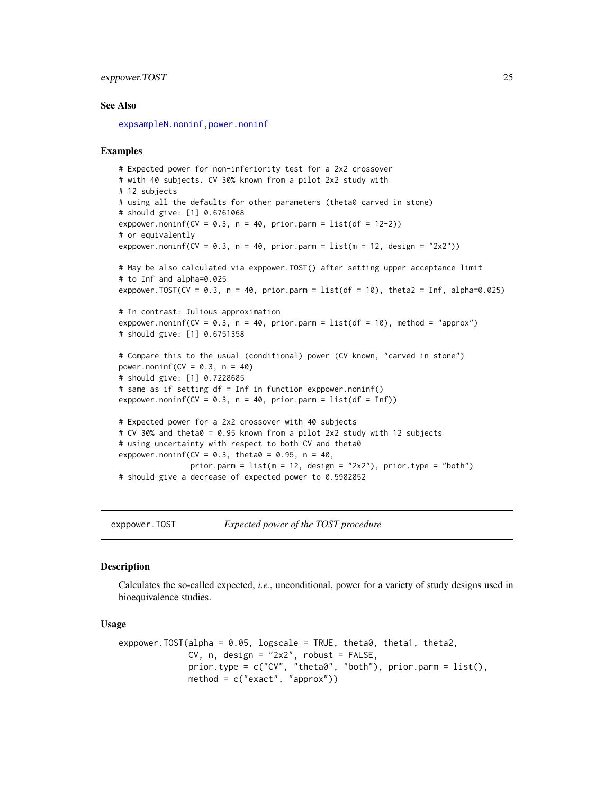# <span id="page-24-0"></span>exppower.TOST 25

#### See Also

[expsampleN.noninf](#page-28-1)[,power.noninf](#page-55-1)

#### Examples

```
# Expected power for non-inferiority test for a 2x2 crossover
# with 40 subjects. CV 30% known from a pilot 2x2 study with
# 12 subjects
# using all the defaults for other parameters (theta0 carved in stone)
# should give: [1] 0.6761068
exppower.noninf(CV = 0.3, n = 40, prior.parm = list(df = 12-2))
# or equivalently
exppower.noninf(CV = 0.3, n = 40, prior.parm = list(m = 12, design = "2x2"))
# May be also calculated via exppower.TOST() after setting upper acceptance limit
# to Inf and alpha=0.025
exppower.TOST(CV = 0.3, n = 40, prior.parm = list(df = 10), theta2 = Inf, alpha=0.025)
# In contrast: Julious approximation
exppower.noninf(CV = 0.3, n = 40, prior.parm = list(df = 10), method = "approx")
# should give: [1] 0.6751358
# Compare this to the usual (conditional) power (CV known, "carved in stone")
power.noninf(CV = 0.3, n = 40)
# should give: [1] 0.7228685
# same as if setting df = Inf in function exppower.noninf()
exppower.noninf(CV = 0.3, n = 40, prior.parm = list(df = Inf))
# Expected power for a 2x2 crossover with 40 subjects
# CV 30% and theta0 = 0.95 known from a pilot 2x2 study with 12 subjects
# using uncertainty with respect to both CV and theta0
exppower.noninf(CV = 0.3, theta0 = 0.95, n = 40,
                prior.parm = list(m = 12, design = "2x2"), prior.type = "both")
# should give a decrease of expected power to 0.5982852
```
<span id="page-24-1"></span>exppower.TOST *Expected power of the TOST procedure*

#### Description

Calculates the so-called expected, *i.e.*, unconditional, power for a variety of study designs used in bioequivalence studies.

#### Usage

```
exppower.TOST(alpha = 0.05, logscale = TRUE, theta0, theta1, theta2,
             CV, n, design = "2x2", robust = FALSE,
              prior.type = c("CV", "theta0", "both"), prior.parm = list(),
             method = c("exact", "approx"))
```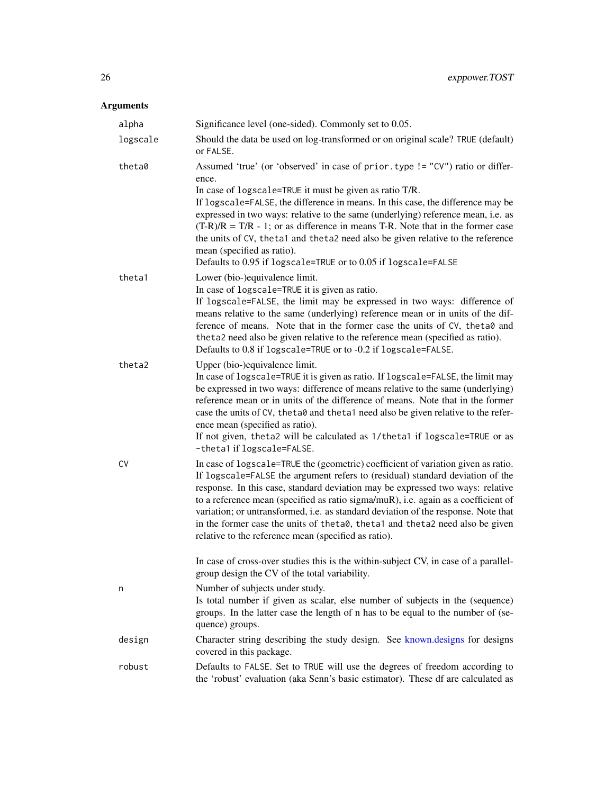| alpha    | Significance level (one-sided). Commonly set to 0.05.                                                                                                                                                                                                                                                                                                                                                                                                                                                                                                                                              |
|----------|----------------------------------------------------------------------------------------------------------------------------------------------------------------------------------------------------------------------------------------------------------------------------------------------------------------------------------------------------------------------------------------------------------------------------------------------------------------------------------------------------------------------------------------------------------------------------------------------------|
| logscale | Should the data be used on log-transformed or on original scale? TRUE (default)<br>or FALSE.                                                                                                                                                                                                                                                                                                                                                                                                                                                                                                       |
| theta0   | Assumed 'true' (or 'observed' in case of prior.type != "CV") ratio or differ-<br>ence.<br>In case of logscale=TRUE it must be given as ratio T/R.<br>If logscale=FALSE, the difference in means. In this case, the difference may be<br>expressed in two ways: relative to the same (underlying) reference mean, i.e. as<br>$(T-R)/R = T/R - 1$ ; or as difference in means T-R. Note that in the former case<br>the units of CV, the ta1 and the ta2 need also be given relative to the reference<br>mean (specified as ratio).<br>Defaults to 0.95 if logscale=TRUE or to 0.05 if logscale=FALSE |
| theta1   | Lower (bio-)equivalence limit.<br>In case of logscale=TRUE it is given as ratio.<br>If logscale=FALSE, the limit may be expressed in two ways: difference of<br>means relative to the same (underlying) reference mean or in units of the dif-<br>ference of means. Note that in the former case the units of CV, the ta0 and<br>theta2 need also be given relative to the reference mean (specified as ratio).<br>Defaults to 0.8 if logscale=TRUE or to -0.2 if logscale=FALSE.                                                                                                                  |
| theta2   | Upper (bio-)equivalence limit.<br>In case of logscale=TRUE it is given as ratio. If logscale=FALSE, the limit may<br>be expressed in two ways: difference of means relative to the same (underlying)<br>reference mean or in units of the difference of means. Note that in the former<br>case the units of CV, the ta0 and the ta1 need also be given relative to the refer-<br>ence mean (specified as ratio).<br>If not given, theta2 will be calculated as 1/theta1 if logscale=TRUE or as<br>-theta1 if logscale=FALSE.                                                                       |
| CV       | In case of logscale=TRUE the (geometric) coefficient of variation given as ratio.<br>If logscale=FALSE the argument refers to (residual) standard deviation of the<br>response. In this case, standard deviation may be expressed two ways: relative<br>to a reference mean (specified as ratio sigma/muR), i.e. again as a coefficient of<br>variation; or untransformed, i.e. as standard deviation of the response. Note that<br>in the former case the units of theta0, theta1 and theta2 need also be given<br>relative to the reference mean (specified as ratio).                           |
|          | In case of cross-over studies this is the within-subject CV, in case of a parallel-<br>group design the CV of the total variability.                                                                                                                                                                                                                                                                                                                                                                                                                                                               |
| n        | Number of subjects under study.<br>Is total number if given as scalar, else number of subjects in the (sequence)<br>groups. In the latter case the length of n has to be equal to the number of (se-<br>quence) groups.                                                                                                                                                                                                                                                                                                                                                                            |
| design   | Character string describing the study design. See known.designs for designs<br>covered in this package.                                                                                                                                                                                                                                                                                                                                                                                                                                                                                            |
| robust   | Defaults to FALSE. Set to TRUE will use the degrees of freedom according to<br>the 'robust' evaluation (aka Senn's basic estimator). These df are calculated as                                                                                                                                                                                                                                                                                                                                                                                                                                    |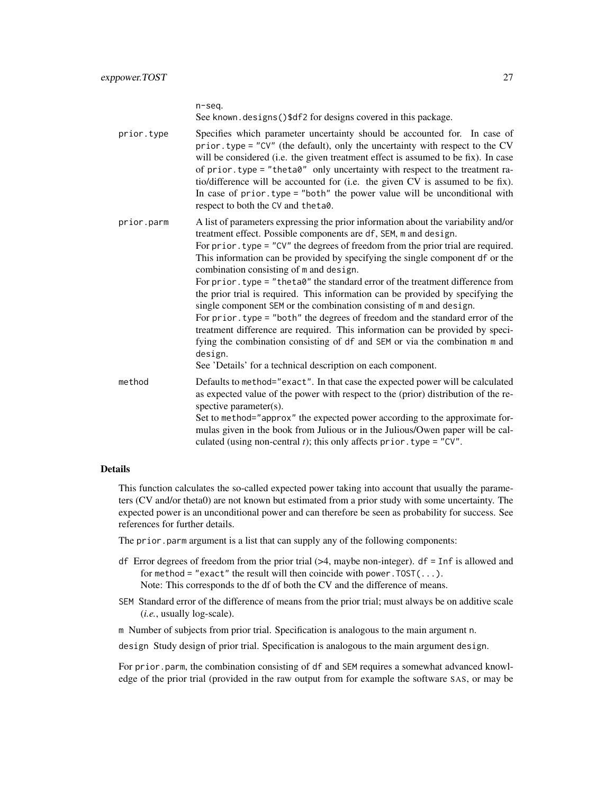n-seq. See known.designs()\$df2 for designs covered in this package. prior.type Specifies which parameter uncertainty should be accounted for. In case of prior. type = "CV" (the default), only the uncertainty with respect to the CV will be considered (i.e. the given treatment effect is assumed to be fix). In case of prior.type = "theta0" only uncertainty with respect to the treatment ratio/difference will be accounted for (i.e. the given CV is assumed to be fix). In case of prior.type = "both" the power value will be unconditional with respect to both the CV and theta0. prior.parm A list of parameters expressing the prior information about the variability and/or treatment effect. Possible components are df, SEM, m and design. For prior. type = "CV" the degrees of freedom from the prior trial are required. This information can be provided by specifying the single component df or the combination consisting of m and design. For prior.type = "theta0" the standard error of the treatment difference from the prior trial is required. This information can be provided by specifying the single component SEM or the combination consisting of m and design. For prior.type = "both" the degrees of freedom and the standard error of the treatment difference are required. This information can be provided by specifying the combination consisting of df and SEM or via the combination m and design. See 'Details' for a technical description on each component. method Defaults to method="exact". In that case the expected power will be calculated as expected value of the power with respect to the (prior) distribution of the respective parameter(s). Set to method="approx" the expected power according to the approximate formulas given in the book from Julious or in the Julious/Owen paper will be calculated (using non-central  $t$ ); this only affects prior.type = "CV".

# Details

This function calculates the so-called expected power taking into account that usually the parameters (CV and/or theta0) are not known but estimated from a prior study with some uncertainty. The expected power is an unconditional power and can therefore be seen as probability for success. See references for further details.

The prior. parm argument is a list that can supply any of the following components:

- df Error degrees of freedom from the prior trial  $(>= 4,$  maybe non-integer). df = Inf is allowed and for method = "exact" the result will then coincide with power.  $TOST(\ldots)$ . Note: This corresponds to the df of both the CV and the difference of means.
- SEM Standard error of the difference of means from the prior trial; must always be on additive scale (*i.e.*, usually log-scale).
- m Number of subjects from prior trial. Specification is analogous to the main argument n.

design Study design of prior trial. Specification is analogous to the main argument design.

For prior.parm, the combination consisting of df and SEM requires a somewhat advanced knowledge of the prior trial (provided in the raw output from for example the software SAS, or may be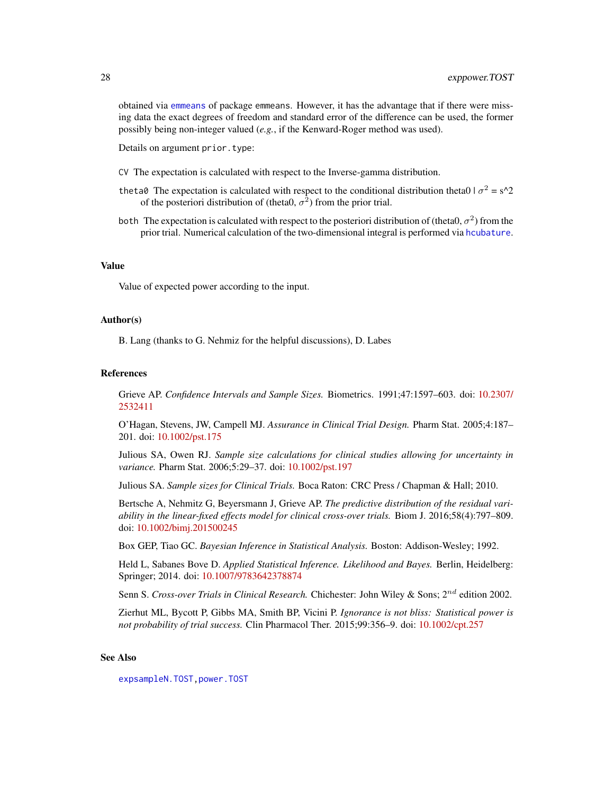obtained via [emmeans](#page-0-0) of package emmeans. However, it has the advantage that if there were missing data the exact degrees of freedom and standard error of the difference can be used, the former possibly being non-integer valued (*e.g.*, if the Kenward-Roger method was used).

Details on argument prior.type:

- CV The expectation is calculated with respect to the Inverse-gamma distribution.
- theta0 The expectation is calculated with respect to the conditional distribution theta0  $\sigma^2 = s^2$ of the posteriori distribution of (theta $0, \sigma^2$ ) from the prior trial.
- both The expectation is calculated with respect to the posteriori distribution of (theta0,  $\sigma^2$ ) from the prior trial. Numerical calculation of the two-dimensional integral is performed via [hcubature](#page-0-0).

### Value

Value of expected power according to the input.

#### Author(s)

B. Lang (thanks to G. Nehmiz for the helpful discussions), D. Labes

#### References

Grieve AP. *Confidence Intervals and Sample Sizes.* Biometrics. 1991;47:1597–603. doi: [10.2307/](https://doi.org/10.2307/2532411) [2532411](https://doi.org/10.2307/2532411)

O'Hagan, Stevens, JW, Campell MJ. *Assurance in Clinical Trial Design.* Pharm Stat. 2005;4:187– 201. doi: [10.1002/pst.175](https://doi.org/10.1002/pst.175)

Julious SA, Owen RJ. *Sample size calculations for clinical studies allowing for uncertainty in variance.* Pharm Stat. 2006;5:29–37. doi: [10.1002/pst.197](https://doi.org/10.1002/pst.197)

Julious SA. *Sample sizes for Clinical Trials.* Boca Raton: CRC Press / Chapman & Hall; 2010.

Bertsche A, Nehmitz G, Beyersmann J, Grieve AP. *The predictive distribution of the residual variability in the linear-fixed effects model for clinical cross-over trials.* Biom J. 2016;58(4):797–809. doi: [10.1002/bimj.201500245](https://doi.org/10.1002/bimj.201500245)

Box GEP, Tiao GC. *Bayesian Inference in Statistical Analysis.* Boston: Addison-Wesley; 1992.

Held L, Sabanes Bove D. *Applied Statistical Inference. Likelihood and Bayes.* Berlin, Heidelberg: Springer; 2014. doi: [10.1007/9783642378874](https://doi.org/10.1007/978-3-642-37887-4)

Senn S. *Cross-over Trials in Clinical Research*. Chichester: John Wiley & Sons; 2<sup>nd</sup> edition 2002.

Zierhut ML, Bycott P, Gibbs MA, Smith BP, Vicini P. *Ignorance is not bliss: Statistical power is not probability of trial success.* Clin Pharmacol Ther. 2015;99:356–9. doi: [10.1002/cpt.257](https://doi.org/10.1002/cpt.257)

#### See Also

[expsampleN.TOST](#page-32-1)[,power.TOST](#page-76-1)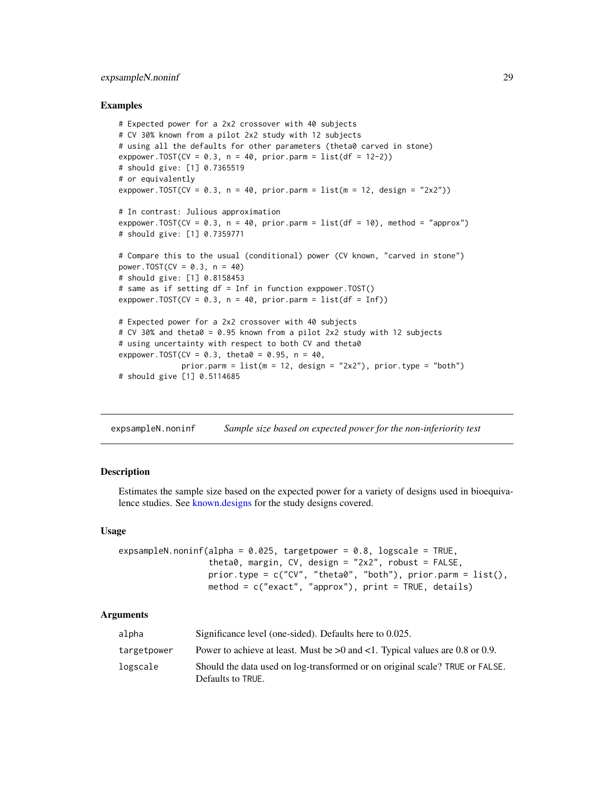### <span id="page-28-0"></span>expsampleN.noninf 29

#### Examples

```
# Expected power for a 2x2 crossover with 40 subjects
# CV 30% known from a pilot 2x2 study with 12 subjects
# using all the defaults for other parameters (theta0 carved in stone)
exppower.TOST(CV = 0.3, n = 40, prior.parm = list(df = 12-2))# should give: [1] 0.7365519
# or equivalently
exppower.TOST(CV = 0.3, n = 40, prior.parm = list(m = 12, design = "2x2"))
# In contrast: Julious approximation
exppower.TOST(CV = 0.3, n = 40, prior.parm = list(df = 10), method = "approx")
# should give: [1] 0.7359771
# Compare this to the usual (conditional) power (CV known, "carved in stone")
power.TOST(CV = 0.3, n = 40)
# should give: [1] 0.8158453
# same as if setting df = Inf in function exppower.TOST()
exppower.TOST(CV = 0.3, n = 40, prior.parm = list(df = Inf))
# Expected power for a 2x2 crossover with 40 subjects
# CV 30% and theta0 = 0.95 known from a pilot 2x2 study with 12 subjects
# using uncertainty with respect to both CV and theta0
exppower.TOST(CV = 0.3, theta0 = 0.95, n = 40,
              prior.parm = list(m = 12, design = "2x2"), prior.type = "both")
# should give [1] 0.5114685
```
<span id="page-28-1"></span>expsampleN.noninf *Sample size based on expected power for the non-inferiority test*

## Description

Estimates the sample size based on the expected power for a variety of designs used in bioequivalence studies. See [known.designs](#page-36-1) for the study designs covered.

#### Usage

```
expsampleN.noninf(alpha = 0.025, targetpower = 0.8, logscale = TRUE,
                  theta0, margin, CV, design = "2x2", robust = FALSE,
                  prior.type = c("CV", "theta0", "both"), prior.parm = list(),method = c("exact", "approx"), print = TRUE, details)
```

| alpha       | Significance level (one-sided). Defaults here to 0.025.                                           |
|-------------|---------------------------------------------------------------------------------------------------|
| targetpower | Power to achieve at least. Must be $>0$ and $<1$ . Typical values are 0.8 or 0.9.                 |
| logscale    | Should the data used on log-transformed or on original scale? TRUE or FALSE.<br>Defaults to TRUE. |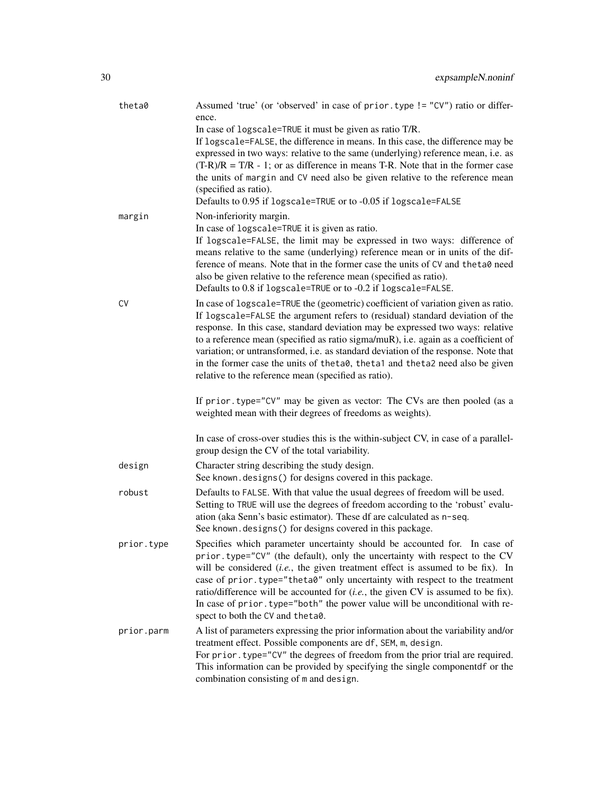| theta0     | Assumed 'true' (or 'observed' in case of prior.type != "CV") ratio or differ-<br>ence.                                                                                                                                                                                                                                                                                                                                                                                                                                                                                   |
|------------|--------------------------------------------------------------------------------------------------------------------------------------------------------------------------------------------------------------------------------------------------------------------------------------------------------------------------------------------------------------------------------------------------------------------------------------------------------------------------------------------------------------------------------------------------------------------------|
|            | In case of logscale=TRUE it must be given as ratio T/R.<br>If logscale=FALSE, the difference in means. In this case, the difference may be<br>expressed in two ways: relative to the same (underlying) reference mean, i.e. as<br>$(T-R)/R = T/R - 1$ ; or as difference in means T-R. Note that in the former case<br>the units of margin and CV need also be given relative to the reference mean<br>(specified as ratio).<br>Defaults to 0.95 if logscale=TRUE or to -0.05 if logscale=FALSE                                                                          |
| margin     | Non-inferiority margin.<br>In case of logscale=TRUE it is given as ratio.<br>If logscale=FALSE, the limit may be expressed in two ways: difference of<br>means relative to the same (underlying) reference mean or in units of the dif-<br>ference of means. Note that in the former case the units of CV and theta0 need<br>also be given relative to the reference mean (specified as ratio).<br>Defaults to 0.8 if logscale=TRUE or to -0.2 if logscale=FALSE.                                                                                                        |
| <b>CV</b>  | In case of logscale=TRUE the (geometric) coefficient of variation given as ratio.<br>If logscale=FALSE the argument refers to (residual) standard deviation of the<br>response. In this case, standard deviation may be expressed two ways: relative<br>to a reference mean (specified as ratio sigma/muR), i.e. again as a coefficient of<br>variation; or untransformed, i.e. as standard deviation of the response. Note that<br>in the former case the units of theta0, theta1 and theta2 need also be given<br>relative to the reference mean (specified as ratio). |
|            | If prior.type="CV" may be given as vector: The CVs are then pooled (as a<br>weighted mean with their degrees of freedoms as weights).                                                                                                                                                                                                                                                                                                                                                                                                                                    |
|            | In case of cross-over studies this is the within-subject CV, in case of a parallel-<br>group design the CV of the total variability.                                                                                                                                                                                                                                                                                                                                                                                                                                     |
| design     | Character string describing the study design.<br>See known.designs() for designs covered in this package.                                                                                                                                                                                                                                                                                                                                                                                                                                                                |
| robust     | Defaults to FALSE. With that value the usual degrees of freedom will be used.<br>Setting to TRUE will use the degrees of freedom according to the 'robust' evalu-<br>ation (aka Senn's basic estimator). These df are calculated as n-seq.<br>See known.designs() for designs covered in this package.                                                                                                                                                                                                                                                                   |
| prior.type | Specifies which parameter uncertainty should be accounted for. In case of<br>prior.type="CV" (the default), only the uncertainty with respect to the CV<br>will be considered $(i.e.,$ the given treatment effect is assumed to be fix). In<br>case of prior.type="theta0" only uncertainty with respect to the treatment<br>ratio/difference will be accounted for $(i.e.,$ the given CV is assumed to be fix).<br>In case of prior. type="both" the power value will be unconditional with re-<br>spect to both the CV and theta0.                                     |
| prior.parm | A list of parameters expressing the prior information about the variability and/or<br>treatment effect. Possible components are df, SEM, m, design.<br>For prior.type="CV" the degrees of freedom from the prior trial are required.<br>This information can be provided by specifying the single componentdf or the<br>combination consisting of m and design.                                                                                                                                                                                                          |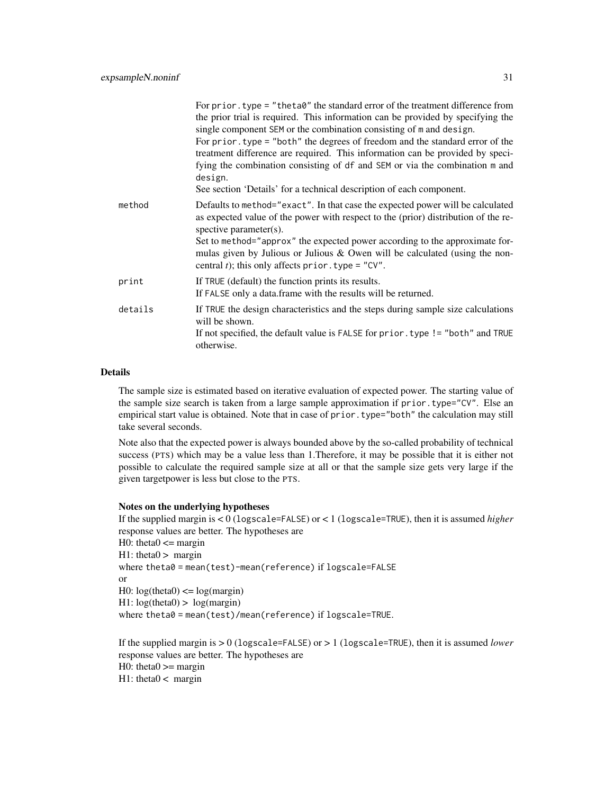|         | For $prior$ . type = "theta $0$ " the standard error of the treatment difference from<br>the prior trial is required. This information can be provided by specifying the<br>single component SEM or the combination consisting of m and design.<br>For prior type = "both" the degrees of freedom and the standard error of the<br>treatment difference are required. This information can be provided by speci-<br>fying the combination consisting of df and SEM or via the combination m and<br>design.<br>See section 'Details' for a technical description of each component. |
|---------|------------------------------------------------------------------------------------------------------------------------------------------------------------------------------------------------------------------------------------------------------------------------------------------------------------------------------------------------------------------------------------------------------------------------------------------------------------------------------------------------------------------------------------------------------------------------------------|
| method  | Defaults to method="exact". In that case the expected power will be calculated<br>as expected value of the power with respect to the (prior) distribution of the re-<br>spective parameter $(s)$ .<br>Set to method="approx" the expected power according to the approximate for-<br>mulas given by Julious or Julious & Owen will be calculated (using the non-<br>central $t$ ); this only affects prior. type = "CV".                                                                                                                                                           |
| print   | If TRUE (default) the function prints its results.<br>If FALSE only a data frame with the results will be returned.                                                                                                                                                                                                                                                                                                                                                                                                                                                                |
| details | If TRUE the design characteristics and the steps during sample size calculations<br>will be shown.<br>If not specified, the default value is FALSE for prior. type != "both" and TRUE<br>otherwise.                                                                                                                                                                                                                                                                                                                                                                                |

# **Details**

The sample size is estimated based on iterative evaluation of expected power. The starting value of the sample size search is taken from a large sample approximation if prior.type="CV". Else an empirical start value is obtained. Note that in case of prior.type="both" the calculation may still take several seconds.

Note also that the expected power is always bounded above by the so-called probability of technical success (PTS) which may be a value less than 1.Therefore, it may be possible that it is either not possible to calculate the required sample size at all or that the sample size gets very large if the given targetpower is less but close to the PTS.

#### Notes on the underlying hypotheses

If the supplied margin is < 0 (logscale=FALSE) or < 1 (logscale=TRUE), then it is assumed *higher* response values are better. The hypotheses are H0: theta $0 \le$  margin H1: theta $0 >$  margin where theta0 = mean(test)-mean(reference) if logscale=FALSE or H0:  $log(theta0) \leq log(margin)$ H1:  $log(theta0) > log(margin)$ where theta0 = mean(test)/mean(reference) if logscale=TRUE.

```
If the supplied margin is > 0 (logscale=FALSE) or > 1 (logscale=TRUE), then it is assumed lower
response values are better. The hypotheses are
H0: theta0 \ge margin
H1: theta0 < margin
```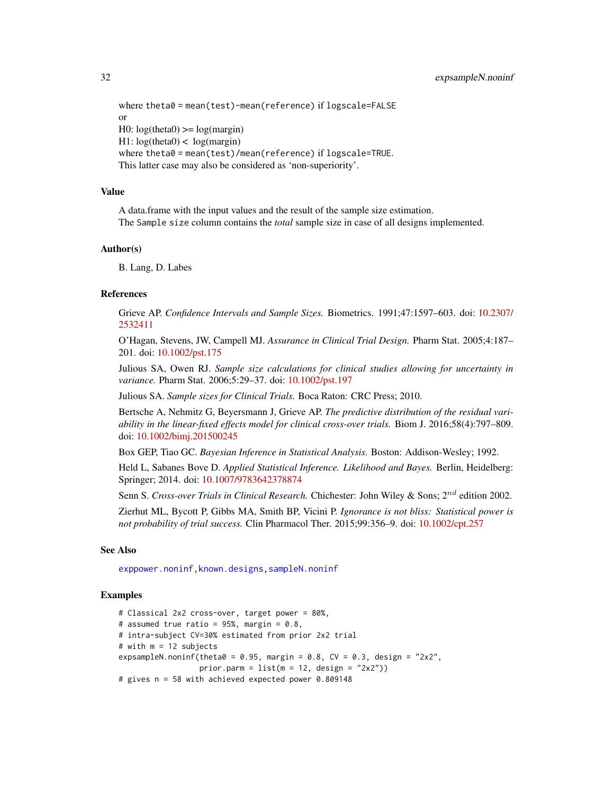```
where theta0 = mean(test)-mean(reference) if logscale=FALSE
or
H0: log(theta0) \geq log(maxgin)H1: log(theta0) < log(margin)where theta0 = mean(test)/mean(reference) if logscale=TRUE.
This latter case may also be considered as 'non-superiority'.
```
#### Value

A data.frame with the input values and the result of the sample size estimation. The Sample size column contains the *total* sample size in case of all designs implemented.

#### Author(s)

B. Lang, D. Labes

#### References

Grieve AP. *Confidence Intervals and Sample Sizes.* Biometrics. 1991;47:1597–603. doi: [10.2307/](https://doi.org/10.2307/2532411) [2532411](https://doi.org/10.2307/2532411)

O'Hagan, Stevens, JW, Campell MJ. *Assurance in Clinical Trial Design.* Pharm Stat. 2005;4:187– 201. doi: [10.1002/pst.175](https://doi.org/10.1002/pst.175)

Julious SA, Owen RJ. *Sample size calculations for clinical studies allowing for uncertainty in variance.* Pharm Stat. 2006;5:29–37. doi: [10.1002/pst.197](https://doi.org/10.1002/pst.197)

Julious SA. *Sample sizes for Clinical Trials.* Boca Raton: CRC Press; 2010.

Bertsche A, Nehmitz G, Beyersmann J, Grieve AP. *The predictive distribution of the residual variability in the linear-fixed effects model for clinical cross-over trials.* Biom J. 2016;58(4):797–809. doi: [10.1002/bimj.201500245](https://doi.org/10.1002/bimj.201500245)

Box GEP, Tiao GC. *Bayesian Inference in Statistical Analysis.* Boston: Addison-Wesley; 1992.

Held L, Sabanes Bove D. *Applied Statistical Inference. Likelihood and Bayes.* Berlin, Heidelberg: Springer; 2014. doi: [10.1007/9783642378874](https://doi.org/10.1007/978-3-642-37887-4)

Senn S. *Cross-over Trials in Clinical Research*. Chichester: John Wiley & Sons; 2<sup>nd</sup> edition 2002.

Zierhut ML, Bycott P, Gibbs MA, Smith BP, Vicini P. *Ignorance is not bliss: Statistical power is not probability of trial success.* Clin Pharmacol Ther. 2015;99:356–9. doi: [10.1002/cpt.257](https://doi.org/10.1002/cpt.257)

#### See Also

[exppower.noninf](#page-20-1)[,known.designs,](#page-36-1)[sampleN.noninf](#page-96-1)

## Examples

```
# Classical 2x2 cross-over, target power = 80%,
# assumed true ratio = 95\%, margin = 0.8,
# intra-subject CV=30% estimated from prior 2x2 trial
# with m = 12 subjects
expsampleN.noninf(theta0 = 0.95, margin = 0.8, CV = 0.3, design = "2x2",
                 prior.parm = list(m = 12, design = "2x2")# gives n = 58 with achieved expected power 0.809148
```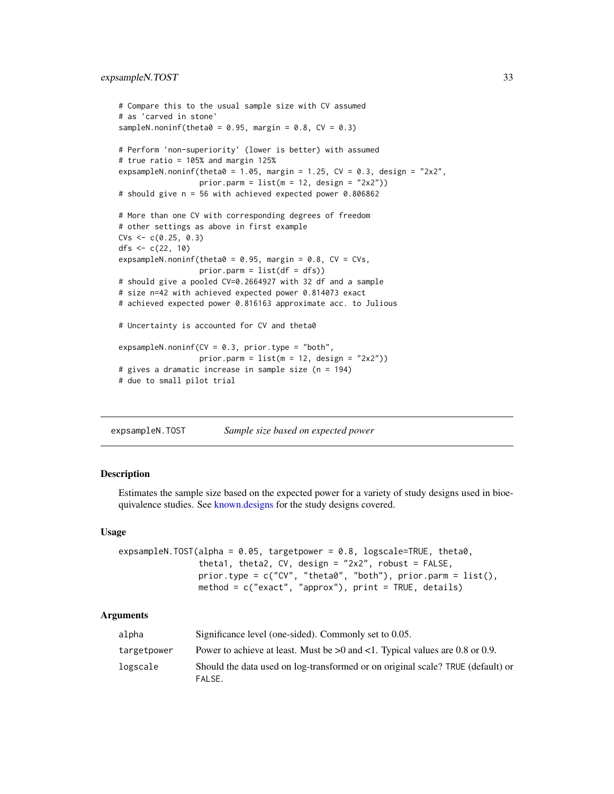# <span id="page-32-0"></span>expsampleN.TOST 33

```
# Compare this to the usual sample size with CV assumed
# as 'carved in stone'
sampleN.noninf(theta0 = 0.95, margin = 0.8, CV = 0.3)
# Perform 'non-superiority' (lower is better) with assumed
# true ratio = 105% and margin 125%
expsampleN.noninf(theta0 = 1.05, margin = 1.25, CV = 0.3, design = "2x2",
                 prior.parm = list(m = 12, design = "2x2")# should give n = 56 with achieved expected power 0.806862
# More than one CV with corresponding degrees of freedom
# other settings as above in first example
CVs \leq c(0.25, 0.3)dfs <-c(22, 10)expsampleN.noninf(theta0 = 0.95, margin = 0.8, CV = CVs,
                 prior.parm = list(df = dfs))
# should give a pooled CV=0.2664927 with 32 df and a sample
# size n=42 with achieved expected power 0.814073 exact
# achieved expected power 0.816163 approximate acc. to Julious
# Uncertainty is accounted for CV and theta0
expsampleN.noninf(CV = 0.3, prior.type = "both",
                 prior.parm = list(m = 12, design = "2x2")# gives a dramatic increase in sample size (n = 194)
# due to small pilot trial
```
<span id="page-32-1"></span>expsampleN.TOST *Sample size based on expected power*

# Description

Estimates the sample size based on the expected power for a variety of study designs used in bioequivalence studies. See [known.designs](#page-36-1) for the study designs covered.

#### Usage

```
expsampleN.TOST(alpha = 0.05, targetpower = 0.8, logscale=TRUE, theta0,
                theta1, theta2, CV, design = "2x2", robust = FALSE,
                prior.type = c("CV", "theta0", "both"), prior.parm = list(),
                method = c("exact", "approx"), print = TRUE, details)
```

| alpha       | Significance level (one-sided). Commonly set to 0.05.                                     |
|-------------|-------------------------------------------------------------------------------------------|
| targetpower | Power to achieve at least. Must be $>0$ and $<1$ . Typical values are 0.8 or 0.9.         |
| logscale    | Should the data used on log-transformed or on original scale? TRUE (default) or<br>FALSE. |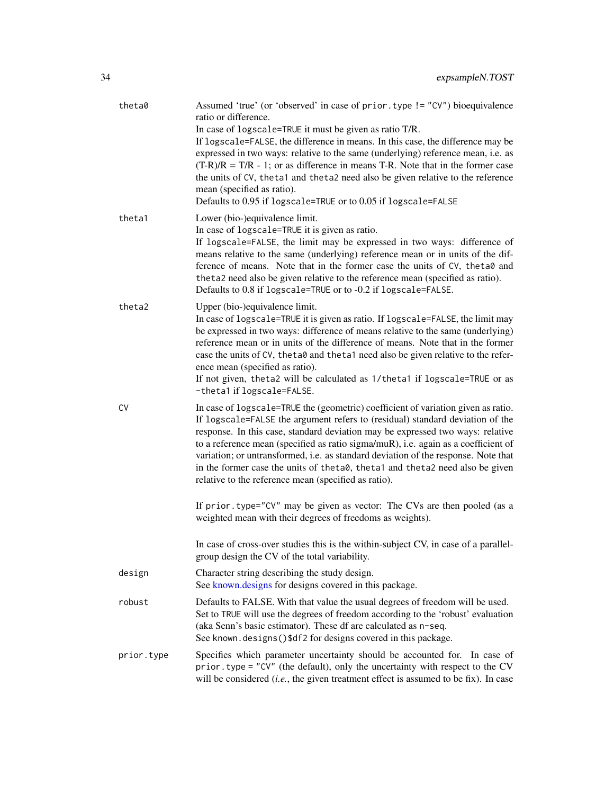| theta0     | Assumed 'true' (or 'observed' in case of prior.type != "CV") bioequivalence<br>ratio or difference.<br>In case of logscale=TRUE it must be given as ratio T/R.<br>If logscale=FALSE, the difference in means. In this case, the difference may be<br>expressed in two ways: relative to the same (underlying) reference mean, i.e. as<br>$(T-R)/R = T/R - 1$ ; or as difference in means T-R. Note that in the former case<br>the units of CV, the ta1 and the ta2 need also be given relative to the reference<br>mean (specified as ratio).<br>Defaults to 0.95 if logscale=TRUE or to 0.05 if logscale=FALSE |
|------------|-----------------------------------------------------------------------------------------------------------------------------------------------------------------------------------------------------------------------------------------------------------------------------------------------------------------------------------------------------------------------------------------------------------------------------------------------------------------------------------------------------------------------------------------------------------------------------------------------------------------|
| theta1     | Lower (bio-)equivalence limit.<br>In case of logscale=TRUE it is given as ratio.<br>If logscale=FALSE, the limit may be expressed in two ways: difference of<br>means relative to the same (underlying) reference mean or in units of the dif-<br>ference of means. Note that in the former case the units of CV, theta0 and<br>theta2 need also be given relative to the reference mean (specified as ratio).<br>Defaults to 0.8 if logscale=TRUE or to -0.2 if logscale=FALSE.                                                                                                                                |
| theta2     | Upper (bio-)equivalence limit.<br>In case of logscale=TRUE it is given as ratio. If logscale=FALSE, the limit may<br>be expressed in two ways: difference of means relative to the same (underlying)<br>reference mean or in units of the difference of means. Note that in the former<br>case the units of CV, the ta0 and the ta1 need also be given relative to the refer-<br>ence mean (specified as ratio).<br>If not given, theta2 will be calculated as 1/theta1 if logscale=TRUE or as<br>-theta1 if logscale=FALSE.                                                                                    |
| <b>CV</b>  | In case of logscale=TRUE the (geometric) coefficient of variation given as ratio.<br>If logscale=FALSE the argument refers to (residual) standard deviation of the<br>response. In this case, standard deviation may be expressed two ways: relative<br>to a reference mean (specified as ratio sigma/muR), i.e. again as a coefficient of<br>variation; or untransformed, i.e. as standard deviation of the response. Note that<br>in the former case the units of theta0, theta1 and theta2 need also be given<br>relative to the reference mean (specified as ratio).                                        |
|            | If prior type="CV" may be given as vector: The CVs are then pooled (as a<br>weighted mean with their degrees of freedoms as weights).                                                                                                                                                                                                                                                                                                                                                                                                                                                                           |
|            | In case of cross-over studies this is the within-subject CV, in case of a parallel-<br>group design the CV of the total variability.                                                                                                                                                                                                                                                                                                                                                                                                                                                                            |
| design     | Character string describing the study design.<br>See known.designs for designs covered in this package.                                                                                                                                                                                                                                                                                                                                                                                                                                                                                                         |
| robust     | Defaults to FALSE. With that value the usual degrees of freedom will be used.<br>Set to TRUE will use the degrees of freedom according to the 'robust' evaluation<br>(aka Senn's basic estimator). These df are calculated as n-seq.<br>See known.designs()\$df2 for designs covered in this package.                                                                                                                                                                                                                                                                                                           |
| prior.type | Specifies which parameter uncertainty should be accounted for. In case of<br>$prior. type = "CV"$ (the default), only the uncertainty with respect to the CV<br>will be considered $(i.e.,$ the given treatment effect is assumed to be fix). In case                                                                                                                                                                                                                                                                                                                                                           |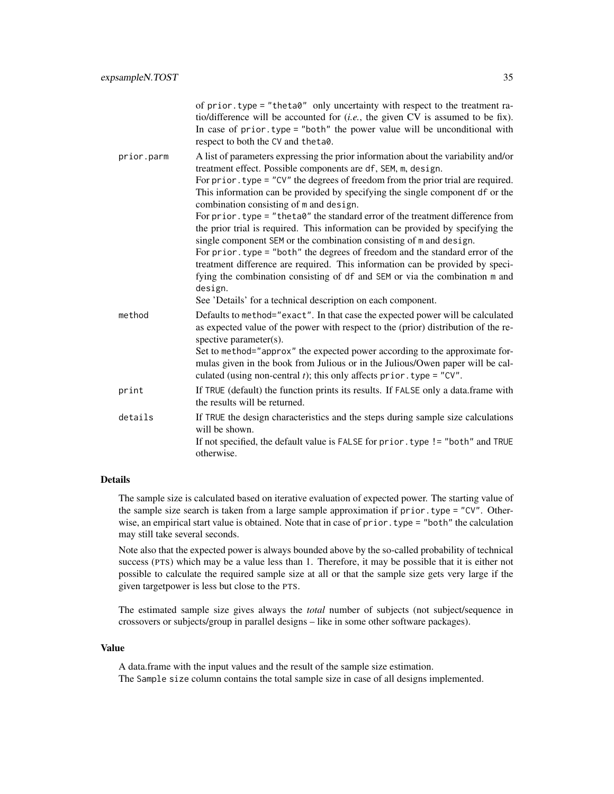|            | of prior. type = "theta0" only uncertainty with respect to the treatment ra-<br>tio/difference will be accounted for $(i.e.,$ the given CV is assumed to be fix).<br>In case of prior type = "both" the power value will be unconditional with<br>respect to both the CV and theta0.                                                                                                                                                                                                                                                                                                                                                                                                                                                                                                                                                                                       |
|------------|----------------------------------------------------------------------------------------------------------------------------------------------------------------------------------------------------------------------------------------------------------------------------------------------------------------------------------------------------------------------------------------------------------------------------------------------------------------------------------------------------------------------------------------------------------------------------------------------------------------------------------------------------------------------------------------------------------------------------------------------------------------------------------------------------------------------------------------------------------------------------|
| prior.parm | A list of parameters expressing the prior information about the variability and/or<br>treatment effect. Possible components are df, SEM, m, design.<br>For prior. type = "CV" the degrees of freedom from the prior trial are required.<br>This information can be provided by specifying the single component df or the<br>combination consisting of m and design.<br>For prior.type = "theta0" the standard error of the treatment difference from<br>the prior trial is required. This information can be provided by specifying the<br>single component SEM or the combination consisting of m and design.<br>For prior. type = "both" the degrees of freedom and the standard error of the<br>treatment difference are required. This information can be provided by speci-<br>fying the combination consisting of df and SEM or via the combination m and<br>design. |
|            | See 'Details' for a technical description on each component.                                                                                                                                                                                                                                                                                                                                                                                                                                                                                                                                                                                                                                                                                                                                                                                                               |
| method     | Defaults to method="exact". In that case the expected power will be calculated<br>as expected value of the power with respect to the (prior) distribution of the re-<br>spective parameter(s).                                                                                                                                                                                                                                                                                                                                                                                                                                                                                                                                                                                                                                                                             |
|            | Set to method="approx" the expected power according to the approximate for-<br>mulas given in the book from Julious or in the Julious/Owen paper will be cal-<br>culated (using non-central $t$ ); this only affects prior. type = "CV".                                                                                                                                                                                                                                                                                                                                                                                                                                                                                                                                                                                                                                   |
| print      | If TRUE (default) the function prints its results. If FALSE only a data.frame with<br>the results will be returned.                                                                                                                                                                                                                                                                                                                                                                                                                                                                                                                                                                                                                                                                                                                                                        |
| details    | If TRUE the design characteristics and the steps during sample size calculations<br>will be shown.                                                                                                                                                                                                                                                                                                                                                                                                                                                                                                                                                                                                                                                                                                                                                                         |
|            | If not specified, the default value is FALSE for prior. type != "both" and TRUE<br>otherwise.                                                                                                                                                                                                                                                                                                                                                                                                                                                                                                                                                                                                                                                                                                                                                                              |

# Details

The sample size is calculated based on iterative evaluation of expected power. The starting value of the sample size search is taken from a large sample approximation if prior.type = "CV". Otherwise, an empirical start value is obtained. Note that in case of prior. type = "both" the calculation may still take several seconds.

Note also that the expected power is always bounded above by the so-called probability of technical success (PTS) which may be a value less than 1. Therefore, it may be possible that it is either not possible to calculate the required sample size at all or that the sample size gets very large if the given targetpower is less but close to the PTS.

The estimated sample size gives always the *total* number of subjects (not subject/sequence in crossovers or subjects/group in parallel designs – like in some other software packages).

#### Value

A data.frame with the input values and the result of the sample size estimation. The Sample size column contains the total sample size in case of all designs implemented.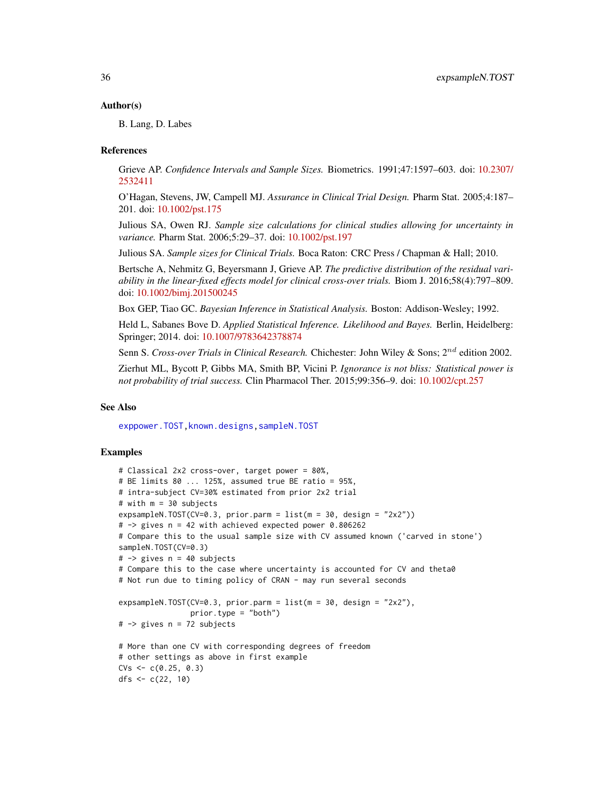#### Author(s)

B. Lang, D. Labes

#### References

Grieve AP. *Confidence Intervals and Sample Sizes.* Biometrics. 1991;47:1597–603. doi: [10.2307/](https://doi.org/10.2307/2532411) [2532411](https://doi.org/10.2307/2532411)

O'Hagan, Stevens, JW, Campell MJ. *Assurance in Clinical Trial Design.* Pharm Stat. 2005;4:187– 201. doi: [10.1002/pst.175](https://doi.org/10.1002/pst.175)

Julious SA, Owen RJ. *Sample size calculations for clinical studies allowing for uncertainty in variance.* Pharm Stat. 2006;5:29–37. doi: [10.1002/pst.197](https://doi.org/10.1002/pst.197)

Julious SA. *Sample sizes for Clinical Trials.* Boca Raton: CRC Press / Chapman & Hall; 2010.

Bertsche A, Nehmitz G, Beyersmann J, Grieve AP. *The predictive distribution of the residual variability in the linear-fixed effects model for clinical cross-over trials.* Biom J. 2016;58(4):797–809. doi: [10.1002/bimj.201500245](https://doi.org/10.1002/bimj.201500245)

Box GEP, Tiao GC. *Bayesian Inference in Statistical Analysis.* Boston: Addison-Wesley; 1992.

Held L, Sabanes Bove D. *Applied Statistical Inference. Likelihood and Bayes.* Berlin, Heidelberg: Springer; 2014. doi: [10.1007/9783642378874](https://doi.org/10.1007/978-3-642-37887-4)

Senn S. *Cross-over Trials in Clinical Research*. Chichester: John Wiley & Sons; 2<sup>nd</sup> edition 2002.

Zierhut ML, Bycott P, Gibbs MA, Smith BP, Vicini P. *Ignorance is not bliss: Statistical power is not probability of trial success.* Clin Pharmacol Ther. 2015;99:356–9. doi: [10.1002/cpt.257](https://doi.org/10.1002/cpt.257)

#### See Also

[exppower.TOST](#page-24-1)[,known.designs,](#page-36-1)[sampleN.TOST](#page-121-1)

# Examples

```
# Classical 2x2 cross-over, target power = 80%,
# BE limits 80 ... 125%, assumed true BE ratio = 95%,
# intra-subject CV=30% estimated from prior 2x2 trial
# with m = 30 subjects
expsampleN.TOST(CV=0.3, prior.parm = list(m = 30, design = "2x2"))
# -> gives n = 42 with achieved expected power 0.806262
# Compare this to the usual sample size with CV assumed known ('carved in stone')
sampleN.TOST(CV=0.3)
# -> gives n = 40 subjects
# Compare this to the case where uncertainty is accounted for CV and theta0
# Not run due to timing policy of CRAN - may run several seconds
expsampleN.TOST(CV=0.3, prior.parm = list(m = 30, design = "2x2"),
                prior.type = "both")
# -> gives n = 72 subjects
# More than one CV with corresponding degrees of freedom
# other settings as above in first example
CVs \leq c(0.25, 0.3)dfs <-c(22, 10)
```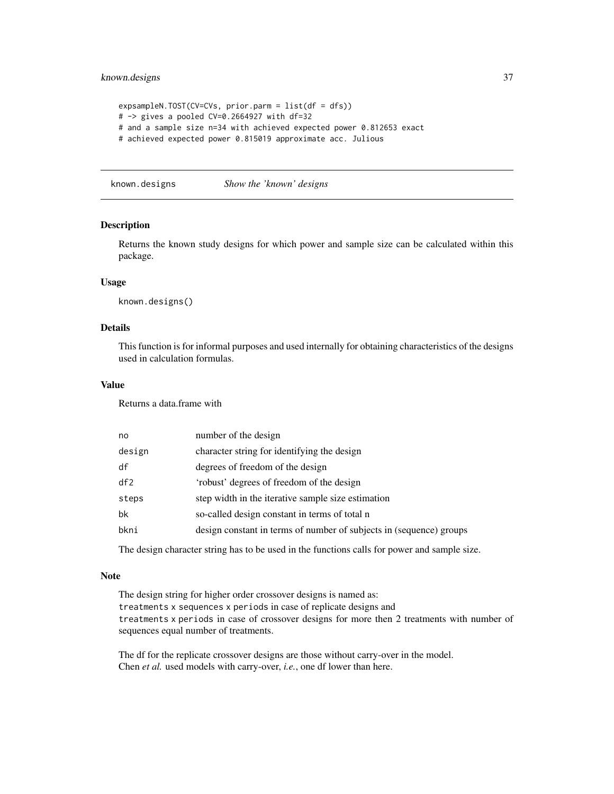## known.designs 37

```
expsampleN.TOST(CV=CVs, prior.parm = list(df = dfs))
# -> gives a pooled CV=0.2664927 with df=32
# and a sample size n=34 with achieved expected power 0.812653 exact
# achieved expected power 0.815019 approximate acc. Julious
```
<span id="page-36-0"></span>known.designs *Show the 'known' designs*

## Description

Returns the known study designs for which power and sample size can be calculated within this package.

#### Usage

known.designs()

## Details

This function is for informal purposes and used internally for obtaining characteristics of the designs used in calculation formulas.

## Value

Returns a data.frame with

| no     | number of the design                                                |
|--------|---------------------------------------------------------------------|
| design | character string for identifying the design                         |
| df     | degrees of freedom of the design                                    |
| df2    | 'robust' degrees of freedom of the design                           |
| steps  | step width in the iterative sample size estimation                  |
| bk     | so-called design constant in terms of total n                       |
| bkni   | design constant in terms of number of subjects in (sequence) groups |
|        |                                                                     |

The design character string has to be used in the functions calls for power and sample size.

#### Note

The design string for higher order crossover designs is named as: treatments x sequences x periods in case of replicate designs and treatments x periods in case of crossover designs for more then 2 treatments with number of sequences equal number of treatments.

The df for the replicate crossover designs are those without carry-over in the model. Chen *et al.* used models with carry-over, *i.e.*, one df lower than here.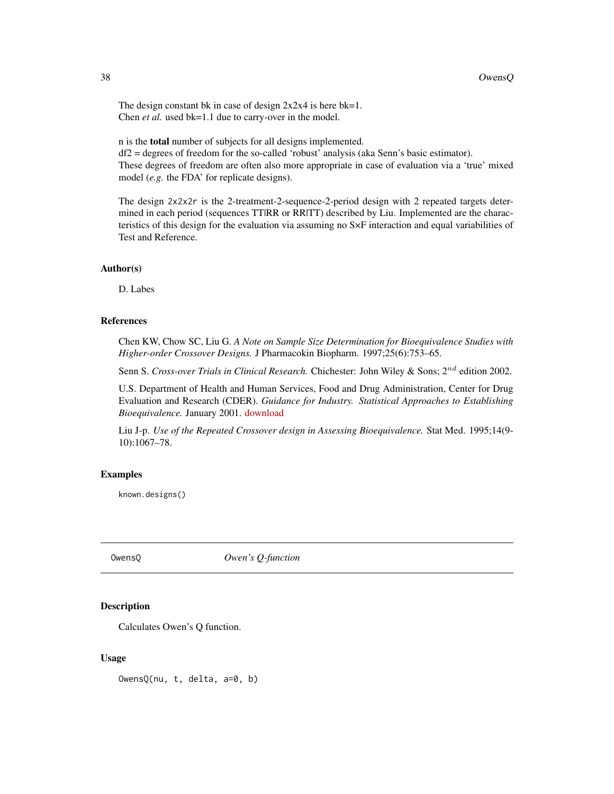The design constant bk in case of design  $2x2x4$  is here bk=1. Chen *et al.* used bk=1.1 due to carry-over in the model.

n is the total number of subjects for all designs implemented. df2 = degrees of freedom for the so-called 'robust' analysis (aka Senn's basic estimator). These degrees of freedom are often also more appropriate in case of evaluation via a 'true' mixed model (*e.g.* the FDA' for replicate designs).

The design 2x2x2r is the 2-treatment-2-sequence-2-period design with 2 repeated targets determined in each period (sequences TTIRR or RRITT) described by Liu. Implemented are the characteristics of this design for the evaluation via assuming no S×F interaction and equal variabilities of Test and Reference.

## Author(s)

D. Labes

# References

Chen KW, Chow SC, Liu G. *A Note on Sample Size Determination for Bioequivalence Studies with Higher-order Crossover Designs.* J Pharmacokin Biopharm. 1997;25(6):753–65.

Senn S. *Cross-over Trials in Clinical Research*. Chichester: John Wiley & Sons; 2<sup>nd</sup> edition 2002.

U.S. Department of Health and Human Services, Food and Drug Administration, Center for Drug Evaluation and Research (CDER). *Guidance for Industry. Statistical Approaches to Establishing Bioequivalence.* January 2001. [download](https://www.fda.gov/media/70958/download)

Liu J-p. *Use of the Repeated Crossover design in Assessing Bioequivalence.* Stat Med. 1995;14(9- 10):1067–78.

## Examples

known.designs()

<span id="page-37-0"></span>

OwensQ *Owen's Q-function*

## Description

Calculates Owen's Q function.

#### Usage

OwensQ(nu, t, delta, a=0, b)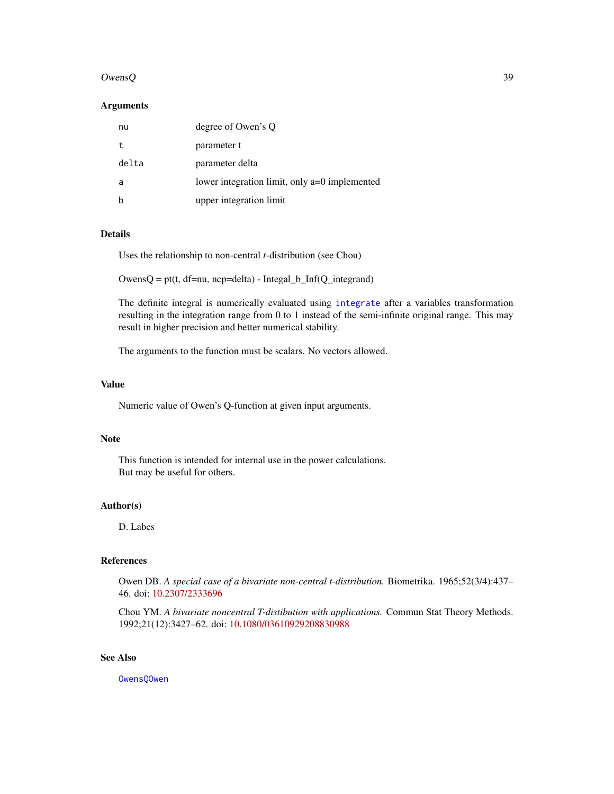#### $OwensQ$  39

#### Arguments

| nu    | degree of Owen's Q                              |
|-------|-------------------------------------------------|
| t     | parameter t                                     |
| delta | parameter delta                                 |
| a     | lower integration limit, only $a=0$ implemented |
| h     | upper integration limit                         |

# Details

Uses the relationship to non-central *t*-distribution (see Chou)

 $OwensQ = pt(t, df=nu, nep=delta) - Integral_b_Inf(Q_integrand)$ 

The definite integral is numerically evaluated using [integrate](#page-0-0) after a variables transformation resulting in the integration range from 0 to 1 instead of the semi-infinite original range. This may result in higher precision and better numerical stability.

The arguments to the function must be scalars. No vectors allowed.

## Value

Numeric value of Owen's Q-function at given input arguments.

#### Note

This function is intended for internal use in the power calculations. But may be useful for others.

#### Author(s)

D. Labes

## References

Owen DB. *A special case of a bivariate non-central t-distribution.* Biometrika. 1965;52(3/4):437– 46. doi: [10.2307/2333696](https://doi.org/10.2307/2333696)

Chou YM. *A bivariate noncentral T-distibution with applications.* Commun Stat Theory Methods. 1992;21(12):3427–62. doi: [10.1080/03610929208830988](https://doi.org/10.1080/03610929208830988)

# See Also

[OwensQOwen](#page-39-0)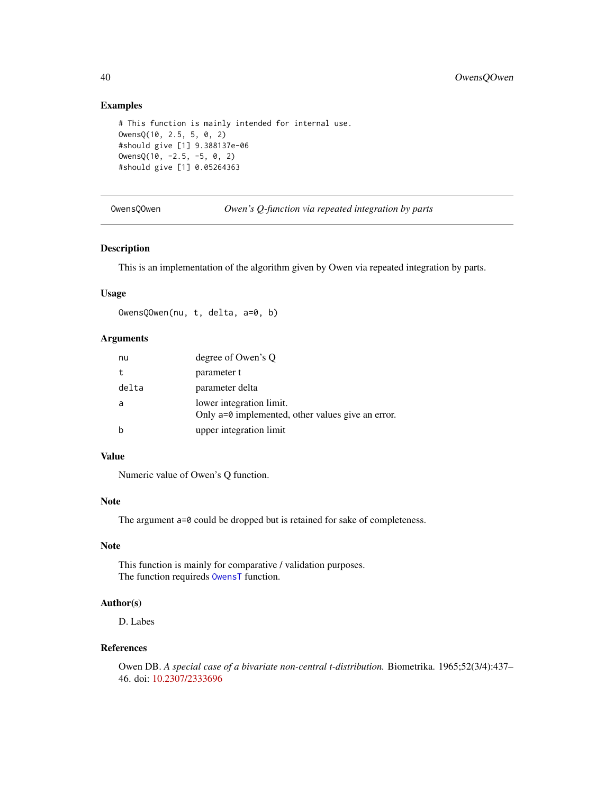## Examples

```
# This function is mainly intended for internal use.
OwensQ(10, 2.5, 5, 0, 2)
#should give [1] 9.388137e-06
OwensQ(10, -2.5, -5, 0, 2)
#should give [1] 0.05264363
```
<span id="page-39-0"></span>OwensQOwen *Owen's Q-function via repeated integration by parts*

## Description

This is an implementation of the algorithm given by Owen via repeated integration by parts.

## Usage

OwensQOwen(nu, t, delta, a=0, b)

## Arguments

| nu    | degree of Owen's O                                                              |
|-------|---------------------------------------------------------------------------------|
|       | parameter t                                                                     |
| delta | parameter delta                                                                 |
| a     | lower integration limit.<br>Only $a=0$ implemented, other values give an error. |
|       | upper integration limit                                                         |

## Value

Numeric value of Owen's Q function.

## Note

The argument a=0 could be dropped but is retained for sake of completeness.

## Note

This function is mainly for comparative / validation purposes. The function requireds [OwensT](#page-40-0) function.

## Author(s)

D. Labes

#### References

Owen DB. *A special case of a bivariate non-central t-distribution.* Biometrika. 1965;52(3/4):437– 46. doi: [10.2307/2333696](https://doi.org/10.2307/2333696)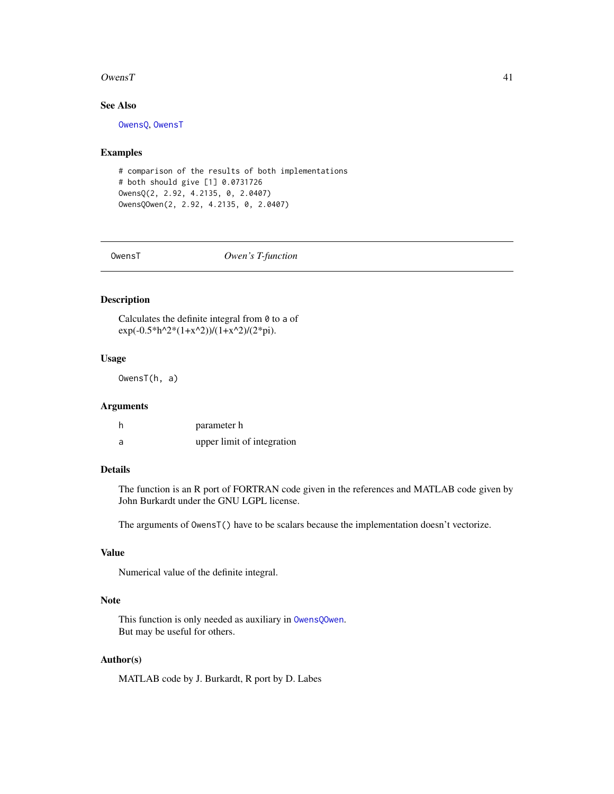#### $OwensT$  41

# See Also

[OwensQ](#page-37-0), [OwensT](#page-40-0)

## Examples

# comparison of the results of both implementations # both should give [1] 0.0731726 OwensQ(2, 2.92, 4.2135, 0, 2.0407) OwensQOwen(2, 2.92, 4.2135, 0, 2.0407)

<span id="page-40-0"></span>OwensT *Owen's T-function*

## Description

Calculates the definite integral from 0 to a of  $exp(-0.5*h^2*(1+x^2))/(1+x^2)/(2*pi).$ 

#### Usage

OwensT(h, a)

# Arguments

|   | parameter h                |
|---|----------------------------|
| a | upper limit of integration |

# Details

The function is an R port of FORTRAN code given in the references and MATLAB code given by John Burkardt under the GNU LGPL license.

The arguments of OwensT() have to be scalars because the implementation doesn't vectorize.

#### Value

Numerical value of the definite integral.

# Note

This function is only needed as auxiliary in [OwensQOwen](#page-39-0). But may be useful for others.

# Author(s)

MATLAB code by J. Burkardt, R port by D. Labes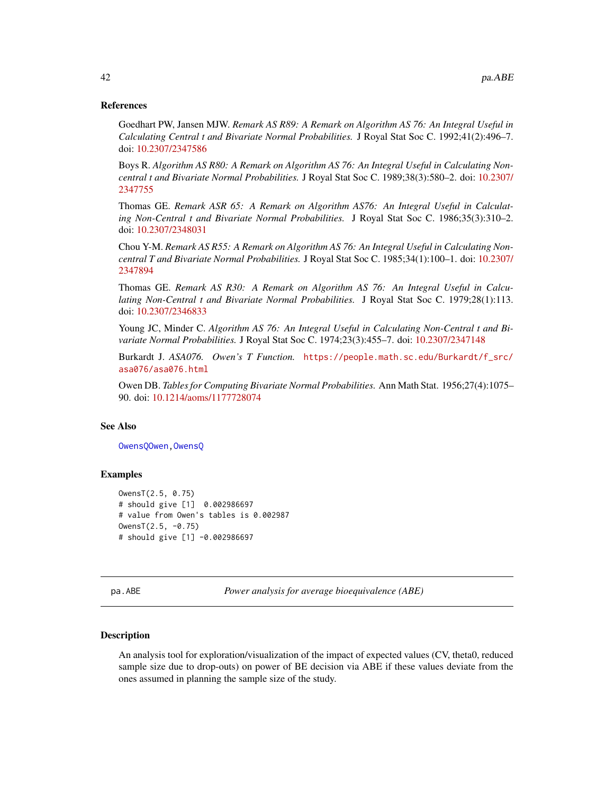#### References

Goedhart PW, Jansen MJW. *Remark AS R89: A Remark on Algorithm AS 76: An Integral Useful in Calculating Central t and Bivariate Normal Probabilities.* J Royal Stat Soc C. 1992;41(2):496–7. doi: [10.2307/2347586](https://doi.org/10.2307/2347586)

Boys R. *Algorithm AS R80: A Remark on Algorithm AS 76: An Integral Useful in Calculating Noncentral t and Bivariate Normal Probabilities.* J Royal Stat Soc C. 1989;38(3):580–2. doi: [10.2307/](https://doi.org/10.2307/2347755) [2347755](https://doi.org/10.2307/2347755)

Thomas GE. *Remark ASR 65: A Remark on Algorithm AS76: An Integral Useful in Calculating Non-Central t and Bivariate Normal Probabilities.* J Royal Stat Soc C. 1986;35(3):310–2. doi: [10.2307/2348031](https://doi.org/10.2307/2348031)

Chou Y-M. *Remark AS R55: A Remark on Algorithm AS 76: An Integral Useful in Calculating Noncentral T and Bivariate Normal Probabilities.* J Royal Stat Soc C. 1985;34(1):100–1. doi: [10.2307/](https://doi.org/10.2307/2347894) [2347894](https://doi.org/10.2307/2347894)

Thomas GE. *Remark AS R30: A Remark on Algorithm AS 76: An Integral Useful in Calculating Non-Central t and Bivariate Normal Probabilities.* J Royal Stat Soc C. 1979;28(1):113. doi: [10.2307/2346833](https://doi.org/10.2307/2346833)

Young JC, Minder C. *Algorithm AS 76: An Integral Useful in Calculating Non-Central t and Bivariate Normal Probabilities.* J Royal Stat Soc C. 1974;23(3):455–7. doi: [10.2307/2347148](https://doi.org/10.2307/2347148)

Burkardt J. *ASA076. Owen's T Function.* [https://people.math.sc.edu/Burkardt/f\\_src/](https://people.math.sc.edu/Burkardt/f_src/asa076/asa076.html) [asa076/asa076.html](https://people.math.sc.edu/Burkardt/f_src/asa076/asa076.html)

Owen DB. *Tables for Computing Bivariate Normal Probabilities.* Ann Math Stat. 1956;27(4):1075– 90. doi: [10.1214/aoms/1177728074](https://doi.org/10.1214/aoms/1177728074)

## See Also

[OwensQOwen](#page-39-0)[,OwensQ](#page-37-0)

#### Examples

```
OwensT(2.5, 0.75)
# should give [1] 0.002986697
# value from Owen's tables is 0.002987
OwensT(2.5, -0.75)
# should give [1] -0.002986697
```
<span id="page-41-0"></span>pa.ABE *Power analysis for average bioequivalence (ABE)*

#### <span id="page-41-1"></span>**Description**

An analysis tool for exploration/visualization of the impact of expected values (CV, theta0, reduced sample size due to drop-outs) on power of BE decision via ABE if these values deviate from the ones assumed in planning the sample size of the study.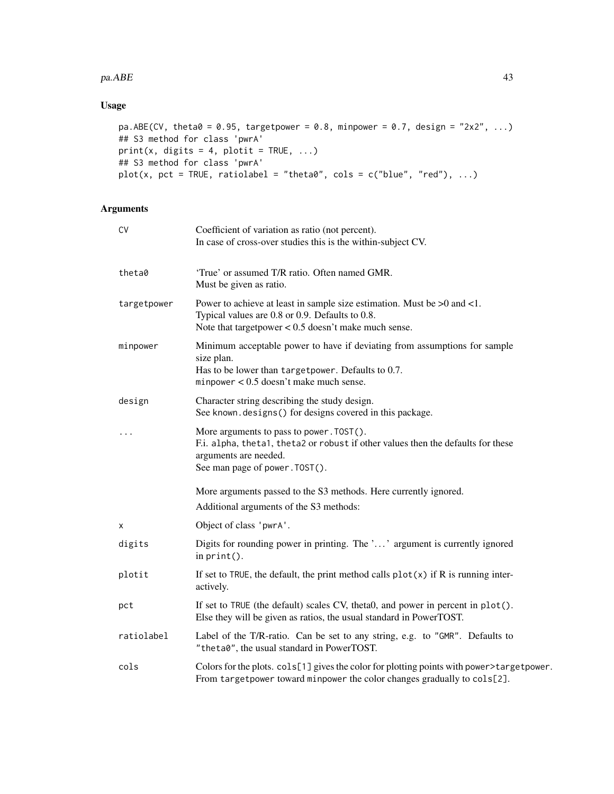#### $pa.ABE$  and the set of the set of the set of the set of the set of the set of the set of the set of the set of the set of the set of the set of the set of the set of the set of the set of the set of the set of the set of th

# Usage

```
pa.ABE(CV, theta0 = 0.95, targetpower = 0.8, minpower = 0.7, design = "2x2", ...)
## S3 method for class 'pwrA'
print(x, digits = 4, plotit = TRUE, ...)## S3 method for class 'pwrA'
plot(x, pct = TRUE, ratiolabel = "theta0", cols = c("blue", "red"), ...)
```

| <b>CV</b>   | Coefficient of variation as ratio (not percent).<br>In case of cross-over studies this is the within-subject CV.                                                                           |
|-------------|--------------------------------------------------------------------------------------------------------------------------------------------------------------------------------------------|
| theta0      | 'True' or assumed T/R ratio. Often named GMR.<br>Must be given as ratio.                                                                                                                   |
| targetpower | Power to achieve at least in sample size estimation. Must be >0 and <1.<br>Typical values are 0.8 or 0.9. Defaults to 0.8.<br>Note that target power $< 0.5$ doesn't make much sense.      |
| minpower    | Minimum acceptable power to have if deviating from assumptions for sample<br>size plan.<br>Has to be lower than targetpower. Defaults to 0.7.<br>minpower $< 0.5$ doesn't make much sense. |
| design      | Character string describing the study design.<br>See known.designs() for designs covered in this package.                                                                                  |
| .           | More arguments to pass to power. TOST().<br>F.i. alpha, theta1, theta2 or robust if other values then the defaults for these<br>arguments are needed.<br>See man page of power. TOST().    |
|             | More arguments passed to the S3 methods. Here currently ignored.                                                                                                                           |
|             | Additional arguments of the S3 methods:                                                                                                                                                    |
| X           | Object of class 'pwrA'.                                                                                                                                                                    |
| digits      | Digits for rounding power in printing. The '' argument is currently ignored<br>in $print()$ .                                                                                              |
| plotit      | If set to TRUE, the default, the print method calls $plot(x)$ if R is running inter-<br>actively.                                                                                          |
| pct         | If set to TRUE (the default) scales CV, theta0, and power in percent in plot().<br>Else they will be given as ratios, the usual standard in PowerTOST.                                     |
| ratiolabel  | Label of the T/R-ratio. Can be set to any string, e.g. to "GMR". Defaults to<br>"theta0", the usual standard in PowerTOST.                                                                 |
| cols        | Colors for the plots. cols[1] gives the color for plotting points with power>targetpower.<br>From targetpower toward minpower the color changes gradually to cols[2].                      |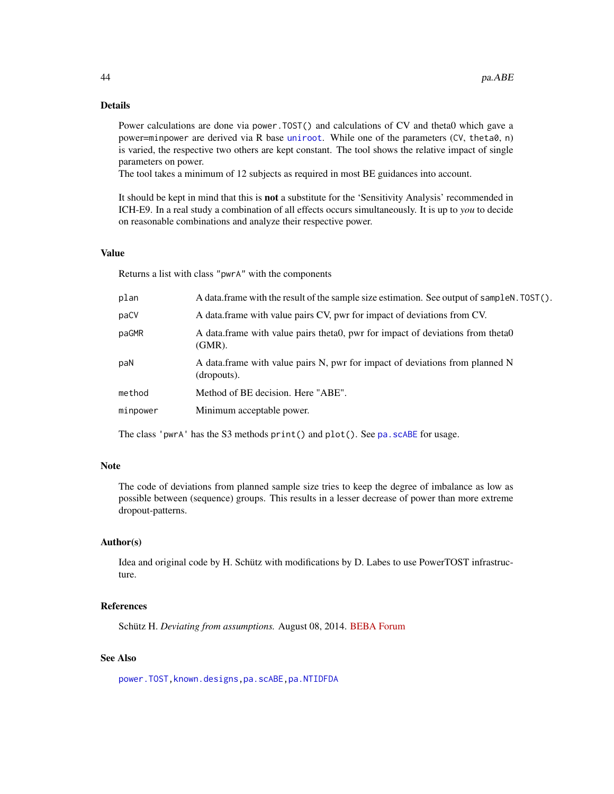Power calculations are done via power.TOST() and calculations of CV and theta0 which gave a power=minpower are derived via R base [uniroot](#page-0-0). While one of the parameters (CV, theta0, n) is varied, the respective two others are kept constant. The tool shows the relative impact of single parameters on power.

The tool takes a minimum of 12 subjects as required in most BE guidances into account.

It should be kept in mind that this is not a substitute for the 'Sensitivity Analysis' recommended in ICH-E9. In a real study a combination of all effects occurs simultaneously. It is up to *you* to decide on reasonable combinations and analyze their respective power.

## Value

Returns a list with class "pwrA" with the components

| plan     | A data frame with the result of the sample size estimation. See output of sampleN. TOST().  |
|----------|---------------------------------------------------------------------------------------------|
| paCV     | A data frame with value pairs CV, pwr for impact of deviations from CV.                     |
| paGMR    | A data frame with value pairs theta0, pwr for impact of deviations from theta0<br>$(GMR)$ . |
| paN      | A data frame with value pairs N, pwr for impact of deviations from planned N<br>(dropouts). |
| method   | Method of BE decision. Here "ABE".                                                          |
| minpower | Minimum acceptable power.                                                                   |
|          |                                                                                             |

The class 'pwrA' has the S3 methods print() and plot(). See [pa.scABE](#page-46-0) for usage.

## Note

The code of deviations from planned sample size tries to keep the degree of imbalance as low as possible between (sequence) groups. This results in a lesser decrease of power than more extreme dropout-patterns.

#### Author(s)

Idea and original code by H. Schütz with modifications by D. Labes to use PowerTOST infrastructure.

# References

Schütz H. *Deviating from assumptions.* August 08, 2014. [BEBA Forum](https://forum.bebac.at/mix_entry.php?id=13353)

## See Also

[power.TOST](#page-76-0)[,known.designs,](#page-36-0)[pa.scABE,](#page-46-0)[pa.NTIDFDA](#page-44-0)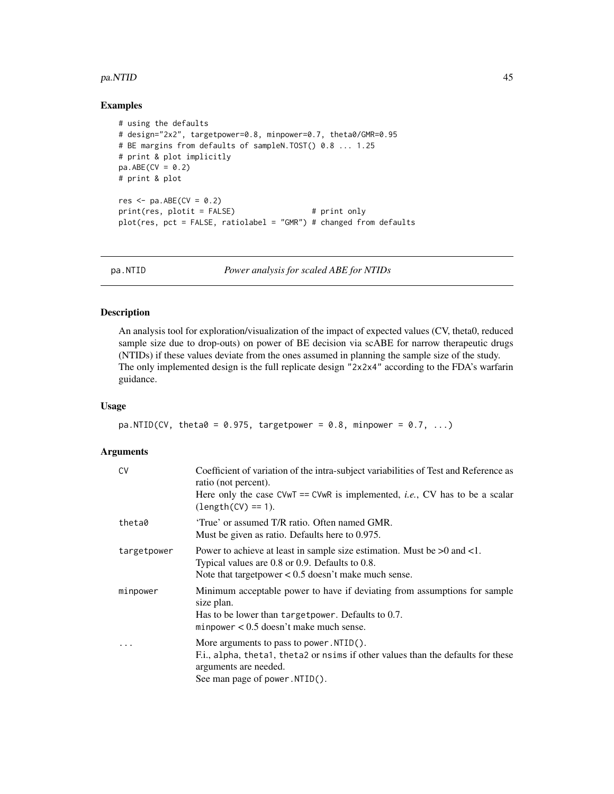#### pa.NTID 45

## Examples

```
# using the defaults
# design="2x2", targetpower=0.8, minpower=0.7, theta0/GMR=0.95
# BE margins from defaults of sampleN.TOST() 0.8 ... 1.25
# print & plot implicitly
pa.ABE(CV = 0.2)# print & plot
res \leq pa. ABE(CV = 0.2)
print(res, plotit = FALSE) # print only
plot(res, pct = FALSE, ratiolabel = "GMR") # changed from defaults
```
pa.NTID *Power analysis for scaled ABE for NTIDs*

## <span id="page-44-0"></span>Description

An analysis tool for exploration/visualization of the impact of expected values (CV, theta0, reduced sample size due to drop-outs) on power of BE decision via scABE for narrow therapeutic drugs (NTIDs) if these values deviate from the ones assumed in planning the sample size of the study. The only implemented design is the full replicate design "2x2x4" according to the FDA's warfarin guidance.

#### Usage

```
pa.NTID(CV, theta0 = 0.975, targetpower = 0.8, minpower = 0.7, ...)
```

| <b>CV</b>   | Coefficient of variation of the intra-subject variabilities of Test and Reference as<br>ratio (not percent).<br>Here only the case CVwT == CVwR is implemented, <i>i.e.</i> , CV has to be a scalar<br>$(length(CV) == 1).$ |
|-------------|-----------------------------------------------------------------------------------------------------------------------------------------------------------------------------------------------------------------------------|
| theta0      | 'True' or assumed T/R ratio. Often named GMR.<br>Must be given as ratio. Defaults here to 0.975.                                                                                                                            |
| targetpower | Power to achieve at least in sample size estimation. Must be >0 and <1.<br>Typical values are 0.8 or 0.9. Defaults to 0.8.<br>Note that target power $< 0.5$ doesn't make much sense.                                       |
| minpower    | Minimum acceptable power to have if deviating from assumptions for sample<br>size plan.<br>Has to be lower than targetpower. Defaults to 0.7.<br>minpower $< 0.5$ doesn't make much sense.                                  |
| $\ddotsc$   | More arguments to pass to power. NTID().<br>F.i., alpha, theta1, theta2 or nsims if other values than the defaults for these<br>arguments are needed.<br>See man page of power. NTID().                                     |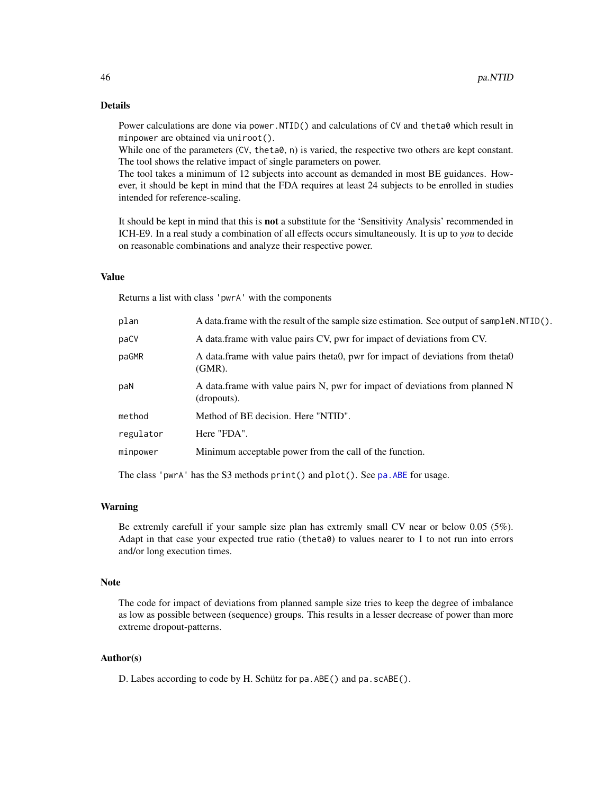Power calculations are done via power.NTID() and calculations of CV and theta0 which result in minpower are obtained via uniroot().

While one of the parameters  $(CV, \text{theta0}, n)$  is varied, the respective two others are kept constant. The tool shows the relative impact of single parameters on power.

The tool takes a minimum of 12 subjects into account as demanded in most BE guidances. However, it should be kept in mind that the FDA requires at least 24 subjects to be enrolled in studies intended for reference-scaling.

It should be kept in mind that this is not a substitute for the 'Sensitivity Analysis' recommended in ICH-E9. In a real study a combination of all effects occurs simultaneously. It is up to *you* to decide on reasonable combinations and analyze their respective power.

#### Value

Returns a list with class 'pwrA' with the components

| plan                                                                                | A data frame with the result of the sample size estimation. See output of sampleN. NTID().  |
|-------------------------------------------------------------------------------------|---------------------------------------------------------------------------------------------|
| paCV                                                                                | A data frame with value pairs CV, pwr for impact of deviations from CV.                     |
| paGMR                                                                               | A data frame with value pairs theta0, pwr for impact of deviations from theta0<br>$(GMR)$ . |
| paN                                                                                 | A data frame with value pairs N, pwr for impact of deviations from planned N<br>(dropouts). |
| method                                                                              | Method of BE decision. Here "NTID".                                                         |
| regulator                                                                           | Here "FDA".                                                                                 |
| minpower                                                                            | Minimum acceptable power from the call of the function.                                     |
| The class 'pwrA' has the S3 methods $print()$ and $plot()$ . See pa. ABE for usage. |                                                                                             |

# Warning

Be extremly carefull if your sample size plan has extremly small CV near or below 0.05 (5%). Adapt in that case your expected true ratio (theta0) to values nearer to 1 to not run into errors and/or long execution times.

#### Note

The code for impact of deviations from planned sample size tries to keep the degree of imbalance as low as possible between (sequence) groups. This results in a lesser decrease of power than more extreme dropout-patterns.

#### Author(s)

D. Labes according to code by H. Schütz for pa.ABE() and pa.scABE().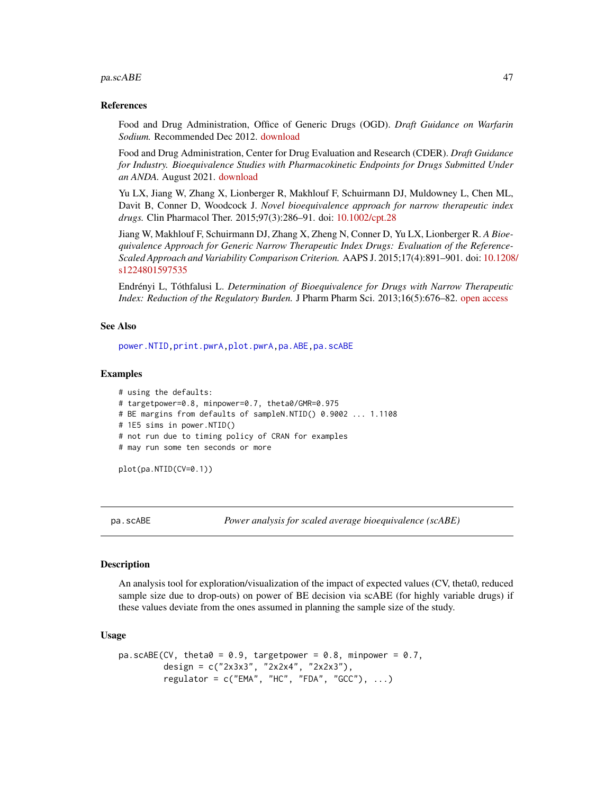#### $p$ a.scABE  $\qquad \qquad \qquad$  47

#### References

Food and Drug Administration, Office of Generic Drugs (OGD). *Draft Guidance on Warfarin Sodium.* Recommended Dec 2012. [download](https://www.accessdata.fda.gov/drugsatfda_docs/psg/Warfarin_Sodium_tab_09218_RC12-12.pdf)

Food and Drug Administration, Center for Drug Evaluation and Research (CDER). *Draft Guidance for Industry. Bioequivalence Studies with Pharmacokinetic Endpoints for Drugs Submitted Under an ANDA.* August 2021. [download](https://www.fda.gov/media/87219/Download)

Yu LX, Jiang W, Zhang X, Lionberger R, Makhlouf F, Schuirmann DJ, Muldowney L, Chen ML, Davit B, Conner D, Woodcock J. *Novel bioequivalence approach for narrow therapeutic index drugs.* Clin Pharmacol Ther. 2015;97(3):286–91. doi: [10.1002/cpt.28](https://doi.org/10.1002/cpt.28)

Jiang W, Makhlouf F, Schuirmann DJ, Zhang X, Zheng N, Conner D, Yu LX, Lionberger R. *A Bioequivalence Approach for Generic Narrow Therapeutic Index Drugs: Evaluation of the Reference-Scaled Approach and Variability Comparison Criterion.* AAPS J. 2015;17(4):891–901. doi: [10.1208](https://doi.org/10.1208/s12248-015-9753-5)/ [s1224801597535](https://doi.org/10.1208/s12248-015-9753-5)

Endrényi L, Tóthfalusi L. *Determination of Bioequivalence for Drugs with Narrow Therapeutic Index: Reduction of the Regulatory Burden.* J Pharm Pharm Sci. 2013;16(5):676–82. [open access](https://journals.library.ualberta.ca/jpps/index.php/JPPS/article/download/20900/15927/0)

# See Also

[power.NTID](#page-58-0)[,print.pwrA,plot.pwrA,](#page-41-1)[pa.ABE,](#page-41-0)[pa.scABE](#page-46-0)

#### Examples

# using the defaults: # targetpower=0.8, minpower=0.7, theta0/GMR=0.975 # BE margins from defaults of sampleN.NTID() 0.9002 ... 1.1108 # 1E5 sims in power.NTID() # not run due to timing policy of CRAN for examples # may run some ten seconds or more

plot(pa.NTID(CV=0.1))

<span id="page-46-0"></span>pa.scABE *Power analysis for scaled average bioequivalence (scABE)*

#### **Description**

An analysis tool for exploration/visualization of the impact of expected values (CV, theta0, reduced sample size due to drop-outs) on power of BE decision via scABE (for highly variable drugs) if these values deviate from the ones assumed in planning the sample size of the study.

#### Usage

```
pa.scABE(CV, theta0 = 0.9, targetpower = 0.8, minpower = 0.7,
         design = c("2x3x3", "2x2x4", "2x2x3"),
         regulator = c("EMA", "HC", "FDA", "GCC"), ...)
```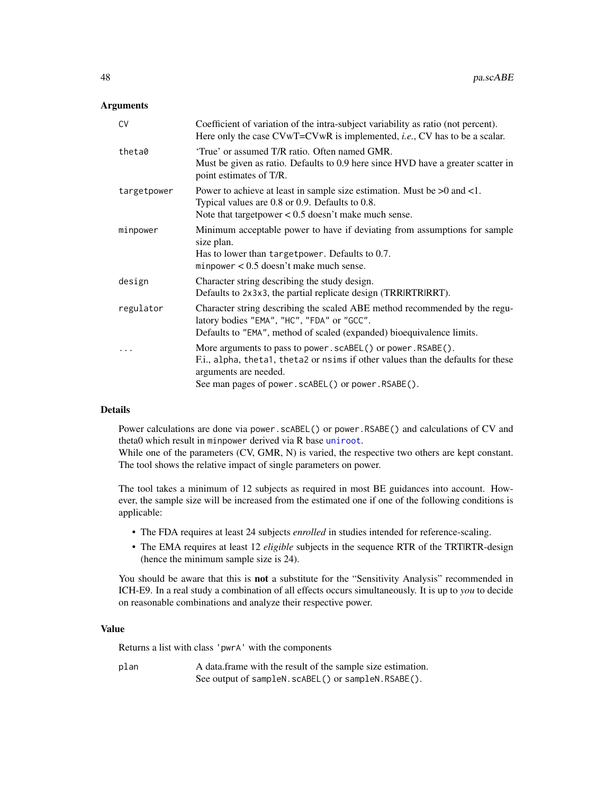## Arguments

| CV          | Coefficient of variation of the intra-subject variability as ratio (not percent).<br>Here only the case $CVwT=CVwR$ is implemented, <i>i.e.</i> , $CV$ has to be a scalar.                                                   |
|-------------|------------------------------------------------------------------------------------------------------------------------------------------------------------------------------------------------------------------------------|
| theta0      | 'True' or assumed T/R ratio. Often named GMR.<br>Must be given as ratio. Defaults to 0.9 here since HVD have a greater scatter in<br>point estimates of T/R.                                                                 |
| targetpower | Power to achieve at least in sample size estimation. Must be $>0$ and $<1$ .<br>Typical values are 0.8 or 0.9. Defaults to 0.8.<br>Note that target power $< 0.5$ doesn't make much sense.                                   |
| minpower    | Minimum acceptable power to have if deviating from assumptions for sample<br>size plan.<br>Has to lower than targetpower. Defaults to 0.7.<br>minpower $< 0.5$ doesn't make much sense.                                      |
| design      | Character string describing the study design.<br>Defaults to 2x3x3, the partial replicate design (TRRIRTRIRRT).                                                                                                              |
| regulator   | Character string describing the scaled ABE method recommended by the regu-<br>latory bodies "EMA", "HC", "FDA" or "GCC".<br>Defaults to "EMA", method of scaled (expanded) bioequivalence limits.                            |
|             | More arguments to pass to power.scABEL() or power.RSABE().<br>F.i., alpha, theta1, theta2 or nsims if other values than the defaults for these<br>arguments are needed.<br>See man pages of power.scABEL() or power.RSABE(). |

# Details

Power calculations are done via power.scABEL() or power.RSABE() and calculations of CV and theta0 which result in minpower derived via R base [uniroot](#page-0-0).

While one of the parameters (CV, GMR, N) is varied, the respective two others are kept constant. The tool shows the relative impact of single parameters on power.

The tool takes a minimum of 12 subjects as required in most BE guidances into account. However, the sample size will be increased from the estimated one if one of the following conditions is applicable:

- The FDA requires at least 24 subjects *enrolled* in studies intended for reference-scaling.
- The EMA requires at least 12 *eligible* subjects in the sequence RTR of the TRT|RTR-design (hence the minimum sample size is 24).

You should be aware that this is not a substitute for the "Sensitivity Analysis" recommended in ICH-E9. In a real study a combination of all effects occurs simultaneously. It is up to *you* to decide on reasonable combinations and analyze their respective power.

#### Value

Returns a list with class 'pwrA' with the components

plan A data.frame with the result of the sample size estimation. See output of sampleN.scABEL() or sampleN.RSABE().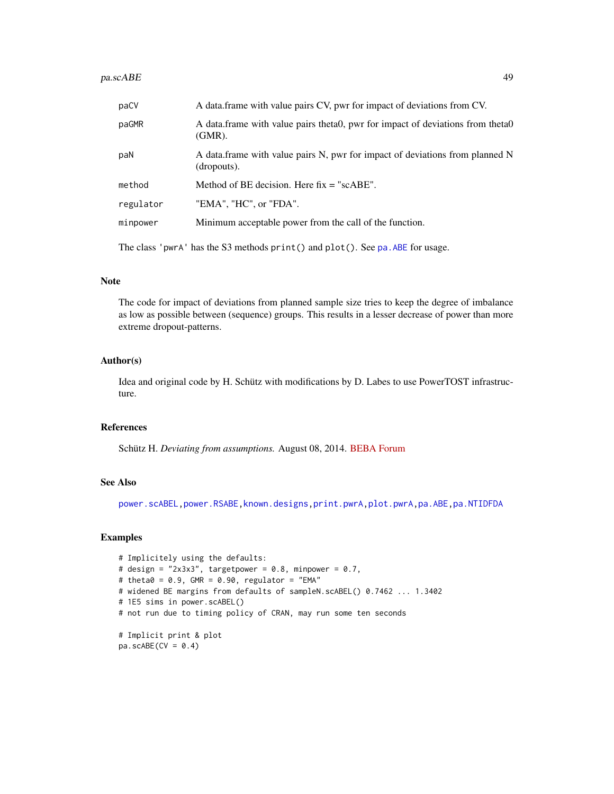| A data frame with value pairs CV, pwr for impact of deviations from CV.                     |
|---------------------------------------------------------------------------------------------|
| A data frame with value pairs theta0, pwr for impact of deviations from theta0<br>$(GMR)$ . |
| A data frame with value pairs N, pwr for impact of deviations from planned N<br>(dropouts). |
| Method of BE decision. Here $fix = "scABE".$                                                |
| "EMA", "HC", or "FDA".                                                                      |
| Minimum acceptable power from the call of the function.                                     |
|                                                                                             |

The class 'pwrA' has the S3 methods print() and plot(). See [pa.ABE](#page-41-0) for usage.

## Note

The code for impact of deviations from planned sample size tries to keep the degree of imbalance as low as possible between (sequence) groups. This results in a lesser decrease of power than more extreme dropout-patterns.

#### Author(s)

Idea and original code by H. Schütz with modifications by D. Labes to use PowerTOST infrastructure.

## References

Schütz H. *Deviating from assumptions.* August 08, 2014. [BEBA Forum](https://forum.bebac.at/mix_entry.php?id=13353)

## See Also

[power.scABEL](#page-69-0)[,power.RSABE,](#page-62-0)[known.designs,](#page-36-0)[print.pwrA,plot.pwrA](#page-41-1)[,pa.ABE](#page-41-0)[,pa.NTIDFDA](#page-44-0)

## Examples

```
# Implicitely using the defaults:
# design = "2x3x3", targetpower = 0.8, minpower = 0.7,
# theta0 = 0.9, GMR = 0.90, regulator = "EMA"
# widened BE margins from defaults of sampleN.scABEL() 0.7462 ... 1.3402
# 1E5 sims in power.scABEL()
# not run due to timing policy of CRAN, may run some ten seconds
# Implicit print & plot
pa.scABE(CV = 0.4)
```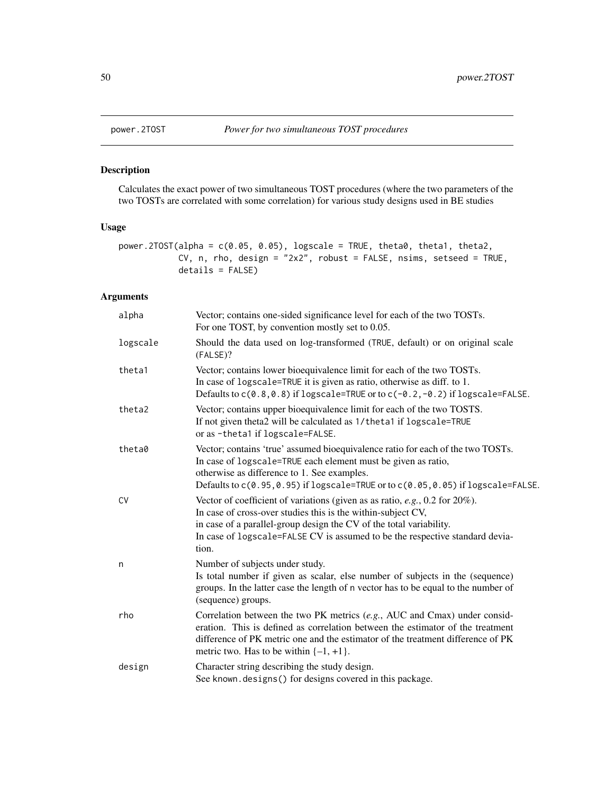# Description

Calculates the exact power of two simultaneous TOST procedures (where the two parameters of the two TOSTs are correlated with some correlation) for various study designs used in BE studies

## Usage

```
power.2TOST(alpha = c(0.05, 0.05), logscale = TRUE, theta0, theta1, theta2,
            CV, n, rho, design = "2x2", robust = FALSE, nsims, setseed = TRUE,
            details = FALSE)
```

| alpha     | Vector; contains one-sided significance level for each of the two TOSTs.<br>For one TOST, by convention mostly set to 0.05.                                                                                                                                                                                       |
|-----------|-------------------------------------------------------------------------------------------------------------------------------------------------------------------------------------------------------------------------------------------------------------------------------------------------------------------|
| logscale  | Should the data used on log-transformed (TRUE, default) or on original scale<br>(FALSE)?                                                                                                                                                                                                                          |
| theta1    | Vector; contains lower bioequivalence limit for each of the two TOSTs.<br>In case of logscale=TRUE it is given as ratio, otherwise as diff. to 1.<br>Defaults to $c(0.8, 0.8)$ if logscale=TRUE or to $c(-0.2, -0.2)$ if logscale=FALSE.                                                                          |
| theta2    | Vector; contains upper bioequivalence limit for each of the two TOSTS.<br>If not given theta2 will be calculated as 1/theta1 if logscale=TRUE<br>or as -theta1 if logscale=FALSE.                                                                                                                                 |
| theta0    | Vector; contains 'true' assumed bioequivalence ratio for each of the two TOSTs.<br>In case of logscale=TRUE each element must be given as ratio,<br>otherwise as difference to 1. See examples.<br>Defaults to $c(0.95, 0.95)$ if logscale=TRUE or to $c(0.05, 0.05)$ if logscale=FALSE.                          |
| <b>CV</b> | Vector of coefficient of variations (given as as ratio, $e.g., 0.2$ for $20\%$ ).<br>In case of cross-over studies this is the within-subject CV,<br>in case of a parallel-group design the CV of the total variability.<br>In case of logscale=FALSE CV is assumed to be the respective standard devia-<br>tion. |
| n         | Number of subjects under study.<br>Is total number if given as scalar, else number of subjects in the (sequence)<br>groups. In the latter case the length of n vector has to be equal to the number of<br>(sequence) groups.                                                                                      |
| rho       | Correlation between the two PK metrics $(e.g., AUC$ and Cmax) under consid-<br>eration. This is defined as correlation between the estimator of the treatment<br>difference of PK metric one and the estimator of the treatment difference of PK<br>metric two. Has to be within $\{-1, +1\}$ .                   |
| design    | Character string describing the study design.<br>See known.designs() for designs covered in this package.                                                                                                                                                                                                         |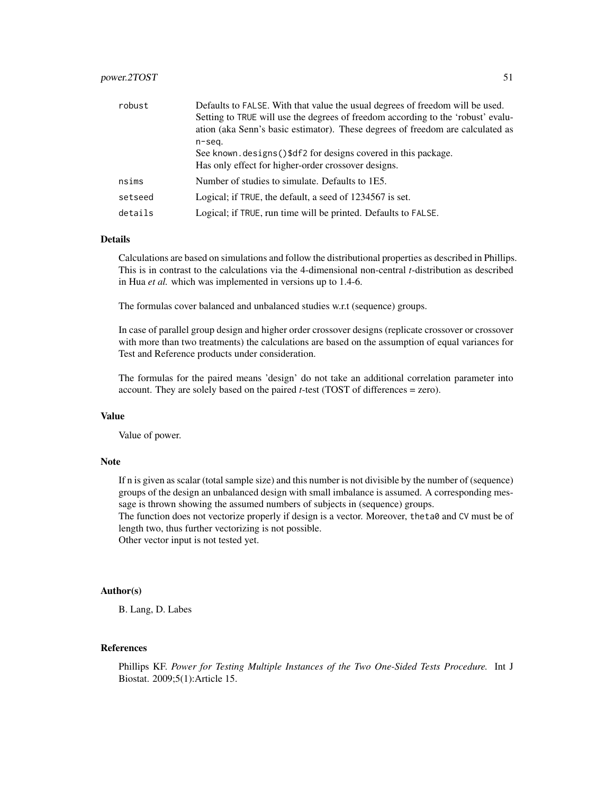## power.2TOST 51

| robust  | Defaults to FALSE. With that value the usual degrees of freedom will be used.<br>Setting to TRUE will use the degrees of freedom according to the 'robust' evalu-<br>ation (aka Senn's basic estimator). These degrees of freedom are calculated as |
|---------|-----------------------------------------------------------------------------------------------------------------------------------------------------------------------------------------------------------------------------------------------------|
|         | n-seg.<br>See known. designs () \$df2 for designs covered in this package.<br>Has only effect for higher-order crossover designs.                                                                                                                   |
| nsims   | Number of studies to simulate. Defaults to 1E5.                                                                                                                                                                                                     |
| setseed | Logical; if TRUE, the default, a seed of 1234567 is set.                                                                                                                                                                                            |
| details | Logical; if TRUE, run time will be printed. Defaults to FALSE.                                                                                                                                                                                      |

## Details

Calculations are based on simulations and follow the distributional properties as described in Phillips. This is in contrast to the calculations via the 4-dimensional non-central *t*-distribution as described in Hua *et al.* which was implemented in versions up to 1.4-6.

The formulas cover balanced and unbalanced studies w.r.t (sequence) groups.

In case of parallel group design and higher order crossover designs (replicate crossover or crossover with more than two treatments) the calculations are based on the assumption of equal variances for Test and Reference products under consideration.

The formulas for the paired means 'design' do not take an additional correlation parameter into account. They are solely based on the paired *t*-test (TOST of differences = zero).

## Value

Value of power.

#### Note

If n is given as scalar (total sample size) and this number is not divisible by the number of (sequence) groups of the design an unbalanced design with small imbalance is assumed. A corresponding message is thrown showing the assumed numbers of subjects in (sequence) groups.

The function does not vectorize properly if design is a vector. Moreover, theta0 and CV must be of length two, thus further vectorizing is not possible.

Other vector input is not tested yet.

# Author(s)

B. Lang, D. Labes

#### References

Phillips KF. *Power for Testing Multiple Instances of the Two One-Sided Tests Procedure.* Int J Biostat. 2009;5(1):Article 15.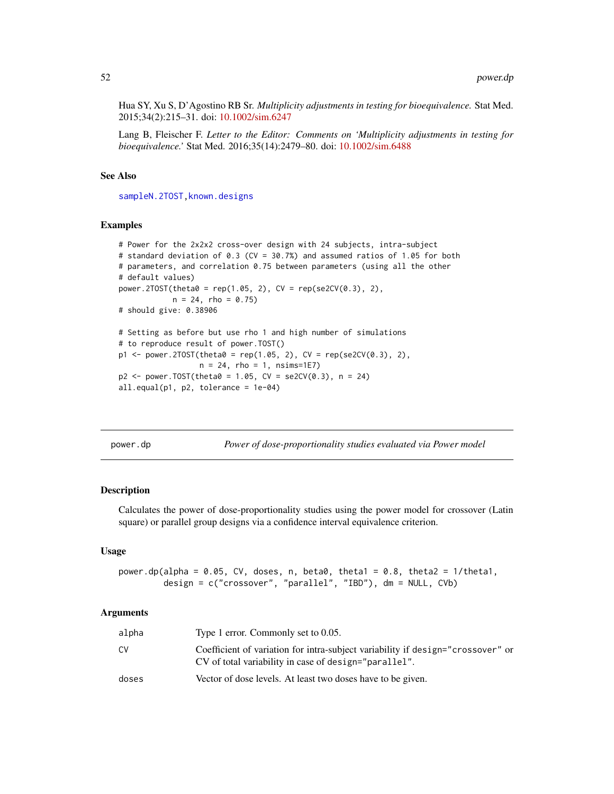Hua SY, Xu S, D'Agostino RB Sr. *Multiplicity adjustments in testing for bioequivalence.* Stat Med. 2015;34(2):215–31. doi: [10.1002/sim.6247](https://doi.org/10.1002/sim.6247)

Lang B, Fleischer F. *Letter to the Editor: Comments on 'Multiplicity adjustments in testing for bioequivalence.'* Stat Med. 2016;35(14):2479–80. doi: [10.1002/sim.6488](https://doi.org/10.1002/sim.6488)

## See Also

[sampleN.2TOST](#page-88-0), known.designs

## Examples

```
# Power for the 2x2x2 cross-over design with 24 subjects, intra-subject
# standard deviation of 0.3 (CV = 30.7%) and assumed ratios of 1.05 for both
# parameters, and correlation 0.75 between parameters (using all the other
# default values)
power.2TOST(theta0 = rep(1.05, 2), CV = rep(se2CV(0.3), 2),n = 24, rho = 0.75)
# should give: 0.38906
# Setting as before but use rho 1 and high number of simulations
# to reproduce result of power.TOST()
p1 \leq power.2TOST(theta0 = rep(1.05, 2), CV = rep(se2CV(0.3), 2),n = 24, rho = 1, nsims=1E7)
p2 \leq-power.TOST(theta0 = 1.05, CV = se2CV(0.3), n = 24)all.equal(p1, p2, tolerance = 1e-04)
```
power.dp *Power of dose-proportionality studies evaluated via Power model*

## **Description**

Calculates the power of dose-proportionality studies using the power model for crossover (Latin square) or parallel group designs via a confidence interval equivalence criterion.

#### Usage

```
power.dp(alpha = 0.05, CV, doses, n, beta0, theta1 = 0.8, theta2 = 1/theta1,
         design = c("crossover", "parallel", "IBD"), dm = NULL, CVb)
```

| alpha | Type 1 error. Commonly set to 0.05.                                                                                                      |
|-------|------------------------------------------------------------------------------------------------------------------------------------------|
| CV    | Coefficient of variation for intra-subject variability if design="crossover" or<br>CV of total variability in case of design="parallel". |
| doses | Vector of dose levels. At least two doses have to be given.                                                                              |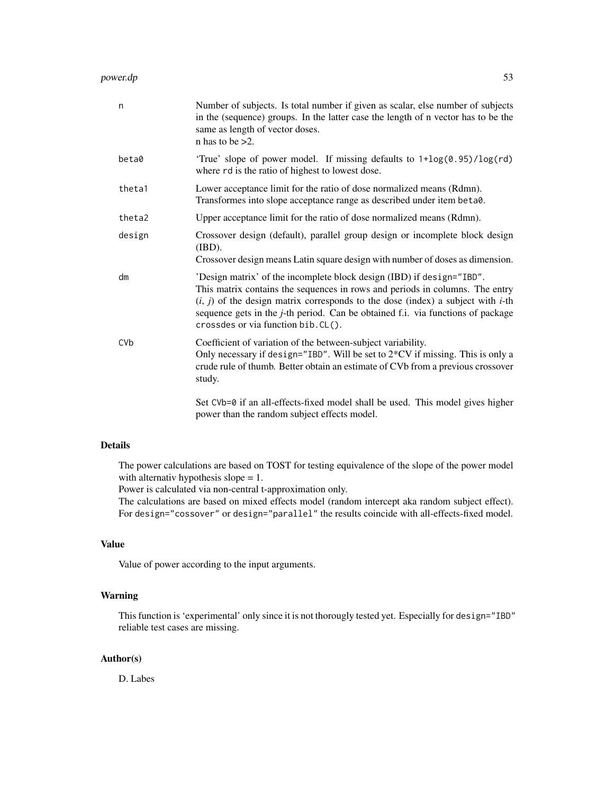#### power.dp 53

| n               | Number of subjects. Is total number if given as scalar, else number of subjects<br>in the (sequence) groups. In the latter case the length of n vector has to be the<br>same as length of vector doses.<br>n has to be $>2$ .                                                                                                                                                       |
|-----------------|-------------------------------------------------------------------------------------------------------------------------------------------------------------------------------------------------------------------------------------------------------------------------------------------------------------------------------------------------------------------------------------|
| beta0           | 'True' slope of power model. If missing defaults to $1 + \log(0.95) / \log(\text{rd})$<br>where rd is the ratio of highest to lowest dose.                                                                                                                                                                                                                                          |
| theta1          | Lower acceptance limit for the ratio of dose normalized means (Rdmn).<br>Transformes into slope acceptance range as described under item beta0.                                                                                                                                                                                                                                     |
| theta2          | Upper acceptance limit for the ratio of dose normalized means (Rdmn).                                                                                                                                                                                                                                                                                                               |
| design          | Crossover design (default), parallel group design or incomplete block design<br>(IBD).<br>Crossover design means Latin square design with number of doses as dimension.                                                                                                                                                                                                             |
| dm              | 'Design matrix' of the incomplete block design (IBD) if design="IBD".<br>This matrix contains the sequences in rows and periods in columns. The entry<br>$(i, j)$ of the design matrix corresponds to the dose (index) a subject with <i>i</i> -th<br>sequence gets in the <i>j</i> -th period. Can be obtained f.i. via functions of package<br>crossdes or via function bib.CL(). |
| CV <sub>b</sub> | Coefficient of variation of the between-subject variability.<br>Only necessary if design="IBD". Will be set to 2*CV if missing. This is only a<br>crude rule of thumb. Better obtain an estimate of CVb from a previous crossover<br>study.                                                                                                                                         |
|                 | Set CVb=0 if an all-effects-fixed model shall be used. This model gives higher                                                                                                                                                                                                                                                                                                      |

Set CVb=0 if an all-effects-fixed model shall be used. This model gives higher power than the random subject effects model.

## Details

The power calculations are based on TOST for testing equivalence of the slope of the power model with alternativ hypothesis slope = 1.

Power is calculated via non-central t-approximation only.

The calculations are based on mixed effects model (random intercept aka random subject effect). For design="cossover" or design="parallel" the results coincide with all-effects-fixed model.

## Value

Value of power according to the input arguments.

# Warning

This function is 'experimental' only since it is not thorougly tested yet. Especially for design="IBD" reliable test cases are missing.

## Author(s)

D. Labes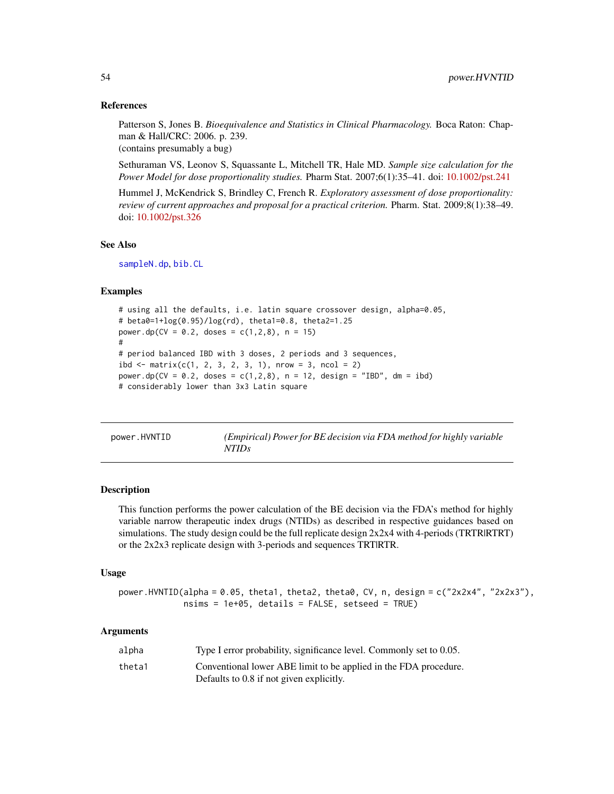## References

Patterson S, Jones B. *Bioequivalence and Statistics in Clinical Pharmacology.* Boca Raton: Chapman & Hall/CRC: 2006. p. 239.

(contains presumably a bug)

Sethuraman VS, Leonov S, Squassante L, Mitchell TR, Hale MD. *Sample size calculation for the Power Model for dose proportionality studies.* Pharm Stat. 2007;6(1):35–41. doi: [10.1002/pst.241](https://doi.org/10.1002/pst.241)

Hummel J, McKendrick S, Brindley C, French R. *Exploratory assessment of dose proportionality: review of current approaches and proposal for a practical criterion.* Pharm. Stat. 2009;8(1):38–49. doi: [10.1002/pst.326](https://doi.org/10.1002/pst.326)

#### See Also

[sampleN.dp](#page-91-0), [bib.CL](#page-2-0)

# **Examples**

```
# using all the defaults, i.e. latin square crossover design, alpha=0.05,
# beta0=1+log(0.95)/log(rd), theta1=0.8, theta2=1.25
power.dp(CV = 0.2, doses = c(1, 2, 8), n = 15)
#
# period balanced IBD with 3 doses, 2 periods and 3 sequences,
ibd \le matrix(c(1, 2, 3, 2, 3, 1), nrow = 3, ncol = 2)
power.dp(CV = 0.2, doses = c(1,2,8), n = 12, design = "IBD", dm = ibd)
# considerably lower than 3x3 Latin square
```
<span id="page-53-0"></span>

| power.HVNTID | (Empirical) Power for BE decision via FDA method for highly variable |
|--------------|----------------------------------------------------------------------|
|              | NTID <sub>S</sub>                                                    |

# Description

This function performs the power calculation of the BE decision via the FDA's method for highly variable narrow therapeutic index drugs (NTIDs) as described in respective guidances based on simulations. The study design could be the full replicate design  $2x2x4$  with 4-periods (TRTR|RTRT) or the 2x2x3 replicate design with 3-periods and sequences TRT|RTR.

#### Usage

```
power.HVNTID(alpha = 0.05, theta1, theta2, theta0, CV, n, design = c("2x2x4", "2x2x3"),
             nsims = 1e+05, details = FALSE, setseed = TRUE)
```

| alpha  | Type I error probability, significance level. Commonly set to 0.05. |
|--------|---------------------------------------------------------------------|
| theta1 | Conventional lower ABE limit to be applied in the FDA procedure.    |
|        | Defaults to 0.8 if not given explicitly.                            |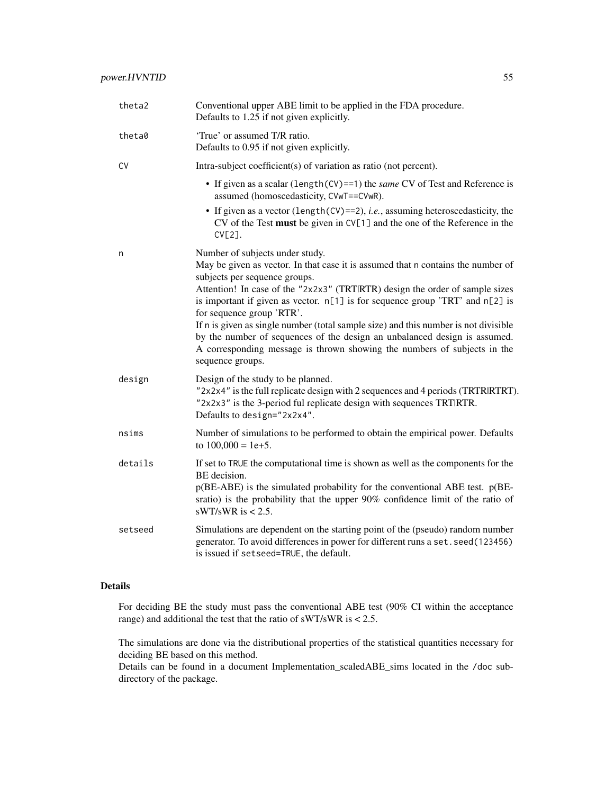| theta2    | Conventional upper ABE limit to be applied in the FDA procedure.<br>Defaults to 1.25 if not given explicitly.                                                                                                                                                                                                                                                                                                                                                                                                                                                                                      |
|-----------|----------------------------------------------------------------------------------------------------------------------------------------------------------------------------------------------------------------------------------------------------------------------------------------------------------------------------------------------------------------------------------------------------------------------------------------------------------------------------------------------------------------------------------------------------------------------------------------------------|
| theta0    | 'True' or assumed T/R ratio.<br>Defaults to 0.95 if not given explicitly.                                                                                                                                                                                                                                                                                                                                                                                                                                                                                                                          |
| <b>CV</b> | Intra-subject coefficient(s) of variation as ratio (not percent).                                                                                                                                                                                                                                                                                                                                                                                                                                                                                                                                  |
|           | • If given as a scalar (length(CV)==1) the same CV of Test and Reference is<br>assumed (homoscedasticity, CVwT==CVwR).                                                                                                                                                                                                                                                                                                                                                                                                                                                                             |
|           | • If given as a vector (length (CV) == 2), <i>i.e.</i> , assuming heteroscedasticity, the<br>$CV$ of the Test must be given in $CV[1]$ and the one of the Reference in the<br>$CV[2]$ .                                                                                                                                                                                                                                                                                                                                                                                                            |
| n         | Number of subjects under study.<br>May be given as vector. In that case it is assumed that n contains the number of<br>subjects per sequence groups.<br>Attention! In case of the "2x2x3" (TRTIRTR) design the order of sample sizes<br>is important if given as vector. n[1] is for sequence group 'TRT' and n[2] is<br>for sequence group 'RTR'.<br>If n is given as single number (total sample size) and this number is not divisible<br>by the number of sequences of the design an unbalanced design is assumed.<br>A corresponding message is thrown showing the numbers of subjects in the |
| design    | sequence groups.<br>Design of the study to be planned.<br>"2x2x4" is the full replicate design with 2 sequences and 4 periods (TRTRIRTRT).<br>"2x2x3" is the 3-period ful replicate design with sequences TRTIRTR.<br>Defaults to design="2x2x4".                                                                                                                                                                                                                                                                                                                                                  |
| nsims     | Number of simulations to be performed to obtain the empirical power. Defaults<br>to $100,000 = 1e+5$ .                                                                                                                                                                                                                                                                                                                                                                                                                                                                                             |
| details   | If set to TRUE the computational time is shown as well as the components for the<br>BE decision.<br>p(BE-ABE) is the simulated probability for the conventional ABE test. p(BE-<br>sratio) is the probability that the upper 90% confidence limit of the ratio of<br>$sWT/sWR$ is $< 2.5$ .                                                                                                                                                                                                                                                                                                        |
| setseed   | Simulations are dependent on the starting point of the (pseudo) random number<br>generator. To avoid differences in power for different runs a set. seed(123456)<br>is issued if setseed=TRUE, the default.                                                                                                                                                                                                                                                                                                                                                                                        |

For deciding BE the study must pass the conventional ABE test (90% CI within the acceptance range) and additional the test that the ratio of sWT/sWR is < 2.5.

The simulations are done via the distributional properties of the statistical quantities necessary for deciding BE based on this method.

Details can be found in a document Implementation\_scaledABE\_sims located in the /doc subdirectory of the package.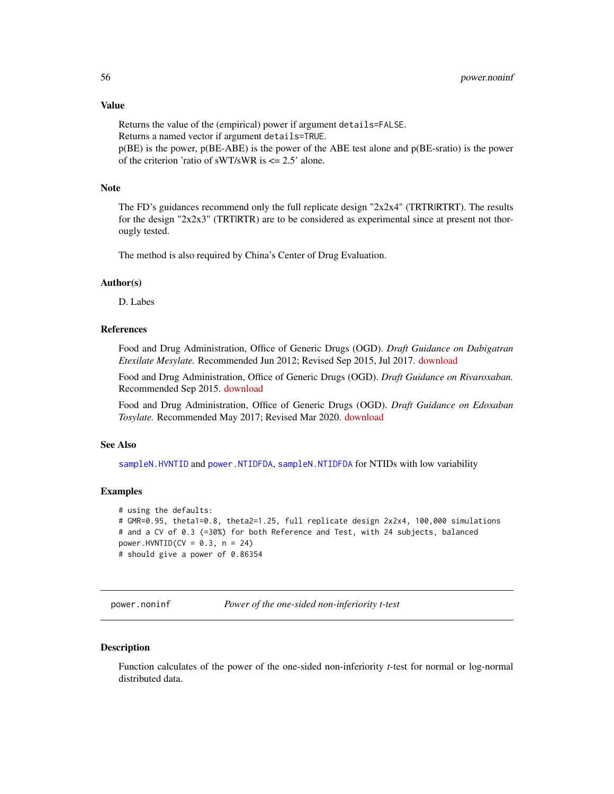#### Value

Returns the value of the (empirical) power if argument details=FALSE. Returns a named vector if argument details=TRUE.

p(BE) is the power, p(BE-ABE) is the power of the ABE test alone and p(BE-sratio) is the power of the criterion 'ratio of sWT/sWR is  $\leq$  2.5' alone.

#### **Note**

The FD's guidances recommend only the full replicate design "2x2x4" (TRTR|RTRT). The results for the design "2x2x3" (TRT|RTR) are to be considered as experimental since at present not thorougly tested.

The method is also required by China's Center of Drug Evaluation.

## Author(s)

D. Labes

# References

Food and Drug Administration, Office of Generic Drugs (OGD). *Draft Guidance on Dabigatran Etexilate Mesylate.* Recommended Jun 2012; Revised Sep 2015, Jul 2017. [download](https://www.accessdata.fda.gov/drugsatfda_docs/psg/Dabigatran%20etexilate%20mesylate_oral%20capsule_NDA%20022512_RV05-17.pdf)

Food and Drug Administration, Office of Generic Drugs (OGD). *Draft Guidance on Rivaroxaban.* Recommended Sep 2015. [download](https://www.accessdata.fda.gov/drugsatfda_docs/psg/Rivaroxaban_oral%20tablet_22406_RC09-15.pdf)

Food and Drug Administration, Office of Generic Drugs (OGD). *Draft Guidance on Edoxaban Tosylate.* Recommended May 2017; Revised Mar 2020. [download](https://www.accessdata.fda.gov/drugsatfda_docs/psg/PSG_206316.pdf)

#### See Also

[sampleN.HVNTID](#page-93-0) and [power.NTIDFDA](#page-58-1), [sampleN.NTIDFDA](#page-98-0) for NTIDs with low variability

#### Examples

```
# using the defaults:
# GMR=0.95, theta1=0.8, theta2=1.25, full replicate design 2x2x4, 100,000 simulations
# and a CV of 0.3 (=30%) for both Reference and Test, with 24 subjects, balanced
power.HVNTID(CV = 0.3, n = 24)
# should give a power of 0.86354
```
power.noninf *Power of the one-sided non-inferiority t-test*

#### **Description**

Function calculates of the power of the one-sided non-inferiority *t*-test for normal or log-normal distributed data.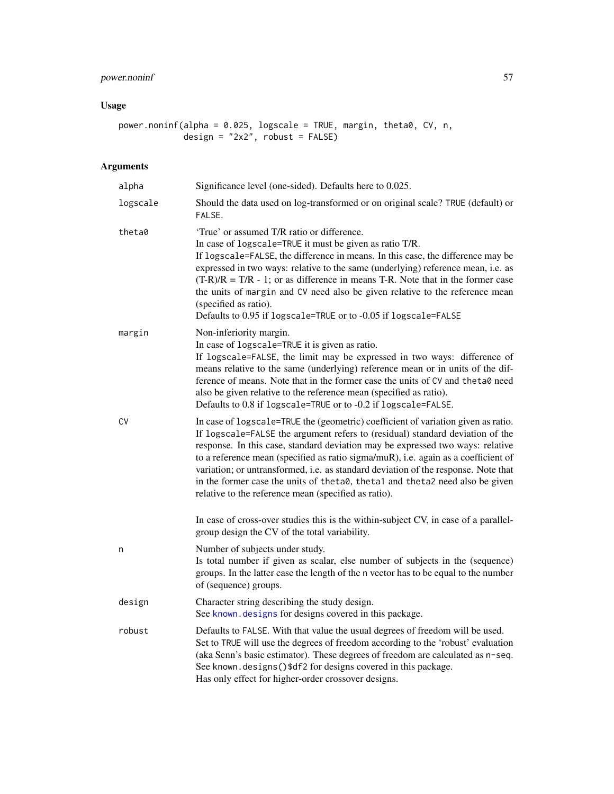# power.noninf 57

# Usage

```
power.noninf(alpha = 0.025, logscale = TRUE, margin, theta0, CV, n,
            design = "2x2", robust = FALSE)
```

| alpha    | Significance level (one-sided). Defaults here to 0.025.                                                                                                                                                                                                                                                                                                                                                                                                                                                                                                                  |
|----------|--------------------------------------------------------------------------------------------------------------------------------------------------------------------------------------------------------------------------------------------------------------------------------------------------------------------------------------------------------------------------------------------------------------------------------------------------------------------------------------------------------------------------------------------------------------------------|
| logscale | Should the data used on log-transformed or on original scale? TRUE (default) or<br>FALSE.                                                                                                                                                                                                                                                                                                                                                                                                                                                                                |
| theta0   | 'True' or assumed T/R ratio or difference.<br>In case of logscale=TRUE it must be given as ratio T/R.<br>If logscale=FALSE, the difference in means. In this case, the difference may be<br>expressed in two ways: relative to the same (underlying) reference mean, i.e. as<br>$(T-R)/R = T/R - 1$ ; or as difference in means T-R. Note that in the former case<br>the units of margin and CV need also be given relative to the reference mean<br>(specified as ratio).<br>Defaults to 0.95 if logscale=TRUE or to -0.05 if logscale=FALSE                            |
| margin   | Non-inferiority margin.<br>In case of logscale=TRUE it is given as ratio.<br>If logscale=FALSE, the limit may be expressed in two ways: difference of<br>means relative to the same (underlying) reference mean or in units of the dif-<br>ference of means. Note that in the former case the units of CV and theta0 need<br>also be given relative to the reference mean (specified as ratio).<br>Defaults to 0.8 if logscale=TRUE or to -0.2 if logscale=FALSE.                                                                                                        |
| CV       | In case of logscale=TRUE the (geometric) coefficient of variation given as ratio.<br>If logscale=FALSE the argument refers to (residual) standard deviation of the<br>response. In this case, standard deviation may be expressed two ways: relative<br>to a reference mean (specified as ratio sigma/muR), i.e. again as a coefficient of<br>variation; or untransformed, i.e. as standard deviation of the response. Note that<br>in the former case the units of theta0, theta1 and theta2 need also be given<br>relative to the reference mean (specified as ratio). |
|          | In case of cross-over studies this is the within-subject CV, in case of a parallel-<br>group design the CV of the total variability.                                                                                                                                                                                                                                                                                                                                                                                                                                     |
| n        | Number of subjects under study.<br>Is total number if given as scalar, else number of subjects in the (sequence)<br>groups. In the latter case the length of the n vector has to be equal to the number<br>of (sequence) groups.                                                                                                                                                                                                                                                                                                                                         |
| design   | Character string describing the study design.<br>See known. designs for designs covered in this package.                                                                                                                                                                                                                                                                                                                                                                                                                                                                 |
| robust   | Defaults to FALSE. With that value the usual degrees of freedom will be used.<br>Set to TRUE will use the degrees of freedom according to the 'robust' evaluation<br>(aka Senn's basic estimator). These degrees of freedom are calculated as n-seq.<br>See known.designs()\$df2 for designs covered in this package.<br>Has only effect for higher-order crossover designs.                                                                                                                                                                                             |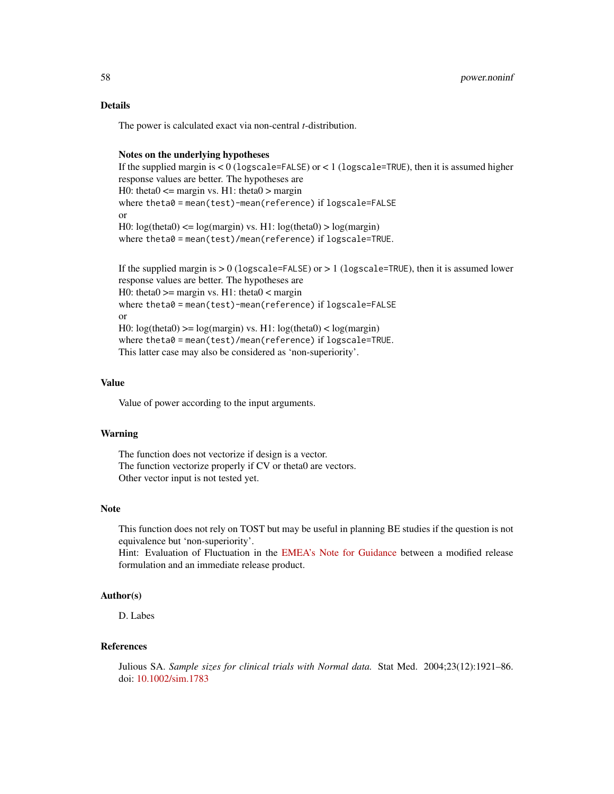The power is calculated exact via non-central *t*-distribution.

## Notes on the underlying hypotheses

If the supplied margin is  $\lt 0$  (logscale=FALSE) or  $\lt 1$  (logscale=TRUE), then it is assumed higher response values are better. The hypotheses are H0: theta $0 \le$  margin vs. H1: theta $0 \le$  margin where theta0 = mean(test)-mean(reference) if logscale=FALSE or H0:  $log(theta0) \leq log(margin)$  vs. H1:  $log(theta0) > log(margin)$ where theta0 = mean(test)/mean(reference) if logscale=TRUE.

```
If the supplied margin is > 0 (logscale=FALSE) or > 1 (logscale=TRUE), then it is assumed lower
response values are better. The hypotheses are
H0: theta0 \ge margin vs. H1: theta0 \le margin
where theta0 = mean(test)-mean(reference) if logscale=FALSE
or
H0: log(theta0) >= log(margin) vs. H1: log(theta0) < log(margin)where theta0 = mean(test)/mean(reference) if logscale=TRUE.
This latter case may also be considered as 'non-superiority'.
```
## Value

Value of power according to the input arguments.

#### Warning

The function does not vectorize if design is a vector. The function vectorize properly if CV or theta0 are vectors. Other vector input is not tested yet.

## Note

This function does not rely on TOST but may be useful in planning BE studies if the question is not equivalence but 'non-superiority'.

Hint: Evaluation of Fluctuation in the [EMEA's Note for Guidance](https://www.ema.europa.eu/en/documents/scientific-guideline/note-guidance-modified-release-oral-transdermal-dosage-forms-section-ii-pharmacokinetic-clinical_en.pdf) between a modified release formulation and an immediate release product.

# Author(s)

D. Labes

## References

Julious SA. *Sample sizes for clinical trials with Normal data.* Stat Med. 2004;23(12):1921–86. doi: [10.1002/sim.1783](https://doi.org/10.1002/sim.1783)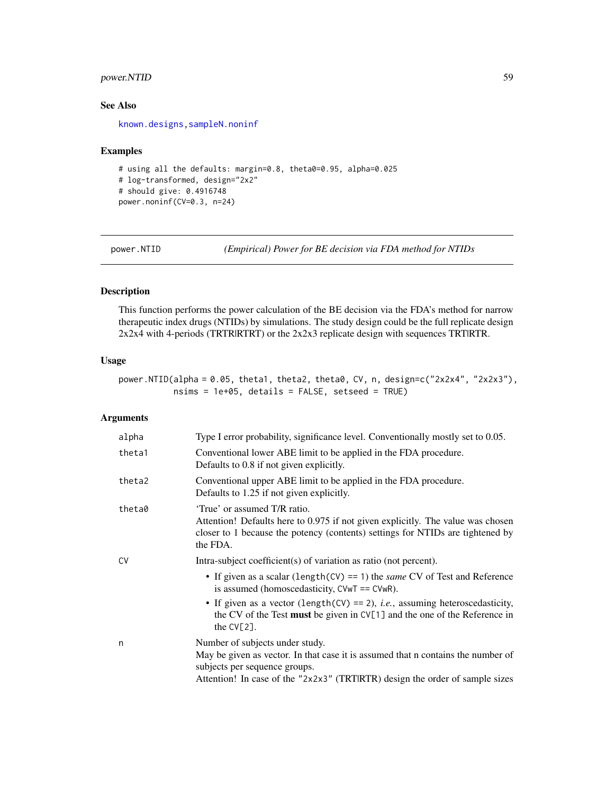# power.NTID 59

# See Also

[known.designs](#page-36-0)[,sampleN.noninf](#page-96-0)

#### Examples

```
# using all the defaults: margin=0.8, theta0=0.95, alpha=0.025
# log-transformed, design="2x2"
# should give: 0.4916748
power.noninf(CV=0.3, n=24)
```
<span id="page-58-0"></span>

power.NTID *(Empirical) Power for BE decision via FDA method for NTIDs*

# <span id="page-58-1"></span>Description

This function performs the power calculation of the BE decision via the FDA's method for narrow therapeutic index drugs (NTIDs) by simulations. The study design could be the full replicate design 2x2x4 with 4-periods (TRTR|RTRT) or the 2x2x3 replicate design with sequences TRT|RTR.

#### Usage

power.NTID(alpha = 0.05, theta1, theta2, theta0, CV, n, design=c("2x2x4", "2x2x3"), nsims = 1e+05, details = FALSE, setseed = TRUE)

| alpha     | Type I error probability, significance level. Conventionally mostly set to 0.05.                                                                                                                              |
|-----------|---------------------------------------------------------------------------------------------------------------------------------------------------------------------------------------------------------------|
| theta1    | Conventional lower ABE limit to be applied in the FDA procedure.<br>Defaults to 0.8 if not given explicitly.                                                                                                  |
| theta2    | Conventional upper ABE limit to be applied in the FDA procedure.<br>Defaults to 1.25 if not given explicitly.                                                                                                 |
| theta0    | 'True' or assumed T/R ratio.<br>Attention! Defaults here to 0.975 if not given explicitly. The value was chosen<br>closer to 1 because the potency (contents) settings for NTIDs are tightened by<br>the FDA. |
| <b>CV</b> | Intra-subject coefficient(s) of variation as ratio (not percent).                                                                                                                                             |
|           | • If given as a scalar (length $(CV) == 1$ ) the <i>same</i> CV of Test and Reference<br>is assumed (homoscedasticity, $CVwT = CVwR$ ).                                                                       |
|           | • If given as a vector (length(CV) == 2), <i>i.e.</i> , assuming heteroscedasticity,<br>the CV of the Test must be given in $CV[1]$ and the one of the Reference in<br>the $CV[2]$ .                          |
| n         | Number of subjects under study.                                                                                                                                                                               |
|           | May be given as vector. In that case it is assumed that n contains the number of<br>subjects per sequence groups.                                                                                             |
|           | Attention! In case of the "2x2x3" (TRTIRTR) design the order of sample sizes                                                                                                                                  |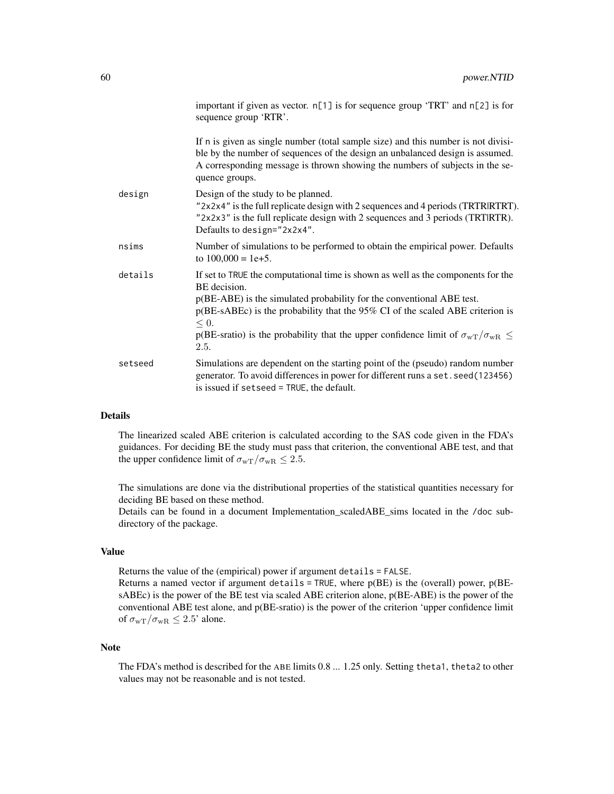|         | important if given as vector. $n[1]$ is for sequence group 'TRT' and $n[2]$ is for<br>sequence group 'RTR'.                                                                                                                                                                                                                                                                                      |
|---------|--------------------------------------------------------------------------------------------------------------------------------------------------------------------------------------------------------------------------------------------------------------------------------------------------------------------------------------------------------------------------------------------------|
|         | If n is given as single number (total sample size) and this number is not divisi-<br>ble by the number of sequences of the design an unbalanced design is assumed.<br>A corresponding message is thrown showing the numbers of subjects in the se-<br>quence groups.                                                                                                                             |
| design  | Design of the study to be planned.<br>"2x2x4" is the full replicate design with 2 sequences and 4 periods (TRTRIRTRT).<br>"2x2x3" is the full replicate design with 2 sequences and 3 periods (TRTIRTR).<br>Defaults to design="2x2x4".                                                                                                                                                          |
| nsims   | Number of simulations to be performed to obtain the empirical power. Defaults<br>to $100,000 = 1e+5$ .                                                                                                                                                                                                                                                                                           |
| details | If set to TRUE the computational time is shown as well as the components for the<br>BE decision.<br>$p(BE-ABE)$ is the simulated probability for the conventional ABE test.<br>$p(BE-sABEc)$ is the probability that the 95% CI of the scaled ABE criterion is<br>$\leq 0$ .<br>p(BE-sratio) is the probability that the upper confidence limit of $\sigma_{\rm wT}/\sigma_{\rm wR} \le$<br>2.5. |
| setseed | Simulations are dependent on the starting point of the (pseudo) random number<br>generator. To avoid differences in power for different runs a set. seed(123456)<br>is issued if setseed = TRUE, the default.                                                                                                                                                                                    |

The linearized scaled ABE criterion is calculated according to the SAS code given in the FDA's guidances. For deciding BE the study must pass that criterion, the conventional ABE test, and that the upper confidence limit of  $\sigma_{\rm wT}/\sigma_{\rm wR} \leq 2.5$ .

The simulations are done via the distributional properties of the statistical quantities necessary for deciding BE based on these method.

Details can be found in a document Implementation\_scaledABE\_sims located in the /doc subdirectory of the package.

# Value

Returns the value of the (empirical) power if argument details = FALSE.

Returns a named vector if argument details = TRUE, where  $p(BE)$  is the (overall) power,  $p(BE$ sABEc) is the power of the BE test via scaled ABE criterion alone, p(BE-ABE) is the power of the conventional ABE test alone, and p(BE-sratio) is the power of the criterion 'upper confidence limit of  $\sigma_{\rm wT}/\sigma_{\rm wR} \leq 2.5$ ' alone.

## Note

The FDA's method is described for the ABE limits 0.8 ... 1.25 only. Setting theta1, theta2 to other values may not be reasonable and is not tested.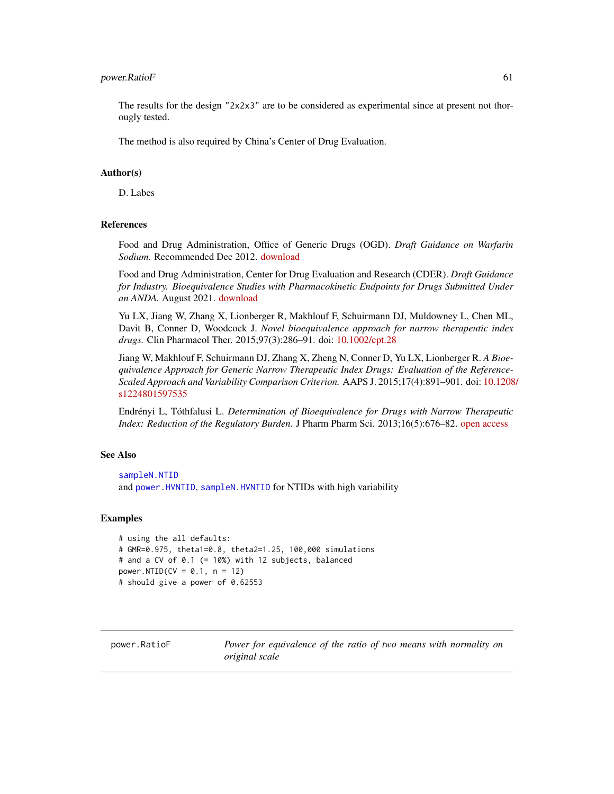#### power.RatioF 61

The results for the design "2x2x3" are to be considered as experimental since at present not thorougly tested.

The method is also required by China's Center of Drug Evaluation.

## Author(s)

D. Labes

### References

Food and Drug Administration, Office of Generic Drugs (OGD). *Draft Guidance on Warfarin Sodium.* Recommended Dec 2012. [download](https://www.accessdata.fda.gov/drugsatfda_docs/psg/Warfarin_Sodium_tab_09218_RC12-12.pdf)

Food and Drug Administration, Center for Drug Evaluation and Research (CDER). *Draft Guidance for Industry. Bioequivalence Studies with Pharmacokinetic Endpoints for Drugs Submitted Under an ANDA.* August 2021. [download](https://www.fda.gov/media/87219/Download)

Yu LX, Jiang W, Zhang X, Lionberger R, Makhlouf F, Schuirmann DJ, Muldowney L, Chen ML, Davit B, Conner D, Woodcock J. *Novel bioequivalence approach for narrow therapeutic index drugs.* Clin Pharmacol Ther. 2015;97(3):286–91. doi: [10.1002/cpt.28](https://doi.org/10.1002/cpt.28)

Jiang W, Makhlouf F, Schuirmann DJ, Zhang X, Zheng N, Conner D, Yu LX, Lionberger R. *A Bioequivalence Approach for Generic Narrow Therapeutic Index Drugs: Evaluation of the Reference-Scaled Approach and Variability Comparison Criterion.* AAPS J. 2015;17(4):891–901. doi: [10.1208](https://doi.org/10.1208/s12248-015-9753-5)/ [s1224801597535](https://doi.org/10.1208/s12248-015-9753-5)

Endrényi L, Tóthfalusi L. *Determination of Bioequivalence for Drugs with Narrow Therapeutic Index: Reduction of the Regulatory Burden.* J Pharm Pharm Sci. 2013;16(5):676–82. [open access](https://journals.library.ualberta.ca/jpps/index.php/JPPS/article/download/20900/15927/0)

## See Also

[sampleN.NTID](#page-98-1) and [power.HVNTID](#page-53-0), [sampleN.HVNTID](#page-93-0) for NTIDs with high variability

## Examples

```
# using the all defaults:
# GMR=0.975, theta1=0.8, theta2=1.25, 100,000 simulations
# and a CV of 0.1 (= 10%) with 12 subjects, balanced
power.NTID(CV = 0.1, n = 12)
# should give a power of 0.62553
```
power.RatioF *Power for equivalence of the ratio of two means with normality on original scale*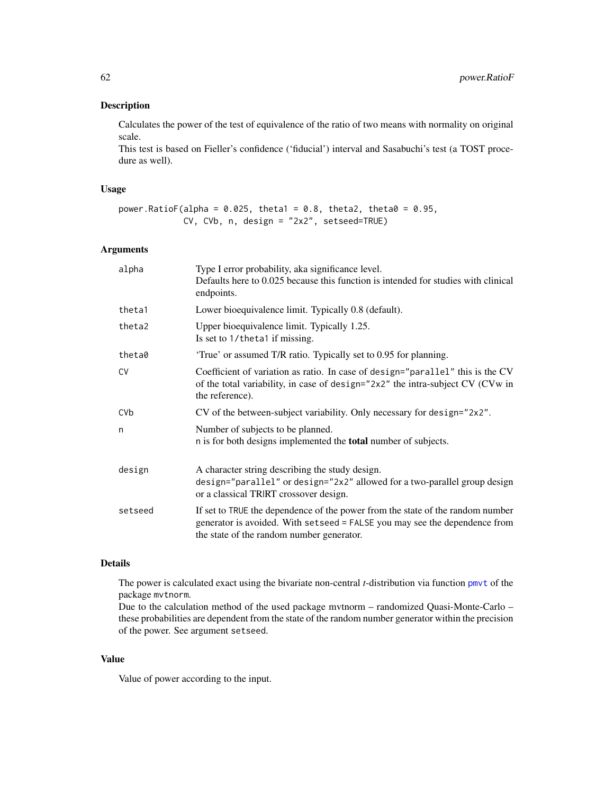# Description

Calculates the power of the test of equivalence of the ratio of two means with normality on original scale.

This test is based on Fieller's confidence ('fiducial') interval and Sasabuchi's test (a TOST procedure as well).

## Usage

```
power.RatioF(alpha = 0.025, theta1 = 0.8, theta2, theta0 = 0.95,
            CV, CVb, n, design = "2x2", setseed=TRUE)
```
# Arguments

| alpha     | Type I error probability, aka significance level.<br>Defaults here to 0.025 because this function is intended for studies with clinical<br>endpoints.                                                     |
|-----------|-----------------------------------------------------------------------------------------------------------------------------------------------------------------------------------------------------------|
| theta1    | Lower bioequivalence limit. Typically 0.8 (default).                                                                                                                                                      |
| theta2    | Upper bioequivalence limit. Typically 1.25.<br>Is set to 1/theta1 if missing.                                                                                                                             |
| theta0    | 'True' or assumed T/R ratio. Typically set to 0.95 for planning.                                                                                                                                          |
| <b>CV</b> | Coefficient of variation as ratio. In case of design="parallel" this is the CV<br>of the total variability, in case of design="2x2" the intra-subject CV (CVw in<br>the reference).                       |
| CVb       | CV of the between-subject variability. Only necessary for design="2x2".                                                                                                                                   |
| n         | Number of subjects to be planned.<br>n is for both designs implemented the <b>total</b> number of subjects.                                                                                               |
| design    | A character string describing the study design.<br>design="parallel" or design="2x2" allowed for a two-parallel group design<br>or a classical TRIRT crossover design.                                    |
| setseed   | If set to TRUE the dependence of the power from the state of the random number<br>generator is avoided. With setseed = FALSE you may see the dependence from<br>the state of the random number generator. |

## Details

The power is calculated exact using the bivariate non-central *t*-distribution via function [pmvt](#page-0-0) of the package mvtnorm.

Due to the calculation method of the used package mvtnorm – randomized Quasi-Monte-Carlo – these probabilities are dependent from the state of the random number generator within the precision of the power. See argument setseed.

#### Value

Value of power according to the input.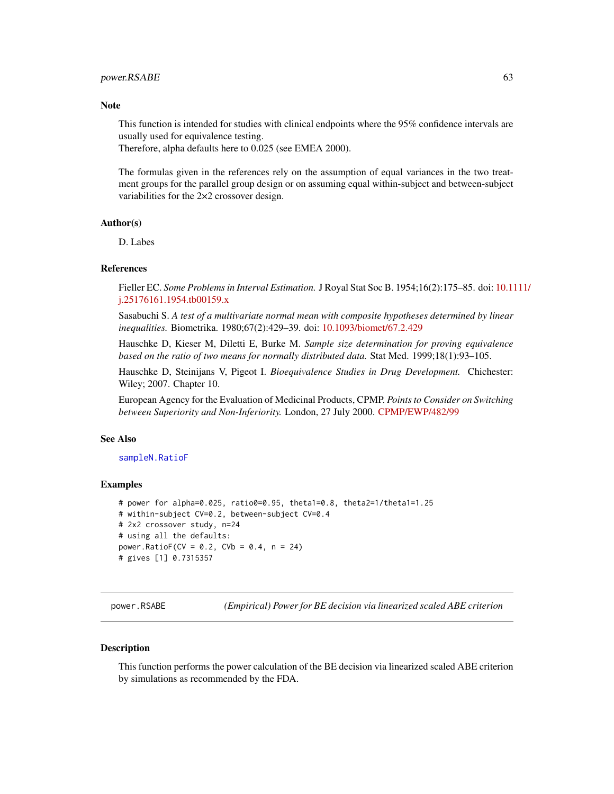#### power.RSABE 63

#### **Note**

This function is intended for studies with clinical endpoints where the 95% confidence intervals are usually used for equivalence testing.

Therefore, alpha defaults here to 0.025 (see EMEA 2000).

The formulas given in the references rely on the assumption of equal variances in the two treatment groups for the parallel group design or on assuming equal within-subject and between-subject variabilities for the 2×2 crossover design.

#### Author(s)

D. Labes

#### References

Fieller EC. *Some Problems in Interval Estimation.* J Royal Stat Soc B. 1954;16(2):175–85. doi: [10.11](https://doi.org/10.1111/j.2517-6161.1954.tb00159.x)11/ [j.25176161.1954.tb00159.x](https://doi.org/10.1111/j.2517-6161.1954.tb00159.x)

Sasabuchi S. *A test of a multivariate normal mean with composite hypotheses determined by linear inequalities.* Biometrika. 1980;67(2):429–39. doi: [10.1093/biomet/67.2.429](https://doi.org/10.1093/biomet/67.2.429)

Hauschke D, Kieser M, Diletti E, Burke M. *Sample size determination for proving equivalence based on the ratio of two means for normally distributed data.* Stat Med. 1999;18(1):93–105.

Hauschke D, Steinijans V, Pigeot I. *Bioequivalence Studies in Drug Development.* Chichester: Wiley; 2007. Chapter 10.

European Agency for the Evaluation of Medicinal Products, CPMP. *Points to Consider on Switching between Superiority and Non-Inferiority.* London, 27 July 2000. [CPMP/EWP/482/99](https://www.ema.europa.eu/en/documents/scientific-guideline/points-consider-switching-between-superiority-non-inferiority_en.pdf)

#### See Also

#### [sampleN.RatioF](#page-101-0)

# **Examples**

```
# power for alpha=0.025, ratio0=0.95, theta1=0.8, theta2=1/theta1=1.25
# within-subject CV=0.2, between-subject CV=0.4
# 2x2 crossover study, n=24
# using all the defaults:
power.RatioF(CV = 0.2, CVb = 0.4, n = 24)
# gives [1] 0.7315357
```
<span id="page-62-0"></span>power.RSABE *(Empirical) Power for BE decision via linearized scaled ABE criterion*

#### **Description**

This function performs the power calculation of the BE decision via linearized scaled ABE criterion by simulations as recommended by the FDA.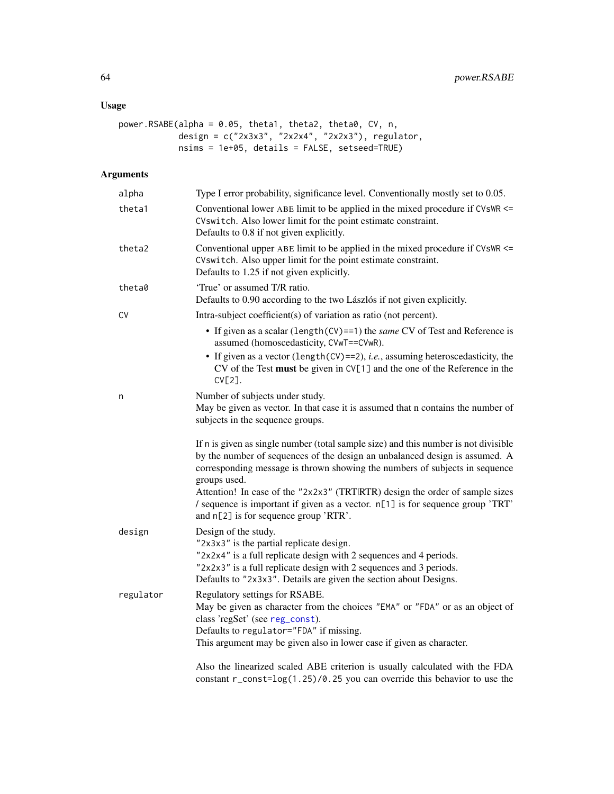# Usage

```
power.RSABE(alpha = 0.05, theta1, theta2, theta0, CV, n,
            design = c("2x3x3", "2x2x4", "2x2x3"), regulator,
            nsims = 1e+05, details = FALSE, setseed=TRUE)
```

| alpha     | Type I error probability, significance level. Conventionally mostly set to 0.05.                                                                                                                                                                                                                                                                                                                                                    |
|-----------|-------------------------------------------------------------------------------------------------------------------------------------------------------------------------------------------------------------------------------------------------------------------------------------------------------------------------------------------------------------------------------------------------------------------------------------|
| theta1    | Conventional lower ABE limit to be applied in the mixed procedure if CVsWR <=<br>CVswitch. Also lower limit for the point estimate constraint.<br>Defaults to 0.8 if not given explicitly.                                                                                                                                                                                                                                          |
| theta2    | Conventional upper ABE limit to be applied in the mixed procedure if CVsWR <=<br>CVswitch. Also upper limit for the point estimate constraint.<br>Defaults to 1.25 if not given explicitly.                                                                                                                                                                                                                                         |
| theta0    | 'True' or assumed T/R ratio.<br>Defaults to 0.90 according to the two Lászlós if not given explicitly.                                                                                                                                                                                                                                                                                                                              |
| <b>CV</b> | Intra-subject coefficient(s) of variation as ratio (not percent).                                                                                                                                                                                                                                                                                                                                                                   |
|           | • If given as a scalar (length $(CV) == 1$ ) the <i>same</i> CV of Test and Reference is<br>assumed (homoscedasticity, CVwT==CVwR).                                                                                                                                                                                                                                                                                                 |
|           | • If given as a vector (length $(CV) == 2$ ), <i>i.e.</i> , assuming heteroscedasticity, the<br>$CV$ of the Test must be given in $CV[1]$ and the one of the Reference in the<br>$CV[2]$ .                                                                                                                                                                                                                                          |
| n         | Number of subjects under study.                                                                                                                                                                                                                                                                                                                                                                                                     |
|           | May be given as vector. In that case it is assumed that n contains the number of<br>subjects in the sequence groups.                                                                                                                                                                                                                                                                                                                |
|           | If n is given as single number (total sample size) and this number is not divisible<br>by the number of sequences of the design an unbalanced design is assumed. A<br>corresponding message is thrown showing the numbers of subjects in sequence<br>groups used.<br>Attention! In case of the "2x2x3" (TRTIRTR) design the order of sample sizes<br>/ sequence is important if given as a vector. n[1] is for sequence group 'TRT' |
|           | and n[2] is for sequence group 'RTR'.                                                                                                                                                                                                                                                                                                                                                                                               |
| design    | Design of the study.<br>"2x3x3" is the partial replicate design.<br>"2x2x4" is a full replicate design with 2 sequences and 4 periods.<br>"2x2x3" is a full replicate design with 2 sequences and 3 periods.<br>Defaults to "2x3x3". Details are given the section about Designs.                                                                                                                                                   |
| regulator | Regulatory settings for RSABE.<br>May be given as character from the choices "EMA" or "FDA" or as an object of<br>class 'regSet' (see reg_const).<br>Defaults to regulator="FDA" if missing.<br>This argument may be given also in lower case if given as character.                                                                                                                                                                |
|           | Also the linearized scaled ABE criterion is usually calculated with the FDA<br>constant r_const=log(1.25)/0.25 you can override this behavior to use the                                                                                                                                                                                                                                                                            |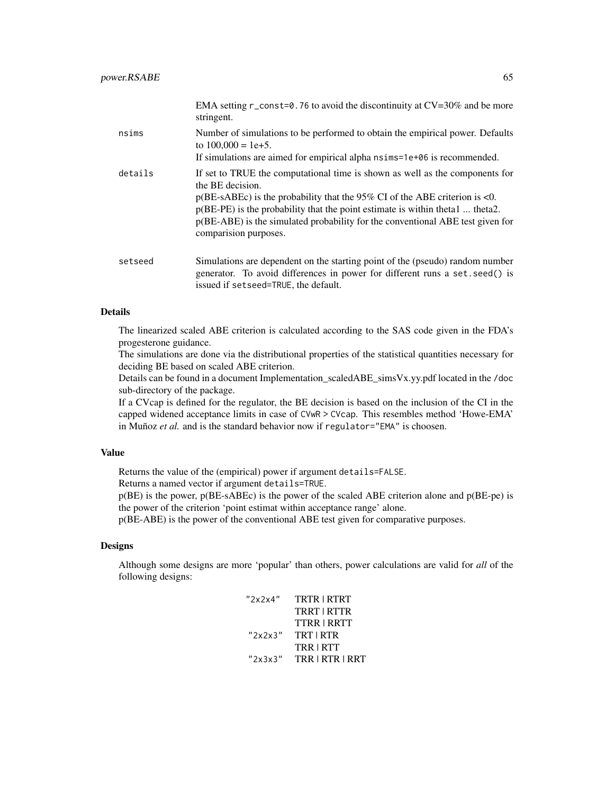|         | EMA setting $r_{\text{const}} = 0.76$ to avoid the discontinuity at $CV = 30\%$ and be more<br>stringent.                                                                                                                                                                                                                                                                        |
|---------|----------------------------------------------------------------------------------------------------------------------------------------------------------------------------------------------------------------------------------------------------------------------------------------------------------------------------------------------------------------------------------|
| nsims   | Number of simulations to be performed to obtain the empirical power. Defaults<br>to $100.000 = 1e+5$ .<br>If simulations are aimed for empirical alpha nsime=1e+06 is recommended.                                                                                                                                                                                               |
| details | If set to TRUE the computational time is shown as well as the components for<br>the BE decision.<br>$p(BE-SABEc)$ is the probability that the 95% CI of the ABE criterion is <0.<br>$p(BE-PE)$ is the probability that the point estimate is within theta1  theta2.<br>$p(BE-ABE)$ is the simulated probability for the conventional ABE test given for<br>comparision purposes. |
| setseed | Simulations are dependent on the starting point of the (pseudo) random number<br>generator. To avoid differences in power for different runs a set.seed() is                                                                                                                                                                                                                     |

The linearized scaled ABE criterion is calculated according to the SAS code given in the FDA's progesterone guidance.

The simulations are done via the distributional properties of the statistical quantities necessary for deciding BE based on scaled ABE criterion.

Details can be found in a document Implementation\_scaledABE\_simsVx.yy.pdf located in the /doc sub-directory of the package.

If a CVcap is defined for the regulator, the BE decision is based on the inclusion of the CI in the capped widened acceptance limits in case of CVwR > CVcap. This resembles method 'Howe-EMA' in Muñoz *et al.* and is the standard behavior now if regulator="EMA" is choosen.

## Value

Returns the value of the (empirical) power if argument details=FALSE.

issued if setseed=TRUE, the default.

Returns a named vector if argument details=TRUE.

p(BE) is the power, p(BE-sABEc) is the power of the scaled ABE criterion alone and p(BE-pe) is the power of the criterion 'point estimat within acceptance range' alone.

p(BE-ABE) is the power of the conventional ABE test given for comparative purposes.

# **Designs**

Although some designs are more 'popular' than others, power calculations are valid for *all* of the following designs:

| "2x2x4" | TRTR   RTRT        |
|---------|--------------------|
|         | TRRT   RTTR        |
|         | <b>TTRR   RRTT</b> |
| "2x2x3" | TRT   RTR          |
|         | <b>TRRIRTT</b>     |
| "2x3x3" | TRR   RTR   RRT    |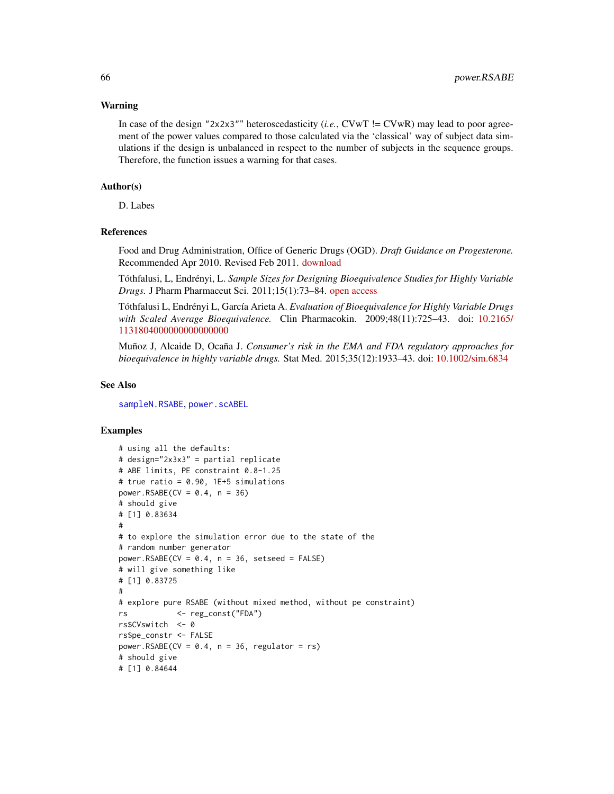## Warning

In case of the design "2x2x3"" heteroscedasticity (*i.e.*,  $C V w T$  !=  $C V w R$ ) may lead to poor agreement of the power values compared to those calculated via the 'classical' way of subject data simulations if the design is unbalanced in respect to the number of subjects in the sequence groups. Therefore, the function issues a warning for that cases.

## Author(s)

D. Labes

## References

Food and Drug Administration, Office of Generic Drugs (OGD). *Draft Guidance on Progesterone.* Recommended Apr 2010. Revised Feb 2011. [download](https://www.accessdata.fda.gov/drugsatfda_docs/psg/Progesterone_caps_19781_RC02-11.pdf)

Tóthfalusi, L, Endrényi, L. *Sample Sizes for Designing Bioequivalence Studies for Highly Variable Drugs.* J Pharm Pharmaceut Sci. 2011;15(1):73–84. [open access](https://ejournals.library.ualberta.ca/index.php/JPPS/article/download/11612/9489)

Tóthfalusi L, Endrényi L, García Arieta A. *Evaluation of Bioequivalence for Highly Variable Drugs with Scaled Average Bioequivalence.* Clin Pharmacokin. 2009;48(11):725–43. doi: [10.2165/](https://doi.org/10.2165/11318040-000000000-00000) [1131804000000000000000](https://doi.org/10.2165/11318040-000000000-00000)

Muñoz J, Alcaide D, Ocaña J. *Consumer's risk in the EMA and FDA regulatory approaches for bioequivalence in highly variable drugs.* Stat Med. 2015;35(12):1933–43. doi: [10.1002/sim.6834](https://doi.org/10.1002/sim.6834)

## See Also

[sampleN.RSABE](#page-103-0), [power.scABEL](#page-69-0)

#### Examples

```
# using all the defaults:
# design="2x3x3" = partial replicate
# ABE limits, PE constraint 0.8-1.25
# true ratio = 0.90, 1E+5 simulations
power.RSABE(CV = 0.4, n = 36)
# should give
# [1] 0.83634
#
# to explore the simulation error due to the state of the
# random number generator
power.RSABE(CV = 0.4, n = 36, setseed = FALSE)
# will give something like
# [1] 0.83725
#
# explore pure RSABE (without mixed method, without pe constraint)
rs <- reg_const("FDA")
rs$CVswitch <- 0
rs$pe_constr <- FALSE
power.RSABE(CV = 0.4, n = 36, regulator = rs)
# should give
# [1] 0.84644
```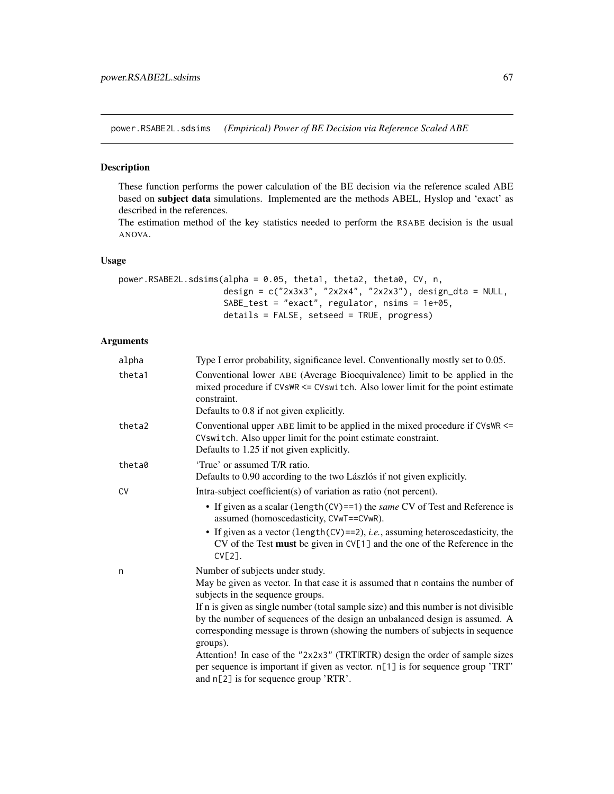power.RSABE2L.sdsims *(Empirical) Power of BE Decision via Reference Scaled ABE*

## Description

These function performs the power calculation of the BE decision via the reference scaled ABE based on subject data simulations. Implemented are the methods ABEL, Hyslop and 'exact' as described in the references.

The estimation method of the key statistics needed to perform the RSABE decision is the usual ANOVA.

# Usage

```
power.RSABE2L.sdsims(alpha = 0.05, theta1, theta2, theta0, CV, n,
                     design = c("2x3x3", "2x2x4", "2x2x3"), design_dta = NULL,
                     SABE_test = "exact", regulator, nsims = 1e+05,
                     details = FALSE, setseed = TRUE, progress)
```

| alpha     | Type I error probability, significance level. Conventionally mostly set to 0.05.                                                                                                                                                                               |
|-----------|----------------------------------------------------------------------------------------------------------------------------------------------------------------------------------------------------------------------------------------------------------------|
| theta1    | Conventional lower ABE (Average Bioequivalence) limit to be applied in the<br>mixed procedure if CVsWR <= CVswitch. Also lower limit for the point estimate<br>constraint.                                                                                     |
|           | Defaults to 0.8 if not given explicitly.                                                                                                                                                                                                                       |
| theta2    | Conventional upper ABE limit to be applied in the mixed procedure if $CVSWR \le$<br>CVswitch. Also upper limit for the point estimate constraint.<br>Defaults to 1.25 if not given explicitly.                                                                 |
| theta0    | 'True' or assumed T/R ratio.                                                                                                                                                                                                                                   |
|           | Defaults to 0.90 according to the two Lászlós if not given explicitly.                                                                                                                                                                                         |
| <b>CV</b> | Intra-subject coefficient(s) of variation as ratio (not percent).                                                                                                                                                                                              |
|           | • If given as a scalar (length (CV)==1) the same CV of Test and Reference is<br>assumed (homoscedasticity, CVwT==CVwR).                                                                                                                                        |
|           | • If given as a vector (length $(CV) == 2$ ), <i>i.e.</i> , assuming heteroscedasticity, the<br>CV of the Test must be given in $CV[1]$ and the one of the Reference in the<br>CV <sub>[2]</sub> .                                                             |
| n         | Number of subjects under study.                                                                                                                                                                                                                                |
|           | May be given as vector. In that case it is assumed that n contains the number of<br>subjects in the sequence groups.                                                                                                                                           |
|           | If n is given as single number (total sample size) and this number is not divisible<br>by the number of sequences of the design an unbalanced design is assumed. A<br>corresponding message is thrown (showing the numbers of subjects in sequence<br>groups). |
|           | Attention! In case of the "2x2x3" (TRTIRTR) design the order of sample sizes<br>per sequence is important if given as vector. n[1] is for sequence group 'TRT'<br>and n[2] is for sequence group 'RTR'.                                                        |
|           |                                                                                                                                                                                                                                                                |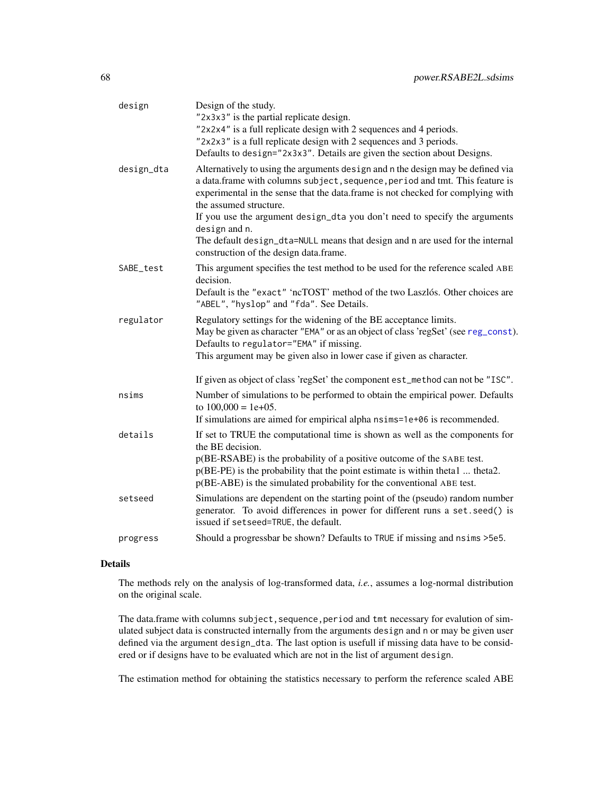| design     | Design of the study.<br>"2x3x3" is the partial replicate design.<br>"2x2x4" is a full replicate design with 2 sequences and 4 periods.<br>"2x2x3" is a full replicate design with 2 sequences and 3 periods.<br>Defaults to design="2x3x3". Details are given the section about Designs.                                                                                                                                                                                                               |
|------------|--------------------------------------------------------------------------------------------------------------------------------------------------------------------------------------------------------------------------------------------------------------------------------------------------------------------------------------------------------------------------------------------------------------------------------------------------------------------------------------------------------|
| design_dta | Alternatively to using the arguments design and n the design may be defined via<br>a data.frame with columns subject, sequence, period and tmt. This feature is<br>experimental in the sense that the data.frame is not checked for complying with<br>the assumed structure.<br>If you use the argument design_dta you don't need to specify the arguments<br>design and n.<br>The default design_dta=NULL means that design and n are used for the internal<br>construction of the design data.frame. |
| SABE_test  | This argument specifies the test method to be used for the reference scaled ABE<br>decision.<br>Default is the "exact" 'ncTOST' method of the two Laszlós. Other choices are<br>"ABEL", "hyslop" and "fda". See Details.                                                                                                                                                                                                                                                                               |
| regulator  | Regulatory settings for the widening of the BE acceptance limits.<br>May be given as character "EMA" or as an object of class 'regSet' (see reg_const).<br>Defaults to regulator="EMA" if missing.<br>This argument may be given also in lower case if given as character.                                                                                                                                                                                                                             |
|            | If given as object of class 'regSet' the component est_method can not be "ISC".                                                                                                                                                                                                                                                                                                                                                                                                                        |
| nsims      | Number of simulations to be performed to obtain the empirical power. Defaults<br>to $100,000 = 1e+05$ .<br>If simulations are aimed for empirical alpha nsims=1e+06 is recommended.                                                                                                                                                                                                                                                                                                                    |
| details    | If set to TRUE the computational time is shown as well as the components for<br>the BE decision.<br>p(BE-RSABE) is the probability of a positive outcome of the SABE test.<br>p(BE-PE) is the probability that the point estimate is within theta1  theta2.<br>p(BE-ABE) is the simulated probability for the conventional ABE test.                                                                                                                                                                   |
| setseed    | Simulations are dependent on the starting point of the (pseudo) random number<br>generator. To avoid differences in power for different runs a set.seed() is<br>issued if setseed=TRUE, the default.                                                                                                                                                                                                                                                                                                   |
| progress   | Should a progressbar be shown? Defaults to TRUE if missing and nsims > 5e5.                                                                                                                                                                                                                                                                                                                                                                                                                            |
|            |                                                                                                                                                                                                                                                                                                                                                                                                                                                                                                        |

The methods rely on the analysis of log-transformed data, *i.e.*, assumes a log-normal distribution on the original scale.

The data.frame with columns subject, sequence, period and tmt necessary for evalution of simulated subject data is constructed internally from the arguments design and n or may be given user defined via the argument design\_dta. The last option is usefull if missing data have to be considered or if designs have to be evaluated which are not in the list of argument design.

The estimation method for obtaining the statistics necessary to perform the reference scaled ABE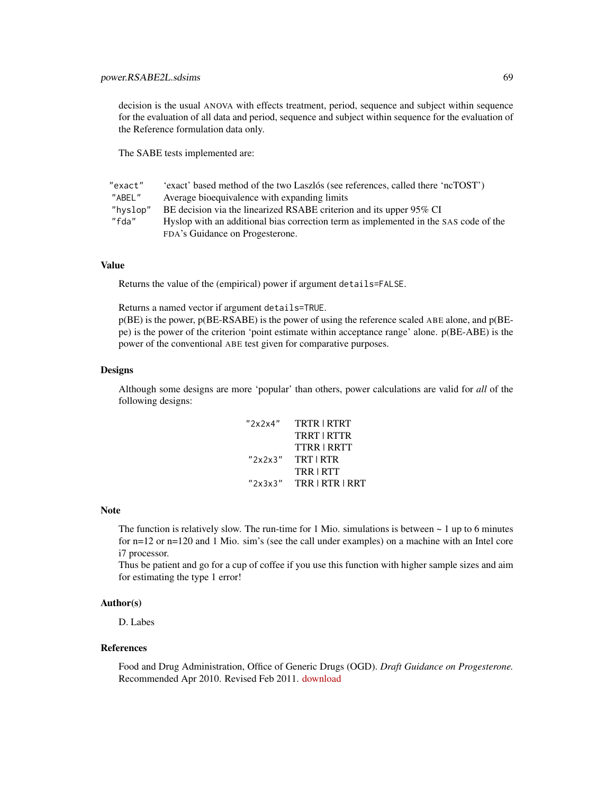decision is the usual ANOVA with effects treatment, period, sequence and subject within sequence for the evaluation of all data and period, sequence and subject within sequence for the evaluation of the Reference formulation data only.

The SABE tests implemented are:

| 'exact' based method of the two Laszlós (see references, called there 'ncTOST')      |
|--------------------------------------------------------------------------------------|
| Average bioequivalence with expanding limits                                         |
| BE decision via the linearized RSABE criterion and its upper 95% CI                  |
| Hyslop with an additional bias correction term as implemented in the SAS code of the |
| FDA's Guidance on Progesterone.                                                      |
|                                                                                      |

## Value

Returns the value of the (empirical) power if argument details=FALSE.

Returns a named vector if argument details=TRUE.

p(BE) is the power, p(BE-RSABE) is the power of using the reference scaled ABE alone, and p(BEpe) is the power of the criterion 'point estimate within acceptance range' alone. p(BE-ABE) is the power of the conventional ABE test given for comparative purposes.

#### Designs

Although some designs are more 'popular' than others, power calculations are valid for *all* of the following designs:

| "2x2x4" | TRTR   RTRT     |
|---------|-----------------|
|         | TRRT   RTTR     |
|         | TTRR   RRTT     |
| "2x2x3" | TRT   RTR       |
|         | TRR   RTT       |
| "2x3x3" | TRR   RTR   RRT |

#### Note

The function is relatively slow. The run-time for 1 Mio. simulations is between  $\sim$  1 up to 6 minutes for n=12 or n=120 and 1 Mio. sim's (see the call under examples) on a machine with an Intel core i7 processor.

Thus be patient and go for a cup of coffee if you use this function with higher sample sizes and aim for estimating the type 1 error!

## Author(s)

D. Labes

#### References

Food and Drug Administration, Office of Generic Drugs (OGD). *Draft Guidance on Progesterone.* Recommended Apr 2010. Revised Feb 2011. [download](https://www.accessdata.fda.gov/drugsatfda_docs/psg/Progesterone_caps_19781_RC02-11.pdf)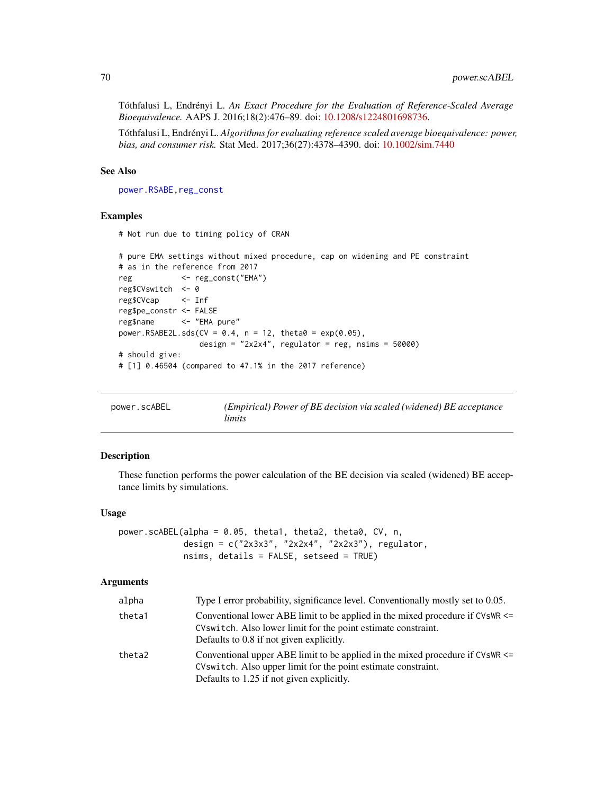Tóthfalusi L, Endrényi L. *An Exact Procedure for the Evaluation of Reference-Scaled Average Bioequivalence.* AAPS J. 2016;18(2):476–89. doi: [10.1208/s1224801698736.](https://doi.org/10.1208/s12248-016-9873-6)

Tóthfalusi L, Endrényi L. *Algorithms for evaluating reference scaled average bioequivalence: power, bias, and consumer risk.* Stat Med. 2017;36(27):4378–4390. doi: [10.1002/sim.7440](https://doi.org/10.1002/sim.7440)

## See Also

[power.RSABE](#page-62-0)[,reg\\_const](#page-86-0)

## Examples

# Not run due to timing policy of CRAN

```
# pure EMA settings without mixed procedure, cap on widening and PE constraint
# as in the reference from 2017
reg <- reg_const("EMA")
reg$CVswitch <- 0
reg$CVcap <- Inf
reg$pe_constr <- FALSE
reg$name <- "EMA pure"
power.RSABE2L.sds(CV = 0.4, n = 12, theta0 = exp(0.05),
                 design = "2x2x4", regulator = reg, nsims = 50000)
# should give:
# [1] 0.46504 (compared to 47.1% in the 2017 reference)
```
<span id="page-69-0"></span>

| power.scABEL | (Empirical) Power of BE decision via scaled (widened) BE acceptance |
|--------------|---------------------------------------------------------------------|
|              | limits                                                              |

## Description

These function performs the power calculation of the BE decision via scaled (widened) BE acceptance limits by simulations.

#### Usage

```
power.scABEL(alpha = 0.05, theta1, theta2, theta0, CV, n,
             design = c("2x3x3", "2x2x4", "2x2x3"), regulator,
             nsims, details = FALSE, setseed = TRUE)
```

| alpha  | Type I error probability, significance level. Conventionally mostly set to 0.05.                                                                                                                 |
|--------|--------------------------------------------------------------------------------------------------------------------------------------------------------------------------------------------------|
| theta1 | Conventional lower ABE limit to be applied in the mixed procedure if $CVswR \leq$<br>CVswitch. Also lower limit for the point estimate constraint.<br>Defaults to 0.8 if not given explicitly.   |
| theta2 | Conventional upper ABE limit to be applied in the mixed procedure if $CVswR \leq$<br>CV switch. Also upper limit for the point estimate constraint.<br>Defaults to 1.25 if not given explicitly. |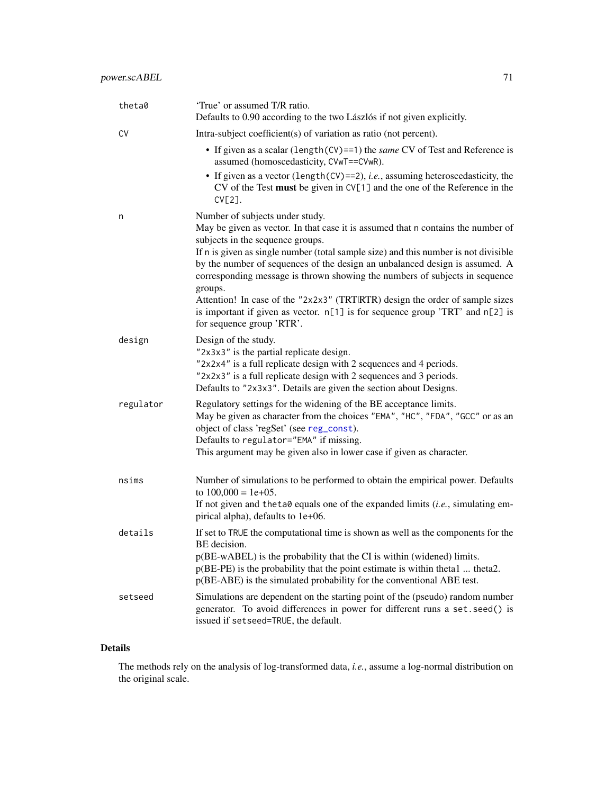| theta0    | 'True' or assumed T/R ratio.<br>Defaults to 0.90 according to the two Lászlós if not given explicitly.                                                                                                                                                                                                                                                                                                                                                                                                                                                                                                                |
|-----------|-----------------------------------------------------------------------------------------------------------------------------------------------------------------------------------------------------------------------------------------------------------------------------------------------------------------------------------------------------------------------------------------------------------------------------------------------------------------------------------------------------------------------------------------------------------------------------------------------------------------------|
| CV        | Intra-subject coefficient(s) of variation as ratio (not percent).                                                                                                                                                                                                                                                                                                                                                                                                                                                                                                                                                     |
|           | • If given as a scalar (length(CV)==1) the same CV of Test and Reference is<br>assumed (homoscedasticity, CVwT==CVwR).                                                                                                                                                                                                                                                                                                                                                                                                                                                                                                |
|           | • If given as a vector (length $(CV) == 2$ ), <i>i.e.</i> , assuming heteroscedasticity, the<br>$CV$ of the Test must be given in $CV[1]$ and the one of the Reference in the<br>$CV[2]$ .                                                                                                                                                                                                                                                                                                                                                                                                                            |
| n         | Number of subjects under study.<br>May be given as vector. In that case it is assumed that n contains the number of<br>subjects in the sequence groups.<br>If n is given as single number (total sample size) and this number is not divisible<br>by the number of sequences of the design an unbalanced design is assumed. A<br>corresponding message is thrown showing the numbers of subjects in sequence<br>groups.<br>Attention! In case of the "2x2x3" (TRTIRTR) design the order of sample sizes<br>is important if given as vector. n[1] is for sequence group 'TRT' and n[2] is<br>for sequence group 'RTR'. |
| design    | Design of the study.<br>"2x3x3" is the partial replicate design.<br>"2x2x4" is a full replicate design with 2 sequences and 4 periods.<br>"2x2x3" is a full replicate design with 2 sequences and 3 periods.<br>Defaults to "2x3x3". Details are given the section about Designs.                                                                                                                                                                                                                                                                                                                                     |
| regulator | Regulatory settings for the widening of the BE acceptance limits.<br>May be given as character from the choices "EMA", "HC", "FDA", "GCC" or as an<br>object of class 'regSet' (see reg_const).<br>Defaults to regulator="EMA" if missing.<br>This argument may be given also in lower case if given as character.                                                                                                                                                                                                                                                                                                    |
| nsims     | Number of simulations to be performed to obtain the empirical power. Defaults<br>to $100,000 = 1e+05$ .<br>If not given and the ta $\theta$ equals one of the expanded limits ( <i>i.e.</i> , simulating em-<br>pirical alpha), defaults to 1e+06.                                                                                                                                                                                                                                                                                                                                                                    |
| details   | If set to TRUE the computational time is shown as well as the components for the<br>BE decision.<br>p(BE-wABEL) is the probability that the CI is within (widened) limits.<br>$p(BE-PE)$ is the probability that the point estimate is within theta1  theta2.<br>p(BE-ABE) is the simulated probability for the conventional ABE test.                                                                                                                                                                                                                                                                                |
| setseed   | Simulations are dependent on the starting point of the (pseudo) random number<br>generator. To avoid differences in power for different runs a set.seed() is<br>issued if setseed=TRUE, the default.                                                                                                                                                                                                                                                                                                                                                                                                                  |

The methods rely on the analysis of log-transformed data, *i.e.*, assume a log-normal distribution on the original scale.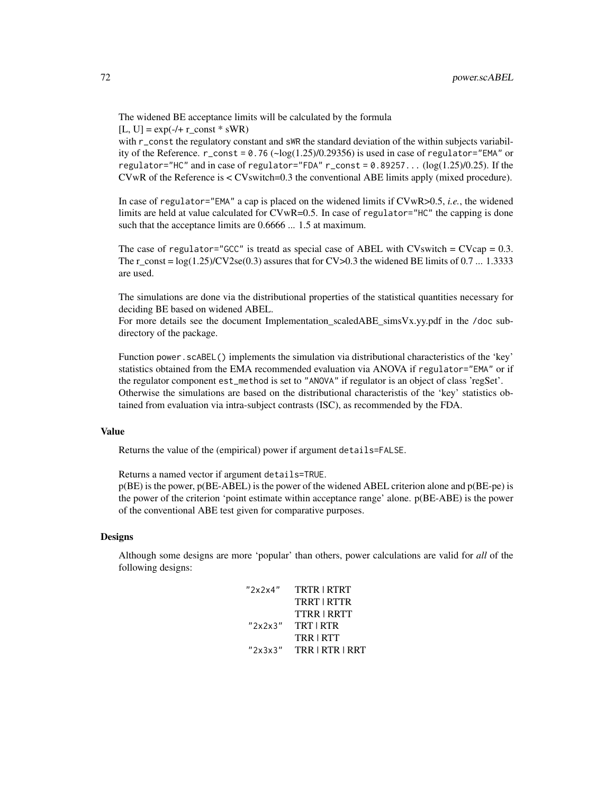The widened BE acceptance limits will be calculated by the formula  $[L, U] = exp(-1 + r \text{ const} * sWR)$ 

with r\_const the regulatory constant and sWR the standard deviation of the within subjects variability of the Reference.  $r_{\text{const}} = 0.76 \left( \frac{log(1.25)}{0.29356} \right)$  is used in case of regulator="EMA" or regulator="HC" and in case of regulator="FDA"  $r$ \_const = 0.89257... (log(1.25)/0.25). If the CVwR of the Reference is < CVswitch=0.3 the conventional ABE limits apply (mixed procedure).

In case of regulator="EMA" a cap is placed on the widened limits if CVwR>0.5, *i.e.*, the widened limits are held at value calculated for CVwR=0.5. In case of regulator="HC" the capping is done such that the acceptance limits are  $0.6666...$  1.5 at maximum.

The case of regulator=" $GCC$ " is treatd as special case of ABEL with CVswitch =  $CVcap = 0.3$ . The r\_const =  $log(1.25)/CV2se(0.3)$  assures that for CV>0.3 the widened BE limits of 0.7 ... 1.3333 are used.

The simulations are done via the distributional properties of the statistical quantities necessary for deciding BE based on widened ABEL.

For more details see the document Implementation scaledABE  $simVx.yy.pdf$  in the /doc subdirectory of the package.

Function power.scABEL() implements the simulation via distributional characteristics of the 'key' statistics obtained from the EMA recommended evaluation via ANOVA if regulator="EMA" or if the regulator component est\_method is set to "ANOVA" if regulator is an object of class 'regSet'. Otherwise the simulations are based on the distributional characteristis of the 'key' statistics obtained from evaluation via intra-subject contrasts (ISC), as recommended by the FDA.

#### Value

Returns the value of the (empirical) power if argument details=FALSE.

Returns a named vector if argument details=TRUE.

 $p(BE)$  is the power,  $p(BE-ABEL)$  is the power of the widened ABEL criterion alone and  $p(BE-pe)$  is the power of the criterion 'point estimate within acceptance range' alone. p(BE-ABE) is the power of the conventional ABE test given for comparative purposes.

## **Designs**

Although some designs are more 'popular' than others, power calculations are valid for *all* of the following designs:

| "2x2x4" | TRTR   RTRT     |
|---------|-----------------|
|         | TRRT   RTTR     |
|         | TTRR   RRTT     |
| "2x2x3" | TRT I RTR       |
|         | TRR   RTT       |
| "2x3x3" | TRR   RTR   RRT |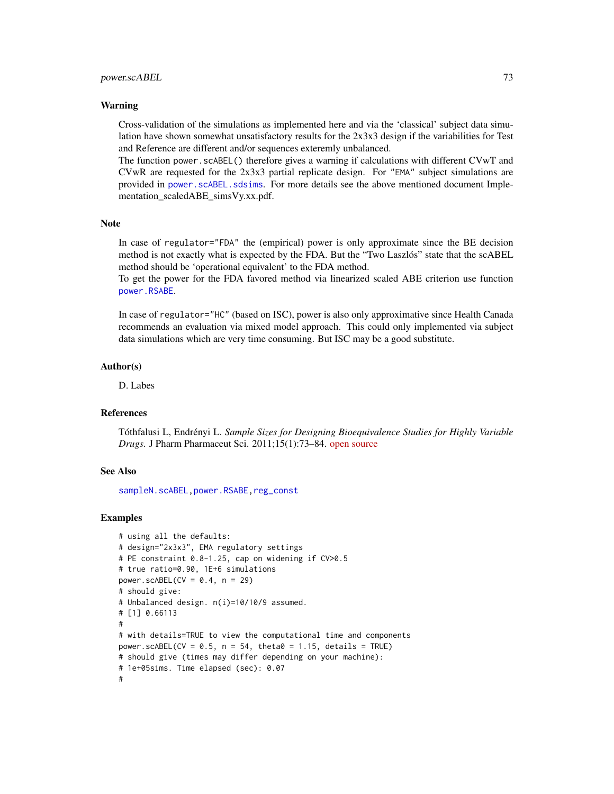#### Warning

Cross-validation of the simulations as implemented here and via the 'classical' subject data simulation have shown somewhat unsatisfactory results for the 2x3x3 design if the variabilities for Test and Reference are different and/or sequences exteremly unbalanced.

The function power.scABEL() therefore gives a warning if calculations with different CVwT and CVwR are requested for the 2x3x3 partial replicate design. For "EMA" subject simulations are provided in [power.scABEL.sdsims](#page-73-0). For more details see the above mentioned document Implementation\_scaledABE\_simsVy.xx.pdf.

#### Note

In case of regulator="FDA" the (empirical) power is only approximate since the BE decision method is not exactly what is expected by the FDA. But the "Two Laszlós" state that the scABEL method should be 'operational equivalent' to the FDA method.

To get the power for the FDA favored method via linearized scaled ABE criterion use function [power.RSABE](#page-62-0).

In case of regulator="HC" (based on ISC), power is also only approximative since Health Canada recommends an evaluation via mixed model approach. This could only implemented via subject data simulations which are very time consuming. But ISC may be a good substitute.

#### Author(s)

D. Labes

#### References

Tóthfalusi L, Endrényi L. *Sample Sizes for Designing Bioequivalence Studies for Highly Variable Drugs.* J Pharm Pharmaceut Sci. 2011;15(1):73–84. [open source](https://ejournals.library.ualberta.ca/index.php/JPPS/article/download/11612/9489)

## See Also

[sampleN.scABEL](#page-110-0)[,power.RSABE,](#page-62-0)[reg\\_const](#page-86-0)

#### Examples

```
# using all the defaults:
# design="2x3x3", EMA regulatory settings
# PE constraint 0.8-1.25, cap on widening if CV>0.5
# true ratio=0.90, 1E+6 simulations
power.scABEL(CV = 0.4, n = 29)
# should give:
# Unbalanced design. n(i)=10/10/9 assumed.
# [1] 0.66113
#
# with details=TRUE to view the computational time and components
power.scABEL(CV = 0.5, n = 54, theta0 = 1.15, details = TRUE)
# should give (times may differ depending on your machine):
# 1e+05sims. Time elapsed (sec): 0.07
#
```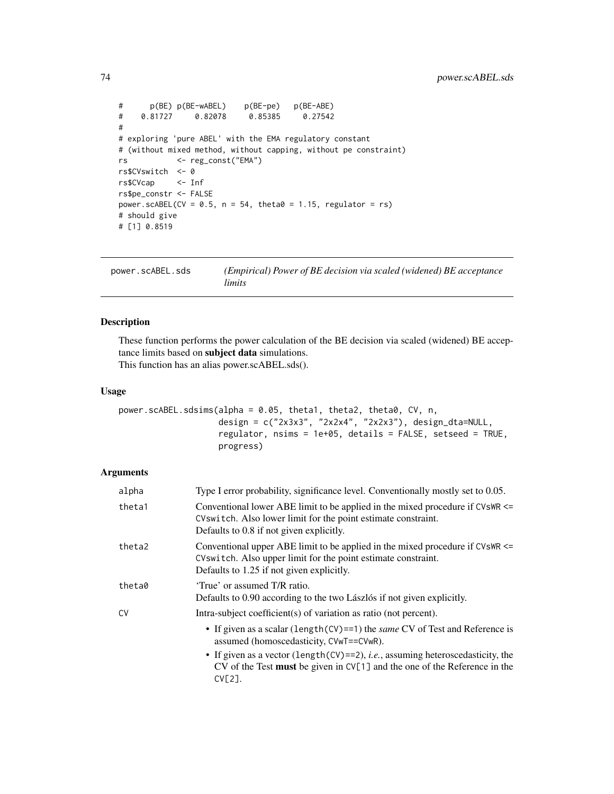```
# p(BE) p(BE-wABEL) p(BE-pe) p(BE-ABE)
# 0.81727 0.82078 0.85385 0.27542
#
# exploring 'pure ABEL' with the EMA regulatory constant
# (without mixed method, without capping, without pe constraint)
rs <- reg_const("EMA")
rs$CVswitch <- 0
rs$CVcap <- Inf
rs$pe_constr <- FALSE
power.scABEL(CV = 0.5, n = 54, theta0 = 1.15, regulator = rs)
# should give
# [1] 0.8519
```

| power.scABEL.sds | (Empirical) Power of BE decision via scaled (widened) BE acceptance |
|------------------|---------------------------------------------------------------------|
|                  | limits                                                              |

## <span id="page-73-0"></span>Description

These function performs the power calculation of the BE decision via scaled (widened) BE acceptance limits based on subject data simulations. This function has an alias power.scABEL.sds().

### Usage

```
power.scABEL.sdsims(alpha = 0.05, theta1, theta2, theta0, CV, n,
                    design = c("2x3x3", "2x2x4", "2x2x3"), design_dta=NULL,
                    regulator, nsims = 1e+05, details = FALSE, setseed = TRUE,
                    progress)
```

| alpha  | Type I error probability, significance level. Conventionally mostly set to 0.05.                                                                                                                 |
|--------|--------------------------------------------------------------------------------------------------------------------------------------------------------------------------------------------------|
| theta1 | Conventional lower ABE limit to be applied in the mixed procedure if $CVswR \leq$<br>CVswitch. Also lower limit for the point estimate constraint.<br>Defaults to 0.8 if not given explicitly.   |
| theta2 | Conventional upper ABE limit to be applied in the mixed procedure if $CVswR \leq$<br>CV switch. Also upper limit for the point estimate constraint.<br>Defaults to 1.25 if not given explicitly. |
| theta0 | 'True' or assumed T/R ratio.<br>Defaults to 0.90 according to the two Lászlós if not given explicitly.                                                                                           |
| CV     | Intra-subject coefficient(s) of variation as ratio (not percent).                                                                                                                                |
|        | • If given as a scalar (length $(CV) == 1$ ) the <i>same</i> CV of Test and Reference is<br>assumed (homoscedasticity, CVwT==CVwR).                                                              |
|        | • If given as a vector (length $(CV) == 2$ ), <i>i.e.</i> , assuming heteroscedasticity, the<br>CV of the Test <b>must</b> be given in $CV[1]$ and the one of the Reference in the<br>$CV[2]$ .  |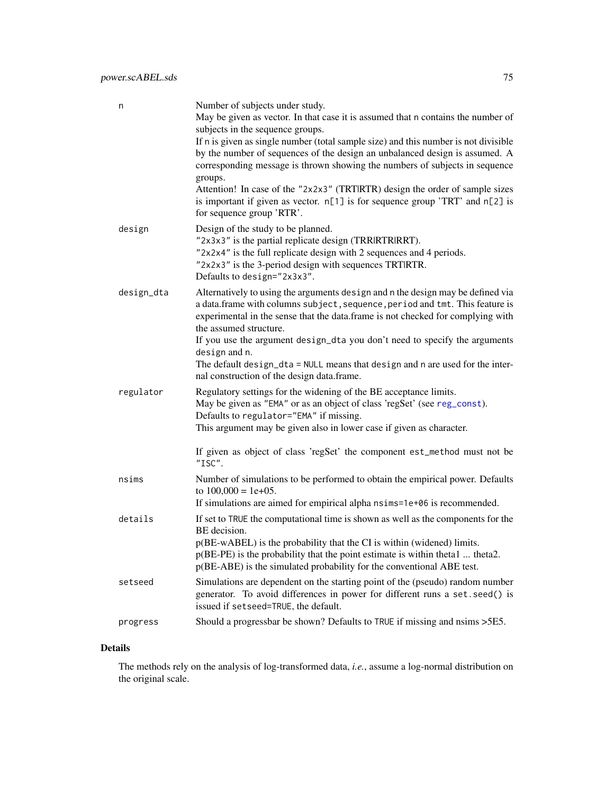| n          | Number of subjects under study.<br>May be given as vector. In that case it is assumed that n contains the number of<br>subjects in the sequence groups.<br>If n is given as single number (total sample size) and this number is not divisible<br>by the number of sequences of the design an unbalanced design is assumed. A<br>corresponding message is thrown showing the numbers of subjects in sequence<br>groups.<br>Attention! In case of the "2x2x3" (TRTIRTR) design the order of sample sizes<br>is important if given as vector. $n[1]$ is for sequence group 'TRT' and $n[2]$ is<br>for sequence group 'RTR'. |
|------------|---------------------------------------------------------------------------------------------------------------------------------------------------------------------------------------------------------------------------------------------------------------------------------------------------------------------------------------------------------------------------------------------------------------------------------------------------------------------------------------------------------------------------------------------------------------------------------------------------------------------------|
| design     | Design of the study to be planned.<br>"2x3x3" is the partial replicate design (TRRIRTRIRRT).<br>"2x2x4" is the full replicate design with 2 sequences and 4 periods.<br>"2x2x3" is the 3-period design with sequences TRTIRTR.<br>Defaults to design="2x3x3".                                                                                                                                                                                                                                                                                                                                                             |
| design_dta | Alternatively to using the arguments design and n the design may be defined via<br>a data.frame with columns subject, sequence, period and tmt. This feature is<br>experimental in the sense that the data.frame is not checked for complying with<br>the assumed structure.<br>If you use the argument design_dta you don't need to specify the arguments<br>design and n.<br>The default design_dta = NULL means that design and n are used for the inter-<br>nal construction of the design data.frame.                                                                                                                |
| regulator  | Regulatory settings for the widening of the BE acceptance limits.<br>May be given as "EMA" or as an object of class 'regSet' (see reg_const).<br>Defaults to regulator="EMA" if missing.<br>This argument may be given also in lower case if given as character.<br>If given as object of class 'regSet' the component est_method must not be<br>"ISC".                                                                                                                                                                                                                                                                   |
| nsims      | Number of simulations to be performed to obtain the empirical power. Defaults<br>to $100,000 = 1e+05$ .<br>If simulations are aimed for empirical alpha nsims=1e+06 is recommended.                                                                                                                                                                                                                                                                                                                                                                                                                                       |
| details    | If set to TRUE the computational time is shown as well as the components for the<br>BE decision.<br>p(BE-wABEL) is the probability that the CI is within (widened) limits.<br>$p(BE-PE)$ is the probability that the point estimate is within theta1  theta2.<br>p(BE-ABE) is the simulated probability for the conventional ABE test.                                                                                                                                                                                                                                                                                    |
| setseed    | Simulations are dependent on the starting point of the (pseudo) random number<br>generator. To avoid differences in power for different runs a set.seed() is<br>issued if setseed=TRUE, the default.                                                                                                                                                                                                                                                                                                                                                                                                                      |
| progress   | Should a progressbar be shown? Defaults to TRUE if missing and nsims > 5E5.                                                                                                                                                                                                                                                                                                                                                                                                                                                                                                                                               |

The methods rely on the analysis of log-transformed data, *i.e.*, assume a log-normal distribution on the original scale.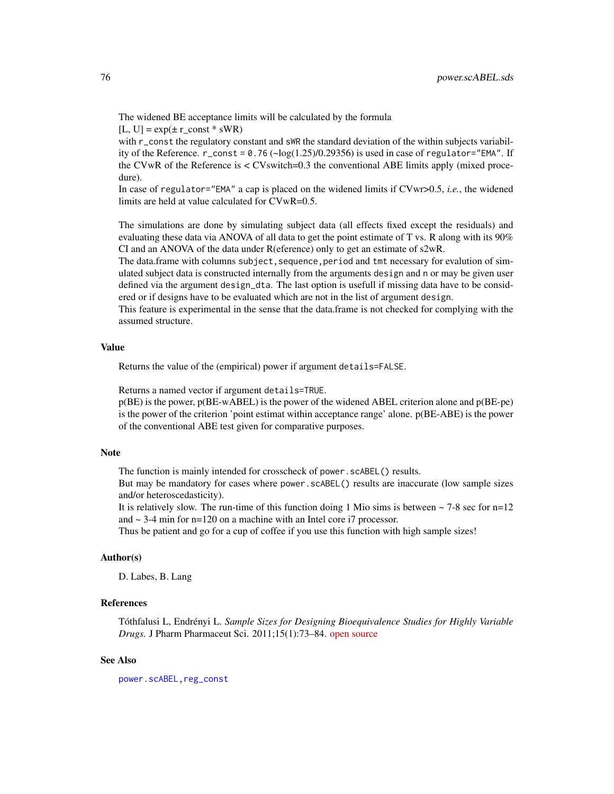The widened BE acceptance limits will be calculated by the formula

 $[L, U] = exp(\pm r \text{ const} * sWR)$ 

with r\_const the regulatory constant and sWR the standard deviation of the within subjects variability of the Reference.  $r_{\text{const}} = 0.76$  ( $\sim$ log(1.25)/0.29356) is used in case of regulator="EMA". If the CVwR of the Reference is < CVswitch=0.3 the conventional ABE limits apply (mixed procedure).

In case of regulator="EMA" a cap is placed on the widened limits if CVwr>0.5, *i.e.*, the widened limits are held at value calculated for CVwR=0.5.

The simulations are done by simulating subject data (all effects fixed except the residuals) and evaluating these data via ANOVA of all data to get the point estimate of T vs. R along with its 90% CI and an ANOVA of the data under R(eference) only to get an estimate of s2wR.

The data.frame with columns subject, sequence, period and tmt necessary for evalution of simulated subject data is constructed internally from the arguments design and n or may be given user defined via the argument design\_dta. The last option is usefull if missing data have to be considered or if designs have to be evaluated which are not in the list of argument design.

This feature is experimental in the sense that the data.frame is not checked for complying with the assumed structure.

## Value

Returns the value of the (empirical) power if argument details=FALSE.

Returns a named vector if argument details=TRUE.

 $p(BE)$  is the power,  $p(BE-wABEL)$  is the power of the widened ABEL criterion alone and  $p(BE-pe)$ is the power of the criterion 'point estimat within acceptance range' alone. p(BE-ABE) is the power of the conventional ABE test given for comparative purposes.

## **Note**

The function is mainly intended for crosscheck of power.scABEL() results.

But may be mandatory for cases where power.scABEL() results are inaccurate (low sample sizes and/or heteroscedasticity).

It is relatively slow. The run-time of this function doing 1 Mio sims is between  $\sim$  7-8 sec for n=12 and  $\sim$  3-4 min for n=120 on a machine with an Intel core i7 processor.

Thus be patient and go for a cup of coffee if you use this function with high sample sizes!

## Author(s)

D. Labes, B. Lang

#### References

Tóthfalusi L, Endrényi L. *Sample Sizes for Designing Bioequivalence Studies for Highly Variable Drugs.* J Pharm Pharmaceut Sci. 2011;15(1):73–84. [open source](http://ejournals.library.ualberta.ca/index.php/JPPS/article/download/11612/9489)

## See Also

[power.scABEL](#page-69-0)[,reg\\_const](#page-86-0)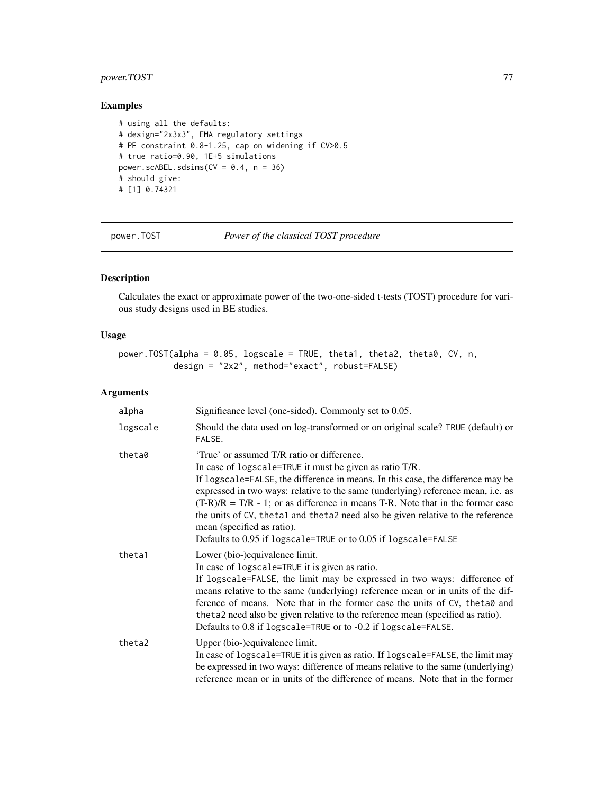## power.TOST 77

## Examples

```
# using all the defaults:
# design="2x3x3", EMA regulatory settings
# PE constraint 0.8-1.25, cap on widening if CV>0.5
# true ratio=0.90, 1E+5 simulations
power.scABEL.sdsims(CV = 0.4, n = 36)
# should give:
# [1] 0.74321
```
<span id="page-76-0"></span>power.TOST *Power of the classical TOST procedure*

## Description

Calculates the exact or approximate power of the two-one-sided t-tests (TOST) procedure for various study designs used in BE studies.

#### Usage

```
power.TOST(alpha = 0.05, logscale = TRUE, theta1, theta2, theta0, CV, n,
          design = "2x2", method="exact", robust=FALSE)
```

| alpha    | Significance level (one-sided). Commonly set to 0.05.                                                                                                                                                                                                                                                                                                                                                                                                                                                                                                |
|----------|------------------------------------------------------------------------------------------------------------------------------------------------------------------------------------------------------------------------------------------------------------------------------------------------------------------------------------------------------------------------------------------------------------------------------------------------------------------------------------------------------------------------------------------------------|
| logscale | Should the data used on log-transformed or on original scale? TRUE (default) or<br>FALSE.                                                                                                                                                                                                                                                                                                                                                                                                                                                            |
| theta0   | 'True' or assumed T/R ratio or difference.<br>In case of logscale=TRUE it must be given as ratio T/R.<br>If logscale=FALSE, the difference in means. In this case, the difference may be<br>expressed in two ways: relative to the same (underlying) reference mean, i.e. as<br>$(T-R)/R = T/R - 1$ ; or as difference in means T-R. Note that in the former case<br>the units of CV, theta1 and theta2 need also be given relative to the reference<br>mean (specified as ratio).<br>Defaults to 0.95 if logscale=TRUE or to 0.05 if logscale=FALSE |
| theta1   | Lower (bio-)equivalence limit.<br>In case of logscale=TRUE it is given as ratio.<br>If logscale=FALSE, the limit may be expressed in two ways: difference of<br>means relative to the same (underlying) reference mean or in units of the dif-<br>ference of means. Note that in the former case the units of CV, the tall and<br>theta2 need also be given relative to the reference mean (specified as ratio).<br>Defaults to 0.8 if logscale=TRUE or to -0.2 if logscale=FALSE.                                                                   |
| theta2   | Upper (bio-)equivalence limit.<br>In case of logscale=TRUE it is given as ratio. If logscale=FALSE, the limit may<br>be expressed in two ways: difference of means relative to the same (underlying)<br>reference mean or in units of the difference of means. Note that in the former                                                                                                                                                                                                                                                               |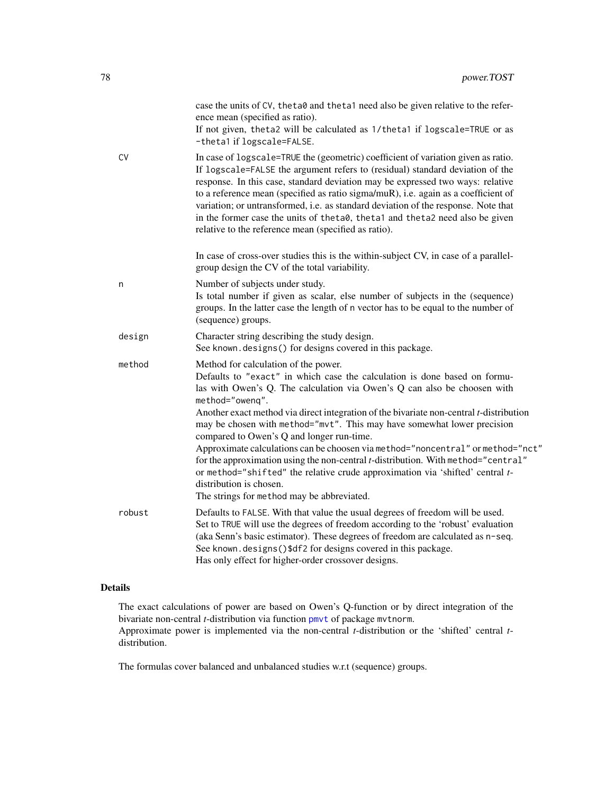|        | case the units of CV, the ta0 and the ta1 need also be given relative to the refer-<br>ence mean (specified as ratio).<br>If not given, theta2 will be calculated as 1/theta1 if logscale=TRUE or as<br>-theta1 if logscale=FALSE.                                                                                                                                                                                                                                                                                                                                                                                                                                                                                                                                            |
|--------|-------------------------------------------------------------------------------------------------------------------------------------------------------------------------------------------------------------------------------------------------------------------------------------------------------------------------------------------------------------------------------------------------------------------------------------------------------------------------------------------------------------------------------------------------------------------------------------------------------------------------------------------------------------------------------------------------------------------------------------------------------------------------------|
| CV     | In case of logscale=TRUE the (geometric) coefficient of variation given as ratio.<br>If logscale=FALSE the argument refers to (residual) standard deviation of the<br>response. In this case, standard deviation may be expressed two ways: relative<br>to a reference mean (specified as ratio sigma/muR), i.e. again as a coefficient of<br>variation; or untransformed, i.e. as standard deviation of the response. Note that<br>in the former case the units of the ta0, the ta1 and the ta2 need also be given<br>relative to the reference mean (specified as ratio).                                                                                                                                                                                                   |
|        | In case of cross-over studies this is the within-subject CV, in case of a parallel-<br>group design the CV of the total variability.                                                                                                                                                                                                                                                                                                                                                                                                                                                                                                                                                                                                                                          |
| n      | Number of subjects under study.<br>Is total number if given as scalar, else number of subjects in the (sequence)<br>groups. In the latter case the length of n vector has to be equal to the number of<br>(sequence) groups.                                                                                                                                                                                                                                                                                                                                                                                                                                                                                                                                                  |
| design | Character string describing the study design.<br>See known.designs() for designs covered in this package.                                                                                                                                                                                                                                                                                                                                                                                                                                                                                                                                                                                                                                                                     |
| method | Method for calculation of the power.<br>Defaults to "exact" in which case the calculation is done based on formu-<br>las with Owen's Q. The calculation via Owen's Q can also be choosen with<br>method="owenq".<br>Another exact method via direct integration of the bivariate non-central <i>t</i> -distribution<br>may be chosen with method="mvt". This may have somewhat lower precision<br>compared to Owen's Q and longer run-time.<br>Approximate calculations can be choosen via method="noncentral" or method="nct"<br>for the approximation using the non-central t-distribution. With method="central"<br>or method="shifted" the relative crude approximation via 'shifted' central t-<br>distribution is chosen.<br>The strings for method may be abbreviated. |
| robust | Defaults to FALSE. With that value the usual degrees of freedom will be used.<br>Set to TRUE will use the degrees of freedom according to the 'robust' evaluation<br>(aka Senn's basic estimator). These degrees of freedom are calculated as n-seq.                                                                                                                                                                                                                                                                                                                                                                                                                                                                                                                          |
|        | See known.designs()\$df2 for designs covered in this package.<br>Has only effect for higher-order crossover designs.                                                                                                                                                                                                                                                                                                                                                                                                                                                                                                                                                                                                                                                          |

The exact calculations of power are based on Owen's Q-function or by direct integration of the bivariate non-central *t*-distribution via function [pmvt](#page-0-0) of package mvtnorm. Approximate power is implemented via the non-central *t*-distribution or the 'shifted' central *t*distribution.

The formulas cover balanced and unbalanced studies w.r.t (sequence) groups.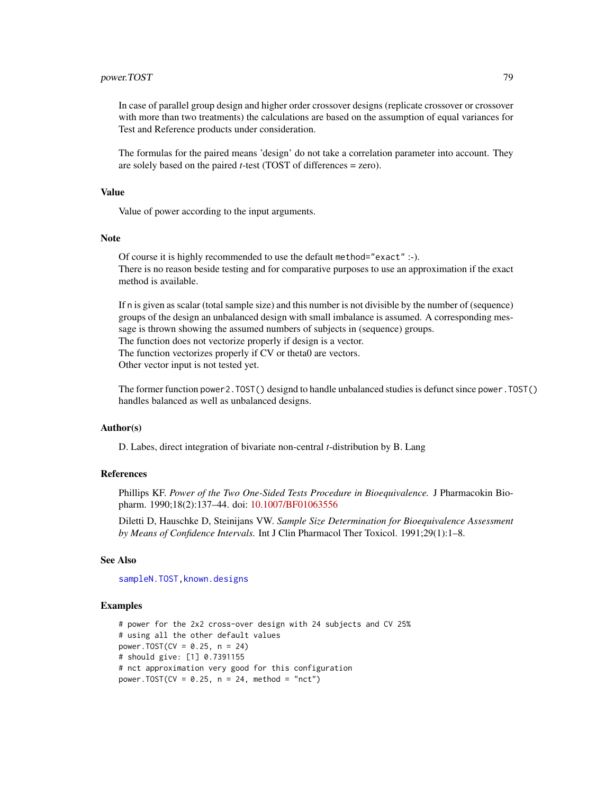## power.TOST 79

In case of parallel group design and higher order crossover designs (replicate crossover or crossover with more than two treatments) the calculations are based on the assumption of equal variances for Test and Reference products under consideration.

The formulas for the paired means 'design' do not take a correlation parameter into account. They are solely based on the paired *t*-test (TOST of differences = zero).

## Value

Value of power according to the input arguments.

#### Note

Of course it is highly recommended to use the default method="exact" :-). There is no reason beside testing and for comparative purposes to use an approximation if the exact method is available.

If n is given as scalar (total sample size) and this number is not divisible by the number of (sequence) groups of the design an unbalanced design with small imbalance is assumed. A corresponding message is thrown showing the assumed numbers of subjects in (sequence) groups. The function does not vectorize properly if design is a vector. The function vectorizes properly if CV or theta0 are vectors.

Other vector input is not tested yet.

The former function power2.TOST() designd to handle unbalanced studies is defunct since power.TOST() handles balanced as well as unbalanced designs.

### Author(s)

D. Labes, direct integration of bivariate non-central *t*-distribution by B. Lang

## References

Phillips KF. *Power of the Two One-Sided Tests Procedure in Bioequivalence.* J Pharmacokin Biopharm. 1990;18(2):137–44. doi: [10.1007/BF01063556](https://doi.org/10.1007/BF01063556)

Diletti D, Hauschke D, Steinijans VW. *Sample Size Determination for Bioequivalence Assessment by Means of Confidence Intervals.* Int J Clin Pharmacol Ther Toxicol. 1991;29(1):1–8.

#### See Also

[sampleN.TOST](#page-121-0), known.designs

#### Examples

```
# power for the 2x2 cross-over design with 24 subjects and CV 25%
# using all the other default values
power.TOST(CV = 0.25, n = 24)
# should give: [1] 0.7391155
# nct approximation very good for this configuration
power.TOST(CV = 0.25, n = 24, method = "nct")
```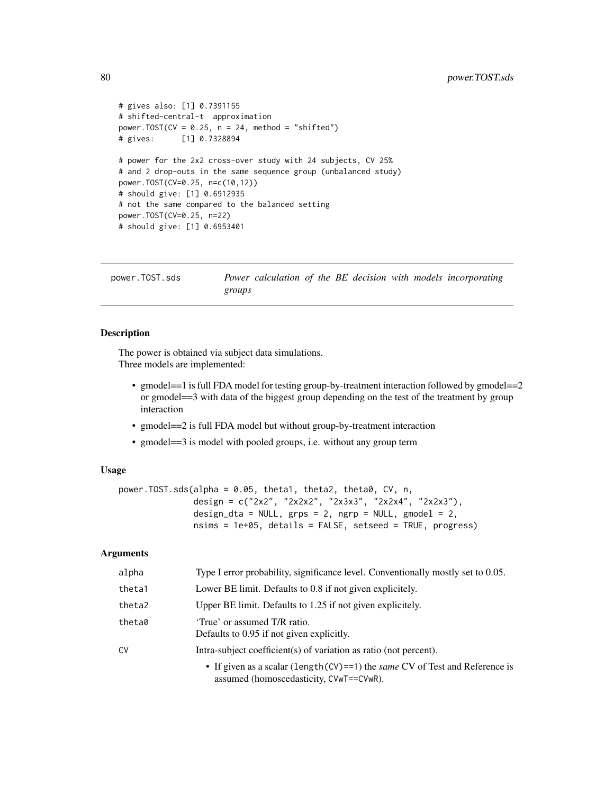```
# gives also: [1] 0.7391155
# shifted-central-t approximation
power.TOST(CV = 0.25, n = 24, method = "shifted")
# gives: [1] 0.7328894
# power for the 2x2 cross-over study with 24 subjects, CV 25%
# and 2 drop-outs in the same sequence group (unbalanced study)
power.TOST(CV=0.25, n=c(10,12))
# should give: [1] 0.6912935
# not the same compared to the balanced setting
power.TOST(CV=0.25, n=22)
# should give: [1] 0.6953401
```
power.TOST.sds *Power calculation of the BE decision with models incorporating groups*

#### Description

The power is obtained via subject data simulations. Three models are implemented:

- gmodel==1 is full FDA model for testing group-by-treatment interaction followed by gmodel==2 or gmodel==3 with data of the biggest group depending on the test of the treatment by group interaction
- gmodel==2 is full FDA model but without group-by-treatment interaction
- gmodel==3 is model with pooled groups, i.e. without any group term

#### Usage

```
power.TOST.sds(alpha = 0.05, theta1, theta2, theta0, CV, n,
               design = c("2x2", "2x2x2", "2x3x3", "2x2x4", "2x2x3"),
               design_dta = NULL, grps = 2, ngrp = NULL, gmodel = 2,
               nsims = 1e+05, details = FALSE, setseed = TRUE, progress)
```

| alpha  | Type I error probability, significance level. Conventionally mostly set to 0.05.                                                    |
|--------|-------------------------------------------------------------------------------------------------------------------------------------|
| theta1 | Lower BE limit. Defaults to 0.8 if not given explicitely.                                                                           |
| theta2 | Upper BE limit. Defaults to 1.25 if not given explicitely.                                                                          |
| theta0 | 'True' or assumed T/R ratio.<br>Defaults to 0.95 if not given explicitly.                                                           |
| CV     | Intra-subject coefficient(s) of variation as ratio (not percent).                                                                   |
|        | • If given as a scalar (length $(CV) == 1$ ) the <i>same</i> CV of Test and Reference is<br>assumed (homoscedasticity, CVwT==CVwR). |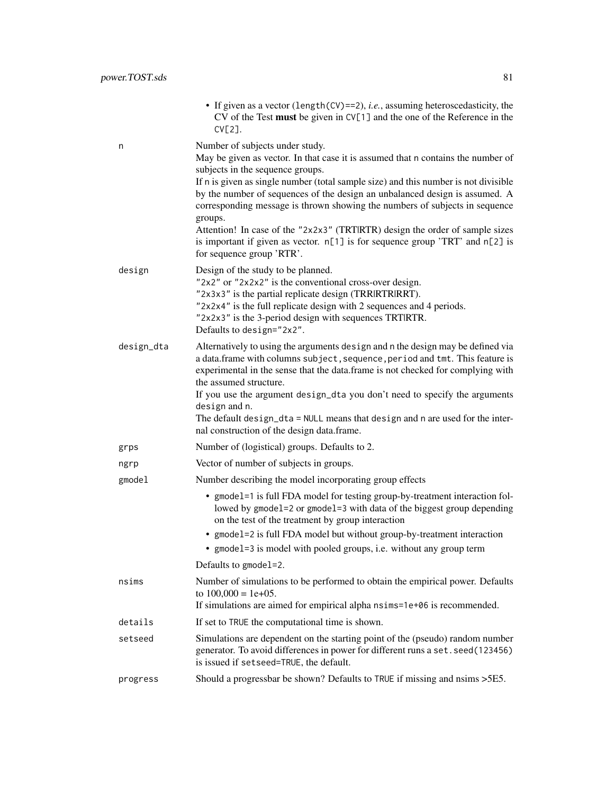|            | • If given as a vector (length $(CV) == 2$ ), <i>i.e.</i> , assuming heteroscedasticity, the<br>$CV$ of the Test <b>must</b> be given in $CV[1]$ and the one of the Reference in the<br>$CV[2]$ .                                                                                                                                                                                                                                                                                                                                                                                            |
|------------|----------------------------------------------------------------------------------------------------------------------------------------------------------------------------------------------------------------------------------------------------------------------------------------------------------------------------------------------------------------------------------------------------------------------------------------------------------------------------------------------------------------------------------------------------------------------------------------------|
| n          | Number of subjects under study.<br>May be given as vector. In that case it is assumed that n contains the number of<br>subjects in the sequence groups.<br>If n is given as single number (total sample size) and this number is not divisible<br>by the number of sequences of the design an unbalanced design is assumed. A<br>corresponding message is thrown showing the numbers of subjects in sequence<br>groups.<br>Attention! In case of the "2x2x3" (TRTIRTR) design the order of sample sizes<br>is important if given as vector. $n[1]$ is for sequence group 'TRT' and $n[2]$ is |
| design     | for sequence group 'RTR'.<br>Design of the study to be planned.<br>"2x2" or "2x2x2" is the conventional cross-over design.<br>"2x3x3" is the partial replicate design (TRRIRTRIRRT).<br>"2x2x4" is the full replicate design with 2 sequences and 4 periods.<br>"2x2x3" is the 3-period design with sequences TRT RTR.<br>Defaults to design="2x2".                                                                                                                                                                                                                                          |
| design_dta | Alternatively to using the arguments design and n the design may be defined via<br>a data.frame with columns subject, sequence, period and tmt. This feature is<br>experimental in the sense that the data.frame is not checked for complying with<br>the assumed structure.<br>If you use the argument design_dta you don't need to specify the arguments<br>design and n.<br>The default design_dta = NULL means that design and n are used for the inter-<br>nal construction of the design data.frame.                                                                                   |
| grps       | Number of (logistical) groups. Defaults to 2.                                                                                                                                                                                                                                                                                                                                                                                                                                                                                                                                                |
| ngrp       | Vector of number of subjects in groups.                                                                                                                                                                                                                                                                                                                                                                                                                                                                                                                                                      |
| gmodel     | Number describing the model incorporating group effects                                                                                                                                                                                                                                                                                                                                                                                                                                                                                                                                      |
|            | • gmode1=1 is full FDA model for testing group-by-treatment interaction fol-<br>lowed by gmodel=2 or gmodel=3 with data of the biggest group depending<br>on the test of the treatment by group interaction<br>• gmodel=2 is full FDA model but without group-by-treatment interaction<br>• gmodel=3 is model with pooled groups, i.e. without any group term                                                                                                                                                                                                                                |
|            | Defaults to gmodel=2.                                                                                                                                                                                                                                                                                                                                                                                                                                                                                                                                                                        |
| nsims      | Number of simulations to be performed to obtain the empirical power. Defaults<br>to $100,000 = 1e+05$ .<br>If simulations are aimed for empirical alpha nsims=1e+06 is recommended.                                                                                                                                                                                                                                                                                                                                                                                                          |
| details    | If set to TRUE the computational time is shown.                                                                                                                                                                                                                                                                                                                                                                                                                                                                                                                                              |
| setseed    | Simulations are dependent on the starting point of the (pseudo) random number<br>generator. To avoid differences in power for different runs a set. seed(123456)<br>is issued if setseed=TRUE, the default.                                                                                                                                                                                                                                                                                                                                                                                  |
| progress   | Should a progressbar be shown? Defaults to TRUE if missing and nsims > 5E5.                                                                                                                                                                                                                                                                                                                                                                                                                                                                                                                  |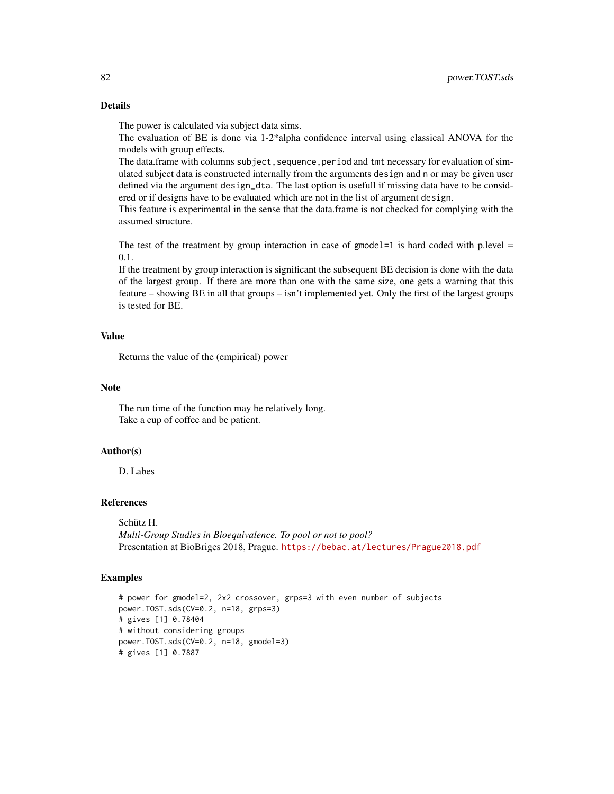The power is calculated via subject data sims.

The evaluation of BE is done via 1-2\*alpha confidence interval using classical ANOVA for the models with group effects.

The data.frame with columns subject, sequence, period and tmt necessary for evaluation of simulated subject data is constructed internally from the arguments design and n or may be given user defined via the argument design\_dta. The last option is usefull if missing data have to be considered or if designs have to be evaluated which are not in the list of argument design.

This feature is experimental in the sense that the data.frame is not checked for complying with the assumed structure.

The test of the treatment by group interaction in case of gmodel=1 is hard coded with p.level  $=$ 0.1.

If the treatment by group interaction is significant the subsequent BE decision is done with the data of the largest group. If there are more than one with the same size, one gets a warning that this feature – showing BE in all that groups – isn't implemented yet. Only the first of the largest groups is tested for BE.

## Value

Returns the value of the (empirical) power

## Note

The run time of the function may be relatively long. Take a cup of coffee and be patient.

#### Author(s)

D. Labes

### References

Schütz H. *Multi-Group Studies in Bioequivalence. To pool or not to pool?* Presentation at BioBriges 2018, Prague. <https://bebac.at/lectures/Prague2018.pdf>

## Examples

```
# power for gmodel=2, 2x2 crossover, grps=3 with even number of subjects
power.TOST.sds(CV=0.2, n=18, grps=3)
# gives [1] 0.78404
# without considering groups
power.TOST.sds(CV=0.2, n=18, gmodel=3)
# gives [1] 0.7887
```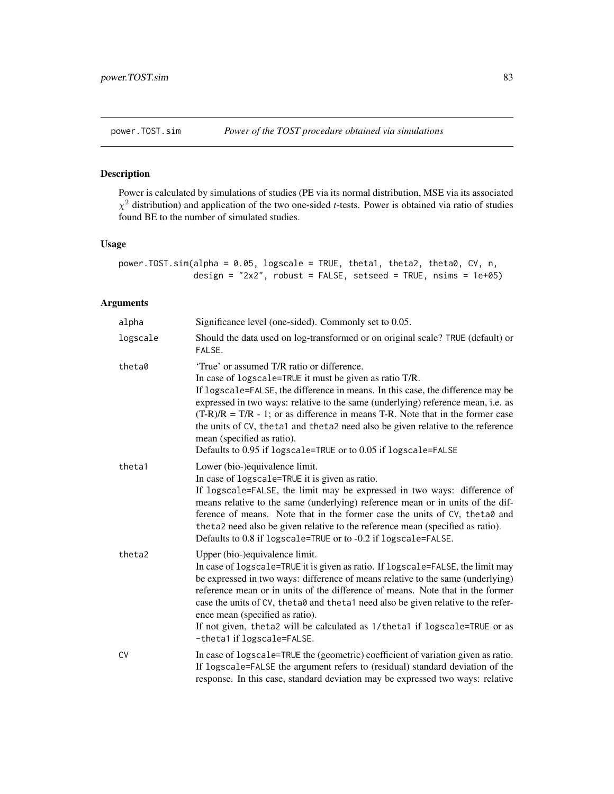# Description

Power is calculated by simulations of studies (PE via its normal distribution, MSE via its associated  $\chi^2$  distribution) and application of the two one-sided *t*-tests. Power is obtained via ratio of studies found BE to the number of simulated studies.

## Usage

```
power.TOST.sim(alpha = 0.05, logscale = TRUE, theta1, theta2, theta0, CV, n,
               design = "2x2", robust = FALSE, setseed = TRUE, nsims = 1e+05)
```

| alpha     | Significance level (one-sided). Commonly set to 0.05.                                                                                                                                                                                                                                                                                                                                                                                                                                                                                                  |
|-----------|--------------------------------------------------------------------------------------------------------------------------------------------------------------------------------------------------------------------------------------------------------------------------------------------------------------------------------------------------------------------------------------------------------------------------------------------------------------------------------------------------------------------------------------------------------|
| logscale  | Should the data used on log-transformed or on original scale? TRUE (default) or<br>FALSE.                                                                                                                                                                                                                                                                                                                                                                                                                                                              |
| theta0    | 'True' or assumed T/R ratio or difference.<br>In case of logscale=TRUE it must be given as ratio T/R.<br>If logscale=FALSE, the difference in means. In this case, the difference may be<br>expressed in two ways: relative to the same (underlying) reference mean, i.e. as<br>$(T-R)/R = T/R - 1$ ; or as difference in means T-R. Note that in the former case<br>the units of CV, the ta1 and the ta2 need also be given relative to the reference<br>mean (specified as ratio).<br>Defaults to 0.95 if logscale=TRUE or to 0.05 if logscale=FALSE |
| theta1    | Lower (bio-)equivalence limit.<br>In case of logscale=TRUE it is given as ratio.<br>If logscale=FALSE, the limit may be expressed in two ways: difference of<br>means relative to the same (underlying) reference mean or in units of the dif-<br>ference of means. Note that in the former case the units of CV, the ta0 and<br>theta2 need also be given relative to the reference mean (specified as ratio).<br>Defaults to 0.8 if logscale=TRUE or to -0.2 if logscale=FALSE.                                                                      |
| theta2    | Upper (bio-)equivalence limit.<br>In case of logscale=TRUE it is given as ratio. If logscale=FALSE, the limit may<br>be expressed in two ways: difference of means relative to the same (underlying)<br>reference mean or in units of the difference of means. Note that in the former<br>case the units of CV, the ta0 and the ta1 need also be given relative to the refer-<br>ence mean (specified as ratio).<br>If not given, theta2 will be calculated as 1/theta1 if logscale=TRUE or as<br>-theta1 if logscale=FALSE.                           |
| <b>CV</b> | In case of logscale=TRUE the (geometric) coefficient of variation given as ratio.<br>If logscale=FALSE the argument refers to (residual) standard deviation of the<br>response. In this case, standard deviation may be expressed two ways: relative                                                                                                                                                                                                                                                                                                   |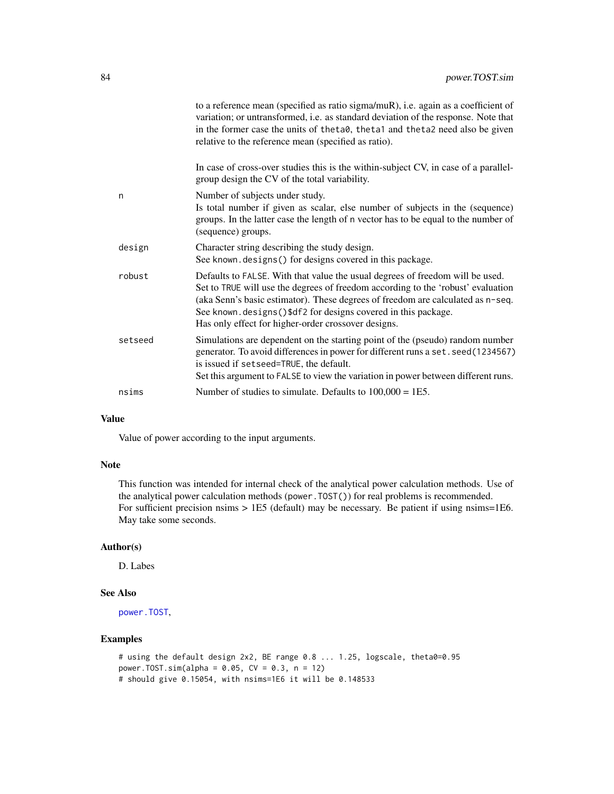|         | to a reference mean (specified as ratio sigma/muR), i.e. again as a coefficient of<br>variation; or untransformed, i.e. as standard deviation of the response. Note that<br>in the former case the units of the ta0, the ta1 and the ta2 need also be given<br>relative to the reference mean (specified as ratio).                                                          |
|---------|------------------------------------------------------------------------------------------------------------------------------------------------------------------------------------------------------------------------------------------------------------------------------------------------------------------------------------------------------------------------------|
|         | In case of cross-over studies this is the within-subject CV, in case of a parallel-<br>group design the CV of the total variability.                                                                                                                                                                                                                                         |
| n       | Number of subjects under study.<br>Is total number if given as scalar, else number of subjects in the (sequence)<br>groups. In the latter case the length of n vector has to be equal to the number of<br>(sequence) groups.                                                                                                                                                 |
| design  | Character string describing the study design.<br>See known.designs() for designs covered in this package.                                                                                                                                                                                                                                                                    |
| robust  | Defaults to FALSE. With that value the usual degrees of freedom will be used.<br>Set to TRUE will use the degrees of freedom according to the 'robust' evaluation<br>(aka Senn's basic estimator). These degrees of freedom are calculated as n-seq.<br>See known.designs()\$df2 for designs covered in this package.<br>Has only effect for higher-order crossover designs. |
| setseed | Simulations are dependent on the starting point of the (pseudo) random number<br>generator. To avoid differences in power for different runs a set. seed(1234567)<br>is issued if setseed=TRUE, the default.<br>Set this argument to FALSE to view the variation in power between different runs.                                                                            |
| nsims   | Number of studies to simulate. Defaults to $100,000 = 1E5$ .                                                                                                                                                                                                                                                                                                                 |
|         |                                                                                                                                                                                                                                                                                                                                                                              |

# Value

Value of power according to the input arguments.

## Note

This function was intended for internal check of the analytical power calculation methods. Use of the analytical power calculation methods (power.TOST()) for real problems is recommended. For sufficient precision nsims > 1E5 (default) may be necessary. Be patient if using nsims=1E6. May take some seconds.

## Author(s)

D. Labes

## See Also

[power.TOST](#page-76-0),

## Examples

```
# using the default design 2x2, BE range 0.8 ... 1.25, logscale, theta0=0.95
power.TOST.sim(alpha = 0.05, CV = 0.3, n = 12)
# should give 0.15054, with nsims=1E6 it will be 0.148533
```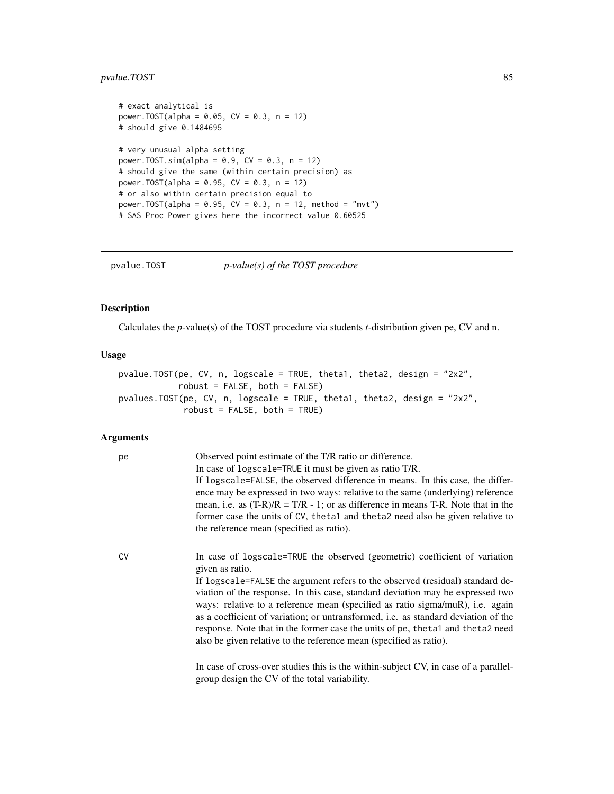## pvalue.TOST 85

```
# exact analytical is
power.TOST(alpha = 0.05, CV = 0.3, n = 12)
# should give 0.1484695
# very unusual alpha setting
power.TOST.sim(alpha = 0.9, CV = 0.3, n = 12)
# should give the same (within certain precision) as
power.TOST(alpha = 0.95, CV = 0.3, n = 12)
# or also within certain precision equal to
power.TOST(alpha = 0.95, CV = 0.3, n = 12, method = "mvt")# SAS Proc Power gives here the incorrect value 0.60525
```
pvalue.TOST *p-value(s) of the TOST procedure*

## Description

Calculates the *p*-value(s) of the TOST procedure via students *t*-distribution given pe, CV and n.

#### Usage

```
pvalue.TOST(pe, CV, n, logscale = TRUE, theta1, theta2, design = "2x2",
            robust = FALSE, both = FALSE)pvalues.TOST(pe, CV, n, logscale = TRUE, theta1, theta2, design = "2x2",
            robust = FALSE, both = TRUE)
```

| pe        | Observed point estimate of the T/R ratio or difference.<br>In case of logscale=TRUE it must be given as ratio T/R.<br>If logscale=FALSE, the observed difference in means. In this case, the differ-<br>ence may be expressed in two ways: relative to the same (underlying) reference<br>mean, i.e. as $(T-R)/R = T/R - 1$ ; or as difference in means T-R. Note that in the<br>former case the units of CV, the ta1 and the ta2 need also be given relative to<br>the reference mean (specified as ratio).                                                                                        |
|-----------|-----------------------------------------------------------------------------------------------------------------------------------------------------------------------------------------------------------------------------------------------------------------------------------------------------------------------------------------------------------------------------------------------------------------------------------------------------------------------------------------------------------------------------------------------------------------------------------------------------|
| <b>CV</b> | In case of logscale=TRUE the observed (geometric) coefficient of variation<br>given as ratio.<br>If logscale=FALSE the argument refers to the observed (residual) standard de-<br>viation of the response. In this case, standard deviation may be expressed two<br>ways: relative to a reference mean (specified as ratio sigma/muR), i.e. again<br>as a coefficient of variation; or untransformed, i.e. as standard deviation of the<br>response. Note that in the former case the units of pe, the tall and the tall need<br>also be given relative to the reference mean (specified as ratio). |
|           | In case of cross-over studies this is the within-subject CV, in case of a parallel-<br>group design the CV of the total variability.                                                                                                                                                                                                                                                                                                                                                                                                                                                                |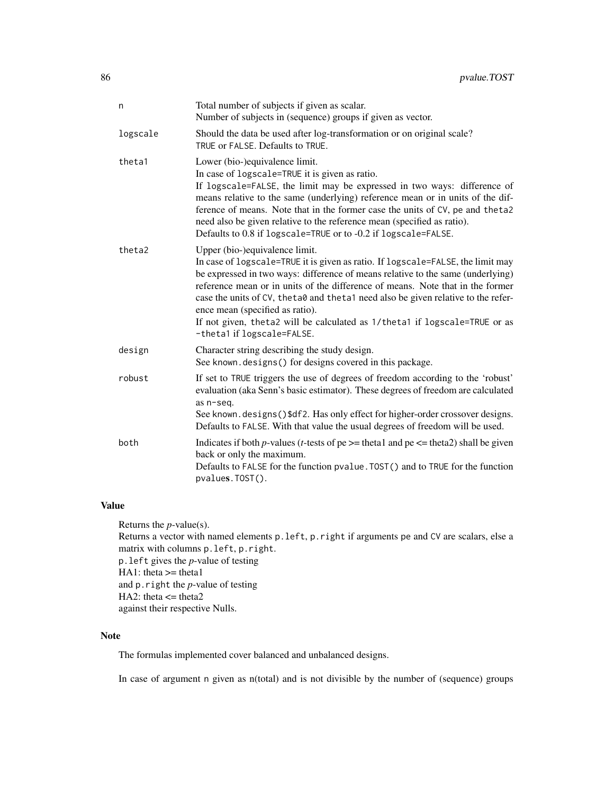| n        | Total number of subjects if given as scalar.<br>Number of subjects in (sequence) groups if given as vector.                                                                                                                                                                                                                                                                                                                                                                                                                          |
|----------|--------------------------------------------------------------------------------------------------------------------------------------------------------------------------------------------------------------------------------------------------------------------------------------------------------------------------------------------------------------------------------------------------------------------------------------------------------------------------------------------------------------------------------------|
| logscale | Should the data be used after log-transformation or on original scale?<br>TRUE or FALSE. Defaults to TRUE.                                                                                                                                                                                                                                                                                                                                                                                                                           |
| theta1   | Lower (bio-)equivalence limit.<br>In case of logscale=TRUE it is given as ratio.<br>If logscale=FALSE, the limit may be expressed in two ways: difference of<br>means relative to the same (underlying) reference mean or in units of the dif-<br>ference of means. Note that in the former case the units of CV, pe and theta2<br>need also be given relative to the reference mean (specified as ratio).<br>Defaults to 0.8 if logscale=TRUE or to -0.2 if logscale=FALSE.                                                         |
| theta2   | Upper (bio-)equivalence limit.<br>In case of logscale=TRUE it is given as ratio. If logscale=FALSE, the limit may<br>be expressed in two ways: difference of means relative to the same (underlying)<br>reference mean or in units of the difference of means. Note that in the former<br>case the units of CV, the ta $\theta$ and the tal need also be given relative to the refer-<br>ence mean (specified as ratio).<br>If not given, theta2 will be calculated as 1/theta1 if logscale=TRUE or as<br>-theta1 if logscale=FALSE. |
| design   | Character string describing the study design.<br>See known.designs() for designs covered in this package.                                                                                                                                                                                                                                                                                                                                                                                                                            |
| robust   | If set to TRUE triggers the use of degrees of freedom according to the 'robust'<br>evaluation (aka Senn's basic estimator). These degrees of freedom are calculated<br>as n-seq.<br>See known.designs()\$df2. Has only effect for higher-order crossover designs.<br>Defaults to FALSE. With that value the usual degrees of freedom will be used.                                                                                                                                                                                   |
| both     | Indicates if both p-values ( <i>t</i> -tests of pe $\ge$ = theta1 and pe $\le$ = theta2) shall be given<br>back or only the maximum.<br>Defaults to FALSE for the function pvalue. TOST() and to TRUE for the function<br>$p$ values.TOST $()$ .                                                                                                                                                                                                                                                                                     |

## Value

Returns the *p*-value(s). Returns a vector with named elements p.left, p.right if arguments pe and CV are scalars, else a matrix with columns p.left, p.right. p.left gives the *p*-value of testing HA1: theta >= theta1 and p.right the *p*-value of testing HA2: theta  $\leq$  theta2 against their respective Nulls.

## Note

The formulas implemented cover balanced and unbalanced designs.

In case of argument n given as n(total) and is not divisible by the number of (sequence) groups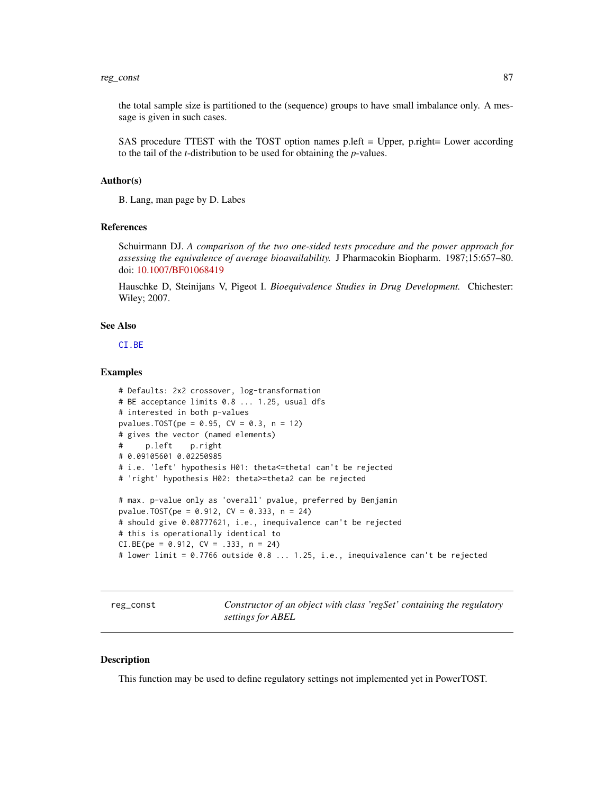#### reg\_const 87

the total sample size is partitioned to the (sequence) groups to have small imbalance only. A message is given in such cases.

SAS procedure TTEST with the TOST option names p.left = Upper, p.right= Lower according to the tail of the *t*-distribution to be used for obtaining the *p*-values.

## Author(s)

B. Lang, man page by D. Labes

#### References

Schuirmann DJ. *A comparison of the two one-sided tests procedure and the power approach for assessing the equivalence of average bioavailability.* J Pharmacokin Biopharm. 1987;15:657–80. doi: [10.1007/BF01068419](https://doi.org/10.1007/BF01068419)

Hauschke D, Steinijans V, Pigeot I. *Bioequivalence Studies in Drug Development.* Chichester: Wiley; 2007.

## See Also

[CI.BE](#page-3-0)

#### Examples

```
# Defaults: 2x2 crossover, log-transformation
# BE acceptance limits 0.8 ... 1.25, usual dfs
# interested in both p-values
pvalues.TOST(pe = 0.95, CV = 0.3, n = 12)
# gives the vector (named elements)
# p.left p.right
# 0.09105601 0.02250985
# i.e. 'left' hypothesis H01: theta<=theta1 can't be rejected
# 'right' hypothesis H02: theta>=theta2 can be rejected
# max. p-value only as 'overall' pvalue, preferred by Benjamin
pvalue.TOST(pe = 0.912, CV = 0.333, n = 24)
# should give 0.08777621, i.e., inequivalence can't be rejected
# this is operationally identical to
CI.BE(pe = 0.912, CV = .333, n = 24)# lower limit = 0.7766 outside 0.8 ... 1.25, i.e., inequivalence can't be rejected
```
<span id="page-86-0"></span>reg\_const *Constructor of an object with class 'regSet' containing the regulatory settings for ABEL*

#### **Description**

This function may be used to define regulatory settings not implemented yet in PowerTOST.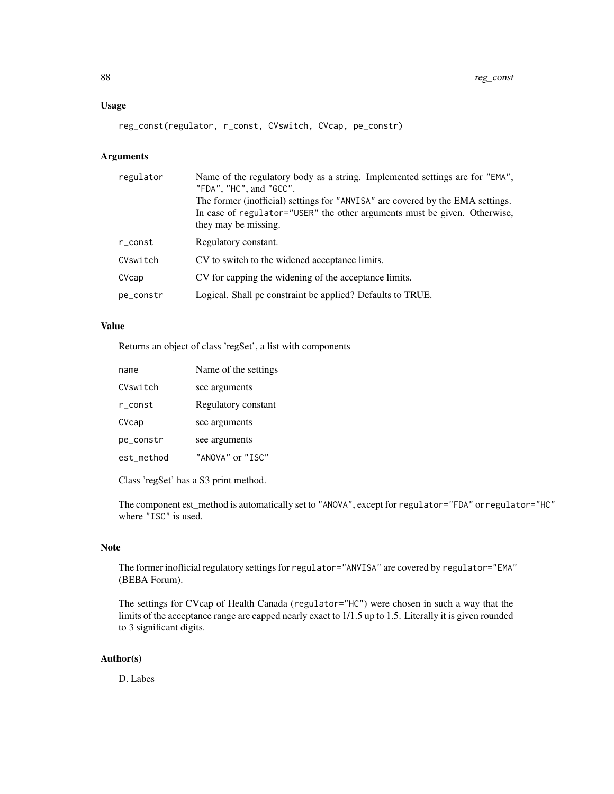## Usage

reg\_const(regulator, r\_const, CVswitch, CVcap, pe\_constr)

## Arguments

| The former (inofficial) settings for "ANVISA" are covered by the EMA settings.<br>In case of regulator="USER" the other arguments must be given. Otherwise,<br>they may be missing. |
|-------------------------------------------------------------------------------------------------------------------------------------------------------------------------------------|
| Regulatory constant.<br>r_const                                                                                                                                                     |
| CVswitch<br>CV to switch to the widened acceptance limits.                                                                                                                          |
| CV for capping the widening of the acceptance limits.<br>CVcap                                                                                                                      |
| Logical. Shall pe constraint be applied? Defaults to TRUE.<br>pe_constr                                                                                                             |

## Value

Returns an object of class 'regSet', a list with components

| name       | Name of the settings |
|------------|----------------------|
| CVswitch   | see arguments        |
| r const    | Regulatory constant  |
| CVcap      | see arguments        |
| pe_constr  | see arguments        |
| est method | "ANOVA" or "TSC"     |
|            |                      |

Class 'regSet' has a S3 print method.

The component est\_method is automatically set to "ANOVA", except for regulator="FDA" or regulator="HC" where "ISC" is used.

## Note

The former inofficial regulatory settings for regulator="ANVISA" are covered by regulator="EMA" (BEBA Forum).

The settings for CVcap of Health Canada (regulator="HC") were chosen in such a way that the limits of the acceptance range are capped nearly exact to 1/1.5 up to 1.5. Literally it is given rounded to 3 significant digits.

## Author(s)

D. Labes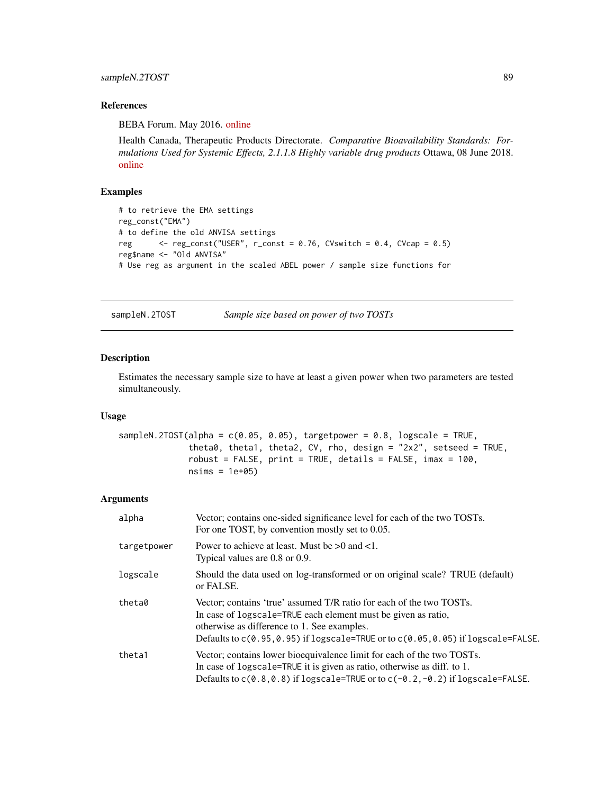## References

BEBA Forum. May 2016. [online](http://forum.bebac.at/mix_entry.php?id=16319)

Health Canada, Therapeutic Products Directorate. *Comparative Bioavailability Standards: Formulations Used for Systemic Effects, 2.1.1.8 Highly variable drug products* Ottawa, 08 June 2018. [online](https://www.canada.ca/en/health-canada/services/drugs-health-products/drug-products/applications-submissions/guidance-documents/bioavailability-bioequivalence/comparative-bioavailability-standards-formulations-used-systemic-effects.html#a2.1.1.8)

## Examples

```
# to retrieve the EMA settings
reg_const("EMA")
# to define the old ANVISA settings
reg \leq reg_const("USER", r_const = 0.76, CVswitch = 0.4, CVcap = 0.5)
reg$name <- "Old ANVISA"
# Use reg as argument in the scaled ABEL power / sample size functions for
```
sampleN.2TOST *Sample size based on power of two TOSTs*

## Description

Estimates the necessary sample size to have at least a given power when two parameters are tested simultaneously.

#### Usage

```
sampleN.2TOST(alpha = c(0.05, 0.05), targetpower = 0.8, logscale = TRUE,
              theta0, theta1, theta2, CV, rho, design = "2x2", setseed = TRUE,
             robust = FALSE, print = TRUE, details = FALSE, imax = 100,
             nsims = 1e+05
```

| alpha       | Vector; contains one-sided significance level for each of the two TOSTs.<br>For one TOST, by convention mostly set to 0.05.                                                                                                                                                   |
|-------------|-------------------------------------------------------------------------------------------------------------------------------------------------------------------------------------------------------------------------------------------------------------------------------|
| targetpower | Power to achieve at least. Must be $>0$ and $<1$ .<br>Typical values are 0.8 or 0.9.                                                                                                                                                                                          |
| logscale    | Should the data used on log-transformed or on original scale? TRUE (default)<br>or FALSE.                                                                                                                                                                                     |
| theta0      | Vector; contains 'true' assumed T/R ratio for each of the two TOSTs.<br>In case of logscale=TRUE each element must be given as ratio,<br>otherwise as difference to 1. See examples.<br>Defaults to $c(0.95, 0.95)$ if logscale=TRUE or to $c(0.05, 0.05)$ if logscale=FALSE. |
| theta1      | Vector; contains lower bioequivalence limit for each of the two TOSTs.<br>In case of logscale=TRUE it is given as ratio, otherwise as diff. to 1.<br>Defaults to $c(0.8, 0.8)$ if logscale=TRUE or to $c(-0.2, -0.2)$ if logscale=FALSE.                                      |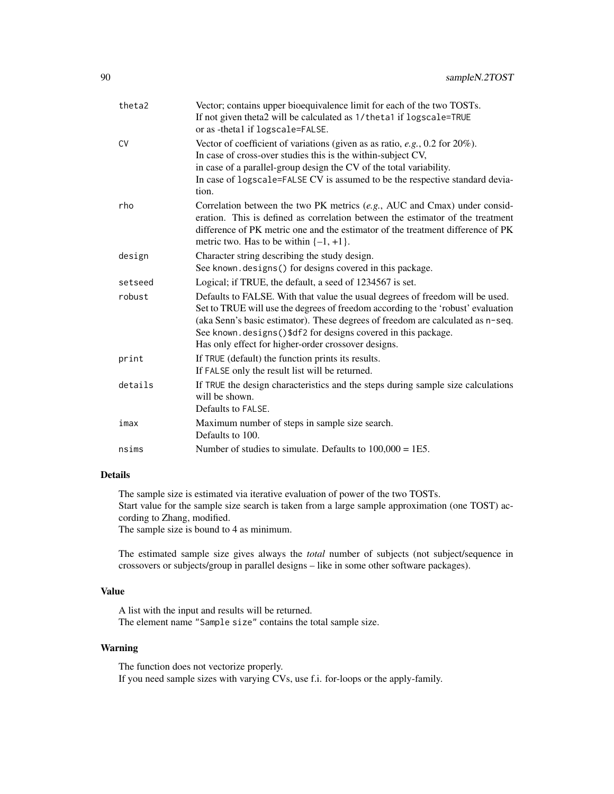| theta2  | Vector; contains upper bioequivalence limit for each of the two TOSTs.<br>If not given theta2 will be calculated as 1/theta1 if logscale=TRUE<br>or as -thetal if logscale=FALSE.                                                                                                                                                                                            |
|---------|------------------------------------------------------------------------------------------------------------------------------------------------------------------------------------------------------------------------------------------------------------------------------------------------------------------------------------------------------------------------------|
| CV      | Vector of coefficient of variations (given as as ratio, e.g., 0.2 for $20\%$ ).<br>In case of cross-over studies this is the within-subject CV,<br>in case of a parallel-group design the CV of the total variability.<br>In case of logscale=FALSE CV is assumed to be the respective standard devia-<br>tion.                                                              |
| rho     | Correlation between the two PK metrics (e.g., AUC and Cmax) under consid-<br>eration. This is defined as correlation between the estimator of the treatment<br>difference of PK metric one and the estimator of the treatment difference of PK<br>metric two. Has to be within $\{-1, +1\}$ .                                                                                |
| design  | Character string describing the study design.<br>See known.designs() for designs covered in this package.                                                                                                                                                                                                                                                                    |
| setseed | Logical; if TRUE, the default, a seed of 1234567 is set.                                                                                                                                                                                                                                                                                                                     |
| robust  | Defaults to FALSE. With that value the usual degrees of freedom will be used.<br>Set to TRUE will use the degrees of freedom according to the 'robust' evaluation<br>(aka Senn's basic estimator). These degrees of freedom are calculated as n-seq.<br>See known.designs()\$df2 for designs covered in this package.<br>Has only effect for higher-order crossover designs. |
| print   | If TRUE (default) the function prints its results.<br>If FALSE only the result list will be returned.                                                                                                                                                                                                                                                                        |
| details | If TRUE the design characteristics and the steps during sample size calculations<br>will be shown.<br>Defaults to FALSE.                                                                                                                                                                                                                                                     |
| imax    | Maximum number of steps in sample size search.<br>Defaults to 100.                                                                                                                                                                                                                                                                                                           |
| nsims   | Number of studies to simulate. Defaults to $100,000 = 1E5$ .                                                                                                                                                                                                                                                                                                                 |
|         |                                                                                                                                                                                                                                                                                                                                                                              |

The sample size is estimated via iterative evaluation of power of the two TOSTs. Start value for the sample size search is taken from a large sample approximation (one TOST) according to Zhang, modified.

The sample size is bound to 4 as minimum.

The estimated sample size gives always the *total* number of subjects (not subject/sequence in crossovers or subjects/group in parallel designs – like in some other software packages).

## Value

A list with the input and results will be returned. The element name "Sample size" contains the total sample size.

## Warning

The function does not vectorize properly. If you need sample sizes with varying CVs, use f.i. for-loops or the apply-family.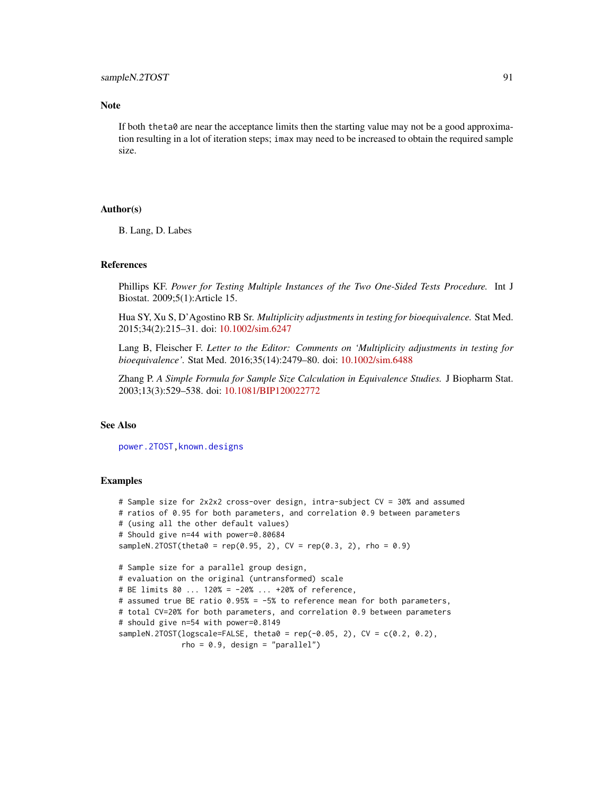### **Note**

If both theta0 are near the acceptance limits then the starting value may not be a good approximation resulting in a lot of iteration steps; imax may need to be increased to obtain the required sample size.

#### Author(s)

B. Lang, D. Labes

## References

Phillips KF. *Power for Testing Multiple Instances of the Two One-Sided Tests Procedure.* Int J Biostat. 2009;5(1):Article 15.

Hua SY, Xu S, D'Agostino RB Sr. *Multiplicity adjustments in testing for bioequivalence.* Stat Med. 2015;34(2):215–31. doi: [10.1002/sim.6247](https://doi.org/10.1002/sim.6247)

Lang B, Fleischer F. *Letter to the Editor: Comments on 'Multiplicity adjustments in testing for bioequivalence'.* Stat Med. 2016;35(14):2479–80. doi: [10.1002/sim.6488](https://doi.org/10.1002/sim.6488)

Zhang P. *A Simple Formula for Sample Size Calculation in Equivalence Studies.* J Biopharm Stat. 2003;13(3):529–538. doi: [10.1081/BIP120022772](https://doi.org/10.1081/BIP-120022772)

#### See Also

[power.2TOST](#page-49-0)[,known.designs](#page-36-0)

#### Examples

```
# Sample size for 2x2x2 cross-over design, intra-subject CV = 30% and assumed
# ratios of 0.95 for both parameters, and correlation 0.9 between parameters
# (using all the other default values)
# Should give n=44 with power=0.80684
sampleN.2TOST(theta0 = rep(0.95, 2), CV = rep(0.3, 2), rho = 0.9)
# Sample size for a parallel group design,
# evaluation on the original (untransformed) scale
# BE limits 80 ... 120% = -20% ... +20% of reference,
# assumed true BE ratio 0.95% = -5% to reference mean for both parameters,
# total CV=20% for both parameters, and correlation 0.9 between parameters
# should give n=54 with power=0.8149
sampleN.2TOST(logscale=FALSE, theta\theta = rep(-0.05, 2), CV = c(0.2, 0.2),
             rho = 0.9, design = "parallel")
```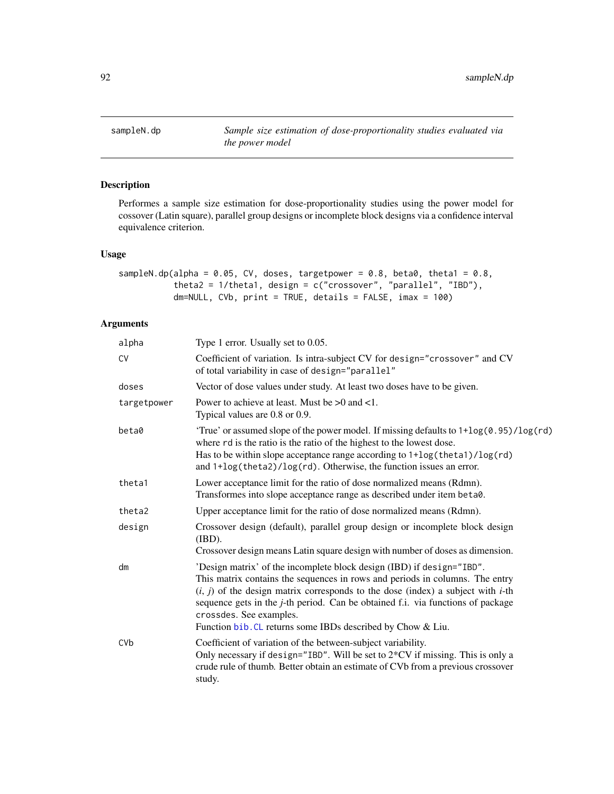sampleN.dp *Sample size estimation of dose-proportionality studies evaluated via the power model*

## Description

Performes a sample size estimation for dose-proportionality studies using the power model for cossover (Latin square), parallel group designs or incomplete block designs via a confidence interval equivalence criterion.

## Usage

```
sampleN.dp(alpha = 0.05, CV, doses, targetpower = 0.8, beta0, theta1 = 0.8,
           theta2 = 1/theta1, design = c("crossover", "parallel", "IBD"),
           dm=NULL, CVb, print = TRUE, details = FALSE, imax = 100)
```

| alpha           | Type 1 error. Usually set to 0.05.                                                                                                                                                                                                                                                                                                                                                                                                      |  |
|-----------------|-----------------------------------------------------------------------------------------------------------------------------------------------------------------------------------------------------------------------------------------------------------------------------------------------------------------------------------------------------------------------------------------------------------------------------------------|--|
| <b>CV</b>       | Coefficient of variation. Is intra-subject CV for design="crossover" and CV<br>of total variability in case of design="parallel"                                                                                                                                                                                                                                                                                                        |  |
| doses           | Vector of dose values under study. At least two doses have to be given.                                                                                                                                                                                                                                                                                                                                                                 |  |
| targetpower     | Power to achieve at least. Must be $>0$ and $<1$ .<br>Typical values are 0.8 or 0.9.                                                                                                                                                                                                                                                                                                                                                    |  |
| beta0           | 'True' or assumed slope of the power model. If missing defaults to $1 + \log(0.95)/\log(\text{rd})$<br>where rd is the ratio is the ratio of the highest to the lowest dose.<br>Has to be within slope acceptance range according to 1+log(theta1)/log(rd)<br>and 1+log(theta2)/log(rd). Otherwise, the function issues an error.                                                                                                       |  |
| theta1          | Lower acceptance limit for the ratio of dose normalized means (Rdmn).<br>Transformes into slope acceptance range as described under item beta0.                                                                                                                                                                                                                                                                                         |  |
| theta2          | Upper acceptance limit for the ratio of dose normalized means (Rdmn).                                                                                                                                                                                                                                                                                                                                                                   |  |
| design          | Crossover design (default), parallel group design or incomplete block design<br>(IBD).<br>Crossover design means Latin square design with number of doses as dimension.                                                                                                                                                                                                                                                                 |  |
| dm              | 'Design matrix' of the incomplete block design (IBD) if design="IBD".<br>This matrix contains the sequences in rows and periods in columns. The entry<br>$(i, j)$ of the design matrix corresponds to the dose (index) a subject with <i>i</i> -th<br>sequence gets in the <i>j</i> -th period. Can be obtained f.i. via functions of package<br>crossdes. See examples.<br>Function bib. CL returns some IBDs described by Chow & Liu. |  |
| CV <sub>b</sub> | Coefficient of variation of the between-subject variability.<br>Only necessary if design="IBD". Will be set to 2*CV if missing. This is only a<br>crude rule of thumb. Better obtain an estimate of CVb from a previous crossover<br>study.                                                                                                                                                                                             |  |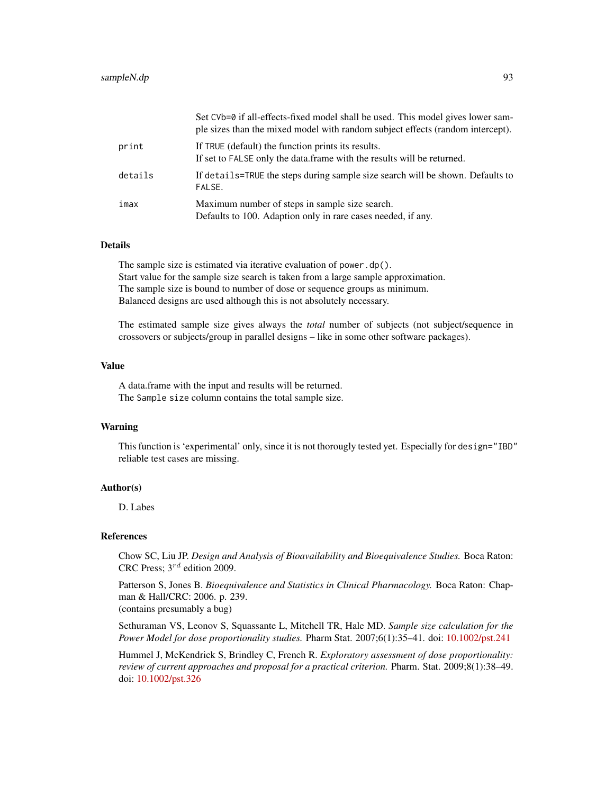|         | Set CVb=0 if all-effects-fixed model shall be used. This model gives lower sam-<br>ple sizes than the mixed model with random subject effects (random intercept). |
|---------|-------------------------------------------------------------------------------------------------------------------------------------------------------------------|
| print   | If TRUE (default) the function prints its results.<br>If set to FALSE only the data.frame with the results will be returned.                                      |
| details | If details=TRUE the steps during sample size search will be shown. Defaults to<br>FALSE.                                                                          |
| imax    | Maximum number of steps in sample size search.<br>Defaults to 100. Adaption only in rare cases needed, if any.                                                    |

The sample size is estimated via iterative evaluation of power.dp(). Start value for the sample size search is taken from a large sample approximation. The sample size is bound to number of dose or sequence groups as minimum. Balanced designs are used although this is not absolutely necessary.

The estimated sample size gives always the *total* number of subjects (not subject/sequence in crossovers or subjects/group in parallel designs – like in some other software packages).

#### Value

A data.frame with the input and results will be returned. The Sample size column contains the total sample size.

#### Warning

This function is 'experimental' only, since it is not thorougly tested yet. Especially for design="IBD" reliable test cases are missing.

#### Author(s)

D. Labes

#### References

Chow SC, Liu JP. *Design and Analysis of Bioavailability and Bioequivalence Studies.* Boca Raton: CRC Press;  $3^{rd}$  edition 2009.

Patterson S, Jones B. *Bioequivalence and Statistics in Clinical Pharmacology.* Boca Raton: Chapman & Hall/CRC: 2006. p. 239. (contains presumably a bug)

Sethuraman VS, Leonov S, Squassante L, Mitchell TR, Hale MD. *Sample size calculation for the Power Model for dose proportionality studies.* Pharm Stat. 2007;6(1):35–41. doi: [10.1002/pst.241](https://doi.org/10.1002/pst.241)

Hummel J, McKendrick S, Brindley C, French R. *Exploratory assessment of dose proportionality: review of current approaches and proposal for a practical criterion.* Pharm. Stat. 2009;8(1):38–49. doi: [10.1002/pst.326](https://doi.org/10.1002/pst.326)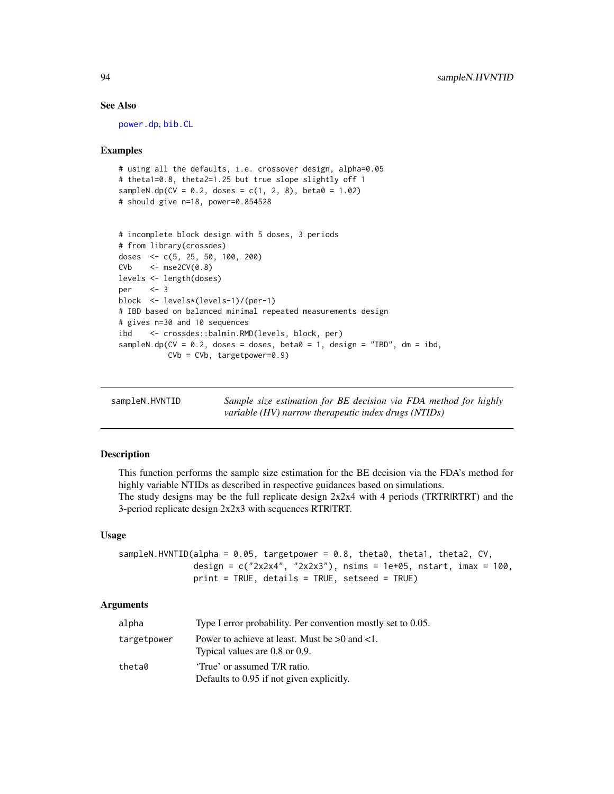## See Also

[power.dp](#page-51-0), [bib.CL](#page-2-0)

#### Examples

```
# using all the defaults, i.e. crossover design, alpha=0.05
# theta1=0.8, theta2=1.25 but true slope slightly off 1
sampleN.dp(CV = 0.2, doses = c(1, 2, 8), beta0 = 1.02)
# should give n=18, power=0.854528
```

```
# incomplete block design with 5 doses, 3 periods
# from library(crossdes)
doses <- c(5, 25, 50, 100, 200)
CVb \le - mse2CV(0.8)levels <- length(doses)
per \leq -3block <- levels*(levels-1)/(per-1)
# IBD based on balanced minimal repeated measurements design
# gives n=30 and 10 sequences
ibd <- crossdes::balmin.RMD(levels, block, per)
sampleN.dp(CV = 0.2, doses = doses, beta0 = 1, design = "IBD", dm = ibd,
           CVb = CVb, targetpower=0.9)
```
<span id="page-93-0"></span>

| sampleN.HVNTID | Sample size estimation for BE decision via FDA method for highly |
|----------------|------------------------------------------------------------------|
|                | variable (HV) narrow therapeutic index drugs (NTIDs)             |

### Description

This function performs the sample size estimation for the BE decision via the FDA's method for highly variable NTIDs as described in respective guidances based on simulations. The study designs may be the full replicate design  $2x2x4$  with 4 periods (TRTRIRTRT) and the 3-period replicate design 2x2x3 with sequences RTR|TRT.

#### Usage

```
sampleN.HVNTID(alpha = 0.05, targetpower = 0.8, theta0, theta1, theta2, CV,
               design = c("2x2x4", "2x2x3"), nsims = 1e+05, nstart, imax = 100,
               print = TRUE, details = TRUE, setseed = TRUE)
```

| alpha       | Type I error probability. Per convention mostly set to 0.05.                         |
|-------------|--------------------------------------------------------------------------------------|
| targetpower | Power to achieve at least. Must be $>0$ and $<1$ .<br>Typical values are 0.8 or 0.9. |
| theta0      | 'True' or assumed T/R ratio.<br>Defaults to 0.95 if not given explicitly.            |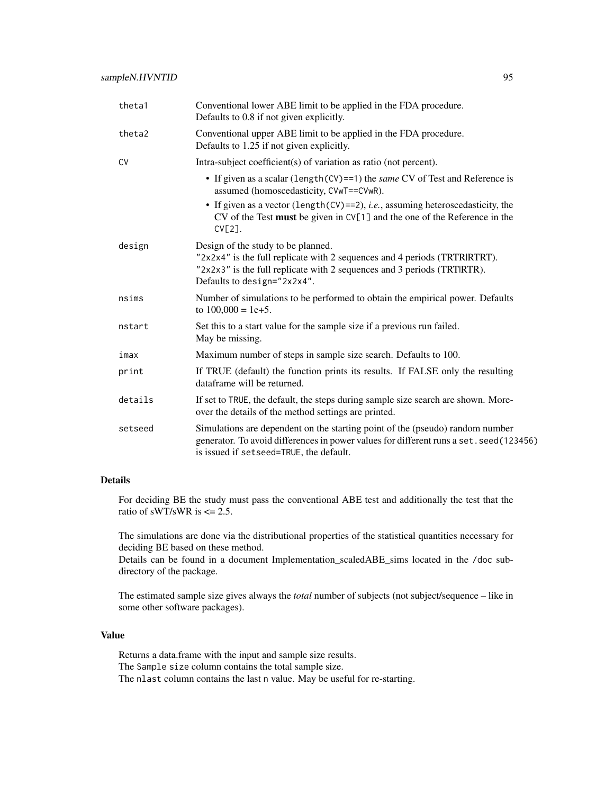| theta1    | Conventional lower ABE limit to be applied in the FDA procedure.<br>Defaults to 0.8 if not given explicitly.                                                                                                              |  |
|-----------|---------------------------------------------------------------------------------------------------------------------------------------------------------------------------------------------------------------------------|--|
| theta2    | Conventional upper ABE limit to be applied in the FDA procedure.<br>Defaults to 1.25 if not given explicitly.                                                                                                             |  |
| <b>CV</b> | Intra-subject coefficient(s) of variation as ratio (not percent).                                                                                                                                                         |  |
|           | • If given as a scalar (length(CV)==1) the same CV of Test and Reference is<br>assumed (homoscedasticity, CVwT==CVwR).                                                                                                    |  |
|           | • If given as a vector (length $(CV) == 2$ ), <i>i.e.</i> , assuming heteroscedasticity, the<br>$CV$ of the Test <b>must</b> be given in $CV[1]$ and the one of the Reference in the<br>$CV[2]$ .                         |  |
| design    | Design of the study to be planned.<br>"2x2x4" is the full replicate with 2 sequences and 4 periods (TRTRIRTRT).<br>"2x2x3" is the full replicate with 2 sequences and 3 periods (TRTIRTR).<br>Defaults to design="2x2x4". |  |
| nsims     | Number of simulations to be performed to obtain the empirical power. Defaults<br>to $100,000 = 1e+5$ .                                                                                                                    |  |
| nstart    | Set this to a start value for the sample size if a previous run failed.<br>May be missing.                                                                                                                                |  |
| imax      | Maximum number of steps in sample size search. Defaults to 100.                                                                                                                                                           |  |
| print     | If TRUE (default) the function prints its results. If FALSE only the resulting<br>dataframe will be returned.                                                                                                             |  |
| details   | If set to TRUE, the default, the steps during sample size search are shown. More-<br>over the details of the method settings are printed.                                                                                 |  |
| setseed   | Simulations are dependent on the starting point of the (pseudo) random number<br>generator. To avoid differences in power values for different runs a set. seed(123456)<br>is issued if setseed=TRUE, the default.        |  |

For deciding BE the study must pass the conventional ABE test and additionally the test that the ratio of sWT/sWR is  $\leq$  2.5.

The simulations are done via the distributional properties of the statistical quantities necessary for deciding BE based on these method.

Details can be found in a document Implementation\_scaledABE\_sims located in the /doc subdirectory of the package.

The estimated sample size gives always the *total* number of subjects (not subject/sequence – like in some other software packages).

#### Value

Returns a data.frame with the input and sample size results. The Sample size column contains the total sample size. The nlast column contains the last n value. May be useful for re-starting.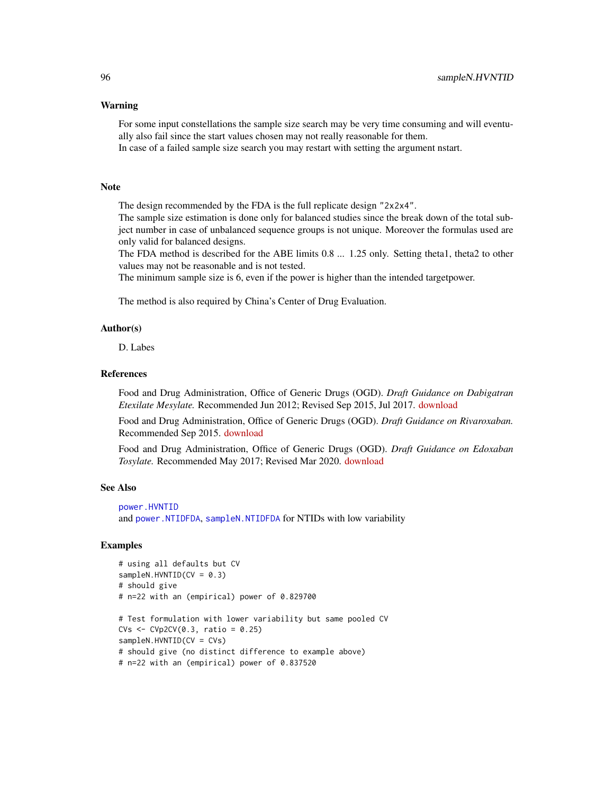#### Warning

For some input constellations the sample size search may be very time consuming and will eventually also fail since the start values chosen may not really reasonable for them.

In case of a failed sample size search you may restart with setting the argument nstart.

## Note

The design recommended by the FDA is the full replicate design "2x2x4".

The sample size estimation is done only for balanced studies since the break down of the total subject number in case of unbalanced sequence groups is not unique. Moreover the formulas used are only valid for balanced designs.

The FDA method is described for the ABE limits 0.8 ... 1.25 only. Setting theta1, theta2 to other values may not be reasonable and is not tested.

The minimum sample size is 6, even if the power is higher than the intended targetpower.

The method is also required by China's Center of Drug Evaluation.

#### Author(s)

D. Labes

## References

Food and Drug Administration, Office of Generic Drugs (OGD). *Draft Guidance on Dabigatran Etexilate Mesylate.* Recommended Jun 2012; Revised Sep 2015, Jul 2017. [download](https://www.accessdata.fda.gov/drugsatfda_docs/psg/Dabigatran%20etexilate%20mesylate_oral%20capsule_NDA%20022512_RV05-17.pdf)

Food and Drug Administration, Office of Generic Drugs (OGD). *Draft Guidance on Rivaroxaban.* Recommended Sep 2015. [download](https://www.accessdata.fda.gov/drugsatfda_docs/psg/Rivaroxaban_oral%20tablet_22406_RC09-15.pdf)

Food and Drug Administration, Office of Generic Drugs (OGD). *Draft Guidance on Edoxaban Tosylate.* Recommended May 2017; Revised Mar 2020. [download](https://www.accessdata.fda.gov/drugsatfda_docs/psg/PSG_206316.pdf)

#### See Also

```
power.HVNTID
and power.NTIDFDA, sampleN.NTIDFDA for NTIDs with low variability
```
## Examples

```
# using all defaults but CV
sampleN.HVNTID(CV = 0.3)# should give
# n=22 with an (empirical) power of 0.829700
# Test formulation with lower variability but same pooled CV
CVs < -CVp2CV(0.3, ratio = 0.25)sampleN.HVNTID(CV = CVs)
# should give (no distinct difference to example above)
# n=22 with an (empirical) power of 0.837520
```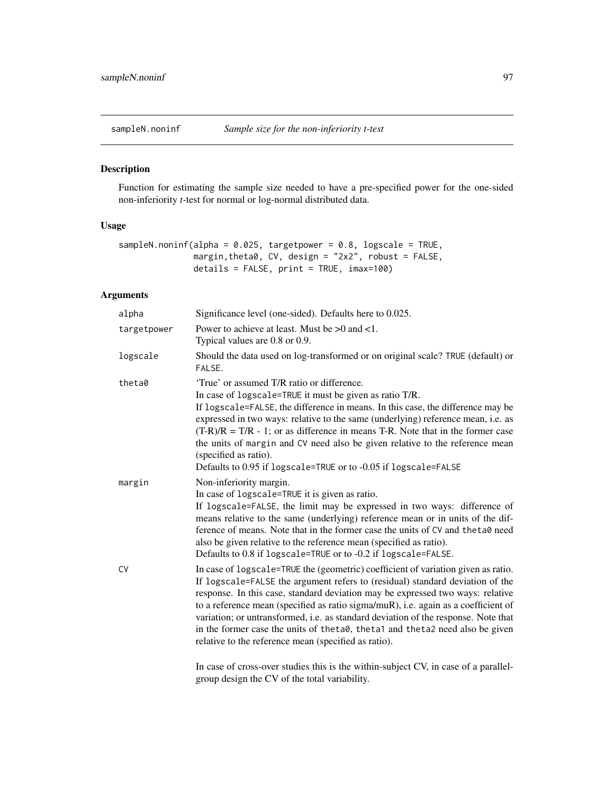## Description

Function for estimating the sample size needed to have a pre-specified power for the one-sided non-inferiority *t*-test for normal or log-normal distributed data.

# Usage

```
sampleN.noninf(alpha = 0.025, targetpower = 0.8, logscale = TRUE,
              margin,theta0, CV, design = "2x2", robust = FALSE,
              details = FALSE, print = TRUE, imax=100)
```
## Arguments

| alpha       | Significance level (one-sided). Defaults here to 0.025.                                                                                                                                                                                                                                                                                                                                                                                                                                                                                                                     |  |
|-------------|-----------------------------------------------------------------------------------------------------------------------------------------------------------------------------------------------------------------------------------------------------------------------------------------------------------------------------------------------------------------------------------------------------------------------------------------------------------------------------------------------------------------------------------------------------------------------------|--|
| targetpower | Power to achieve at least. Must be $>0$ and $<1$ .<br>Typical values are 0.8 or 0.9.                                                                                                                                                                                                                                                                                                                                                                                                                                                                                        |  |
| logscale    | Should the data used on log-transformed or on original scale? TRUE (default) or<br>FALSE.                                                                                                                                                                                                                                                                                                                                                                                                                                                                                   |  |
| theta0      | 'True' or assumed T/R ratio or difference.<br>In case of logscale=TRUE it must be given as ratio T/R.<br>If logscale=FALSE, the difference in means. In this case, the difference may be<br>expressed in two ways: relative to the same (underlying) reference mean, i.e. as<br>$(T-R)/R = T/R - 1$ ; or as difference in means T-R. Note that in the former case<br>the units of margin and CV need also be given relative to the reference mean<br>(specified as ratio).<br>Defaults to 0.95 if logscale=TRUE or to -0.05 if logscale=FALSE                               |  |
| margin      | Non-inferiority margin.<br>In case of logscale=TRUE it is given as ratio.<br>If logscale=FALSE, the limit may be expressed in two ways: difference of<br>means relative to the same (underlying) reference mean or in units of the dif-<br>ference of means. Note that in the former case the units of CV and theta0 need<br>also be given relative to the reference mean (specified as ratio).<br>Defaults to 0.8 if logscale=TRUE or to -0.2 if logscale=FALSE.                                                                                                           |  |
| <b>CV</b>   | In case of logscale=TRUE the (geometric) coefficient of variation given as ratio.<br>If logscale=FALSE the argument refers to (residual) standard deviation of the<br>response. In this case, standard deviation may be expressed two ways: relative<br>to a reference mean (specified as ratio sigma/muR), i.e. again as a coefficient of<br>variation; or untransformed, i.e. as standard deviation of the response. Note that<br>in the former case the units of the ta0, the ta1 and the ta2 need also be given<br>relative to the reference mean (specified as ratio). |  |
|             | In case of cross-over studies this is the within-subject CV, in case of a parallel-                                                                                                                                                                                                                                                                                                                                                                                                                                                                                         |  |

group design the CV of the total variability.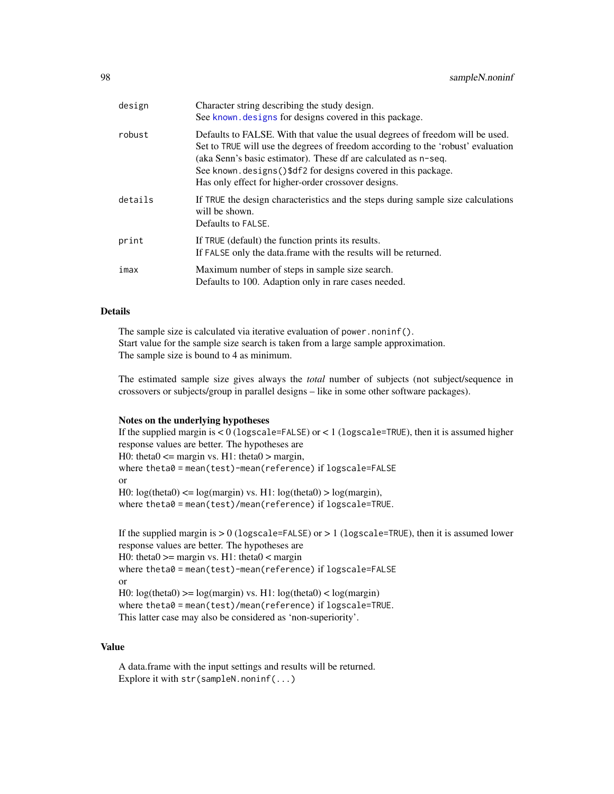| design  | Character string describing the study design.<br>See known, designs for designs covered in this package.                                                                                                                                                                                                                                                        |
|---------|-----------------------------------------------------------------------------------------------------------------------------------------------------------------------------------------------------------------------------------------------------------------------------------------------------------------------------------------------------------------|
| robust  | Defaults to FALSE. With that value the usual degrees of freedom will be used.<br>Set to TRUE will use the degrees of freedom according to the 'robust' evaluation<br>(aka Senn's basic estimator). These df are calculated as n-seq.<br>See known. designs () \$df2 for designs covered in this package.<br>Has only effect for higher-order crossover designs. |
| details | If TRUE the design characteristics and the steps during sample size calculations<br>will be shown.<br>Defaults to FALSE.                                                                                                                                                                                                                                        |
| print   | If TRUE (default) the function prints its results.<br>If FALSE only the data frame with the results will be returned.                                                                                                                                                                                                                                           |
| imax    | Maximum number of steps in sample size search.<br>Defaults to 100. Adaption only in rare cases needed.                                                                                                                                                                                                                                                          |

The sample size is calculated via iterative evaluation of power.noninf(). Start value for the sample size search is taken from a large sample approximation. The sample size is bound to 4 as minimum.

The estimated sample size gives always the *total* number of subjects (not subject/sequence in crossovers or subjects/group in parallel designs – like in some other software packages).

#### Notes on the underlying hypotheses

```
If the supplied margin is \lt 0 (logscale=FALSE) or \lt 1 (logscale=TRUE), then it is assumed higher
response values are better. The hypotheses are
H0: theta0 \le margin vs. H1: theta0 \ge margin,
where theta0 = mean(test)-mean(reference) if logscale=FALSE
or
H0: log(hteta0) \leq log(margin) vs. H1: log(theta0) > log(margin),
where theta0 = mean(test)/mean(reference) if logscale=TRUE.
```

```
If the supplied margin is > 0 (logscale=FALSE) or > 1 (logscale=TRUE), then it is assumed lower
response values are better. The hypotheses are
H0: theta0 \ge margin vs. H1: theta0 \lt margin
where theta0 = mean(test)-mean(reference) if logscale=FALSE
or
H0: log(theta0) >= log(margin) vs. H1: log(theta0) < log(margin)where theta0 = mean(test)/mean(reference) if logscale=TRUE.
This latter case may also be considered as 'non-superiority'.
```
## Value

A data.frame with the input settings and results will be returned. Explore it with str(sampleN.noninf(...)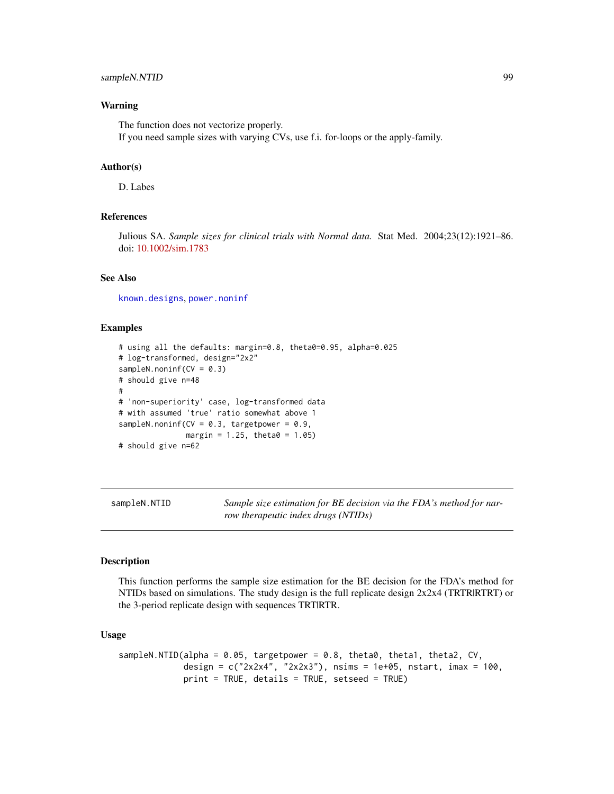#### Warning

The function does not vectorize properly.

If you need sample sizes with varying CVs, use f.i. for-loops or the apply-family.

#### Author(s)

D. Labes

#### References

Julious SA. *Sample sizes for clinical trials with Normal data.* Stat Med. 2004;23(12):1921–86. doi: [10.1002/sim.1783](https://doi.org/10.1002/sim.1783)

#### See Also

[known.designs](#page-36-0), [power.noninf](#page-55-0)

#### Examples

```
# using all the defaults: margin=0.8, theta0=0.95, alpha=0.025
# log-transformed, design="2x2"
sampleN.noninf(CV = 0.3)
# should give n=48
#
# 'non-superiority' case, log-transformed data
# with assumed 'true' ratio somewhat above 1
sampleN.noninf(CV = 0.3, targetpower = 0.9,
               margin = 1.25, theta0 = 1.05)
# should give n=62
```
sampleN.NTID *Sample size estimation for BE decision via the FDA's method for narrow therapeutic index drugs (NTIDs)*

## <span id="page-98-0"></span>Description

This function performs the sample size estimation for the BE decision for the FDA's method for NTIDs based on simulations. The study design is the full replicate design 2x2x4 (TRTR|RTRT) or the 3-period replicate design with sequences TRT|RTR.

#### Usage

```
sampleN.NTID(alpha = 0.05, targetpower = 0.8, theta0, theta1, theta2, CV,
            design = c("2x2x4", "2x2x3"), nsims = 1e+05, nstart, imax = 100,
            print = TRUE, details = TRUE, setseed = TRUE)
```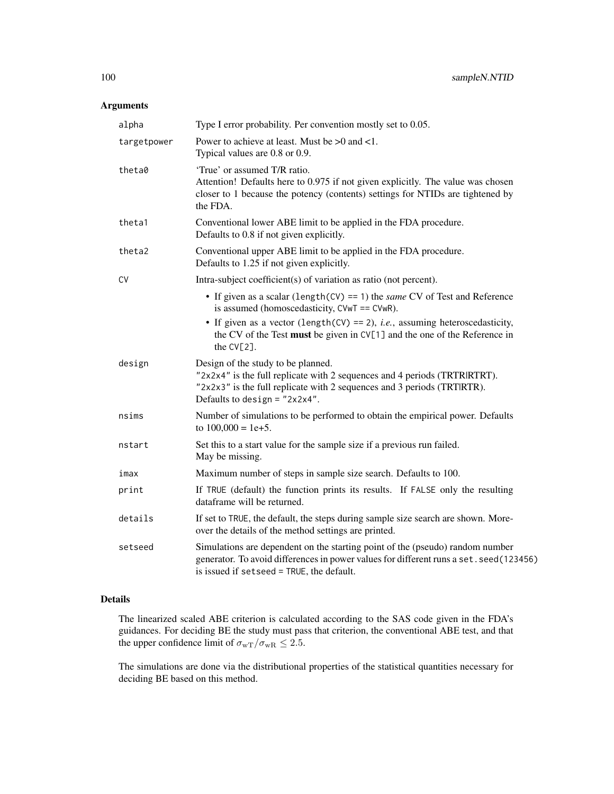# Arguments

| alpha       | Type I error probability. Per convention mostly set to 0.05.                                                                                                                                                                   |  |
|-------------|--------------------------------------------------------------------------------------------------------------------------------------------------------------------------------------------------------------------------------|--|
| targetpower | Power to achieve at least. Must be $>0$ and $<1$ .<br>Typical values are 0.8 or 0.9.                                                                                                                                           |  |
| theta0      | 'True' or assumed T/R ratio.<br>Attention! Defaults here to 0.975 if not given explicitly. The value was chosen<br>closer to 1 because the potency (contents) settings for NTIDs are tightened by<br>the FDA.                  |  |
| theta1      | Conventional lower ABE limit to be applied in the FDA procedure.<br>Defaults to 0.8 if not given explicitly.                                                                                                                   |  |
| theta2      | Conventional upper ABE limit to be applied in the FDA procedure.<br>Defaults to 1.25 if not given explicitly.                                                                                                                  |  |
| CV          | Intra-subject coefficient(s) of variation as ratio (not percent).                                                                                                                                                              |  |
|             | • If given as a scalar (length $(CV) == 1$ ) the <i>same</i> CV of Test and Reference<br>is assumed (homoscedasticity, CVwT == CVwR).                                                                                          |  |
|             | • If given as a vector (length(CV) == 2), <i>i.e.</i> , assuming heteroscedasticity,<br>the CV of the Test must be given in CV[1] and the one of the Reference in<br>the $CV[2]$ .                                             |  |
| design      | Design of the study to be planned.<br>"2x2x4" is the full replicate with 2 sequences and 4 periods (TRTRIRTRT).<br>"2x2x3" is the full replicate with 2 sequences and 3 periods (TRTIRTR).<br>Defaults to design = $"2x2x4"$ . |  |
| nsims       | Number of simulations to be performed to obtain the empirical power. Defaults<br>to $100,000 = 1e+5$ .                                                                                                                         |  |
| nstart      | Set this to a start value for the sample size if a previous run failed.<br>May be missing.                                                                                                                                     |  |
| imax        | Maximum number of steps in sample size search. Defaults to 100.                                                                                                                                                                |  |
| print       | If TRUE (default) the function prints its results. If FALSE only the resulting<br>dataframe will be returned.                                                                                                                  |  |
| details     | If set to TRUE, the default, the steps during sample size search are shown. More-<br>over the details of the method settings are printed.                                                                                      |  |
| setseed     | Simulations are dependent on the starting point of the (pseudo) random number<br>generator. To avoid differences in power values for different runs a set. seed(123456)<br>is issued if setseed = TRUE, the default.           |  |

# Details

The linearized scaled ABE criterion is calculated according to the SAS code given in the FDA's guidances. For deciding BE the study must pass that criterion, the conventional ABE test, and that the upper confidence limit of  $\sigma_{\rm wT}/\sigma_{\rm wR} \leq 2.5$ .

The simulations are done via the distributional properties of the statistical quantities necessary for deciding BE based on this method.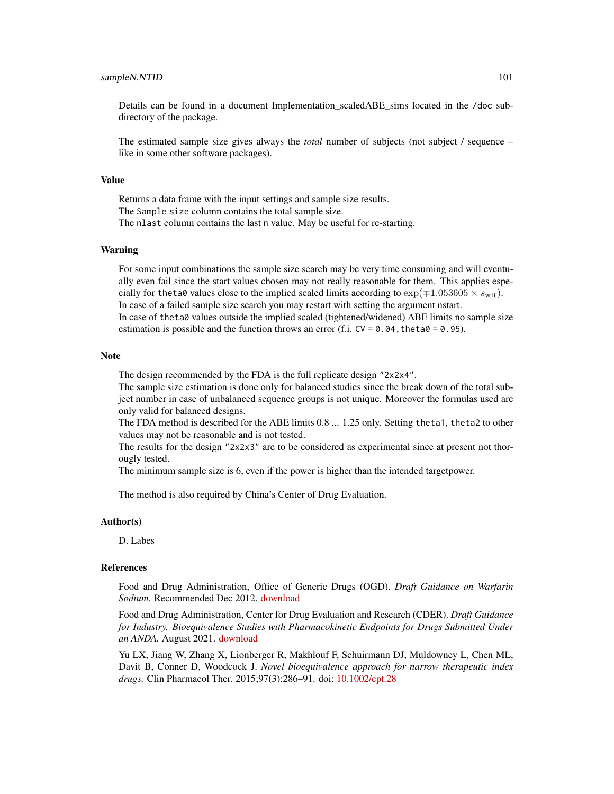#### sampleN.NTID 101

Details can be found in a document Implementation\_scaledABE\_sims located in the /doc subdirectory of the package.

The estimated sample size gives always the *total* number of subjects (not subject / sequence – like in some other software packages).

#### Value

Returns a data frame with the input settings and sample size results. The Sample size column contains the total sample size. The nlast column contains the last n value. May be useful for re-starting.

#### Warning

For some input combinations the sample size search may be very time consuming and will eventually even fail since the start values chosen may not really reasonable for them. This applies especially for theta0 values close to the implied scaled limits according to  $\exp(\mp 1.053605 \times s_{\text{wR}})$ . In case of a failed sample size search you may restart with setting the argument nstart. In case of theta0 values outside the implied scaled (tightened/widened) ABE limits no sample size estimation is possible and the function throws an error (f.i.  $CV = 0.04$ , theta $0 = 0.95$ ).

#### Note

The design recommended by the FDA is the full replicate design "2x2x4".

The sample size estimation is done only for balanced studies since the break down of the total subject number in case of unbalanced sequence groups is not unique. Moreover the formulas used are only valid for balanced designs.

The FDA method is described for the ABE limits 0.8 ... 1.25 only. Setting theta1, theta2 to other values may not be reasonable and is not tested.

The results for the design "2x2x3" are to be considered as experimental since at present not thorougly tested.

The minimum sample size is 6, even if the power is higher than the intended targetpower.

The method is also required by China's Center of Drug Evaluation.

#### Author(s)

D. Labes

## References

Food and Drug Administration, Office of Generic Drugs (OGD). *Draft Guidance on Warfarin Sodium.* Recommended Dec 2012. [download](https://www.accessdata.fda.gov/drugsatfda_docs/psg/Warfarin_Sodium_tab_09218_RC12-12.pdf)

Food and Drug Administration, Center for Drug Evaluation and Research (CDER). *Draft Guidance for Industry. Bioequivalence Studies with Pharmacokinetic Endpoints for Drugs Submitted Under an ANDA.* August 2021. [download](https://www.fda.gov/media/87219/Download)

Yu LX, Jiang W, Zhang X, Lionberger R, Makhlouf F, Schuirmann DJ, Muldowney L, Chen ML, Davit B, Conner D, Woodcock J. *Novel bioequivalence approach for narrow therapeutic index drugs.* Clin Pharmacol Ther. 2015;97(3):286–91. doi: [10.1002/cpt.28](https://doi.org/10.1002/cpt.28)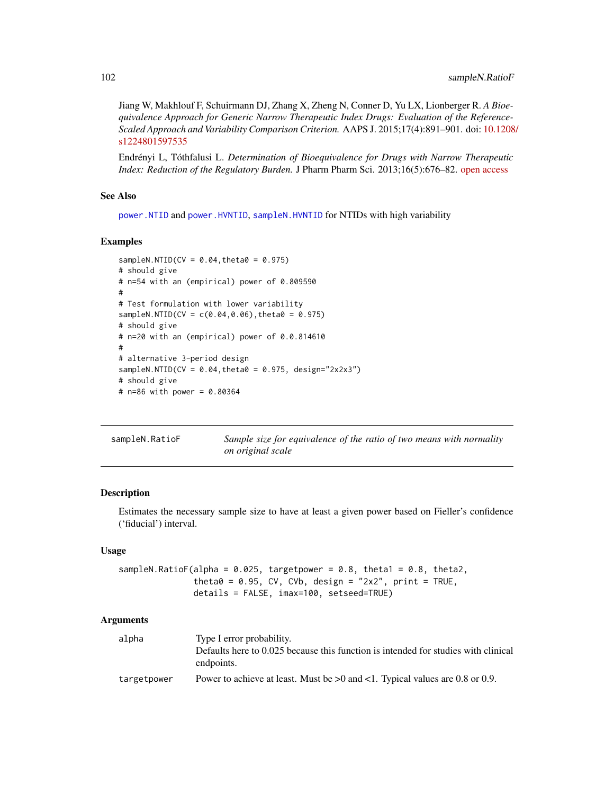Jiang W, Makhlouf F, Schuirmann DJ, Zhang X, Zheng N, Conner D, Yu LX, Lionberger R. *A Bioequivalence Approach for Generic Narrow Therapeutic Index Drugs: Evaluation of the Reference-Scaled Approach and Variability Comparison Criterion.* AAPS J. 2015;17(4):891–901. doi: [10.1208](https://doi.org/10.1208/s12248-015-9753-5)/ [s1224801597535](https://doi.org/10.1208/s12248-015-9753-5)

Endrényi L, Tóthfalusi L. *Determination of Bioequivalence for Drugs with Narrow Therapeutic Index: Reduction of the Regulatory Burden.* J Pharm Pharm Sci. 2013;16(5):676–82. [open access](https://journals.library.ualberta.ca/jpps/index.php/JPPS/article/download/20900/15927/0)

## See Also

[power.NTID](#page-58-1) and [power.HVNTID](#page-53-0), [sampleN.HVNTID](#page-93-0) for NTIDs with high variability

## Examples

```
sampleN.NTID(CV = 0.04, theta0 = 0.975)
# should give
# n=54 with an (empirical) power of 0.809590
#
# Test formulation with lower variability
sampleN.NTID(CV = c(0.04, 0.06), theta0 = 0.975)
# should give
# n=20 with an (empirical) power of 0.0.814610
#
# alternative 3-period design
sampleN.NTID(CV = 0.04, theta0 = 0.975, design="2x2x3")
# should give
# n=86 with power = 0.80364
```

| sampleN.RatioF | Sample size for equivalence of the ratio of two means with normality |
|----------------|----------------------------------------------------------------------|
|                | on original scale                                                    |

## Description

Estimates the necessary sample size to have at least a given power based on Fieller's confidence ('fiducial') interval.

## Usage

sampleN.RatioF(alpha =  $0.025$ , targetpower =  $0.8$ , theta1 =  $0.8$ , theta2, theta $0 = 0.95$ , CV, CVb, design = "2x2", print = TRUE, details = FALSE, imax=100, setseed=TRUE)

| alpha       | Type I error probability.<br>Defaults here to 0.025 because this function is intended for studies with clinical |
|-------------|-----------------------------------------------------------------------------------------------------------------|
|             | endpoints.                                                                                                      |
| targetpower | Power to achieve at least. Must be $>0$ and $<1$ . Typical values are 0.8 or 0.9.                               |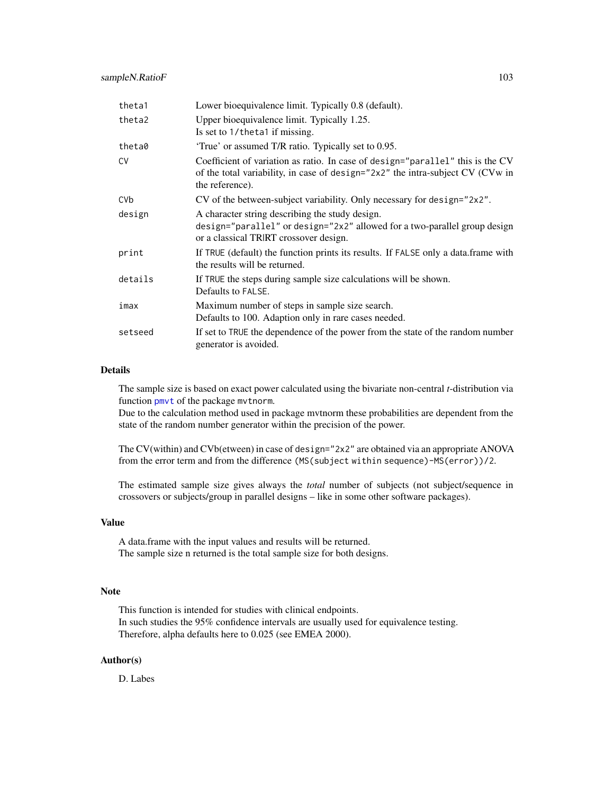| theta1    | Lower bioequivalence limit. Typically 0.8 (default).                                                                                                                                |
|-----------|-------------------------------------------------------------------------------------------------------------------------------------------------------------------------------------|
| theta2    | Upper bioequivalence limit. Typically 1.25.<br>Is set to 1/theta1 if missing.                                                                                                       |
| theta0    | 'True' or assumed T/R ratio. Typically set to 0.95.                                                                                                                                 |
| <b>CV</b> | Coefficient of variation as ratio. In case of design="parallel" this is the CV<br>of the total variability, in case of design="2x2" the intra-subject CV (CVw in<br>the reference). |
| CVb       | CV of the between-subject variability. Only necessary for design="2x2".                                                                                                             |
| design    | A character string describing the study design.<br>design="parallel" or design="2x2" allowed for a two-parallel group design<br>or a classical TRIRT crossover design.              |
| print     | If TRUE (default) the function prints its results. If FALSE only a data frame with<br>the results will be returned.                                                                 |
| details   | If TRUE the steps during sample size calculations will be shown.<br>Defaults to FALSE.                                                                                              |
| imax      | Maximum number of steps in sample size search.<br>Defaults to 100. Adaption only in rare cases needed.                                                                              |
| setseed   | If set to TRUE the dependence of the power from the state of the random number<br>generator is avoided.                                                                             |

The sample size is based on exact power calculated using the bivariate non-central *t*-distribution via function [pmvt](#page-0-0) of the package mvtnorm.

Due to the calculation method used in package mvtnorm these probabilities are dependent from the state of the random number generator within the precision of the power.

The CV(within) and CVb(etween) in case of design="2x2" are obtained via an appropriate ANOVA from the error term and from the difference (MS(subject within sequence)-MS(error))/2.

The estimated sample size gives always the *total* number of subjects (not subject/sequence in crossovers or subjects/group in parallel designs – like in some other software packages).

#### Value

A data.frame with the input values and results will be returned. The sample size n returned is the total sample size for both designs.

## Note

This function is intended for studies with clinical endpoints. In such studies the 95% confidence intervals are usually used for equivalence testing. Therefore, alpha defaults here to 0.025 (see EMEA 2000).

#### Author(s)

D. Labes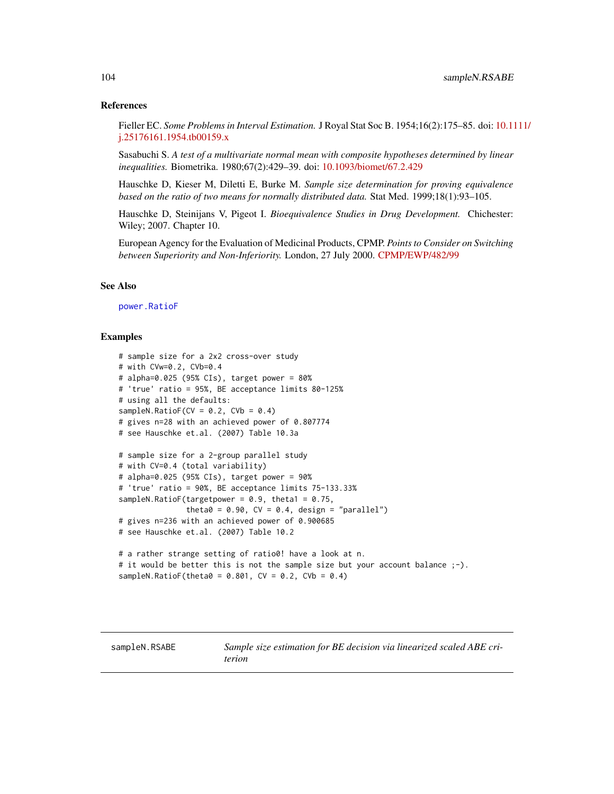#### References

Fieller EC. *Some Problems in Interval Estimation.* J Royal Stat Soc B. 1954;16(2):175–85. doi: [10.11](https://doi.org/10.1111/j.2517-6161.1954.tb00159.x)11/ [j.25176161.1954.tb00159.x](https://doi.org/10.1111/j.2517-6161.1954.tb00159.x)

Sasabuchi S. *A test of a multivariate normal mean with composite hypotheses determined by linear inequalities.* Biometrika. 1980;67(2):429–39. doi: [10.1093/biomet/67.2.429](https://doi.org/10.1093/biomet/67.2.429)

Hauschke D, Kieser M, Diletti E, Burke M. *Sample size determination for proving equivalence based on the ratio of two means for normally distributed data.* Stat Med. 1999;18(1):93–105.

Hauschke D, Steinijans V, Pigeot I. *Bioequivalence Studies in Drug Development.* Chichester: Wiley; 2007. Chapter 10.

European Agency for the Evaluation of Medicinal Products, CPMP. *Points to Consider on Switching between Superiority and Non-Inferiority.* London, 27 July 2000. [CPMP/EWP/482/99](https://www.ema.europa.eu/en/documents/scientific-guideline/points-consider-switching-between-superiority-non-inferiority_en.pdf)

#### See Also

[power.RatioF](#page-60-0)

#### Examples

```
# sample size for a 2x2 cross-over study
# with CVw=0.2, CVb=0.4
# alpha=0.025 (95% CIs), target power = 80%
# 'true' ratio = 95%, BE acceptance limits 80-125%
# using all the defaults:
sampleN.RatioF(CV = 0.2, CVb = 0.4)
# gives n=28 with an achieved power of 0.807774
# see Hauschke et.al. (2007) Table 10.3a
# sample size for a 2-group parallel study
# with CV=0.4 (total variability)
# alpha=0.025 (95% CIs), target power = 90%
# 'true' ratio = 90%, BE acceptance limits 75-133.33%
sampleN.RatioF(targetpower = 0.9, theta1 = 0.75,
               theta0 = 0.90, CV = 0.4, design = "parallel")
# gives n=236 with an achieved power of 0.900685
# see Hauschke et.al. (2007) Table 10.2
# a rather strange setting of ratio0! have a look at n.
# it would be better this is not the sample size but your account balance ;-).
sampleN.RatioF(theta0 = 0.801, CV = 0.2, CV = 0.4)
```
sampleN.RSABE *Sample size estimation for BE decision via linearized scaled ABE criterion*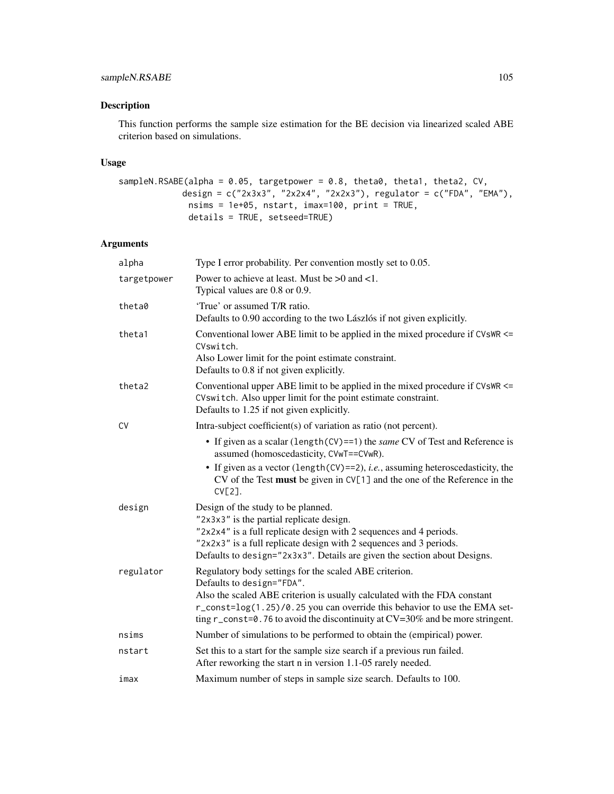## sampleN.RSABE 105

# Description

This function performs the sample size estimation for the BE decision via linearized scaled ABE criterion based on simulations.

## Usage

```
sampleN.RSABE(alpha = 0.05, targetpower = 0.8, theta0, theta1, theta2, CV,
            design = c("2x3x3", "2x2x4", "2x2x3"), regulator = c("FDA", "EMA"),
              nsims = 1e+05, nstart, imax=100, print = TRUE,
              details = TRUE, setseed=TRUE)
```

| alpha       | Type I error probability. Per convention mostly set to 0.05.                                                                                                                                                                                                                                                                                  |
|-------------|-----------------------------------------------------------------------------------------------------------------------------------------------------------------------------------------------------------------------------------------------------------------------------------------------------------------------------------------------|
| targetpower | Power to achieve at least. Must be $>0$ and $<1$ .<br>Typical values are 0.8 or 0.9.                                                                                                                                                                                                                                                          |
| theta0      | 'True' or assumed T/R ratio.<br>Defaults to 0.90 according to the two Lászlós if not given explicitly.                                                                                                                                                                                                                                        |
| theta1      | Conventional lower ABE limit to be applied in the mixed procedure if CVsWR <=<br>CVswitch.<br>Also Lower limit for the point estimate constraint.<br>Defaults to 0.8 if not given explicitly.                                                                                                                                                 |
| theta2      | Conventional upper ABE limit to be applied in the mixed procedure if CVsWR <=<br>CVswitch. Also upper limit for the point estimate constraint.<br>Defaults to 1.25 if not given explicitly.                                                                                                                                                   |
| <b>CV</b>   | Intra-subject coefficient(s) of variation as ratio (not percent).                                                                                                                                                                                                                                                                             |
|             | • If given as a scalar (length(CV)==1) the same CV of Test and Reference is<br>assumed (homoscedasticity, CVwT==CVwR).<br>• If given as a vector (length $(CV) == 2$ ), <i>i.e.</i> , assuming heteroscedasticity, the<br>CV of the Test must be given in CV[1] and the one of the Reference in the<br>$CV[2]$ .                              |
| design      | Design of the study to be planned.<br>"2x3x3" is the partial replicate design.<br>"2x2x4" is a full replicate design with 2 sequences and 4 periods.<br>"2x2x3" is a full replicate design with 2 sequences and 3 periods.<br>Defaults to design="2x3x3". Details are given the section about Designs.                                        |
| regulator   | Regulatory body settings for the scaled ABE criterion.<br>Defaults to design="FDA".<br>Also the scaled ABE criterion is usually calculated with the FDA constant<br>r_const=log(1.25)/0.25 you can override this behavior to use the EMA set-<br>ting $r_{\text{const}}$ =0.76 to avoid the discontinuity at $CV=30\%$ and be more stringent. |
| nsims       | Number of simulations to be performed to obtain the (empirical) power.                                                                                                                                                                                                                                                                        |
| nstart      | Set this to a start for the sample size search if a previous run failed.<br>After reworking the start n in version 1.1-05 rarely needed.                                                                                                                                                                                                      |
| imax        | Maximum number of steps in sample size search. Defaults to 100.                                                                                                                                                                                                                                                                               |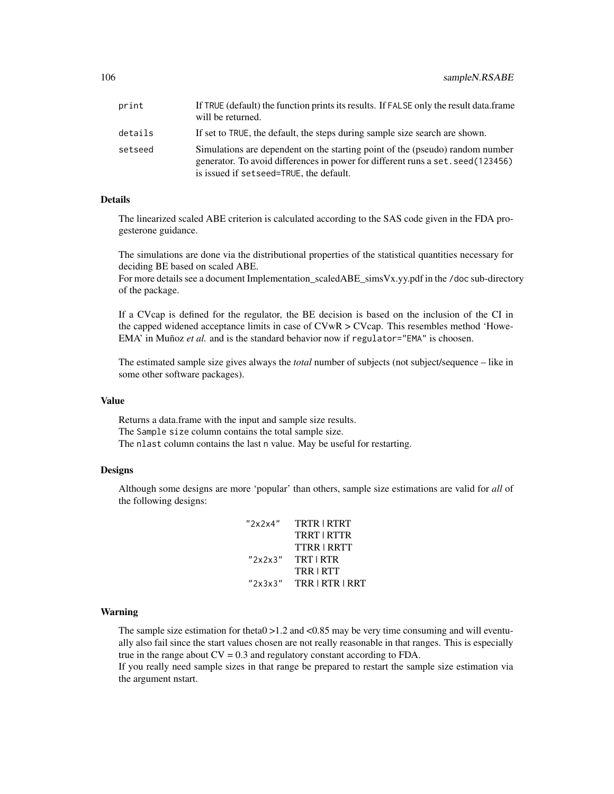| print   | If TRUE (default) the function prints its results. If FALSE only the result data frame<br>will be returned.                                                                                                  |
|---------|--------------------------------------------------------------------------------------------------------------------------------------------------------------------------------------------------------------|
| details | If set to TRUE, the default, the steps during sample size search are shown.                                                                                                                                  |
| setseed | Simulations are dependent on the starting point of the (pseudo) random number<br>generator. To avoid differences in power for different runs a set. seed (123456)<br>is issued if setseed=TRUE, the default. |

The linearized scaled ABE criterion is calculated according to the SAS code given in the FDA progesterone guidance.

The simulations are done via the distributional properties of the statistical quantities necessary for deciding BE based on scaled ABE.

For more details see a document Implementation\_scaledABE\_simsVx.yy.pdf in the /doc sub-directory of the package.

If a CVcap is defined for the regulator, the BE decision is based on the inclusion of the CI in the capped widened acceptance limits in case of  $CVwR > CVcap$ . This resembles method 'Howe-EMA' in Muñoz *et al.* and is the standard behavior now if regulator="EMA" is choosen.

The estimated sample size gives always the *total* number of subjects (not subject/sequence – like in some other software packages).

#### Value

Returns a data.frame with the input and sample size results. The Sample size column contains the total sample size. The nlast column contains the last n value. May be useful for restarting.

#### Designs

Although some designs are more 'popular' than others, sample size estimations are valid for *all* of the following designs:

| "2x2x4" | <b>TRTR   RTRT</b> |
|---------|--------------------|
|         | TRRT   RTTR        |
|         | TTRR   RRTT        |
| "2x2x3" | TRT   RTR          |
|         | <b>TRRIRTT</b>     |
| "2x3x3" | TRR   RTR   RRT    |

## Warning

The sample size estimation for theta $0 > 1.2$  and  $< 0.85$  may be very time consuming and will eventually also fail since the start values chosen are not really reasonable in that ranges. This is especially true in the range about  $CV = 0.3$  and regulatory constant according to FDA.

If you really need sample sizes in that range be prepared to restart the sample size estimation via the argument nstart.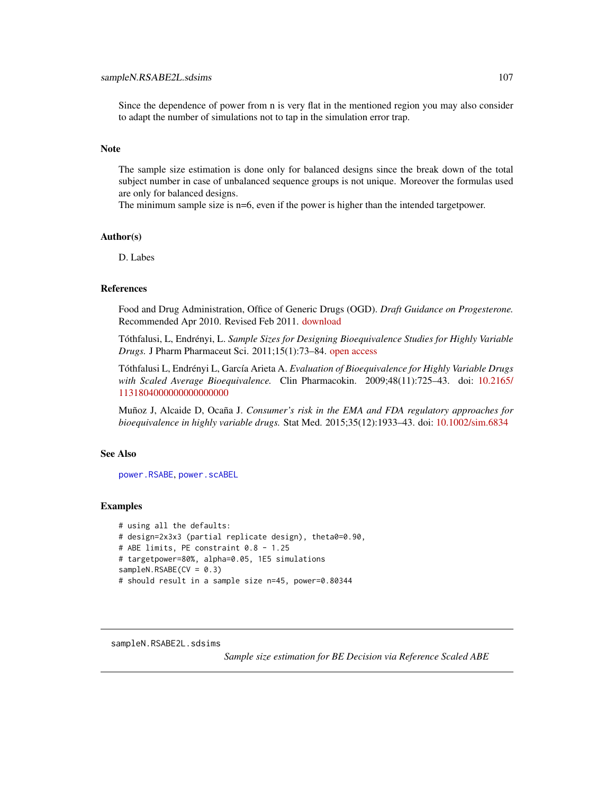Since the dependence of power from n is very flat in the mentioned region you may also consider to adapt the number of simulations not to tap in the simulation error trap.

#### Note

The sample size estimation is done only for balanced designs since the break down of the total subject number in case of unbalanced sequence groups is not unique. Moreover the formulas used are only for balanced designs.

The minimum sample size is n=6, even if the power is higher than the intended targetpower.

## Author(s)

D. Labes

#### References

Food and Drug Administration, Office of Generic Drugs (OGD). *Draft Guidance on Progesterone.* Recommended Apr 2010. Revised Feb 2011. [download](https://www.accessdata.fda.gov/drugsatfda_docs/psg/Progesterone_caps_19781_RC02-11.pdf)

Tóthfalusi, L, Endrényi, L. *Sample Sizes for Designing Bioequivalence Studies for Highly Variable Drugs.* J Pharm Pharmaceut Sci. 2011;15(1):73–84. [open access](https://ejournals.library.ualberta.ca/index.php/JPPS/article/download/11612/9489)

Tóthfalusi L, Endrényi L, García Arieta A. *Evaluation of Bioequivalence for Highly Variable Drugs with Scaled Average Bioequivalence.* Clin Pharmacokin. 2009;48(11):725–43. doi: [10.2165/](https://doi.org/10.2165/11318040-000000000-00000) [1131804000000000000000](https://doi.org/10.2165/11318040-000000000-00000)

Muñoz J, Alcaide D, Ocaña J. *Consumer's risk in the EMA and FDA regulatory approaches for bioequivalence in highly variable drugs.* Stat Med. 2015;35(12):1933–43. doi: [10.1002/sim.6834](https://doi.org/10.1002/sim.6834)

## See Also

[power.RSABE](#page-62-0), [power.scABEL](#page-69-0)

#### Examples

```
# using all the defaults:
# design=2x3x3 (partial replicate design), theta0=0.90,
# ABE limits, PE constraint 0.8 - 1.25
# targetpower=80%, alpha=0.05, 1E5 simulations
sampleN.RSABE(CV = 0.3)
# should result in a sample size n=45, power=0.80344
```
sampleN.RSABE2L.sdsims

*Sample size estimation for BE Decision via Reference Scaled ABE*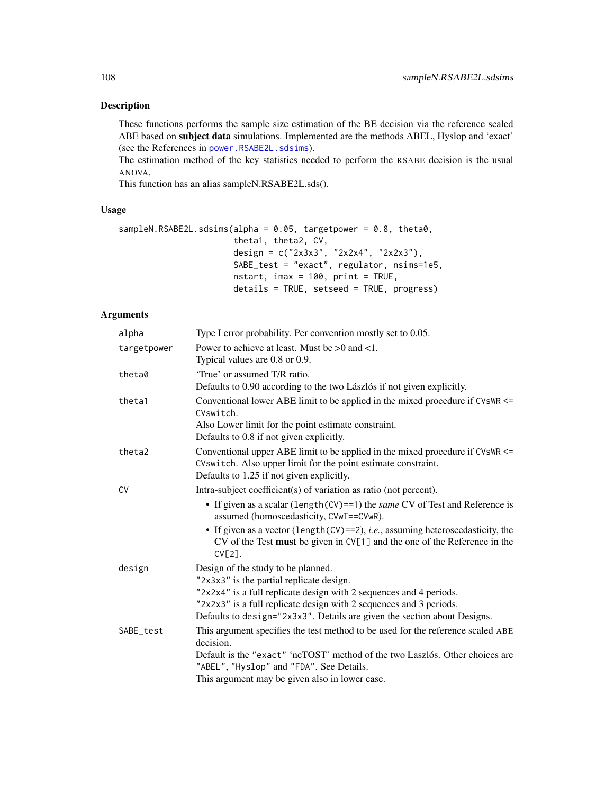## Description

These functions performs the sample size estimation of the BE decision via the reference scaled ABE based on subject data simulations. Implemented are the methods ABEL, Hyslop and 'exact' (see the References in [power.RSABE2L.sdsims](#page-66-0)).

The estimation method of the key statistics needed to perform the RSABE decision is the usual ANOVA.

This function has an alias sampleN.RSABE2L.sds().

## Usage

```
sampleN.RSABE2L.sdsims(alpha = 0.05, targetpower = 0.8, theta0,
                       theta1, theta2, CV,
                       design = c("2x3x3", "2x2x4", "2x2x3"),
                       SABE_test = "exact", regulator, nsims=1e5,
                       nstart, imax = 100, print = TRUE,
                       details = TRUE, setseed = TRUE, progress)
```

| alpha       | Type I error probability. Per convention mostly set to 0.05.                                                                                                                                |
|-------------|---------------------------------------------------------------------------------------------------------------------------------------------------------------------------------------------|
| targetpower | Power to achieve at least. Must be $>0$ and $<1$ .<br>Typical values are 0.8 or 0.9.                                                                                                        |
| theta0      | 'True' or assumed T/R ratio.<br>Defaults to 0.90 according to the two Lászlós if not given explicitly.                                                                                      |
| theta1      | Conventional lower ABE limit to be applied in the mixed procedure if CVsWR <=<br>CVswitch.                                                                                                  |
|             | Also Lower limit for the point estimate constraint.<br>Defaults to 0.8 if not given explicitly.                                                                                             |
| theta2      | Conventional upper ABE limit to be applied in the mixed procedure if CVsWR <=<br>CVswitch. Also upper limit for the point estimate constraint.<br>Defaults to 1.25 if not given explicitly. |
| <b>CV</b>   | Intra-subject coefficient(s) of variation as ratio (not percent).                                                                                                                           |
|             | • If given as a scalar (length $(CV) == 1$ ) the <i>same</i> CV of Test and Reference is<br>assumed (homoscedasticity, CVwT==CVwR).                                                         |
|             | • If given as a vector (length $(CV) == 2$ ), <i>i.e.</i> , assuming heteroscedasticity, the<br>CV of the Test must be given in $CV[1]$ and the one of the Reference in the<br>$CV[2]$ .    |
| design      | Design of the study to be planned.                                                                                                                                                          |
|             | "2x3x3" is the partial replicate design.                                                                                                                                                    |
|             | "2x2x4" is a full replicate design with 2 sequences and 4 periods.<br>"2x2x3" is a full replicate design with 2 sequences and 3 periods.                                                    |
|             | Defaults to design="2x3x3". Details are given the section about Designs.                                                                                                                    |
| SABE_test   | This argument specifies the test method to be used for the reference scaled ABE<br>decision.                                                                                                |
|             | Default is the "exact" 'ncTOST' method of the two Laszlós. Other choices are<br>"ABEL", "Hyslop" and "FDA". See Details.                                                                    |
|             | This argument may be given also in lower case.                                                                                                                                              |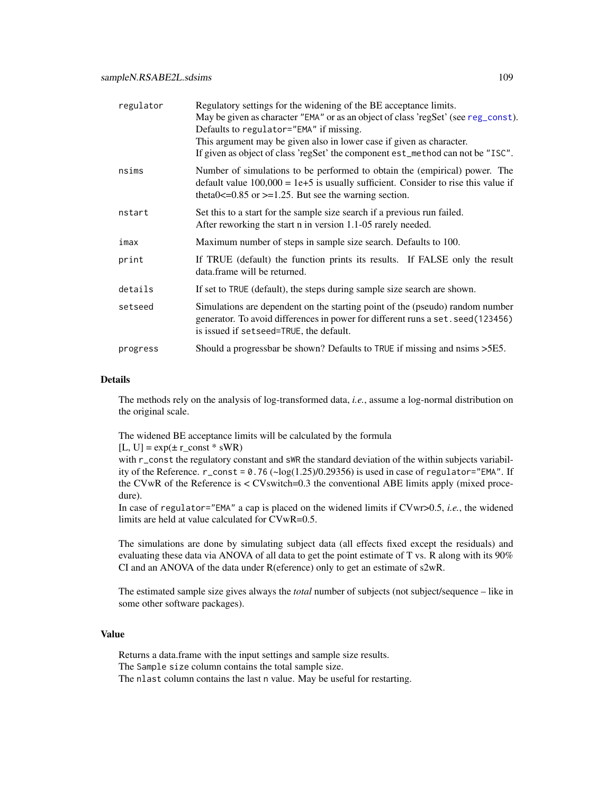<span id="page-108-0"></span>

| regulator | Regulatory settings for the widening of the BE acceptance limits.<br>May be given as character "EMA" or as an object of class 'regSet' (see reg_const).<br>Defaults to regulator="EMA" if missing.<br>This argument may be given also in lower case if given as character.<br>If given as object of class 'regSet' the component est_method can not be "ISC". |
|-----------|---------------------------------------------------------------------------------------------------------------------------------------------------------------------------------------------------------------------------------------------------------------------------------------------------------------------------------------------------------------|
| nsims     | Number of simulations to be performed to obtain the (empirical) power. The<br>default value $100,000 = 1e+5$ is usually sufficient. Consider to rise this value if<br>theta0 $\leq$ =0.85 or $\geq$ =1.25. But see the warning section.                                                                                                                       |
| nstart    | Set this to a start for the sample size search if a previous run failed.<br>After reworking the start n in version 1.1-05 rarely needed.                                                                                                                                                                                                                      |
| imax      | Maximum number of steps in sample size search. Defaults to 100.                                                                                                                                                                                                                                                                                               |
| print     | If TRUE (default) the function prints its results. If FALSE only the result<br>data.frame will be returned.                                                                                                                                                                                                                                                   |
| details   | If set to TRUE (default), the steps during sample size search are shown.                                                                                                                                                                                                                                                                                      |
| setseed   | Simulations are dependent on the starting point of the (pseudo) random number<br>generator. To avoid differences in power for different runs a set. seed(123456)<br>is issued if setseed=TRUE, the default.                                                                                                                                                   |
| progress  | Should a progressbar be shown? Defaults to TRUE if missing and nsims > 5E5.                                                                                                                                                                                                                                                                                   |

The methods rely on the analysis of log-transformed data, *i.e.*, assume a log-normal distribution on the original scale.

The widened BE acceptance limits will be calculated by the formula

 $[L, U] = exp(\pm r \text{\_const} * sWR)$ 

with r\_const the regulatory constant and sWR the standard deviation of the within subjects variability of the Reference.  $r\_const = 0.76$  ( $\sim$ log(1.25)/0.29356) is used in case of regulator="EMA". If the CVwR of the Reference is  $\lt$  CVswitch=0.3 the conventional ABE limits apply (mixed procedure).

In case of regulator="EMA" a cap is placed on the widened limits if CVwr>0.5, *i.e.*, the widened limits are held at value calculated for CVwR=0.5.

The simulations are done by simulating subject data (all effects fixed except the residuals) and evaluating these data via ANOVA of all data to get the point estimate of T vs. R along with its 90% CI and an ANOVA of the data under R(eference) only to get an estimate of s2wR.

The estimated sample size gives always the *total* number of subjects (not subject/sequence – like in some other software packages).

# Value

Returns a data.frame with the input settings and sample size results. The Sample size column contains the total sample size. The nlast column contains the last n value. May be useful for restarting.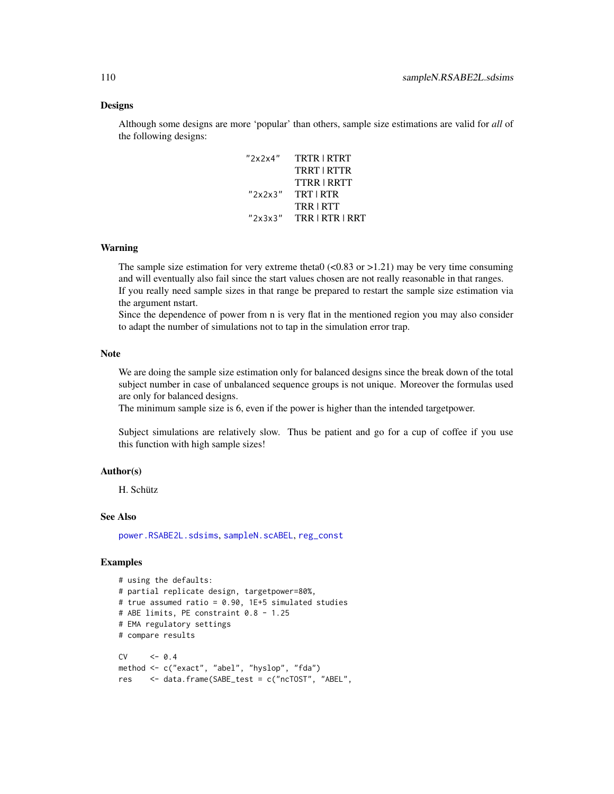#### <span id="page-109-0"></span>Designs

Although some designs are more 'popular' than others, sample size estimations are valid for *all* of the following designs:

| "2x2x4" | TRTR   RTRT     |
|---------|-----------------|
|         | TRRT   RTTR     |
|         | TTRR   RRTT     |
| "2x2x3" | TRT   RTR       |
|         | TRR   RTT       |
| "2x3x3" | TRR   RTR   RRT |

#### Warning

The sample size estimation for very extreme theta0  $\leq 0.83$  or  $\geq 1.21$ ) may be very time consuming and will eventually also fail since the start values chosen are not really reasonable in that ranges. If you really need sample sizes in that range be prepared to restart the sample size estimation via the argument nstart.

Since the dependence of power from n is very flat in the mentioned region you may also consider to adapt the number of simulations not to tap in the simulation error trap.

#### Note

We are doing the sample size estimation only for balanced designs since the break down of the total subject number in case of unbalanced sequence groups is not unique. Moreover the formulas used are only for balanced designs.

The minimum sample size is 6, even if the power is higher than the intended targetpower.

Subject simulations are relatively slow. Thus be patient and go for a cup of coffee if you use this function with high sample sizes!

#### Author(s)

H. Schütz

#### See Also

[power.RSABE2L.sdsims](#page-66-0), [sampleN.scABEL](#page-110-0), [reg\\_const](#page-86-0)

#### Examples

```
# using the defaults:
# partial replicate design, targetpower=80%,
# true assumed ratio = 0.90, 1E+5 simulated studies
# ABE limits, PE constraint 0.8 - 1.25
# EMA regulatory settings
# compare results
CV \le 0.4method <- c("exact", "abel", "hyslop", "fda")
res <- data.frame(SABE_test = c("ncTOST", "ABEL",
```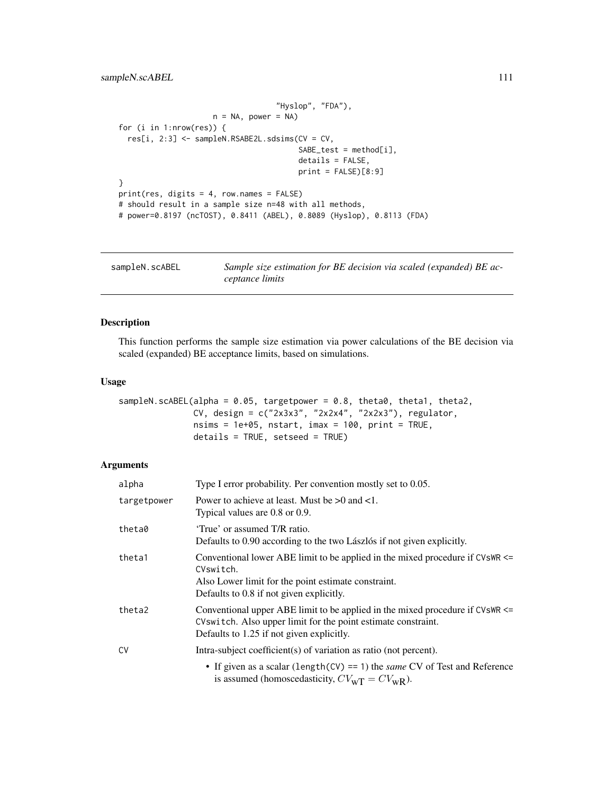```
"Hyslop", "FDA"),
                    n = NA, power = NA)
for (i in 1:nrow(res)) {
  res[i, 2:3] <- sampleN.RSABE2L.sdsims(CV = CV,
                                        SABE_test = method[i],
                                        details = FALSE,
                                        print = FALSE)[8:9]}
print(res, digits = 4, row.names = FALSE)
# should result in a sample size n=48 with all methods,
# power=0.8197 (ncTOST), 0.8411 (ABEL), 0.8089 (Hyslop), 0.8113 (FDA)
```
<span id="page-110-0"></span>

| sampleN.scABEL | Sample size estimation for BE decision via scaled (expanded) BE ac- |
|----------------|---------------------------------------------------------------------|
|                | ceptance limits                                                     |

#### Description

This function performs the sample size estimation via power calculations of the BE decision via scaled (expanded) BE acceptance limits, based on simulations.

# Usage

```
sampleN.scABEL(alpha = 0.05, targetpower = 0.8, theta0, theta1, theta2,
              CV, design = c("2x3x3", "2x2x4", "2x2x3"), regulator,
               nsims = 1e+05, nstart, imax = 100, print = TRUE,
               details = TRUE, setseed = TRUE)
```

| alpha       | Type I error probability. Per convention mostly set to 0.05.                                                                                                                                   |  |
|-------------|------------------------------------------------------------------------------------------------------------------------------------------------------------------------------------------------|--|
| targetpower | Power to achieve at least. Must be $>0$ and $<1$ .<br>Typical values are 0.8 or 0.9.                                                                                                           |  |
| theta0      | 'True' or assumed T/R ratio.<br>Defaults to 0.90 according to the two Lászlós if not given explicitly.                                                                                         |  |
| theta1      | Conventional lower ABE limit to be applied in the mixed procedure if CVsWR <=<br>CVswitch.<br>Also Lower limit for the point estimate constraint.<br>Defaults to 0.8 if not given explicitly.  |  |
| theta2      | Conventional upper ABE limit to be applied in the mixed procedure if $CVSWR \le$<br>CVswitch. Also upper limit for the point estimate constraint.<br>Defaults to 1.25 if not given explicitly. |  |
| CV          | Intra-subject coefficient(s) of variation as ratio (not percent).                                                                                                                              |  |
|             | • If given as a scalar (length(CV) == 1) the <i>same</i> CV of Test and Reference<br>is assumed (homoscedasticity, $CV_{\text{wT}} = CV_{\text{wR}}$ ).                                        |  |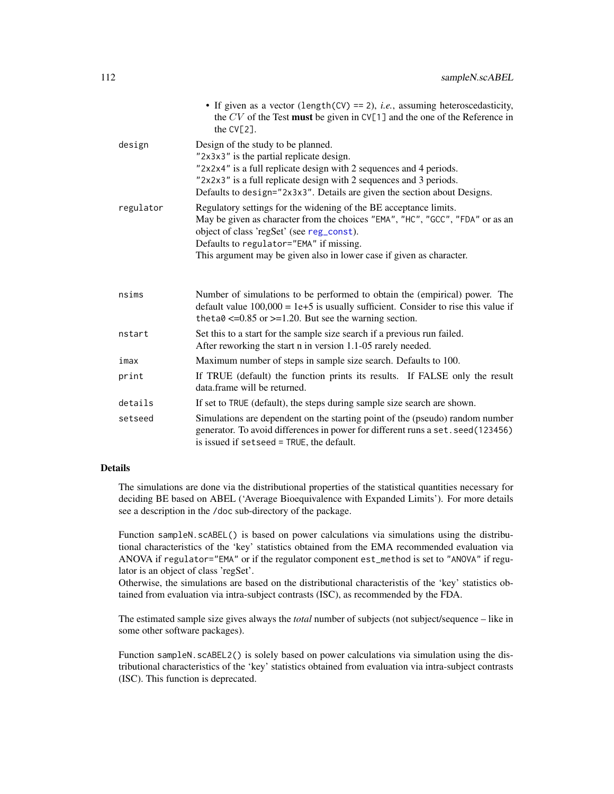<span id="page-111-0"></span>

|           | • If given as a vector (length(CV) == 2), <i>i.e.</i> , assuming heteroscedasticity,<br>the $CV$ of the Test must be given in $CV[1]$ and the one of the Reference in<br>the $CV[2]$ .                                                                                                                             |
|-----------|--------------------------------------------------------------------------------------------------------------------------------------------------------------------------------------------------------------------------------------------------------------------------------------------------------------------|
| design    | Design of the study to be planned.<br>"2x3x3" is the partial replicate design.<br>"2x2x4" is a full replicate design with 2 sequences and 4 periods.<br>"2x2x3" is a full replicate design with 2 sequences and 3 periods.<br>Defaults to design="2x3x3". Details are given the section about Designs.             |
| regulator | Regulatory settings for the widening of the BE acceptance limits.<br>May be given as character from the choices "EMA", "HC", "GCC", "FDA" or as an<br>object of class 'regSet' (see reg_const).<br>Defaults to regulator="EMA" if missing.<br>This argument may be given also in lower case if given as character. |
| nsims     | Number of simulations to be performed to obtain the (empirical) power. The<br>default value $100,000 = 1e+5$ is usually sufficient. Consider to rise this value if<br>theta $\theta \leq 0.85$ or $\geq 1.20$ . But see the warning section.                                                                       |
| nstart    | Set this to a start for the sample size search if a previous run failed.<br>After reworking the start n in version 1.1-05 rarely needed.                                                                                                                                                                           |
| imax      | Maximum number of steps in sample size search. Defaults to 100.                                                                                                                                                                                                                                                    |
| print     | If TRUE (default) the function prints its results. If FALSE only the result<br>data frame will be returned.                                                                                                                                                                                                        |
| details   | If set to TRUE (default), the steps during sample size search are shown.                                                                                                                                                                                                                                           |
| setseed   | Simulations are dependent on the starting point of the (pseudo) random number<br>generator. To avoid differences in power for different runs a set. seed(123456)<br>is issued if setseed = TRUE, the default.                                                                                                      |

The simulations are done via the distributional properties of the statistical quantities necessary for deciding BE based on ABEL ('Average Bioequivalence with Expanded Limits'). For more details see a description in the /doc sub-directory of the package.

Function sampleN.scABEL() is based on power calculations via simulations using the distributional characteristics of the 'key' statistics obtained from the EMA recommended evaluation via ANOVA if regulator="EMA" or if the regulator component est\_method is set to "ANOVA" if regulator is an object of class 'regSet'.

Otherwise, the simulations are based on the distributional characteristis of the 'key' statistics obtained from evaluation via intra-subject contrasts (ISC), as recommended by the FDA.

The estimated sample size gives always the *total* number of subjects (not subject/sequence – like in some other software packages).

Function sampleN.scABEL2() is solely based on power calculations via simulation using the distributional characteristics of the 'key' statistics obtained from evaluation via intra-subject contrasts (ISC). This function is deprecated.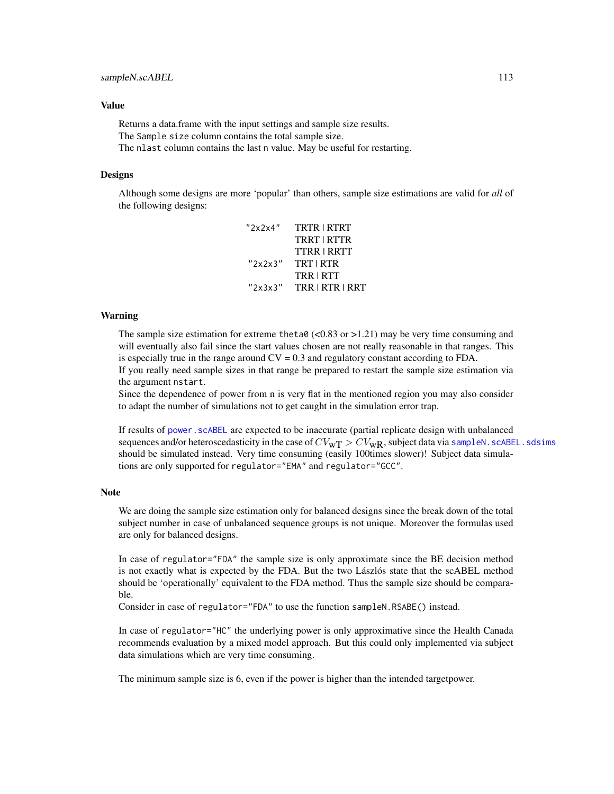#### <span id="page-112-0"></span>Value

Returns a data.frame with the input settings and sample size results. The Sample size column contains the total sample size. The nlast column contains the last n value. May be useful for restarting.

#### Designs

Although some designs are more 'popular' than others, sample size estimations are valid for *all* of the following designs:

| "2x2x4" | TRTR   RTRT     |
|---------|-----------------|
|         | TRRT   RTTR     |
|         | TTRR   RRTT     |
| "2x2x3" | TRT   RTR       |
|         | TRR   RTT       |
| "2x3x3" | TRR   RTR   RRT |

#### Warning

The sample size estimation for extreme theta $\theta$  (<0.83 or >1.21) may be very time consuming and will eventually also fail since the start values chosen are not really reasonable in that ranges. This is especially true in the range around  $CV = 0.3$  and regulatory constant according to FDA. If you really need sample sizes in that range be prepared to restart the sample size estimation via the argument nstart.

Since the dependence of power from n is very flat in the mentioned region you may also consider to adapt the number of simulations not to get caught in the simulation error trap.

If results of power. scABEL are expected to be inaccurate (partial replicate design with unbalanced sequences and/or heteroscedasticity in the case of  $CV_{\text{wT}} > CV_{\text{wR}}$ , subject data via sampleN. scABEL. sdsims should be simulated instead. Very time consuming (easily 100times slower)! Subject data simulations are only supported for regulator="EMA" and regulator="GCC".

#### Note

We are doing the sample size estimation only for balanced designs since the break down of the total subject number in case of unbalanced sequence groups is not unique. Moreover the formulas used are only for balanced designs.

In case of regulator="FDA" the sample size is only approximate since the BE decision method is not exactly what is expected by the FDA. But the two Lászlós state that the scABEL method should be 'operationally' equivalent to the FDA method. Thus the sample size should be comparable.

Consider in case of regulator="FDA" to use the function sampleN.RSABE() instead.

In case of regulator="HC" the underlying power is only approximative since the Health Canada recommends evaluation by a mixed model approach. But this could only implemented via subject data simulations which are very time consuming.

The minimum sample size is 6, even if the power is higher than the intended targetpower.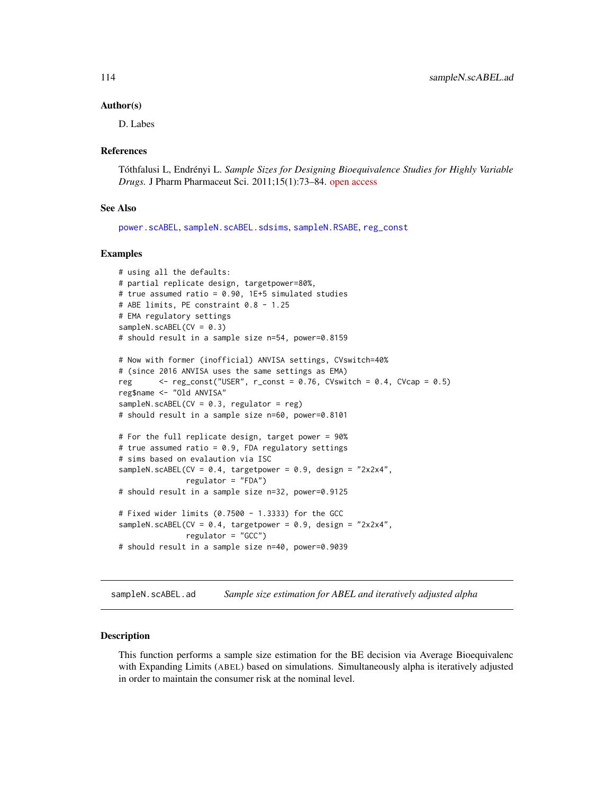#### <span id="page-113-1"></span>Author(s)

D. Labes

#### References

Tóthfalusi L, Endrényi L. *Sample Sizes for Designing Bioequivalence Studies for Highly Variable Drugs.* J Pharm Pharmaceut Sci. 2011;15(1):73–84. [open access](http://ejournals.library.ualberta.ca/index.php/JPPS/article/download/11612/9489)

#### See Also

[power.scABEL](#page-69-0), [sampleN.scABEL.sdsims](#page-117-0), [sampleN.RSABE](#page-103-0), [reg\\_const](#page-86-0)

#### Examples

```
# using all the defaults:
# partial replicate design, targetpower=80%,
# true assumed ratio = 0.90, 1E+5 simulated studies
# ABE limits, PE constraint 0.8 - 1.25
# EMA regulatory settings
sampleN.scABEL(CV = 0.3)
# should result in a sample size n=54, power=0.8159
# Now with former (inofficial) ANVISA settings, CVswitch=40%
# (since 2016 ANVISA uses the same settings as EMA)
reg \leq reg_const("USER", r_const = 0.76, CVswitch = 0.4, CVcap = 0.5)
reg$name <- "Old ANVISA"
sampleN.scABEL(CV = 0.3, regulator = reg)
# should result in a sample size n=60, power=0.8101
# For the full replicate design, target power = 90%
# true assumed ratio = 0.9, FDA regulatory settings
# sims based on evalaution via ISC
sampleN.scABEL(CV = 0.4, targetpower = 0.9, design = "2x2x4",
               regulator = "FDA")
# should result in a sample size n=32, power=0.9125
# Fixed wider limits (0.7500 - 1.3333) for the GCC
sampleN.scABEL(CV = 0.4, targetpower = 0.9, design = "2x2x4",
               regulator = "GCC")
# should result in a sample size n=40, power=0.9039
```
<span id="page-113-0"></span>sampleN.scABEL.ad *Sample size estimation for ABEL and iteratively adjusted alpha*

#### **Description**

This function performs a sample size estimation for the BE decision via Average Bioequivalenc with Expanding Limits (ABEL) based on simulations. Simultaneously alpha is iteratively adjusted in order to maintain the consumer risk at the nominal level.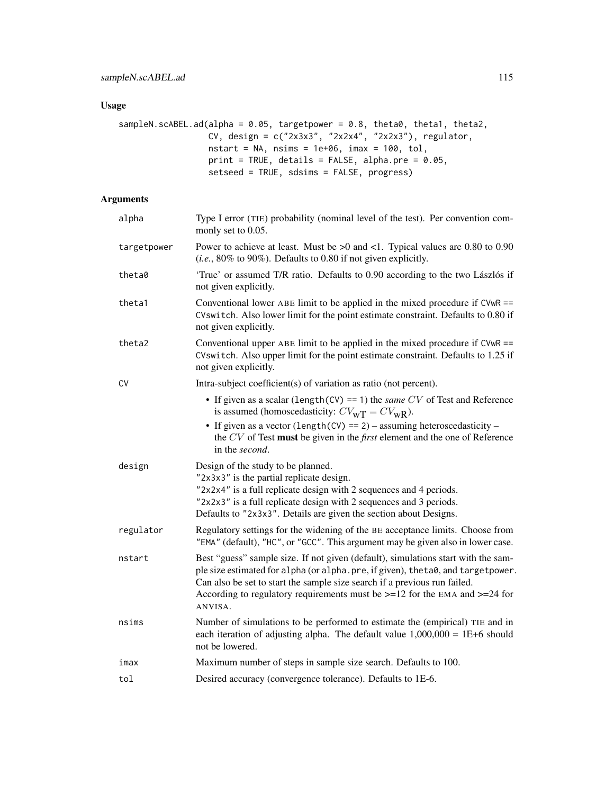# Usage

```
sampleN.scABEL.ad(alpha = 0.05, targetpower = 0.8, theta0, theta1, theta2,
                  CV, design = c("2x3x3", "2x2x4", "2x2x3"), regulator,
                  nstart = NA, nsims = 1e+06, imax = 100, tol,
                  print = TRUE, details = FALSE, alpha.pre = 0.05,
                  setseed = TRUE, sdsims = FALSE, progress)
```

| Type I error (TIE) probability (nominal level of the test). Per convention com-<br>monly set to 0.05.                                                                                                                                                                                                                                                |
|------------------------------------------------------------------------------------------------------------------------------------------------------------------------------------------------------------------------------------------------------------------------------------------------------------------------------------------------------|
| Power to achieve at least. Must be $>0$ and <1. Typical values are 0.80 to 0.90<br>(i.e., 80% to 90%). Defaults to 0.80 if not given explicitly.                                                                                                                                                                                                     |
| 'True' or assumed T/R ratio. Defaults to 0.90 according to the two Lászlós if<br>not given explicitly.                                                                                                                                                                                                                                               |
| Conventional lower ABE limit to be applied in the mixed procedure if $CVM =$<br>CVswitch. Also lower limit for the point estimate constraint. Defaults to 0.80 if<br>not given explicitly.                                                                                                                                                           |
| Conventional upper ABE limit to be applied in the mixed procedure if $CVM =$<br>CVswitch. Also upper limit for the point estimate constraint. Defaults to 1.25 if<br>not given explicitly.                                                                                                                                                           |
| Intra-subject coefficient(s) of variation as ratio (not percent).                                                                                                                                                                                                                                                                                    |
| • If given as a scalar (length(CV) == 1) the same $CV$ of Test and Reference<br>is assumed (homoscedasticity: $CV_{\text{wT}} = CV_{\text{wR}}$ ).                                                                                                                                                                                                   |
| • If given as a vector (length(CV) == $2$ ) – assuming heteroscedasticity –<br>the CV of Test must be given in the <i>first</i> element and the one of Reference<br>in the second.                                                                                                                                                                   |
| Design of the study to be planned.<br>"2x3x3" is the partial replicate design.<br>"2x2x4" is a full replicate design with 2 sequences and 4 periods.<br>"2x2x3" is a full replicate design with 2 sequences and 3 periods.<br>Defaults to "2x3x3". Details are given the section about Designs.                                                      |
| Regulatory settings for the widening of the BE acceptance limits. Choose from<br>"EMA" (default), "HC", or "GCC". This argument may be given also in lower case.                                                                                                                                                                                     |
| Best "guess" sample size. If not given (default), simulations start with the sam-<br>ple size estimated for alpha (or alpha.pre, if given), theta0, and targetpower.<br>Can also be set to start the sample size search if a previous run failed.<br>According to regulatory requirements must be $\ge$ =12 for the EMA and $\ge$ =24 for<br>ANVISA. |
| Number of simulations to be performed to estimate the (empirical) TIE and in<br>each iteration of adjusting alpha. The default value $1,000,000 = 1E+6$ should<br>not be lowered.                                                                                                                                                                    |
| Maximum number of steps in sample size search. Defaults to 100.                                                                                                                                                                                                                                                                                      |
| Desired accuracy (convergence tolerance). Defaults to 1E-6.                                                                                                                                                                                                                                                                                          |
|                                                                                                                                                                                                                                                                                                                                                      |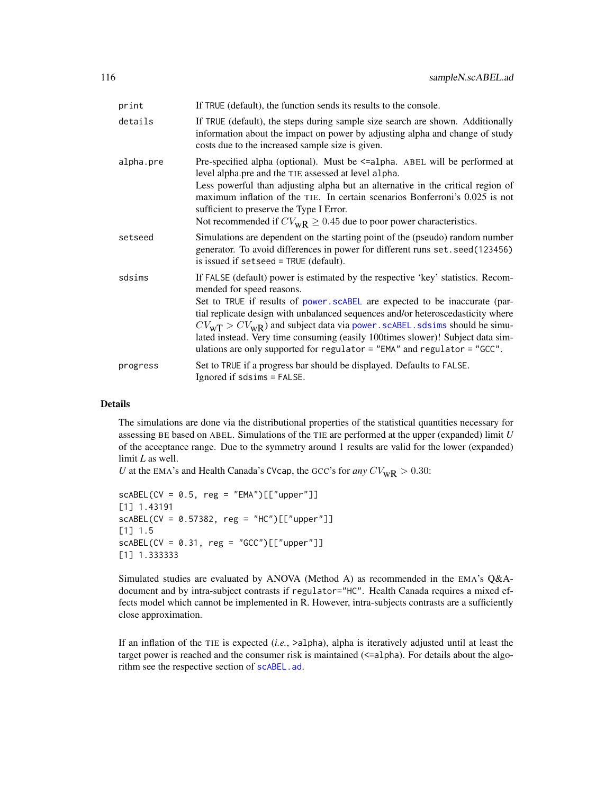<span id="page-115-0"></span>

| print     | If TRUE (default), the function sends its results to the console.                                                                                                                                                                                                                                                                                                                                                                                                                                                                                  |
|-----------|----------------------------------------------------------------------------------------------------------------------------------------------------------------------------------------------------------------------------------------------------------------------------------------------------------------------------------------------------------------------------------------------------------------------------------------------------------------------------------------------------------------------------------------------------|
| details   | If TRUE (default), the steps during sample size search are shown. Additionally<br>information about the impact on power by adjusting alpha and change of study<br>costs due to the increased sample size is given.                                                                                                                                                                                                                                                                                                                                 |
| alpha.pre | Pre-specified alpha (optional). Must be <= alpha. ABEL will be performed at<br>level alpha.pre and the TIE assessed at level alpha.<br>Less powerful than adjusting alpha but an alternative in the critical region of<br>maximum inflation of the TIE. In certain scenarios Bonferroni's 0.025 is not<br>sufficient to preserve the Type I Error.<br>Not recommended if $CV_{\text{wR}} \geq 0.45$ due to poor power characteristics.                                                                                                             |
| setseed   | Simulations are dependent on the starting point of the (pseudo) random number<br>generator. To avoid differences in power for different runs set. seed(123456)<br>is issued if setseed = TRUE (default).                                                                                                                                                                                                                                                                                                                                           |
| sdsims    | If FALSE (default) power is estimated by the respective 'key' statistics. Recom-<br>mended for speed reasons.<br>Set to TRUE if results of power. scABEL are expected to be inaccurate (par-<br>tial replicate design with unbalanced sequences and/or heteroscedasticity where<br>$CV_{\text{WT}}$ > $CV_{\text{WR}}$ ) and subject data via power. scABEL. sds ims should be simu-<br>lated instead. Very time consuming (easily 100times slower)! Subject data sim-<br>ulations are only supported for regulator = "EMA" and regulator = "GCC". |
| progress  | Set to TRUE if a progress bar should be displayed. Defaults to FALSE.<br>Ignored if sdsims = FALSE.                                                                                                                                                                                                                                                                                                                                                                                                                                                |

The simulations are done via the distributional properties of the statistical quantities necessary for assessing BE based on ABEL. Simulations of the TIE are performed at the upper (expanded) limit *U* of the acceptance range. Due to the symmetry around 1 results are valid for the lower (expanded) limit *L* as well.

```
U at the EMA's and Health Canada's CVcap, the GCC's for any CV_{\text{WR}} > 0.30:
```

```
scABEL(CV = 0.5, reg = "EMA") [['upper"]][1] 1.43191
scABEL(CV = 0.57382, reg = "HC")[["upper"]]
[1] 1.5
scABEL(CV = 0.31, reg = "GCC") [['upper"]][1] 1.333333
```
Simulated studies are evaluated by ANOVA (Method A) as recommended in the EMA's Q&Adocument and by intra-subject contrasts if regulator="HC". Health Canada requires a mixed effects model which cannot be implemented in R. However, intra-subjects contrasts are a sufficiently close approximation.

If an inflation of the TIE is expected (*i.e.*, >alpha), alpha is iteratively adjusted until at least the target power is reached and the consumer risk is maintained  $(\leq=alpha)$ . For details about the algorithm see the respective section of [scABEL.ad](#page-126-0).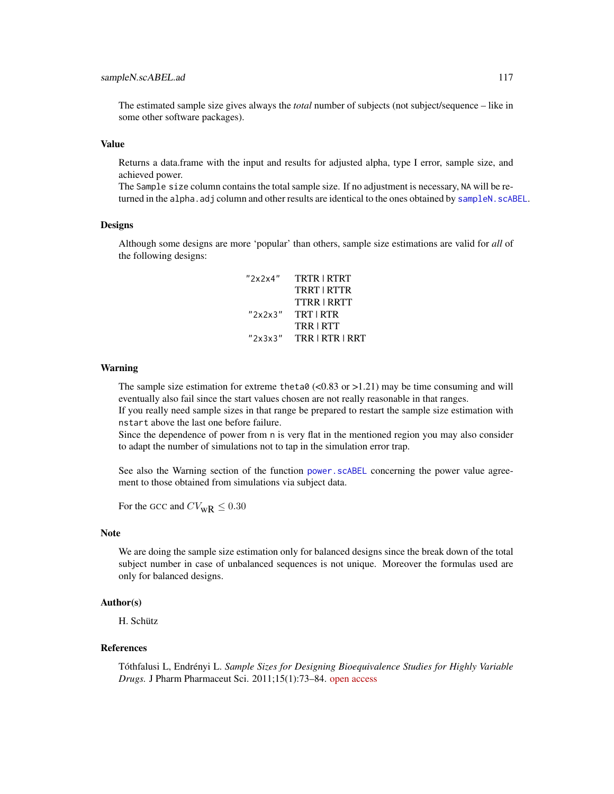#### <span id="page-116-0"></span>sampleN.scABEL.ad 117

The estimated sample size gives always the *total* number of subjects (not subject/sequence – like in some other software packages).

#### Value

Returns a data.frame with the input and results for adjusted alpha, type I error, sample size, and achieved power.

The Sample size column contains the total sample size. If no adjustment is necessary, NA will be returned in the alpha.adj column and other results are identical to the ones obtained by [sampleN.scABEL](#page-110-0).

#### Designs

Although some designs are more 'popular' than others, sample size estimations are valid for *all* of the following designs:

| "2x2x4" | TRTR   RTRT     |
|---------|-----------------|
|         | TRRT   RTTR     |
|         | TTRR   RRTT     |
| "2x2x3" | TRT I RTR       |
|         | <b>TRRIRTT</b>  |
| "2x3x3" | TRR   RTR   RRT |

#### Warning

The sample size estimation for extreme theta $\theta$  (<0.83 or >1.21) may be time consuming and will eventually also fail since the start values chosen are not really reasonable in that ranges.

If you really need sample sizes in that range be prepared to restart the sample size estimation with nstart above the last one before failure.

Since the dependence of power from n is very flat in the mentioned region you may also consider to adapt the number of simulations not to tap in the simulation error trap.

See also the Warning section of the function [power.scABEL](#page-69-0) concerning the power value agreement to those obtained from simulations via subject data.

For the GCC and  $CV_{\text{WR}} \leq 0.30$ 

#### **Note**

We are doing the sample size estimation only for balanced designs since the break down of the total subject number in case of unbalanced sequences is not unique. Moreover the formulas used are only for balanced designs.

#### Author(s)

H. Schütz

#### References

Tóthfalusi L, Endrényi L. *Sample Sizes for Designing Bioequivalence Studies for Highly Variable Drugs.* J Pharm Pharmaceut Sci. 2011;15(1):73–84. [open access](http://ejournals.library.ualberta.ca/index.php/JPPS/article/download/11612/9489)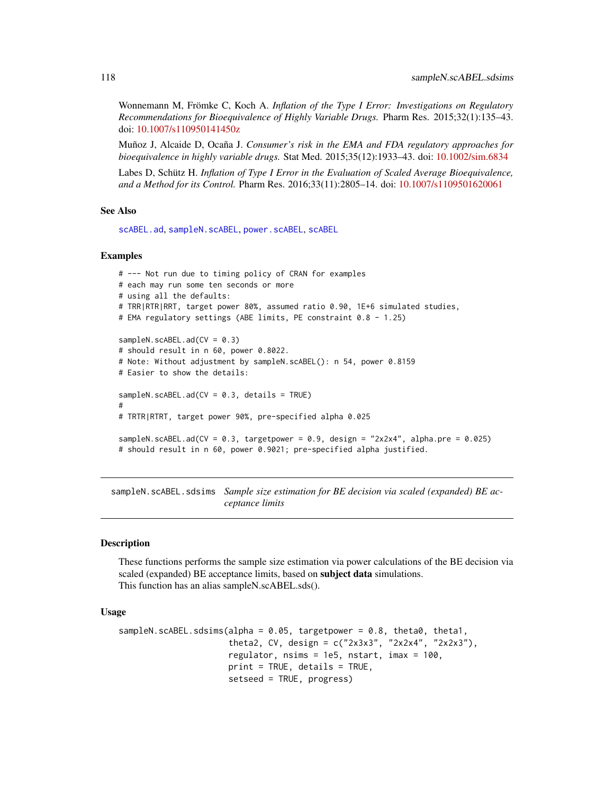<span id="page-117-1"></span>Wonnemann M, Frömke C, Koch A. *Inflation of the Type I Error: Investigations on Regulatory Recommendations for Bioequivalence of Highly Variable Drugs.* Pharm Res. 2015;32(1):135–43. doi: [10.1007/s110950141450z](https://doi.org/10.1007/s11095-014-1450-z)

Muñoz J, Alcaide D, Ocaña J. *Consumer's risk in the EMA and FDA regulatory approaches for bioequivalence in highly variable drugs.* Stat Med. 2015;35(12):1933–43. doi: [10.1002/sim.6834](https://doi.org/10.1002/sim.6834)

Labes D, Schütz H. *Inflation of Type I Error in the Evaluation of Scaled Average Bioequivalence, and a Method for its Control.* Pharm Res. 2016;33(11):2805–14. doi: [10.1007/s1109501620061](https://doi.org/10.1007/s11095-016-2006-1)

#### See Also

[scABEL.ad](#page-126-0), [sampleN.scABEL](#page-110-0), [power.scABEL](#page-69-0), [scABEL](#page-124-0)

#### Examples

```
# --- Not run due to timing policy of CRAN for examples
# each may run some ten seconds or more
# using all the defaults:
# TRR|RTR|RRT, target power 80%, assumed ratio 0.90, 1E+6 simulated studies,
# EMA regulatory settings (ABE limits, PE constraint 0.8 - 1.25)
sampleN.scABEL.ad(CV = 0.3)
# should result in n 60, power 0.8022.
# Note: Without adjustment by sampleN.scABEL(): n 54, power 0.8159
# Easier to show the details:
sampleN.scABEL.ad(CV = 0.3, details = TRUE)
#
# TRTR|RTRT, target power 90%, pre-specified alpha 0.025
sampleN.scABEL.ad(CV = 0.3, targetpower = 0.9, design = "2x2x4", alpha.pre = 0.025)
# should result in n 60, power 0.9021; pre-specified alpha justified.
```
<span id="page-117-0"></span>sampleN.scABEL.sdsims *Sample size estimation for BE decision via scaled (expanded) BE acceptance limits*

#### **Description**

These functions performs the sample size estimation via power calculations of the BE decision via scaled (expanded) BE acceptance limits, based on subject data simulations. This function has an alias sampleN.scABEL.sds().

#### Usage

```
sampleN.scABEL.sdsims(alpha = 0.05, targetpower = 0.8, theta0, theta1,
                     theta2, CV, design = c("2x3x3", "2x2x4", "2x2x3"),
                      regulator, nsims = 1e5, nstart, imax = 100,
                     print = TRUE, details = TRUE,
                     setseed = TRUE, progress)
```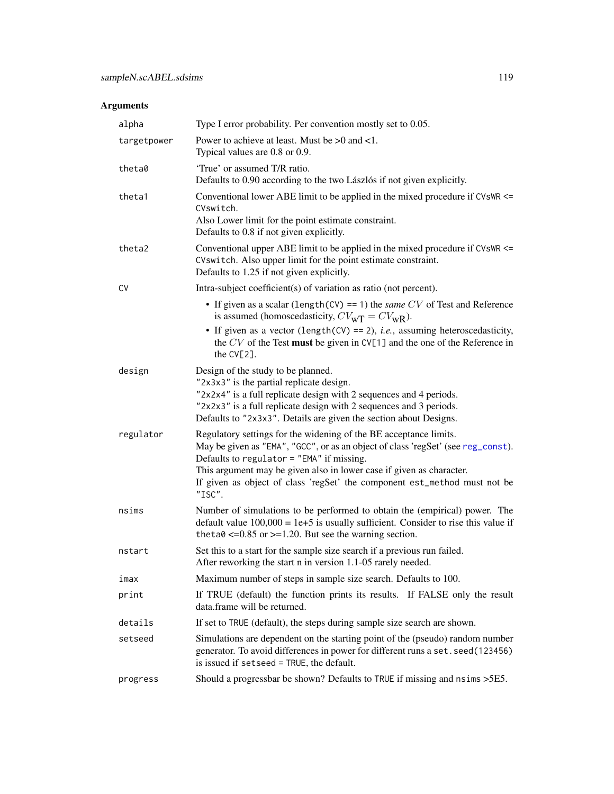<span id="page-118-0"></span>

| alpha       | Type I error probability. Per convention mostly set to 0.05.                                                                                                                                                                                                                                                                                                      |
|-------------|-------------------------------------------------------------------------------------------------------------------------------------------------------------------------------------------------------------------------------------------------------------------------------------------------------------------------------------------------------------------|
| targetpower | Power to achieve at least. Must be $>0$ and $<1$ .<br>Typical values are 0.8 or 0.9.                                                                                                                                                                                                                                                                              |
| theta0      | 'True' or assumed T/R ratio.<br>Defaults to 0.90 according to the two Lászlós if not given explicitly.                                                                                                                                                                                                                                                            |
| theta1      | Conventional lower ABE limit to be applied in the mixed procedure if $CVSWR \le$<br>CVswitch.<br>Also Lower limit for the point estimate constraint.<br>Defaults to 0.8 if not given explicitly.                                                                                                                                                                  |
| theta2      | Conventional upper ABE limit to be applied in the mixed procedure if $CVSWR \le$<br>CVswitch. Also upper limit for the point estimate constraint.<br>Defaults to 1.25 if not given explicitly.                                                                                                                                                                    |
| CV          | Intra-subject coefficient(s) of variation as ratio (not percent).                                                                                                                                                                                                                                                                                                 |
|             | • If given as a scalar (length(CV) == 1) the same $CV$ of Test and Reference<br>is assumed (homoscedasticity, $CV_{\text{wT}} = CV_{\text{wR}}$ ).                                                                                                                                                                                                                |
|             | • If given as a vector (length(CV) == 2), <i>i.e.</i> , assuming heteroscedasticity,<br>the $CV$ of the Test must be given in $CV[1]$ and the one of the Reference in<br>the $CV[2]$ .                                                                                                                                                                            |
| design      | Design of the study to be planned.<br>"2x3x3" is the partial replicate design.<br>"2x2x4" is a full replicate design with 2 sequences and 4 periods.<br>"2x2x3" is a full replicate design with 2 sequences and 3 periods.<br>Defaults to "2x3x3". Details are given the section about Designs.                                                                   |
| regulator   | Regulatory settings for the widening of the BE acceptance limits.<br>May be given as "EMA", "GCC", or as an object of class 'regSet' (see reg_const).<br>Defaults to regulator = "EMA" if missing.<br>This argument may be given also in lower case if given as character.<br>If given as object of class 'regSet' the component est_method must not be<br>"ISC". |
| nsims       | Number of simulations to be performed to obtain the (empirical) power. The<br>default value $100,000 = 1e+5$ is usually sufficient. Consider to rise this value if<br>theta $\theta \le 0.85$ or $>= 1.20$ . But see the warning section.                                                                                                                         |
| nstart      | Set this to a start for the sample size search if a previous run failed.<br>After reworking the start n in version 1.1-05 rarely needed.                                                                                                                                                                                                                          |
| imax        | Maximum number of steps in sample size search. Defaults to 100.                                                                                                                                                                                                                                                                                                   |
| print       | If TRUE (default) the function prints its results. If FALSE only the result<br>data.frame will be returned.                                                                                                                                                                                                                                                       |
| details     | If set to TRUE (default), the steps during sample size search are shown.                                                                                                                                                                                                                                                                                          |
| setseed     | Simulations are dependent on the starting point of the (pseudo) random number<br>generator. To avoid differences in power for different runs a set. seed(123456)<br>is issued if setseed = TRUE, the default.                                                                                                                                                     |
| progress    | Should a progressbar be shown? Defaults to TRUE if missing and nsims >5E5.                                                                                                                                                                                                                                                                                        |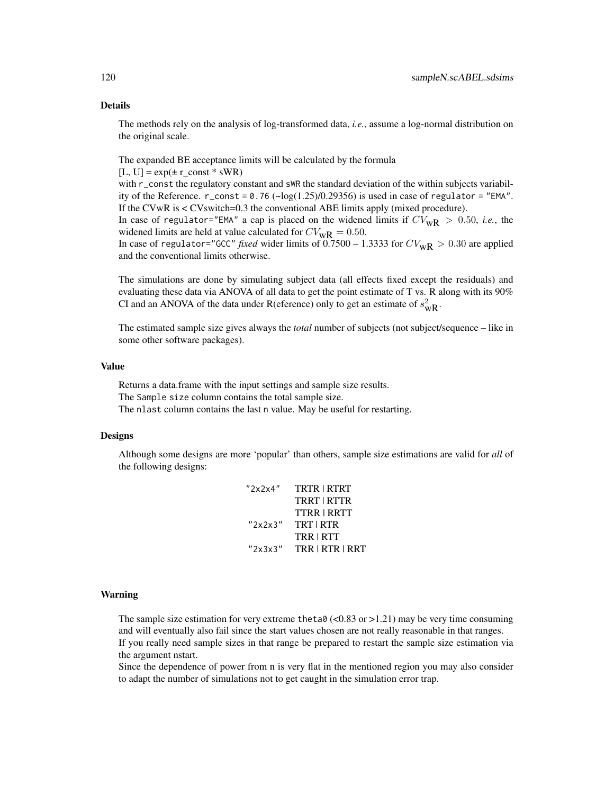The methods rely on the analysis of log-transformed data, *i.e.*, assume a log-normal distribution on the original scale.

The expanded BE acceptance limits will be calculated by the formula  $[L, U] = exp(\pm r \text{ const} * sWR)$ with r\_const the regulatory constant and sWR the standard deviation of the within subjects variability of the Reference.  $r_{\text{const}} = 0.76$  ( $\sim$ log(1.25)/0.29356) is used in case of regulator = "EMA". If the CVwR is < CVswitch=0.3 the conventional ABE limits apply (mixed procedure).

In case of regulator="EMA" a cap is placed on the widened limits if  $CV_{\text{WR}} > 0.50$ , *i.e.*, the widened limits are held at value calculated for  $CV_{\text{WR}} = 0.50$ .

In case of regulator="GCC" *fixed* wider limits of  $0.7500 - 1.3333$  for  $CV_{\text{wR}} > 0.30$  are applied and the conventional limits otherwise.

The simulations are done by simulating subject data (all effects fixed except the residuals) and evaluating these data via ANOVA of all data to get the point estimate of T vs. R along with its 90% CI and an ANOVA of the data under R(eference) only to get an estimate of  $s_{\text{wR}}^2$ .

The estimated sample size gives always the *total* number of subjects (not subject/sequence – like in some other software packages).

#### Value

Returns a data.frame with the input settings and sample size results. The Sample size column contains the total sample size. The nlast column contains the last n value. May be useful for restarting.

#### Designs

Although some designs are more 'popular' than others, sample size estimations are valid for *all* of the following designs:

| "2x2x4" | <b>TRTR   RTRT</b> |
|---------|--------------------|
|         | TRRT   RTTR        |
|         | TTRR   RRTT        |
| "2x2x3" | TRT   RTR          |
|         | TRR   RTT          |
| "2x3x3" | TRR   RTR   RRT    |

#### Warning

The sample size estimation for very extreme theta0 (<0.83 or >1.21) may be very time consuming and will eventually also fail since the start values chosen are not really reasonable in that ranges. If you really need sample sizes in that range be prepared to restart the sample size estimation via the argument nstart.

Since the dependence of power from n is very flat in the mentioned region you may also consider to adapt the number of simulations not to get caught in the simulation error trap.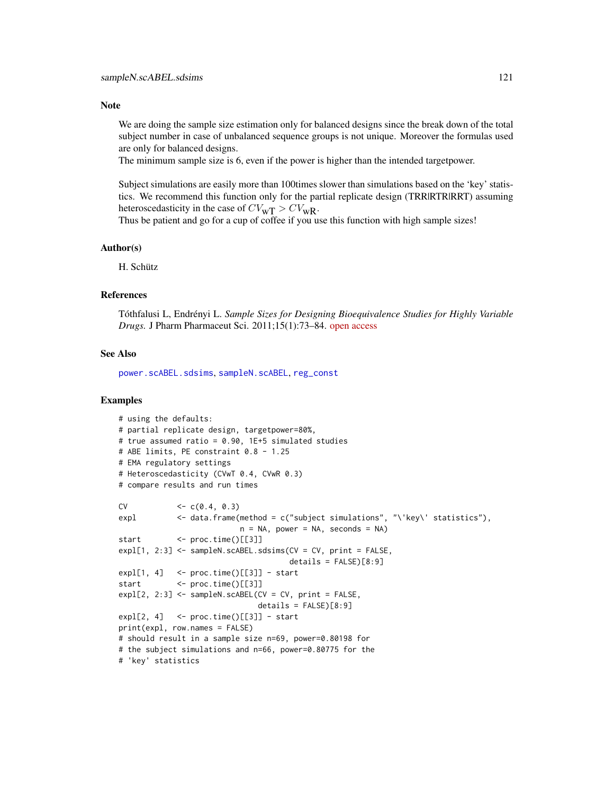#### <span id="page-120-0"></span>**Note**

We are doing the sample size estimation only for balanced designs since the break down of the total subject number in case of unbalanced sequence groups is not unique. Moreover the formulas used are only for balanced designs.

The minimum sample size is 6, even if the power is higher than the intended targetpower.

Subject simulations are easily more than 100times slower than simulations based on the 'key' statistics. We recommend this function only for the partial replicate design (TRR|RTR|RRT) assuming heteroscedasticity in the case of  $CV_{\text{wT}} > CV_{\text{wR}}$ .

Thus be patient and go for a cup of coffee if you use this function with high sample sizes!

#### Author(s)

H. Schütz

#### References

Tóthfalusi L, Endrényi L. *Sample Sizes for Designing Bioequivalence Studies for Highly Variable Drugs.* J Pharm Pharmaceut Sci. 2011;15(1):73–84. [open access](http://ejournals.library.ualberta.ca/index.php/JPPS/article/download/11612/9489)

#### See Also

[power.scABEL.sdsims](#page-73-0), [sampleN.scABEL](#page-110-0), [reg\\_const](#page-86-0)

#### Examples

```
# using the defaults:
# partial replicate design, targetpower=80%,
# true assumed ratio = 0.90, 1E+5 simulated studies
# ABE limits, PE constraint 0.8 - 1.25
# EMA regulatory settings
# Heteroscedasticity (CVwT 0.4, CVwR 0.3)
# compare results and run times
CV \leftarrow c(0.4, 0.3)expl <- data.frame(method = c("subject simulations", "\'key\' statistics"),
                          n = NA, power = NA, seconds = NA)
start <- proc.time()[[3]]
expl[1, 2:3] <- sampleN.scABEL.sdsims(CV = CV, print = FALSE,
                                     details = FALSE)[8:9]
exp1[1, 4] <- proc.time()[[3]] - start
start <- proc.time()[[3]]
expl[2, 2:3] <- sampleN.scABEL(CV = CV, print = FALSE,
                              details = FALSE)[8:9]exp1[2, 4] <- proc.time()[[3]] - start
print(expl, row.names = FALSE)
# should result in a sample size n=69, power=0.80198 for
# the subject simulations and n=66, power=0.80775 for the
# 'key' statistics
```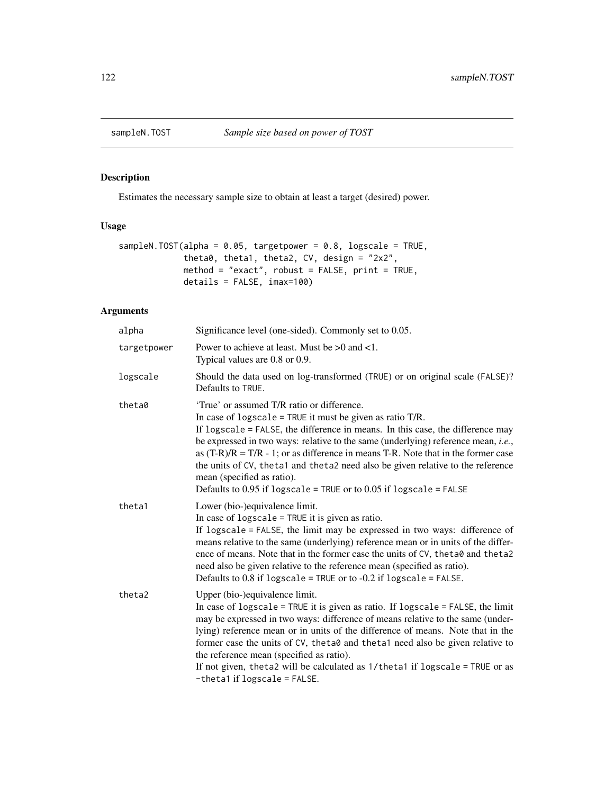<span id="page-121-0"></span>

# Description

Estimates the necessary sample size to obtain at least a target (desired) power.

# Usage

```
sampleN.TOST(alpha = 0.05, targetpower = 0.8, logscale = TRUE,
            theta0, theta1, theta2, CV, design = "2x2",
            method = "exact", robust = FALSE, print = TRUE,
            details = FALSE, imax=100)
```

| alpha       | Significance level (one-sided). Commonly set to 0.05.                                                                                                                                                                                                                                                                                                                                                                                                                                                                                                                 |
|-------------|-----------------------------------------------------------------------------------------------------------------------------------------------------------------------------------------------------------------------------------------------------------------------------------------------------------------------------------------------------------------------------------------------------------------------------------------------------------------------------------------------------------------------------------------------------------------------|
| targetpower | Power to achieve at least. Must be $>0$ and $<1$ .<br>Typical values are 0.8 or 0.9.                                                                                                                                                                                                                                                                                                                                                                                                                                                                                  |
| logscale    | Should the data used on log-transformed (TRUE) or on original scale (FALSE)?<br>Defaults to TRUE.                                                                                                                                                                                                                                                                                                                                                                                                                                                                     |
| theta0      | 'True' or assumed T/R ratio or difference.<br>In case of $logscale = TRUE$ it must be given as ratio T/R.<br>If logscale = FALSE, the difference in means. In this case, the difference may<br>be expressed in two ways: relative to the same (underlying) reference mean, i.e.,<br>as $(T-R)/R = T/R - 1$ ; or as difference in means T-R. Note that in the former case<br>the units of CV, the ta1 and the ta2 need also be given relative to the reference<br>mean (specified as ratio).<br>Defaults to 0.95 if $logscale = TRUE$ or to 0.05 if $logscale = FALSE$ |
| theta1      | Lower (bio-)equivalence limit.<br>In case of logscale = TRUE it is given as ratio.<br>If logscale = FALSE, the limit may be expressed in two ways: difference of<br>means relative to the same (underlying) reference mean or in units of the differ-<br>ence of means. Note that in the former case the units of CV, the tall and the tall<br>need also be given relative to the reference mean (specified as ratio).<br>Defaults to $0.8$ if logscale = TRUE or to $-0.2$ if logscale = FALSE.                                                                      |
| theta2      | Upper (bio-)equivalence limit.<br>In case of $logscale = TRUE$ it is given as ratio. If $logscale = FALSE$ , the limit<br>may be expressed in two ways: difference of means relative to the same (under-<br>lying) reference mean or in units of the difference of means. Note that in the<br>former case the units of CV, the ta0 and the ta1 need also be given relative to<br>the reference mean (specified as ratio).<br>If not given, theta2 will be calculated as 1/theta1 if logscale = TRUE or as<br>-theta1 if logscale = FALSE.                             |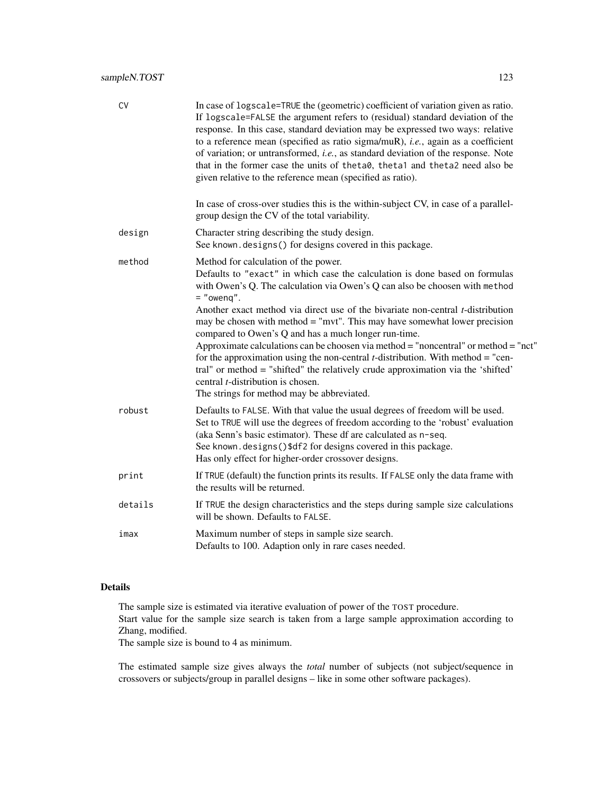| <b>CV</b> | In case of logscale=TRUE the (geometric) coefficient of variation given as ratio.<br>If logscale=FALSE the argument refers to (residual) standard deviation of the<br>response. In this case, standard deviation may be expressed two ways: relative<br>to a reference mean (specified as ratio sigma/muR), <i>i.e.</i> , again as a coefficient<br>of variation; or untransformed, i.e., as standard deviation of the response. Note<br>that in the former case the units of theta0, theta1 and theta2 need also be<br>given relative to the reference mean (specified as ratio).                                                                                                                                                                                                                                    |
|-----------|-----------------------------------------------------------------------------------------------------------------------------------------------------------------------------------------------------------------------------------------------------------------------------------------------------------------------------------------------------------------------------------------------------------------------------------------------------------------------------------------------------------------------------------------------------------------------------------------------------------------------------------------------------------------------------------------------------------------------------------------------------------------------------------------------------------------------|
|           | In case of cross-over studies this is the within-subject CV, in case of a parallel-<br>group design the CV of the total variability.                                                                                                                                                                                                                                                                                                                                                                                                                                                                                                                                                                                                                                                                                  |
| design    | Character string describing the study design.<br>See known.designs() for designs covered in this package.                                                                                                                                                                                                                                                                                                                                                                                                                                                                                                                                                                                                                                                                                                             |
| method    | Method for calculation of the power.<br>Defaults to "exact" in which case the calculation is done based on formulas<br>with Owen's Q. The calculation via Owen's Q can also be choosen with method<br>$=$ "oweng".<br>Another exact method via direct use of the bivariate non-central <i>t</i> -distribution<br>may be chosen with method $=$ "mvt". This may have somewhat lower precision<br>compared to Owen's Q and has a much longer run-time.<br>Approximate calculations can be choosen via method = "noncentral" or method = "nct"<br>for the approximation using the non-central <i>t</i> -distribution. With method = "cen-<br>tral" or method = "shifted" the relatively crude approximation via the 'shifted'<br>central <i>t</i> -distribution is chosen.<br>The strings for method may be abbreviated. |
| robust    | Defaults to FALSE. With that value the usual degrees of freedom will be used.<br>Set to TRUE will use the degrees of freedom according to the 'robust' evaluation<br>(aka Senn's basic estimator). These df are calculated as n-seq.<br>See known.designs()\$df2 for designs covered in this package.<br>Has only effect for higher-order crossover designs.                                                                                                                                                                                                                                                                                                                                                                                                                                                          |
| print     | If TRUE (default) the function prints its results. If FALSE only the data frame with<br>the results will be returned.                                                                                                                                                                                                                                                                                                                                                                                                                                                                                                                                                                                                                                                                                                 |
| details   | If TRUE the design characteristics and the steps during sample size calculations<br>will be shown. Defaults to FALSE.                                                                                                                                                                                                                                                                                                                                                                                                                                                                                                                                                                                                                                                                                                 |
| imax      | Maximum number of steps in sample size search.<br>Defaults to 100. Adaption only in rare cases needed.                                                                                                                                                                                                                                                                                                                                                                                                                                                                                                                                                                                                                                                                                                                |

The sample size is estimated via iterative evaluation of power of the TOST procedure. Start value for the sample size search is taken from a large sample approximation according to Zhang, modified.

The sample size is bound to 4 as minimum.

The estimated sample size gives always the *total* number of subjects (not subject/sequence in crossovers or subjects/group in parallel designs – like in some other software packages).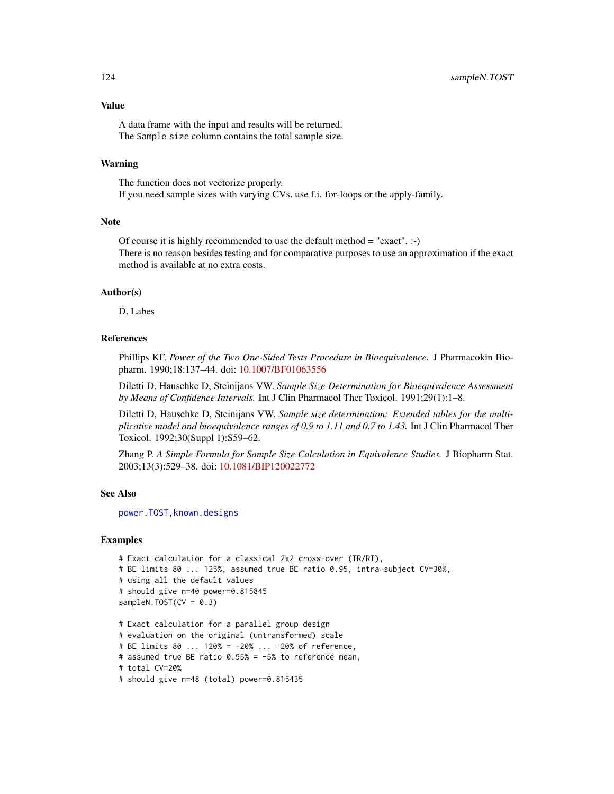<span id="page-123-0"></span>Value

A data frame with the input and results will be returned. The Sample size column contains the total sample size.

#### Warning

The function does not vectorize properly. If you need sample sizes with varying CVs, use f.i. for-loops or the apply-family.

#### Note

Of course it is highly recommended to use the default method  $=$  "exact". :-) There is no reason besides testing and for comparative purposes to use an approximation if the exact method is available at no extra costs.

# Author(s)

D. Labes

#### References

Phillips KF. *Power of the Two One-Sided Tests Procedure in Bioequivalence.* J Pharmacokin Biopharm. 1990;18:137–44. doi: [10.1007/BF01063556](https://doi.org/10.1007/BF01063556)

Diletti D, Hauschke D, Steinijans VW. *Sample Size Determination for Bioequivalence Assessment by Means of Confidence Intervals.* Int J Clin Pharmacol Ther Toxicol. 1991;29(1):1–8.

Diletti D, Hauschke D, Steinijans VW. *Sample size determination: Extended tables for the multiplicative model and bioequivalence ranges of 0.9 to 1.11 and 0.7 to 1.43.* Int J Clin Pharmacol Ther Toxicol. 1992;30(Suppl 1):S59–62.

Zhang P. *A Simple Formula for Sample Size Calculation in Equivalence Studies.* J Biopharm Stat. 2003;13(3):529–38. doi: [10.1081/BIP120022772](https://doi.org/10.1081/BIP-120022772)

# See Also

[power.TOST](#page-76-0)[,known.designs](#page-36-0)

#### Examples

```
# Exact calculation for a classical 2x2 cross-over (TR/RT),
# BE limits 80 ... 125%, assumed true BE ratio 0.95, intra-subject CV=30%,
# using all the default values
# should give n=40 power=0.815845
sampleN.TOST(CV = 0.3)
# Exact calculation for a parallel group design
# evaluation on the original (untransformed) scale
# BE limits 80 ... 120% = -20% ... +20% of reference,
```

```
# assumed true BE ratio 0.95% = -5% to reference mean,
```

```
# total CV=20%
```

```
# should give n=48 (total) power=0.815435
```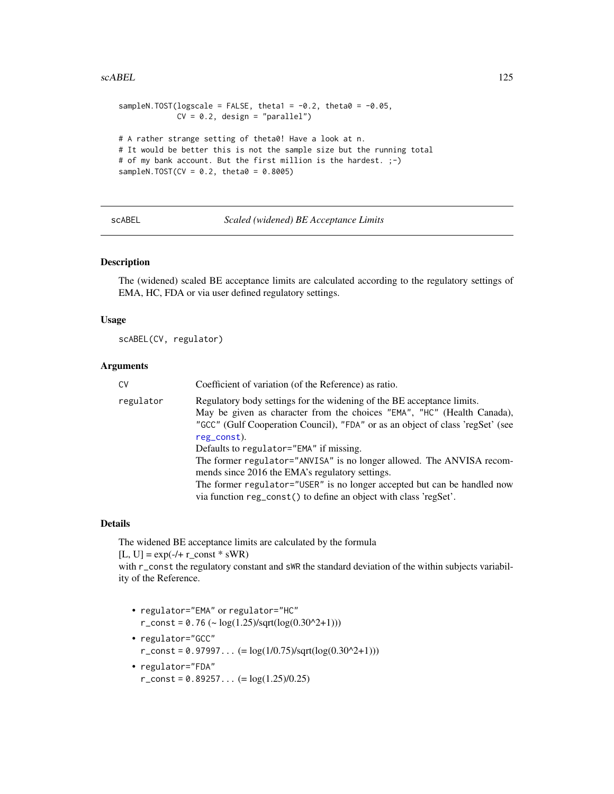#### <span id="page-124-1"></span>scABEL 125

```
sampleN.TOST(logscale = FALSE, theta1 = -0.2, theta0 = -0.05,
             CV = 0.2, design = "parallel")
# A rather strange setting of theta0! Have a look at n.
# It would be better this is not the sample size but the running total
# of my bank account. But the first million is the hardest. ;-)
sampleN.TOST(CV = 0.2, theta0 = 0.8005)
```
<span id="page-124-0"></span>scABEL *Scaled (widened) BE Acceptance Limits*

#### Description

The (widened) scaled BE acceptance limits are calculated according to the regulatory settings of EMA, HC, FDA or via user defined regulatory settings.

#### Usage

scABEL(CV, regulator)

#### Arguments

| CV        | Coefficient of variation (of the Reference) as ratio.                                                                                                                                                                                              |
|-----------|----------------------------------------------------------------------------------------------------------------------------------------------------------------------------------------------------------------------------------------------------|
| regulator | Regulatory body settings for the widening of the BE acceptance limits.<br>May be given as character from the choices "EMA", "HC" (Health Canada),<br>"GCC" (Gulf Cooperation Council), "FDA" or as an object of class 'regSet' (see<br>reg_const). |
|           | Defaults to regulator="EMA" if missing.                                                                                                                                                                                                            |
|           | The former regulator="ANVISA" is no longer allowed. The ANVISA recom-                                                                                                                                                                              |
|           | mends since 2016 the EMA's regulatory settings.                                                                                                                                                                                                    |
|           | The former regulator="USER" is no longer accepted but can be handled now                                                                                                                                                                           |
|           | via function reg_const() to define an object with class 'regSet'.                                                                                                                                                                                  |

#### Details

The widened BE acceptance limits are calculated by the formula

 $[L, U] = exp(-1 + r \text{const} * sWR)$ 

with r\_const the regulatory constant and sWR the standard deviation of the within subjects variability of the Reference.

- regulator="EMA" or regulator="HC"  $r_{\text{const}} = 0.76 \left( \sim \log(1.25)/\sqrt{\sqrt{10g(0.30^2+1)}} \right)$
- regulator="GCC"  $r_{\text{1}}$  const = 0.97997...  $(= \log(1/0.75)/\sqrt{10g(0.30^2+1)})$
- regulator="FDA"  $r_{\text{const}} = 0.89257... (= log(1.25)/0.25)$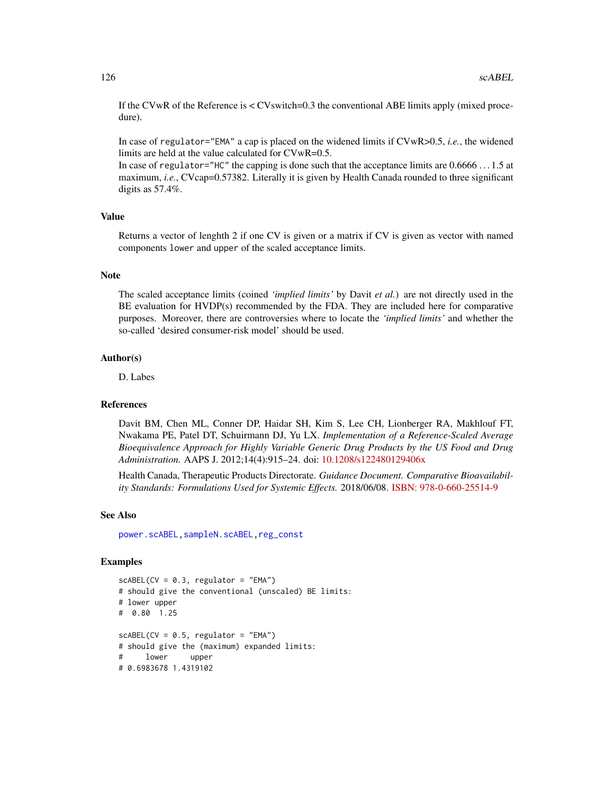<span id="page-125-0"></span>If the CVwR of the Reference is  $\langle$  CVswitch=0.3 the conventional ABE limits apply (mixed procedure).

In case of regulator="EMA" a cap is placed on the widened limits if CVwR>0.5, *i.e.*, the widened limits are held at the value calculated for CVwR=0.5.

In case of regulator="HC" the capping is done such that the acceptance limits are  $0.6666...1.5$  at maximum, *i.e.*, CVcap=0.57382. Literally it is given by Health Canada rounded to three significant digits as 57.4%.

#### Value

Returns a vector of lenghth 2 if one CV is given or a matrix if CV is given as vector with named components lower and upper of the scaled acceptance limits.

### **Note**

The scaled acceptance limits (coined *'implied limits'* by Davit *et al.*) are not directly used in the BE evaluation for HVDP(s) recommended by the FDA. They are included here for comparative purposes. Moreover, there are controversies where to locate the *'implied limits'* and whether the so-called 'desired consumer-risk model' should be used.

### Author(s)

D. Labes

#### References

Davit BM, Chen ML, Conner DP, Haidar SH, Kim S, Lee CH, Lionberger RA, Makhlouf FT, Nwakama PE, Patel DT, Schuirmann DJ, Yu LX. *Implementation of a Reference-Scaled Average Bioequivalence Approach for Highly Variable Generic Drug Products by the US Food and Drug Administration.* AAPS J. 2012;14(4):915–24. doi: [10.1208/s122480129406x](https://doi.org/10.1208/s12248-012-9406-x)

Health Canada, Therapeutic Products Directorate. *Guidance Document. Comparative Bioavailability Standards: Formulations Used for Systemic Effects.* 2018/06/08. [ISBN: 978-0-660-25514-9](https://www.canada.ca/content/dam/hc-sc/migration/hc-sc/dhp-mps/alt_formats/pdf/prodpharma/applic-demande/guide-ld/bio/comparative-bioavailability-standards-formulations-used-systemic-effects.pdf)

#### See Also

[power.scABEL](#page-69-0)[,sampleN.scABEL,](#page-110-0)[reg\\_const](#page-86-0)

#### Examples

```
scABEL(CV = 0.3, regularor = "EMA")# should give the conventional (unscaled) BE limits:
# lower upper
# 0.80 1.25
scABEL(CV = 0.5, regularor = "EMA")# should give the (maximum) expanded limits:
# lower upper
# 0.6983678 1.4319102
```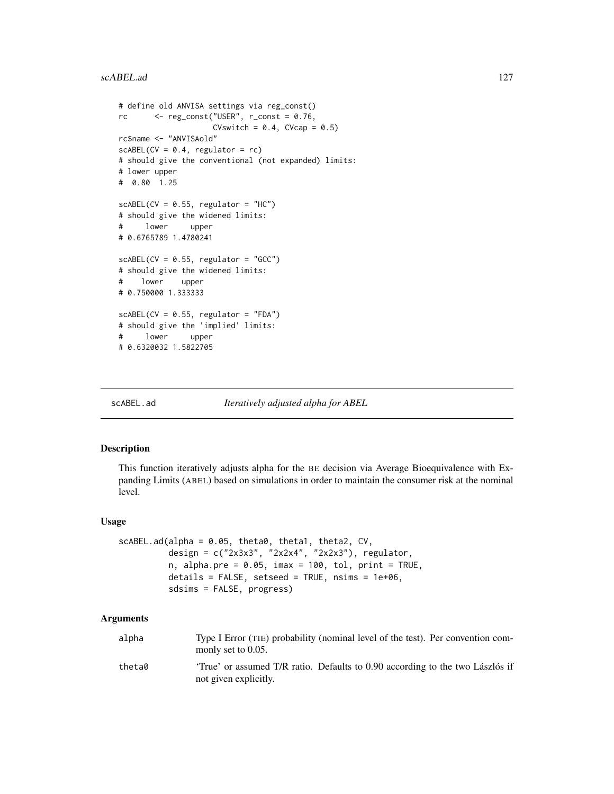```
# define old ANVISA settings via reg_const()
rc <- reg_const("USER", r_const = 0.76,
                    CVswitch = 0.4, CVcap = 0.5)
rc$name <- "ANVISAold"
scABEL(CV = 0.4, regularor = rc)# should give the conventional (not expanded) limits:
# lower upper
# 0.80 1.25
scABEL(CV = 0.55, regularator = "HC")# should give the widened limits:
# lower upper
# 0.6765789 1.4780241
scABEL(CV = 0.55, regularor = "GCC")# should give the widened limits:
# lower upper
# 0.750000 1.333333
scABEL(CV = 0.55, regularor = "FDA")# should give the 'implied' limits:
# lower upper
# 0.6320032 1.5822705
```
<span id="page-126-0"></span>

scABEL.ad *Iteratively adjusted alpha for ABEL*

#### Description

This function iteratively adjusts alpha for the BE decision via Average Bioequivalence with Expanding Limits (ABEL) based on simulations in order to maintain the consumer risk at the nominal level.

#### Usage

```
scABEL.ad(alpha = 0.05, theta0, theta1, theta2, CV,
          design = c("2x3x3", "2x2x4", "2x2x3"), regulator,
          n, alpha.pre = 0.05, imax = 100, tol, print = TRUE,
          details = FALSE, setseed = TRUE, nsims = 1e+06,
          sdsims = FALSE, progress)
```

| alpha  | Type I Error (TIE) probability (nominal level of the test). Per convention com-<br>monly set to $0.05$ . |
|--------|----------------------------------------------------------------------------------------------------------|
| theta0 | 'True' or assumed T/R ratio. Defaults to 0.90 according to the two Laszlos if<br>not given explicitly.   |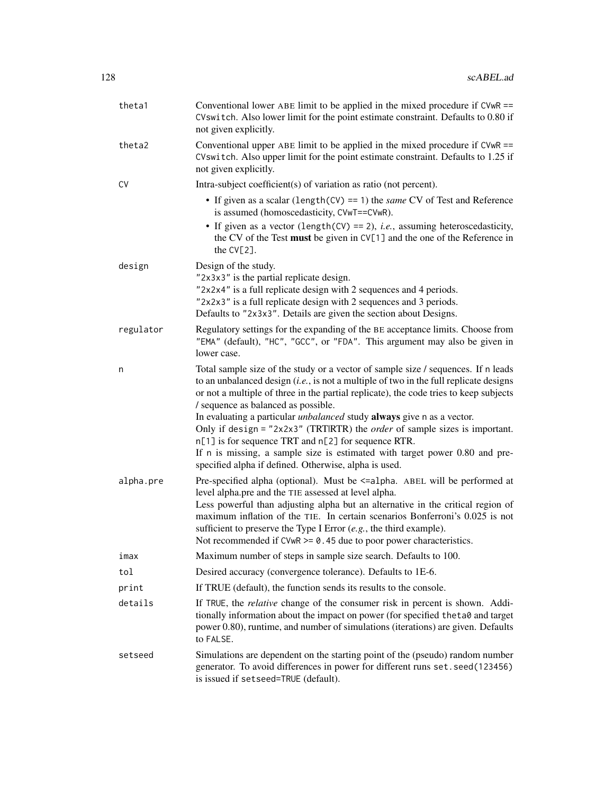| theta1    | Conventional lower ABE limit to be applied in the mixed procedure if CVwR ==<br>CVswitch. Also lower limit for the point estimate constraint. Defaults to 0.80 if<br>not given explicitly.                                                                                                                                                                                                                                                                                                                                                                                                                                                                                                 |
|-----------|--------------------------------------------------------------------------------------------------------------------------------------------------------------------------------------------------------------------------------------------------------------------------------------------------------------------------------------------------------------------------------------------------------------------------------------------------------------------------------------------------------------------------------------------------------------------------------------------------------------------------------------------------------------------------------------------|
| theta2    | Conventional upper ABE limit to be applied in the mixed procedure if $CVM =$<br>CVswitch. Also upper limit for the point estimate constraint. Defaults to 1.25 if<br>not given explicitly.                                                                                                                                                                                                                                                                                                                                                                                                                                                                                                 |
| <b>CV</b> | Intra-subject coefficient(s) of variation as ratio (not percent).                                                                                                                                                                                                                                                                                                                                                                                                                                                                                                                                                                                                                          |
|           | • If given as a scalar (length $(CV) == 1$ ) the <i>same</i> CV of Test and Reference<br>is assumed (homoscedasticity, CVwT==CVwR).                                                                                                                                                                                                                                                                                                                                                                                                                                                                                                                                                        |
|           | • If given as a vector (length(CV) == 2), <i>i.e.</i> , assuming heteroscedasticity,<br>the CV of the Test must be given in CV[1] and the one of the Reference in<br>the CV[2].                                                                                                                                                                                                                                                                                                                                                                                                                                                                                                            |
| design    | Design of the study.<br>"2x3x3" is the partial replicate design.<br>"2x2x4" is a full replicate design with 2 sequences and 4 periods.<br>"2x2x3" is a full replicate design with 2 sequences and 3 periods.<br>Defaults to "2x3x3". Details are given the section about Designs.                                                                                                                                                                                                                                                                                                                                                                                                          |
| regulator | Regulatory settings for the expanding of the BE acceptance limits. Choose from<br>"EMA" (default), "HC", "GCC", or "FDA". This argument may also be given in<br>lower case.                                                                                                                                                                                                                                                                                                                                                                                                                                                                                                                |
| n         | Total sample size of the study or a vector of sample size / sequences. If n leads<br>to an unbalanced design $(i.e.,$ is not a multiple of two in the full replicate designs<br>or not a multiple of three in the partial replicate), the code tries to keep subjects<br>/ sequence as balanced as possible.<br>In evaluating a particular <i>unbalanced</i> study <b>always</b> give n as a vector.<br>Only if design = $"2x2x3"$ (TRTIRTR) the <i>order</i> of sample sizes is important.<br>n[1] is for sequence TRT and n[2] for sequence RTR.<br>If n is missing, a sample size is estimated with target power 0.80 and pre-<br>specified alpha if defined. Otherwise, alpha is used. |
| alpha.pre | Pre-specified alpha (optional). Must be <= alpha. ABEL will be performed at<br>level alpha.pre and the TIE assessed at level alpha.<br>Less powerful than adjusting alpha but an alternative in the critical region of<br>maximum inflation of the TIE. In certain scenarios Bonferroni's 0.025 is not<br>sufficient to preserve the Type I Error $(e.g., the third example).$<br>Not recommended if CVwR $> = 0.45$ due to poor power characteristics.                                                                                                                                                                                                                                    |
| imax      | Maximum number of steps in sample size search. Defaults to 100.                                                                                                                                                                                                                                                                                                                                                                                                                                                                                                                                                                                                                            |
| tol       | Desired accuracy (convergence tolerance). Defaults to 1E-6.                                                                                                                                                                                                                                                                                                                                                                                                                                                                                                                                                                                                                                |
| print     | If TRUE (default), the function sends its results to the console.                                                                                                                                                                                                                                                                                                                                                                                                                                                                                                                                                                                                                          |
| details   | If TRUE, the <i>relative</i> change of the consumer risk in percent is shown. Addi-<br>tionally information about the impact on power (for specified the ta0 and target<br>power 0.80), runtime, and number of simulations (iterations) are given. Defaults<br>to FALSE.                                                                                                                                                                                                                                                                                                                                                                                                                   |
| setseed   | Simulations are dependent on the starting point of the (pseudo) random number<br>generator. To avoid differences in power for different runs set. seed(123456)<br>is issued if setseed=TRUE (default).                                                                                                                                                                                                                                                                                                                                                                                                                                                                                     |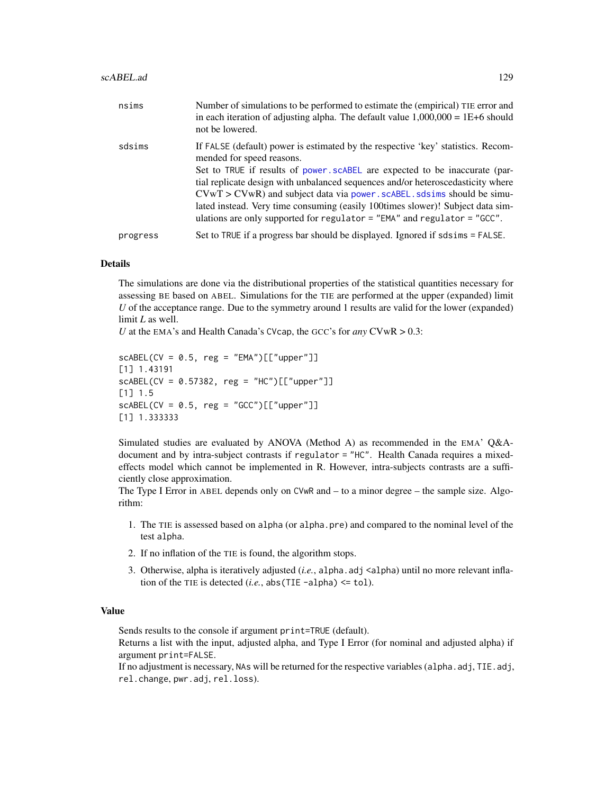<span id="page-128-0"></span>

| nsims    | Number of simulations to be performed to estimate the (empirical) TIE error and<br>in each iteration of adjusting alpha. The default value $1,000,000 = 1E+6$ should<br>not be lowered.                                                                                                                                                                                                                                                                                                                                      |
|----------|------------------------------------------------------------------------------------------------------------------------------------------------------------------------------------------------------------------------------------------------------------------------------------------------------------------------------------------------------------------------------------------------------------------------------------------------------------------------------------------------------------------------------|
| sdsims   | If FALSE (default) power is estimated by the respective 'key' statistics. Recom-<br>mended for speed reasons.<br>Set to TRUE if results of power, scABEL are expected to be inaccurate (par-<br>tial replicate design with unbalanced sequences and/or heteroscedasticity where<br>$CVwT > CVwR$ ) and subject data via power. scABEL. sds ims should be simu-<br>lated instead. Very time consuming (easily 100times slower)! Subject data sim-<br>ulations are only supported for regulator = "EMA" and regulator = "GCC". |
| progress | Set to TRUE if a progress bar should be displayed. Ignored if sdsims = FALSE.                                                                                                                                                                                                                                                                                                                                                                                                                                                |

The simulations are done via the distributional properties of the statistical quantities necessary for assessing BE based on ABEL. Simulations for the TIE are performed at the upper (expanded) limit *U* of the acceptance range. Due to the symmetry around 1 results are valid for the lower (expanded) limit *L* as well.

*U* at the EMA's and Health Canada's CVcap, the GCC's for *any* CVwR > 0.3:

```
scABEL(CV = 0.5, reg = "EMA") [['upper"]][1] 1.43191
scABEL(CV = 0.57382, reg = "HC")[["upper"]]
[1] 1.5
scABEL(CV = 0.5, reg = "GCC") [['upper"]][1] 1.333333
```
Simulated studies are evaluated by ANOVA (Method A) as recommended in the EMA' Q&Adocument and by intra-subject contrasts if regulator = "HC". Health Canada requires a mixedeffects model which cannot be implemented in R. However, intra-subjects contrasts are a sufficiently close approximation.

The Type I Error in ABEL depends only on CVwR and – to a minor degree – the sample size. Algorithm:

- 1. The TIE is assessed based on alpha (or alpha.pre) and compared to the nominal level of the test alpha.
- 2. If no inflation of the TIE is found, the algorithm stops.
- 3. Otherwise, alpha is iteratively adjusted (*i.e.*, alpha.adj <alpha) until no more relevant inflation of the TIE is detected  $(i.e., abs(TIE - alpha) \leq tol)$ .

#### Value

Sends results to the console if argument print=TRUE (default).

Returns a list with the input, adjusted alpha, and Type I Error (for nominal and adjusted alpha) if argument print=FALSE.

If no adjustment is necessary, NAs will be returned for the respective variables (alpha.adj, TIE.adj, rel.change, pwr.adj, rel.loss).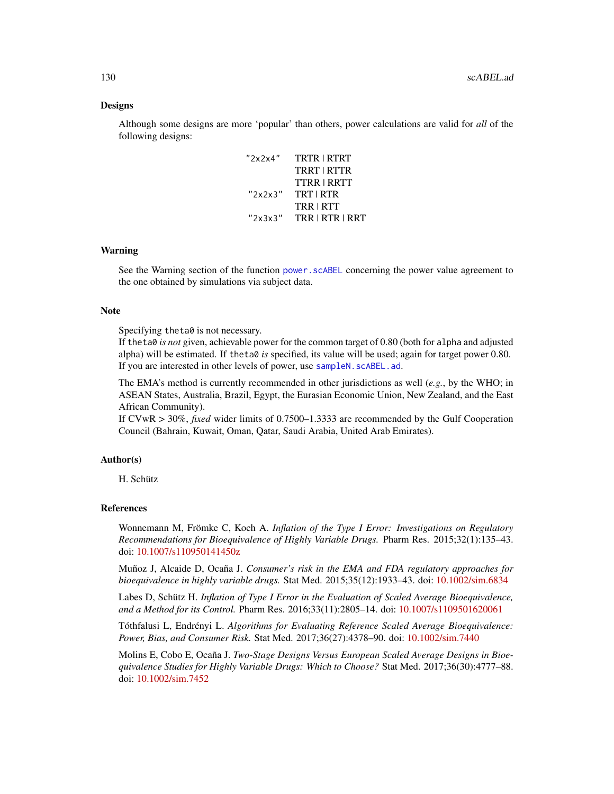#### **Designs**

Although some designs are more 'popular' than others, power calculations are valid for *all* of the following designs:

| "2x2x4" | TRTR   RTRT     |
|---------|-----------------|
|         | TRRT   RTTR     |
|         | TTRR   RRTT     |
| "2x2x3" | TRT   RTR       |
|         | TRR   RTT       |
| "2x3x3" | TRR   RTR   RRT |

#### Warning

See the Warning section of the function [power.scABEL](#page-69-0) concerning the power value agreement to the one obtained by simulations via subject data.

#### Note

Specifying the ta $\theta$  is not necessary.

If theta0 *is not* given, achievable power for the common target of 0.80 (both for alpha and adjusted alpha) will be estimated. If the tall *is* specified, its value will be used; again for target power 0.80. If you are interested in other levels of power, use [sampleN.scABEL.ad](#page-113-0).

The EMA's method is currently recommended in other jurisdictions as well (*e.g.*, by the WHO; in ASEAN States, Australia, Brazil, Egypt, the Eurasian Economic Union, New Zealand, and the East African Community).

If CVwR > 30%, *fixed* wider limits of 0.7500–1.3333 are recommended by the Gulf Cooperation Council (Bahrain, Kuwait, Oman, Qatar, Saudi Arabia, United Arab Emirates).

#### Author(s)

H. Schütz

#### References

Wonnemann M, Frömke C, Koch A. *Inflation of the Type I Error: Investigations on Regulatory Recommendations for Bioequivalence of Highly Variable Drugs.* Pharm Res. 2015;32(1):135–43. doi: [10.1007/s110950141450z](https://doi.org/10.1007/s11095-014-1450-z)

Muñoz J, Alcaide D, Ocaña J. *Consumer's risk in the EMA and FDA regulatory approaches for bioequivalence in highly variable drugs.* Stat Med. 2015;35(12):1933–43. doi: [10.1002/sim.6834](https://doi.org/10.1002/sim.6834)

Labes D, Schütz H. *Inflation of Type I Error in the Evaluation of Scaled Average Bioequivalence, and a Method for its Control.* Pharm Res. 2016;33(11):2805–14. doi: [10.1007/s1109501620061](https://doi.org/10.1007/s11095-016-2006-1)

Tóthfalusi L, Endrényi L. *Algorithms for Evaluating Reference Scaled Average Bioequivalence: Power, Bias, and Consumer Risk.* Stat Med. 2017;36(27):4378–90. doi: [10.1002/sim.7440](https://doi.org/10.1002/sim.7440)

Molins E, Cobo E, Ocaña J. *Two-Stage Designs Versus European Scaled Average Designs in Bioequivalence Studies for Highly Variable Drugs: Which to Choose?* Stat Med. 2017;36(30):4777–88. doi: [10.1002/sim.7452](https://doi.org/10.1002/sim.7452)

<span id="page-129-0"></span>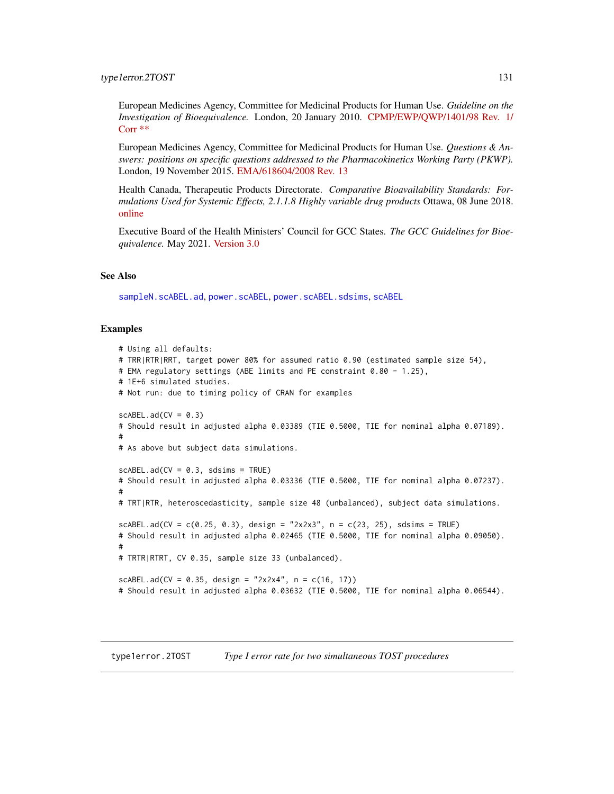<span id="page-130-0"></span>European Medicines Agency, Committee for Medicinal Products for Human Use. *Guideline on the Investigation of Bioequivalence.* London, 20 January 2010. [CPMP/EWP/QWP/1401/98 Rev. 1/](https://www.ema.europa.eu/en/documents/scientific-guideline/guideline-investigation-bioequivalence-rev1_en.pdf) [Corr \\*\\*](https://www.ema.europa.eu/en/documents/scientific-guideline/guideline-investigation-bioequivalence-rev1_en.pdf)

European Medicines Agency, Committee for Medicinal Products for Human Use. *Questions & Answers: positions on specific questions addressed to the Pharmacokinetics Working Party (PKWP).* London, 19 November 2015. [EMA/618604/2008 Rev. 13](https://www.ema.europa.eu/en/documents/scientific-guideline/questions-answers-positions-specific-questions-addressed-pharmacokinetics-working-party_en.pdf)

Health Canada, Therapeutic Products Directorate. *Comparative Bioavailability Standards: Formulations Used for Systemic Effects, 2.1.1.8 Highly variable drug products* Ottawa, 08 June 2018. [online](https://www.canada.ca/en/health-canada/services/drugs-health-products/drug-products/applications-submissions/guidance-documents/bioavailability-bioequivalence/comparative-bioavailability-standards-formulations-used-systemic-effects.html#a2.1.1.8)

Executive Board of the Health Ministers' Council for GCC States. *The GCC Guidelines for Bioequivalence.* May 2021. [Version 3.0](https://www.sfda.gov.sa/sites/default/files/2021-10/GCC_Guidelines_Bioequivalence.pdf)

#### See Also

[sampleN.scABEL.ad](#page-113-0), [power.scABEL](#page-69-0), [power.scABEL.sdsims](#page-73-0), [scABEL](#page-124-0)

#### Examples

```
# Using all defaults:
# TRR|RTR|RRT, target power 80% for assumed ratio 0.90 (estimated sample size 54),
# EMA regulatory settings (ABE limits and PE constraint 0.80 - 1.25),
# 1E+6 simulated studies.
# Not run: due to timing policy of CRAN for examples
scABEL.add(CV = 0.3)# Should result in adjusted alpha 0.03389 (TIE 0.5000, TIE for nominal alpha 0.07189).
#
# As above but subject data simulations.
scABEL.add(CV = 0.3, sdsims = TRUE)# Should result in adjusted alpha 0.03336 (TIE 0.5000, TIE for nominal alpha 0.07237).
#
# TRT|RTR, heteroscedasticity, sample size 48 (unbalanced), subject data simulations.
scABEL.ad(CV = c(0.25, 0.3), design = "2x2x3", n = c(23, 25), sdsims = TRUE)
# Should result in adjusted alpha 0.02465 (TIE 0.5000, TIE for nominal alpha 0.09050).
#
# TRTR|RTRT, CV 0.35, sample size 33 (unbalanced).
scABEL.ad(CV = 0.35, design = "2x2x4", n = c(16, 17))
# Should result in adjusted alpha 0.03632 (TIE 0.5000, TIE for nominal alpha 0.06544).
```
type1error.2TOST *Type I error rate for two simultaneous TOST procedures*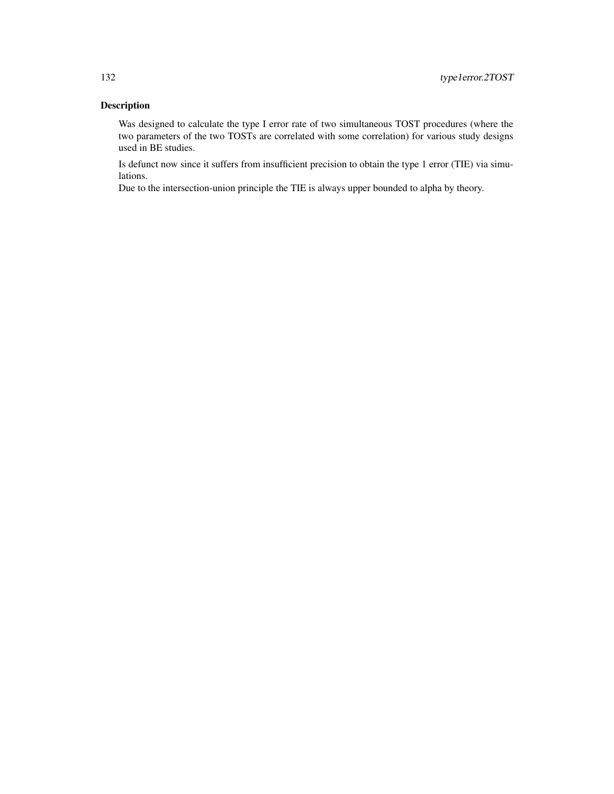# Description

Was designed to calculate the type I error rate of two simultaneous TOST procedures (where the two parameters of the two TOSTs are correlated with some correlation) for various study designs used in BE studies.

Is defunct now since it suffers from insufficient precision to obtain the type 1 error (TIE) via simulations.

Due to the intersection-union principle the TIE is always upper bounded to alpha by theory.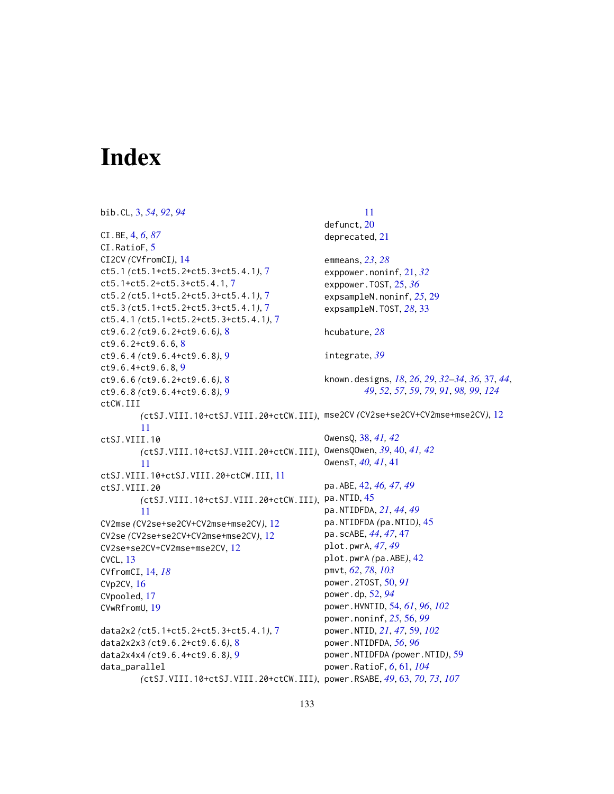# **Index**

```
bib.CL, 3, 54, 92, 94
CI.BE, 4, 6, 87
CI.RatioF, 5
CI2CV (CVfromCI), 14
ct5.1 (ct5.1+ct5.2+ct5.3+ct5.4.1), 7
ct5.1+ct5.2+ct5.3+ct5.4.1, 7
ct5.2 (ct5.1+ct5.2+ct5.3+ct5.4.1), 7
ct5.3 (ct5.1+ct5.2+ct5.3+ct5.4.1), 7
ct5.4.1 (ct5.1+ct5.2+ct5.3+ct5.4.1), 7
ct9.6.2 (ct9.6.2+ct9.6.6), 8
ct9.6.2+ct9.6.6, 8
ct9.6.4 (ct9.6.4+ct9.6.8), 9
ct9.6.4+ct9.6.8, 9
ct9.6.6 (ct9.6.2+ct9.6.6), 8
ct9.6.8 (ct9.6.4+ct9.6.8), 9
ctCW.III
         (ctSJ.VIII.10+ctSJ.VIII.20+ctCW.III),
mse2CV (CV2se+se2CV+CV2mse+mse2CV), 12
        11
ctSJ.VIII.10
         (ctSJ.VIII.10+ctSJ.VIII.20+ctCW.III),
OwensQOwen, 39, 40, 41, 42
         11
ctSJ.VIII.10+ctSJ.VIII.20+ctCW.III, 11
ctSJ.VIII.20
         (ctSJ.VIII.10+ctSJ.VIII.20+ctCW.III),
pa.NTID, 45
         11
CV2mse (CV2se+se2CV+CV2mse+mse2CV), 12
CV2se (CV2se+se2CV+CV2mse+mse2CV), 12
CV2se+se2CV+CV2mse+mse2CV, 12
CVCL, 13
CVfromCI, 14, 18
CVp2CV, 16
CVpooled, 17
CVwRfromU, 19
data2x2 (ct5.1+ct5.2+ct5.3+ct5.4.1), 7
data2x2x3 (ct9.6.2+ct9.6.6), 8
data2x4x4 (ct9.6.4+ct9.6.8), 9
data_parallel
         (ctSJ.VIII.10+ctSJ.VIII.20+ctCW.III),
power.RSABE, 49, 63, 70, 73, 107
                                                           11
                                                  defunct, 20
                                                  deprecated, 21
                                                  emmeans, 23, 28
                                                  exppower.noninf, 21, 32
                                                  exppower.TOST, 25, 36
                                                  expsampleN.noninf, 25, 29
                                                  expsampleN.TOST, 28, 33
                                                  hcubature, 28
                                                  integrate, 39
                                                  known.designs, 18, 26, 29, 32–34, 36, 37, 44,
                                                           49, 52, 57, 59, 79, 91, 98, 99, 124
                                                  OwensQ, 38, 41, 42
                                                  OwensT, 40, 41, 41
                                                  pa.ABE, 42, 46, 47, 49
                                                  pa.NTIDFDA, 21, 44, 49
                                                  pa.NTIDFDA (pa.NTID), 45
                                                  pa.scABE, 44, 47, 47
                                                  plot.pwrA, 47, 49
                                                  plot.pwrA (pa.ABE), 42
                                                  pmvt, 62, 78, 103
                                                  power.2TOST, 50, 91
                                                  power.dp, 52, 94
                                                  power.HVNTID, 54, 61, 96, 102
                                                  power.noninf, 25, 56, 99
                                                  power.NTID, 21, 47, 59, 102
                                                  power.NTIDFDA, 56, 96
                                                  power.NTIDFDA (power.NTID), 59
                                                  power.RatioF, 6, 61, 104
```